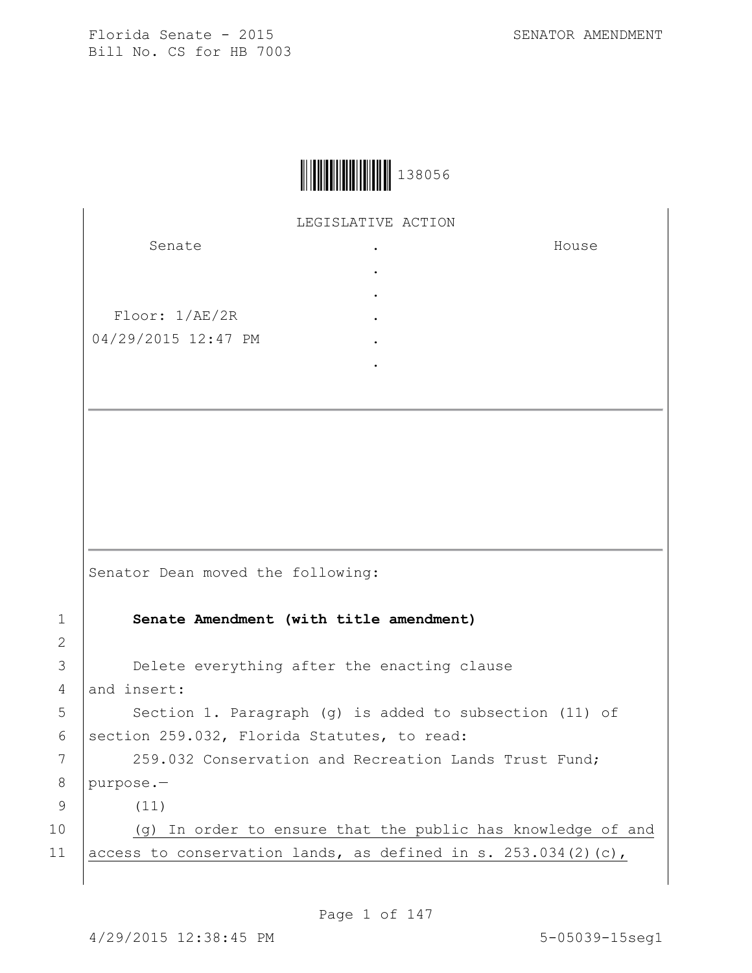House



LEGISLATIVE ACTION

. . . . . .

Senate

Floor: 1/AE/2R 04/29/2015 12:47 PM

Senator Dean moved the following: 1 **Senate Amendment (with title amendment)** 3 **Delete everything after the enacting clause** 4 and insert: 5 | Section 1. Paragraph (g) is added to subsection (11) of 6 | section 259.032, Florida Statutes, to read: 7 | 259.032 Conservation and Recreation Lands Trust Fund; 8 purpose.— 9 (11) 10 | (g) In order to ensure that the public has knowledge of and 11 access to conservation lands, as defined in s. 253.034(2)(c),

Page 1 of 147

2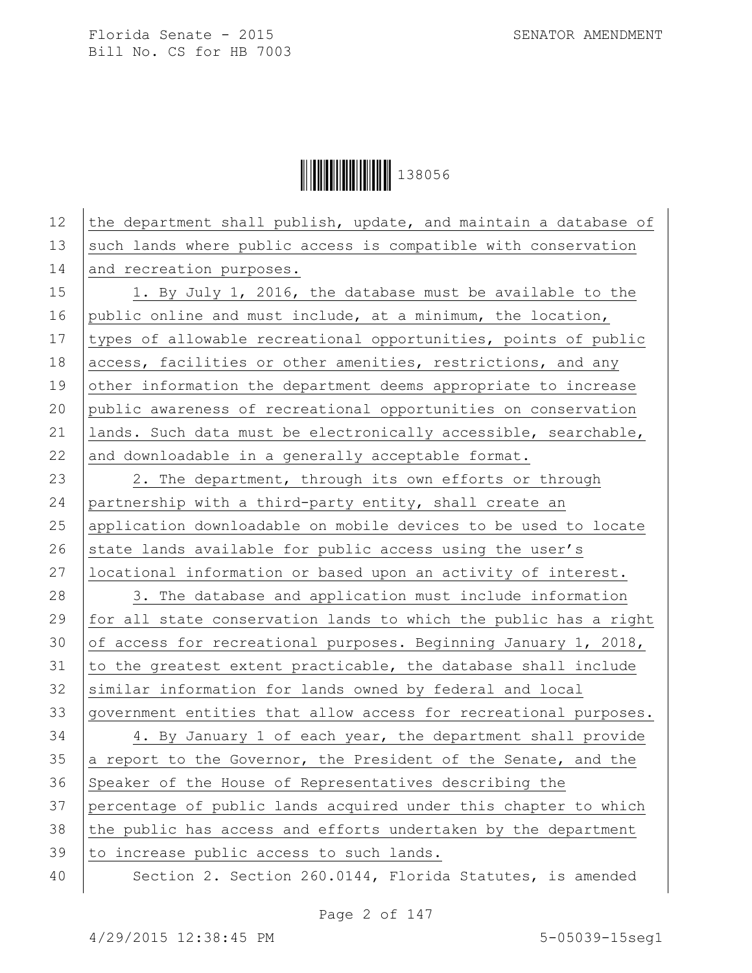**│││││││││││││││││** 138056

| 12 | the department shall publish, update, and maintain a database of |
|----|------------------------------------------------------------------|
| 13 | such lands where public access is compatible with conservation   |
| 14 | and recreation purposes.                                         |
| 15 | 1. By July 1, 2016, the database must be available to the        |
| 16 | public online and must include, at a minimum, the location,      |
| 17 | types of allowable recreational opportunities, points of public  |
| 18 | access, facilities or other amenities, restrictions, and any     |
| 19 | other information the department deems appropriate to increase   |
| 20 | public awareness of recreational opportunities on conservation   |
| 21 | lands. Such data must be electronically accessible, searchable,  |
| 22 | and downloadable in a generally acceptable format.               |
| 23 | 2. The department, through its own efforts or through            |
| 24 | partnership with a third-party entity, shall create an           |
| 25 | application downloadable on mobile devices to be used to locate  |
| 26 | state lands available for public access using the user's         |
| 27 | locational information or based upon an activity of interest.    |
| 28 | 3. The database and application must include information         |
| 29 | for all state conservation lands to which the public has a right |
| 30 | of access for recreational purposes. Beginning January 1, 2018,  |
| 31 | to the greatest extent practicable, the database shall include   |
| 32 | similar information for lands owned by federal and local         |
| 33 | government entities that allow access for recreational purposes. |
| 34 | 4. By January 1 of each year, the department shall provide       |
| 35 | a report to the Governor, the President of the Senate, and the   |
| 36 | Speaker of the House of Representatives describing the           |
| 37 | percentage of public lands acquired under this chapter to which  |
| 38 | the public has access and efforts undertaken by the department   |
| 39 | to increase public access to such lands.                         |
| 40 | Section 2. Section 260.0144, Florida Statutes, is amended        |

Page 2 of 147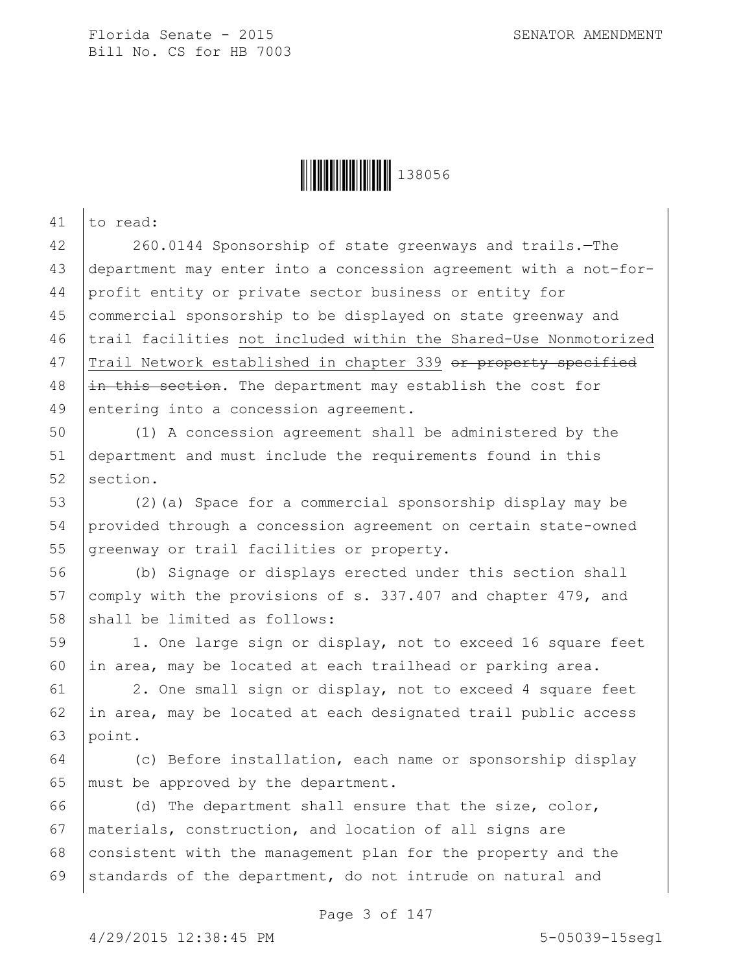

41 to read:

 260.0144 Sponsorship of state greenways and trails.—The department may enter into a concession agreement with a not-for- profit entity or private sector business or entity for commercial sponsorship to be displayed on state greenway and 46 trail facilities not included within the Shared-Use Nonmotorized 47 Trail Network established in chapter 339 or property specified |in this section. The department may establish the cost for 49 entering into a concession agreement.

50 (1) A concession agreement shall be administered by the 51 department and must include the requirements found in this 52 section.

53 (2)(a) Space for a commercial sponsorship display may be 54 provided through a concession agreement on certain state-owned 55 greenway or trail facilities or property.

56 (b) Signage or displays erected under this section shall 57 comply with the provisions of s. 337.407 and chapter 479, and 58 shall be limited as follows:

59 | 1. One large sign or display, not to exceed 16 square feet 60 in area, may be located at each trailhead or parking area.

61 2. One small sign or display, not to exceed 4 square feet 62 in area, may be located at each designated trail public access 63 point.

64 (c) Before installation, each name or sponsorship display 65 | must be approved by the department.

66 (d) The department shall ensure that the size, color, 67 materials, construction, and location of all signs are 68 consistent with the management plan for the property and the 69 standards of the department, do not intrude on natural and

Page 3 of 147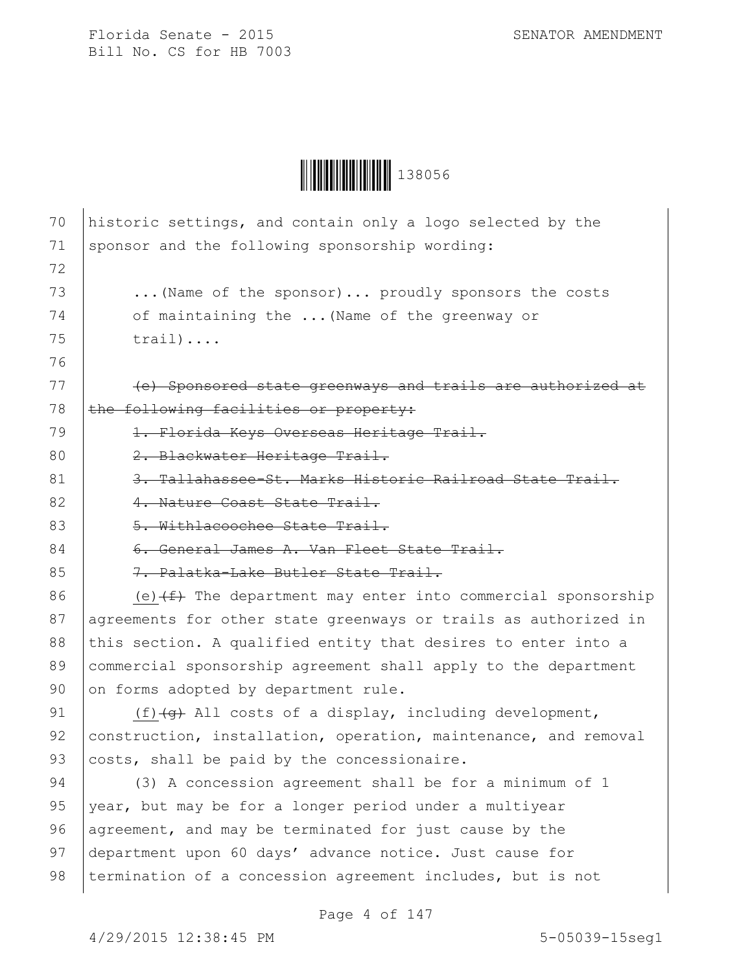

| 70 | historic settings, and contain only a logo selected by the                      |
|----|---------------------------------------------------------------------------------|
| 71 | sponsor and the following sponsorship wording:                                  |
| 72 |                                                                                 |
| 73 | (Name of the sponsor) proudly sponsors the costs                                |
| 74 | of maintaining the  (Name of the greenway or                                    |
| 75 | $train) \ldots$                                                                 |
| 76 |                                                                                 |
| 77 | (e) Sponsored state greenways and trails are authorized at                      |
| 78 | the following facilities or property:                                           |
| 79 | 1. Florida Keys Overseas Heritage Trail.                                        |
| 80 | 2. Blackwater Heritage Trail.                                                   |
| 81 | 3. Tallahassee-St. Marks Historic Railroad State Trail.                         |
| 82 | 4. Nature Coast State Trail.                                                    |
| 83 | 5. Withlacoochee State Trail.                                                   |
| 84 | 6. General James A. Van Fleet State Trail.                                      |
| 85 | 7. Palatka-Lake Butler State Trail.                                             |
| 86 | (e) $\overline{f}$ The department may enter into commercial sponsorship         |
| 87 | agreements for other state greenways or trails as authorized in                 |
| 88 | this section. A qualified entity that desires to enter into a                   |
| 89 | commercial sponsorship agreement shall apply to the department                  |
| 90 | on forms adopted by department rule.                                            |
| 91 | $(f)$ $\left(\frac{f}{f}\right)$ All costs of a display, including development, |
| 92 | construction, installation, operation, maintenance, and removal                 |
| 93 | costs, shall be paid by the concessionaire.                                     |
| 94 | (3) A concession agreement shall be for a minimum of 1                          |
| 95 | year, but may be for a longer period under a multiyear                          |
| 96 | agreement, and may be terminated for just cause by the                          |
| 97 | department upon 60 days' advance notice. Just cause for                         |
| 98 | termination of a concession agreement includes, but is not                      |
|    |                                                                                 |

Page 4 of 147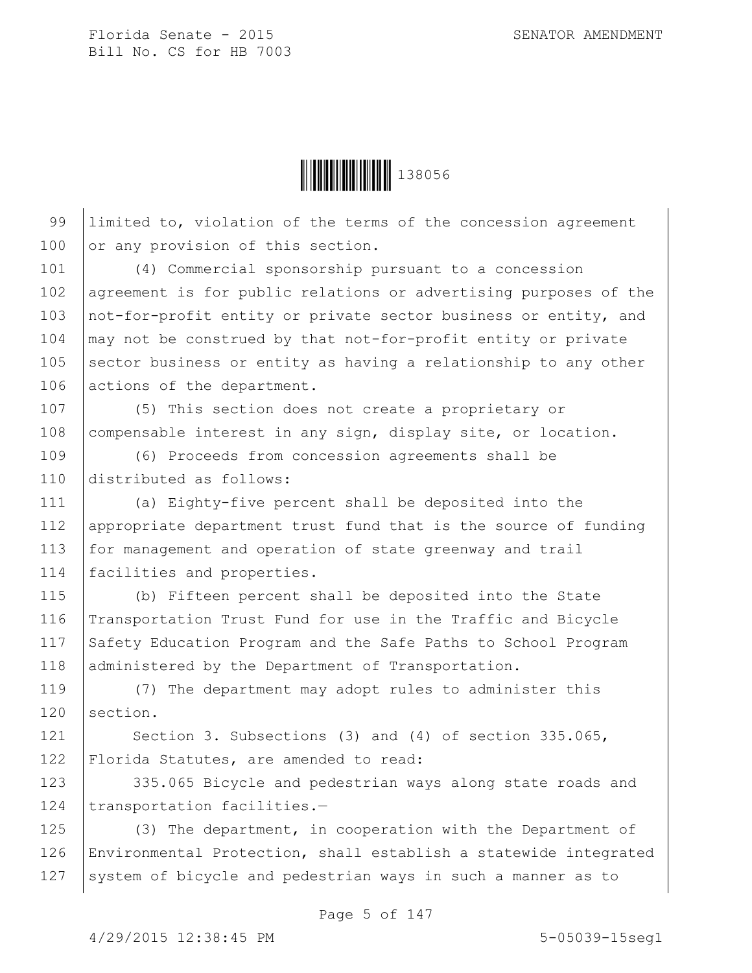

99 Ilimited to, violation of the terms of the concession agreement 100 or any provision of this section.

101 (4) Commercial sponsorship pursuant to a concession 102 agreement is for public relations or advertising purposes of the 103 | not-for-profit entity or private sector business or entity, and  $104$   $\mid$  may not be construed by that not-for-profit entity or private  $105$  sector business or entity as having a relationship to any other 106 actions of the department.

107 (5) This section does not create a proprietary or 108 compensable interest in any sign, display site, or location.

109 (6) Proceeds from concession agreements shall be 110 distributed as follows:

111 (a) Eighty-five percent shall be deposited into the 112 appropriate department trust fund that is the source of funding 113 for management and operation of state greenway and trail 114 | facilities and properties.

115 (b) Fifteen percent shall be deposited into the State 116 Transportation Trust Fund for use in the Traffic and Bicycle 117 Safety Education Program and the Safe Paths to School Program 118 administered by the Department of Transportation.

119 (7) The department may adopt rules to administer this 120 section.

121 | Section 3. Subsections (3) and (4) of section 335.065, 122 Florida Statutes, are amended to read:

123 335.065 Bicycle and pedestrian ways along state roads and 124 transportation facilities.-

125 (3) The department, in cooperation with the Department of 126 Environmental Protection, shall establish a statewide integrated 127 System of bicycle and pedestrian ways in such a manner as to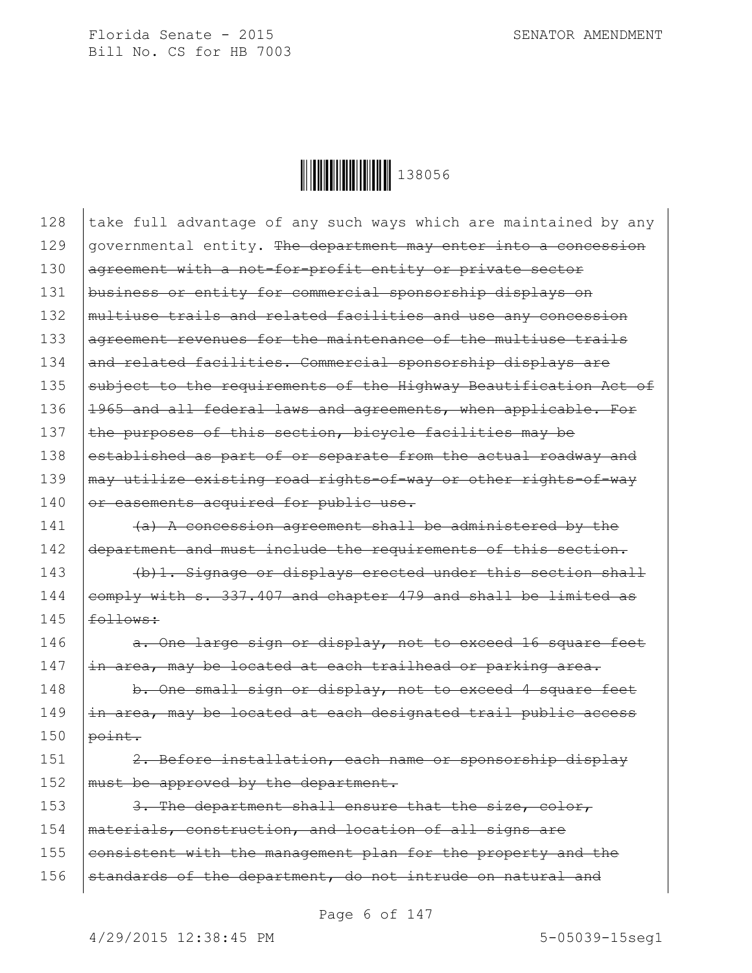

| 128 | take full advantage of any such ways which are maintained by any |
|-----|------------------------------------------------------------------|
| 129 | governmental entity. The department may enter into a concession  |
| 130 | agreement with a not-for-profit entity or private sector         |
| 131 | business or entity for commercial sponsorship displays on        |
| 132 | multiuse trails and related facilities and use any concession    |
| 133 | agreement revenues for the maintenance of the multiuse trails    |
| 134 | and related facilities. Commercial sponsorship displays are      |
| 135 | subject to the requirements of the Highway Beautification Act of |
| 136 | 1965 and all federal laws and agreements, when applicable. For   |
| 137 | the purposes of this section, bicycle facilities may be          |
| 138 | established as part of or separate from the actual roadway and   |
| 139 | may utilize existing road rights-of-way or other rights-of-way   |
| 140 | or easements acquired for public use.                            |
| 141 | (a) A concession agreement shall be administered by the          |
| 142 | department and must include the requirements of this section.    |
| 143 | (b) 1. Signage or displays erected under this section shall      |
| 144 | comply with s. 337.407 and chapter 479 and shall be limited as   |
| 145 | follows:                                                         |
| 146 | a. One large sign or display, not to exceed 16 square feet       |
| 147 | in area, may be located at each trailhead or parking area.       |
| 148 | b. One small sign or display, not to exceed 4 square feet        |
| 149 | in area, may be located at each designated trail public access   |
| 150 | point.                                                           |
| 151 | 2. Before installation, each name or sponsorship display         |
| 152 | must be approved by the department.                              |
| 153 | 3. The department shall ensure that the size, color,             |
| 154 | materials, construction, and location of all signs are           |
| 155 | consistent with the management plan for the property and the     |
| 156 | standards of the department, do not intrude on natural and       |
|     |                                                                  |

Page 6 of 147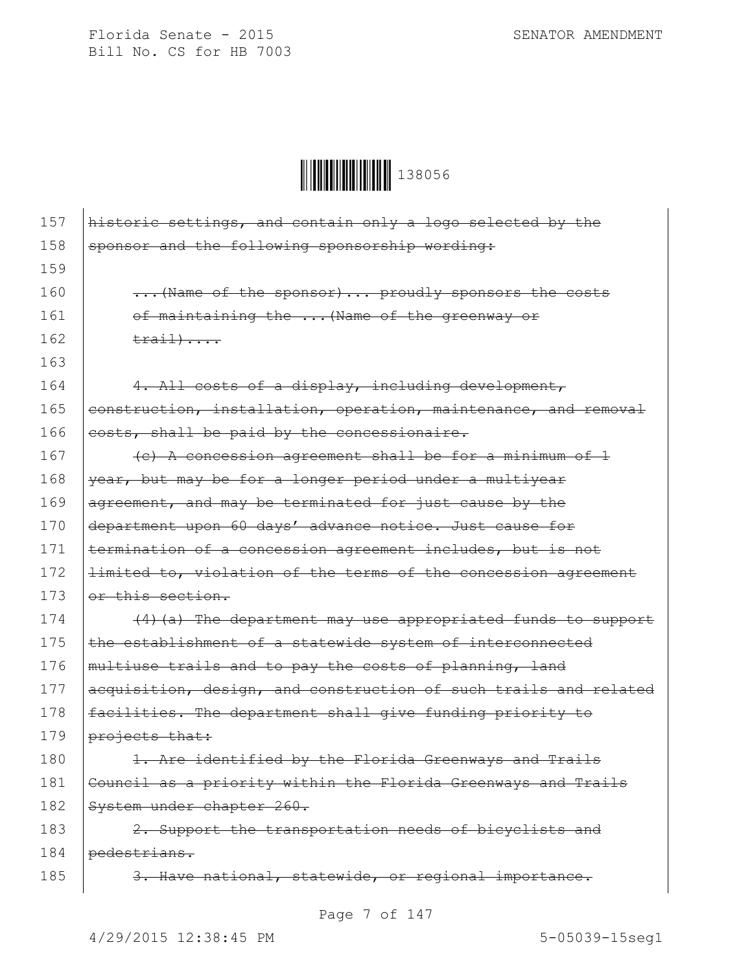

| 157 | historic settings, and contain only a logo selected by the       |
|-----|------------------------------------------------------------------|
| 158 | sponsor and the following sponsorship wording:                   |
| 159 |                                                                  |
| 160 | (Name of the sponsor)  proudly sponsors the costs                |
| 161 | of maintaining the  (Name of the greenway or                     |
| 162 | $\text{train}$                                                   |
| 163 |                                                                  |
| 164 | 4. All costs of a display, including development,                |
| 165 | construction, installation, operation, maintenance, and removal  |
| 166 | costs, shall be paid by the concessionaire.                      |
| 167 | (c) A concession agreement shall be for a minimum of 1           |
| 168 | year, but may be for a longer period under a multiyear           |
| 169 | agreement, and may be terminated for just cause by the           |
| 170 | department upon 60 days' advance notice. Just cause for          |
| 171 | termination of a concession agreement includes, but is not       |
| 172 | limited to, violation of the terms of the concession agreement   |
| 173 | or this section.                                                 |
| 174 | (4) (a) The department may use appropriated funds to support     |
| 175 | the establishment of a statewide system of interconnected        |
| 176 | multiuse trails and to pay the costs of planning, land           |
| 177 | acquisition, design, and construction of such trails and related |
| 178 | facilities. The department shall give funding priority to        |
| 179 | projects that:                                                   |
| 180 | 1. Are identified by the Florida Greenways and Trails            |
| 181 | Council as a priority within the Florida Greenways and Trails    |
| 182 | System under chapter 260.                                        |
| 183 | 2. Support the transportation needs of bicyclists and            |
| 184 | pedestrians.                                                     |
| 185 | 3. Have national, statewide, or regional importance.             |

Page 7 of 147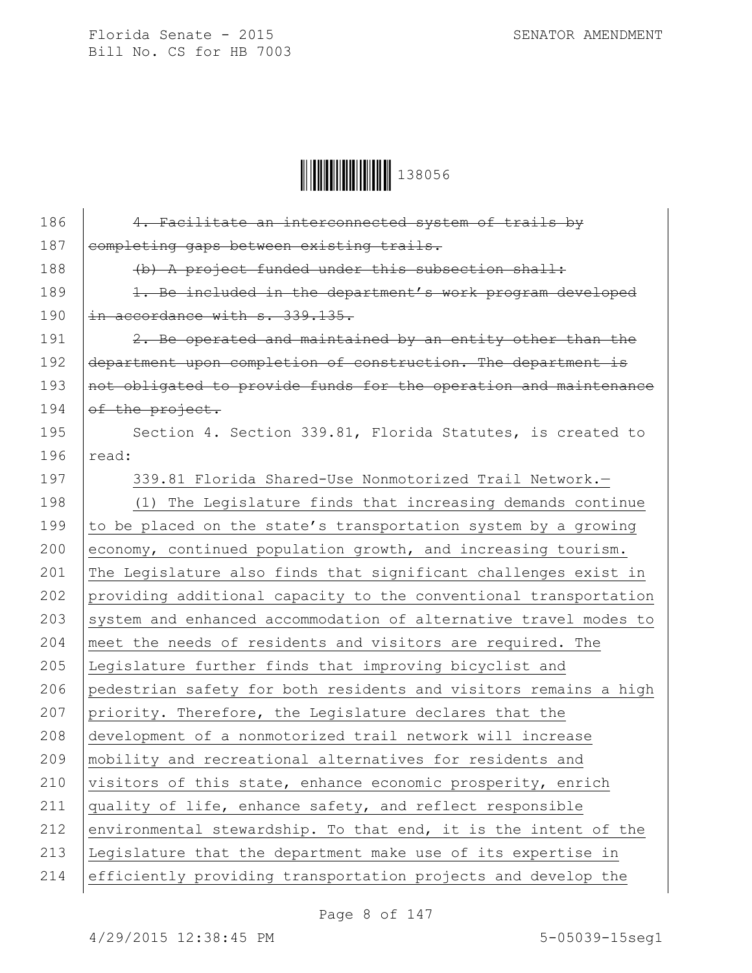**│││││││││││││││││** 138056

| 186 | 4. Facilitate an interconnected system of trails by              |
|-----|------------------------------------------------------------------|
| 187 | completing gaps between existing trails.                         |
| 188 | (b) A project funded under this subsection shall:                |
| 189 | 1. Be included in the department's work program developed        |
| 190 | in accordance with s. 339.135.                                   |
| 191 | 2. Be operated and maintained by an entity other than the        |
| 192 | department upon completion of construction. The department is    |
| 193 | not obligated to provide funds for the operation and maintenance |
| 194 | of the project.                                                  |
| 195 | Section 4. Section 339.81, Florida Statutes, is created to       |
| 196 | read:                                                            |
| 197 | 339.81 Florida Shared-Use Nonmotorized Trail Network.-           |
| 198 | (1) The Legislature finds that increasing demands continue       |
| 199 | to be placed on the state's transportation system by a growing   |
| 200 | economy, continued population growth, and increasing tourism.    |
| 201 | The Legislature also finds that significant challenges exist in  |
| 202 | providing additional capacity to the conventional transportation |
| 203 | system and enhanced accommodation of alternative travel modes to |
| 204 | meet the needs of residents and visitors are required. The       |
| 205 | Legislature further finds that improving bicyclist and           |
| 206 | pedestrian safety for both residents and visitors remains a high |
| 207 | priority. Therefore, the Legislature declares that the           |
| 208 | development of a nonmotorized trail network will increase        |
| 209 | mobility and recreational alternatives for residents and         |
| 210 | visitors of this state, enhance economic prosperity, enrich      |
| 211 | quality of life, enhance safety, and reflect responsible         |
| 212 | environmental stewardship. To that end, it is the intent of the  |
| 213 | Legislature that the department make use of its expertise in     |
| 214 | efficiently providing transportation projects and develop the    |
|     |                                                                  |

Page 8 of 147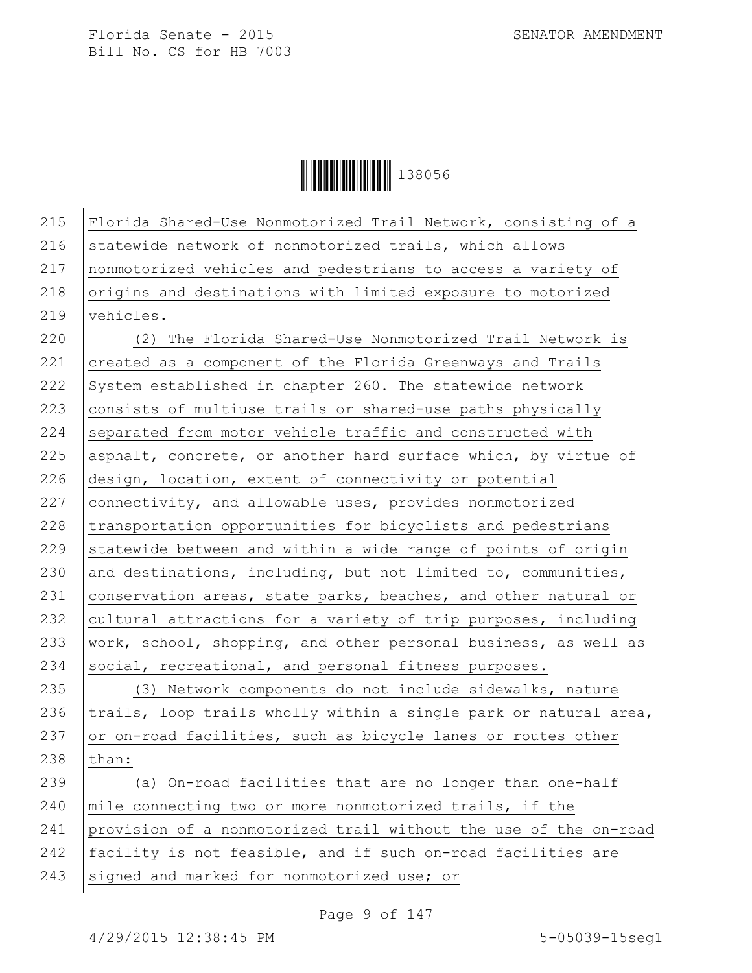

215 Florida Shared-Use Nonmotorized Trail Network, consisting of a 216 statewide network of nonmotorized trails, which allows 217 nonmotorized vehicles and pedestrians to access a variety of 218 origins and destinations with limited exposure to motorized 219 vehicles. 220 (2) The Florida Shared-Use Nonmotorized Trail Network is 221 created as a component of the Florida Greenways and Trails 222 System established in chapter 260. The statewide network 223 consists of multiuse trails or shared-use paths physically  $224$  separated from motor vehicle traffic and constructed with 225 asphalt, concrete, or another hard surface which, by virtue of 226 design, location, extent of connectivity or potential 227 connectivity, and allowable uses, provides nonmotorized 228 transportation opportunities for bicyclists and pedestrians 229 statewide between and within a wide range of points of origin 230 and destinations, including, but not limited to, communities, 231  $|$  conservation areas, state parks, beaches, and other natural or 232 cultural attractions for a variety of trip purposes, including 233 | work, school, shopping, and other personal business, as well as 234 social, recreational, and personal fitness purposes. 235 (3) Network components do not include sidewalks, nature 236  $|$ trails, loop trails wholly within a single park or natural area, 237  $\sigma$  or on-road facilities, such as bicycle lanes or routes other 238 than: 239 (a) On-road facilities that are no longer than one-half 240 mile connecting two or more nonmotorized trails, if the 241 provision of a nonmotorized trail without the use of the on-road 242 facility is not feasible, and if such on-road facilities are 243 signed and marked for nonmotorized use; or

Page 9 of 147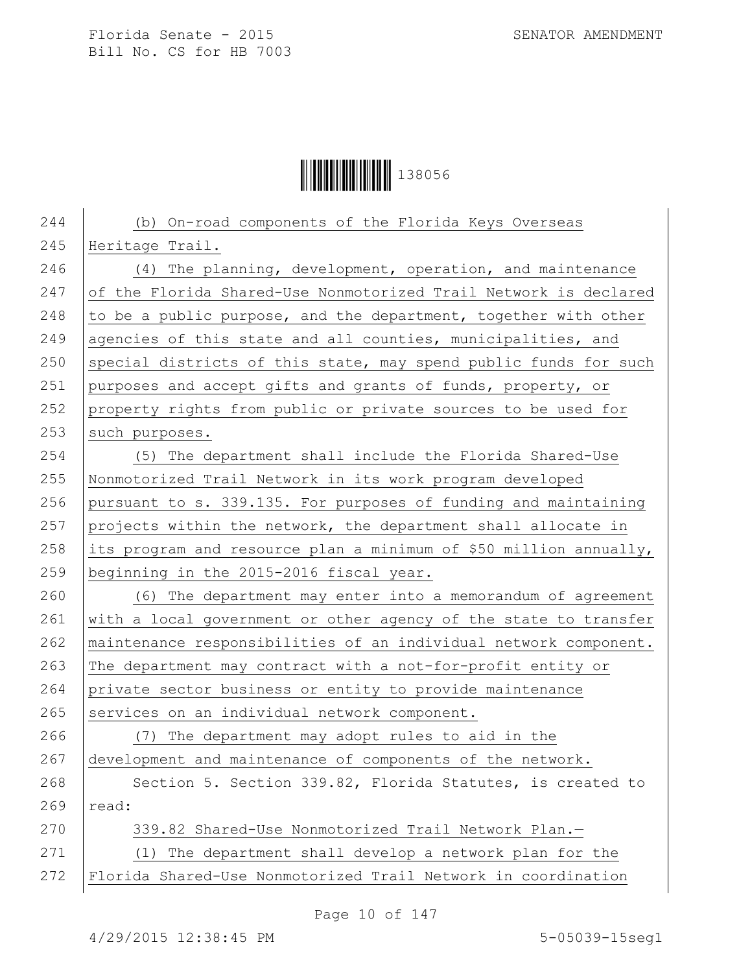**││││││││││││││││** 138056

| 244 | (b) On-road components of the Florida Keys Overseas               |
|-----|-------------------------------------------------------------------|
| 245 | Heritage Trail.                                                   |
| 246 | $(4)$ The planning, development, operation, and maintenance       |
| 247 | of the Florida Shared-Use Nonmotorized Trail Network is declared  |
| 248 | to be a public purpose, and the department, together with other   |
| 249 | agencies of this state and all counties, municipalities, and      |
| 250 | special districts of this state, may spend public funds for such  |
| 251 | purposes and accept gifts and grants of funds, property, or       |
| 252 | property rights from public or private sources to be used for     |
| 253 | such purposes.                                                    |
| 254 | (5) The department shall include the Florida Shared-Use           |
| 255 | Nonmotorized Trail Network in its work program developed          |
| 256 | pursuant to s. 339.135. For purposes of funding and maintaining   |
| 257 | projects within the network, the department shall allocate in     |
| 258 | its program and resource plan a minimum of \$50 million annually, |
| 259 | beginning in the 2015-2016 fiscal year.                           |
| 260 | (6) The department may enter into a memorandum of agreement       |
| 261 | with a local government or other agency of the state to transfer  |
| 262 | maintenance responsibilities of an individual network component.  |
| 263 | The department may contract with a not-for-profit entity or       |
| 264 | private sector business or entity to provide maintenance          |
| 265 | services on an individual network component.                      |
| 266 | (7) The department may adopt rules to aid in the                  |
| 267 | development and maintenance of components of the network.         |
| 268 | Section 5. Section 339.82, Florida Statutes, is created to        |
| 269 | read:                                                             |
| 270 | 339.82 Shared-Use Nonmotorized Trail Network Plan.-               |
| 271 | The department shall develop a network plan for the<br>(1)        |
| 272 | Florida Shared-Use Nonmotorized Trail Network in coordination     |
|     |                                                                   |

Page 10 of 147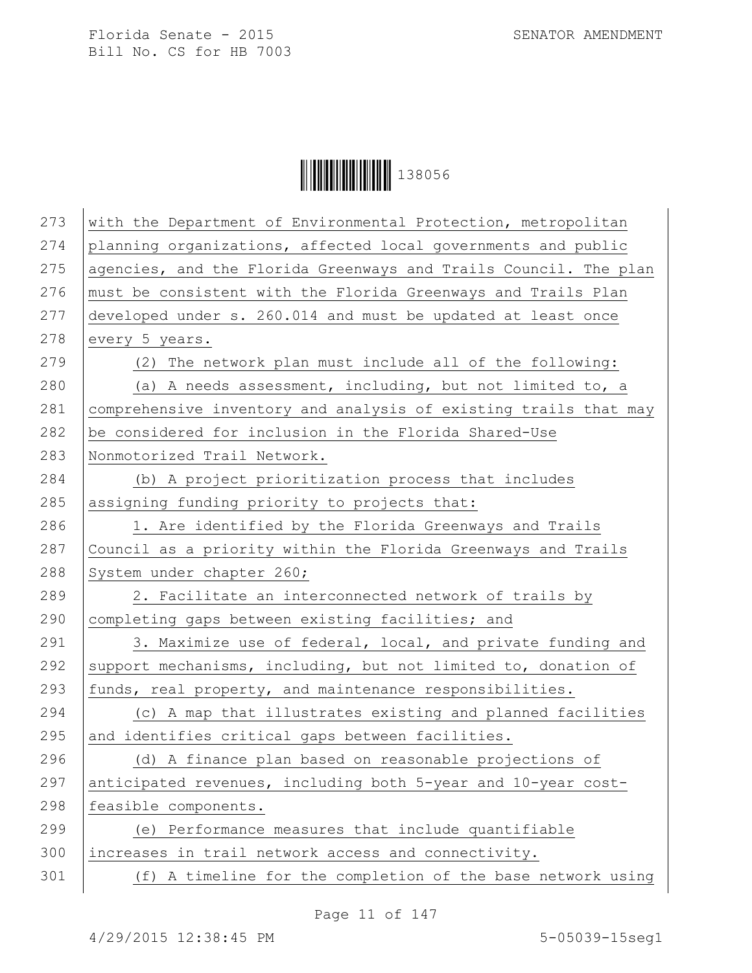**│││││││││││││││││** 138056

| 273 | with the Department of Environmental Protection, metropolitan    |
|-----|------------------------------------------------------------------|
| 274 | planning organizations, affected local governments and public    |
| 275 | agencies, and the Florida Greenways and Trails Council. The plan |
| 276 | must be consistent with the Florida Greenways and Trails Plan    |
| 277 | developed under s. 260.014 and must be updated at least once     |
| 278 | every 5 years.                                                   |
| 279 | (2) The network plan must include all of the following:          |
| 280 | (a) A needs assessment, including, but not limited to, a         |
| 281 | comprehensive inventory and analysis of existing trails that may |
| 282 | be considered for inclusion in the Florida Shared-Use            |
| 283 | Nonmotorized Trail Network.                                      |
| 284 | (b) A project prioritization process that includes               |
| 285 | assigning funding priority to projects that:                     |
| 286 | 1. Are identified by the Florida Greenways and Trails            |
| 287 | Council as a priority within the Florida Greenways and Trails    |
| 288 | System under chapter 260;                                        |
| 289 | 2. Facilitate an interconnected network of trails by             |
| 290 | completing gaps between existing facilities; and                 |
| 291 | 3. Maximize use of federal, local, and private funding and       |
| 292 | support mechanisms, including, but not limited to, donation of   |
| 293 | funds, real property, and maintenance responsibilities.          |
| 294 | (c) A map that illustrates existing and planned facilities       |
| 295 | and identifies critical gaps between facilities.                 |
| 296 | (d) A finance plan based on reasonable projections of            |
| 297 | anticipated revenues, including both 5-year and 10-year cost-    |
| 298 | feasible components.                                             |
| 299 | (e) Performance measures that include quantifiable               |
| 300 | increases in trail network access and connectivity.              |
| 301 | (f) A timeline for the completion of the base network using      |
|     |                                                                  |

Page 11 of 147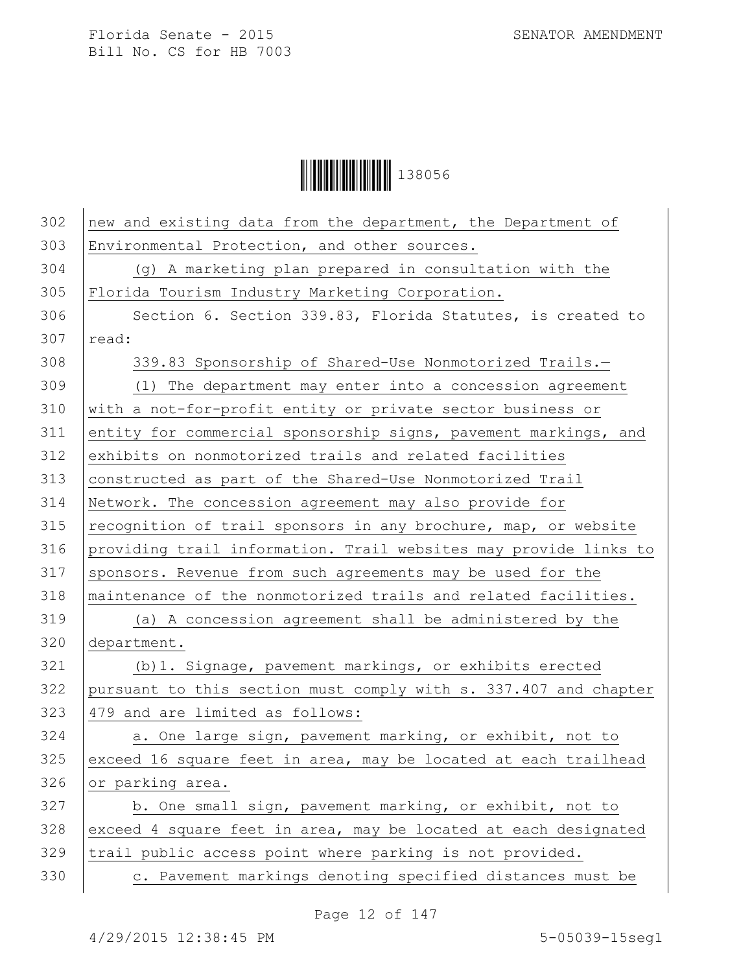**│││││││││││││││││** 138056

| 302 | new and existing data from the department, the Department of     |
|-----|------------------------------------------------------------------|
| 303 | Environmental Protection, and other sources.                     |
| 304 | (g) A marketing plan prepared in consultation with the           |
| 305 | Florida Tourism Industry Marketing Corporation.                  |
| 306 | Section 6. Section 339.83, Florida Statutes, is created to       |
| 307 | read:                                                            |
| 308 | 339.83 Sponsorship of Shared-Use Nonmotorized Trails.-           |
| 309 | (1) The department may enter into a concession agreement         |
| 310 | with a not-for-profit entity or private sector business or       |
| 311 | entity for commercial sponsorship signs, pavement markings, and  |
| 312 | exhibits on nonmotorized trails and related facilities           |
| 313 | constructed as part of the Shared-Use Nonmotorized Trail         |
| 314 | Network. The concession agreement may also provide for           |
| 315 | recognition of trail sponsors in any brochure, map, or website   |
| 316 | providing trail information. Trail websites may provide links to |
| 317 | sponsors. Revenue from such agreements may be used for the       |
| 318 | maintenance of the nonmotorized trails and related facilities.   |
| 319 | (a) A concession agreement shall be administered by the          |
| 320 | department.                                                      |
| 321 | (b) 1. Signage, pavement markings, or exhibits erected           |
| 322 | pursuant to this section must comply with s. 337.407 and chapter |
| 323 | 479 and are limited as follows:                                  |
| 324 | a. One large sign, pavement marking, or exhibit, not to          |
| 325 | exceed 16 square feet in area, may be located at each trailhead  |
| 326 | or parking area.                                                 |
| 327 | b. One small sign, pavement marking, or exhibit, not to          |
| 328 | exceed 4 square feet in area, may be located at each designated  |
| 329 | trail public access point where parking is not provided.         |
| 330 | c. Pavement markings denoting specified distances must be        |

Page 12 of 147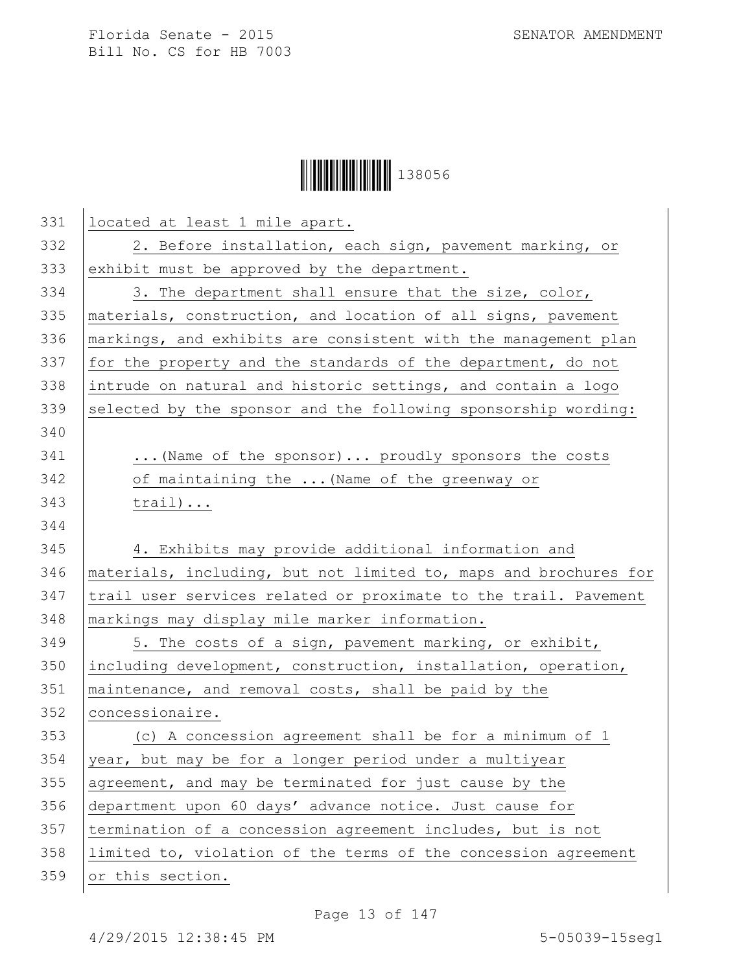## **││││││││││││││││** 138056

| 331 | located at least 1 mile apart.                                   |
|-----|------------------------------------------------------------------|
| 332 | 2. Before installation, each sign, pavement marking, or          |
| 333 | exhibit must be approved by the department.                      |
| 334 | 3. The department shall ensure that the size, color,             |
| 335 | materials, construction, and location of all signs, pavement     |
| 336 | markings, and exhibits are consistent with the management plan   |
| 337 | for the property and the standards of the department, do not     |
| 338 | intrude on natural and historic settings, and contain a logo     |
| 339 | selected by the sponsor and the following sponsorship wording:   |
| 340 |                                                                  |
| 341 | (Name of the sponsor)  proudly sponsors the costs                |
| 342 | of maintaining the  (Name of the greenway or                     |
| 343 | $train)$                                                         |
| 344 |                                                                  |
| 345 | 4. Exhibits may provide additional information and               |
| 346 | materials, including, but not limited to, maps and brochures for |
| 347 | trail user services related or proximate to the trail. Pavement  |
| 348 | markings may display mile marker information.                    |
| 349 | 5. The costs of a sign, pavement marking, or exhibit,            |
| 350 | including development, construction, installation, operation,    |
| 351 | maintenance, and removal costs, shall be paid by the             |
| 352 | concessionaire.                                                  |
| 353 | (c) A concession agreement shall be for a minimum of 1           |
| 354 | year, but may be for a longer period under a multiyear           |
| 355 | agreement, and may be terminated for just cause by the           |
| 356 | department upon 60 days' advance notice. Just cause for          |
| 357 | termination of a concession agreement includes, but is not       |
| 358 | limited to, violation of the terms of the concession agreement   |
| 359 | or this section.                                                 |
|     |                                                                  |

Page 13 of 147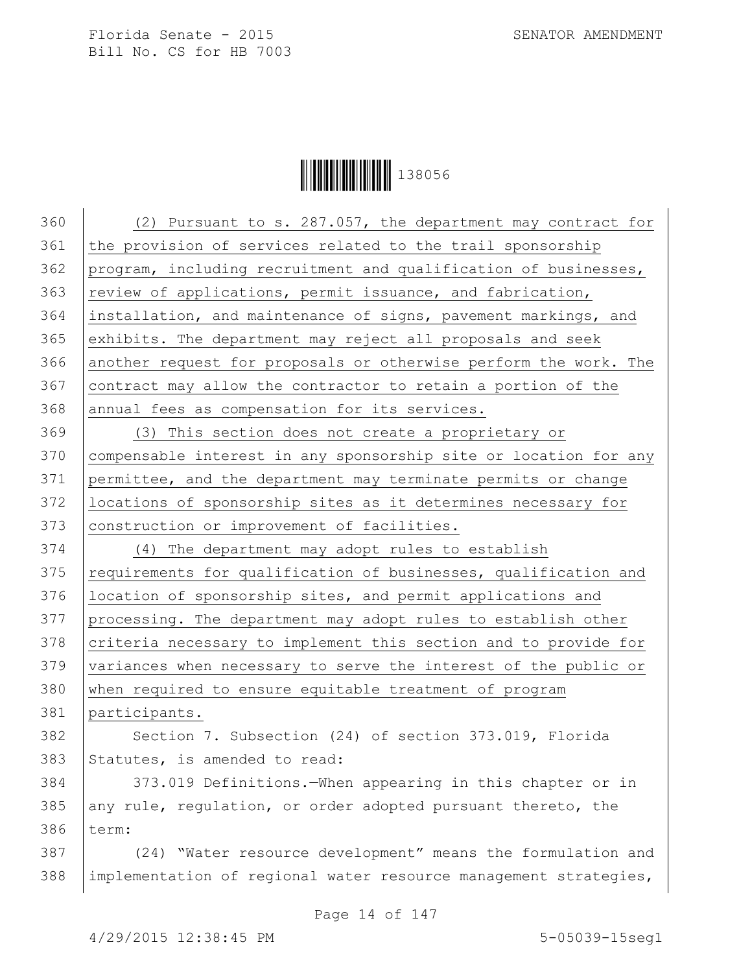

 (2) Pursuant to s. 287.057, the department may contract for 361 the provision of services related to the trail sponsorship program, including recruitment and qualification of businesses, review of applications, permit issuance, and fabrication, installation, and maintenance of signs, pavement markings, and 365 exhibits. The department may reject all proposals and seek 366 another request for proposals or otherwise perform the work. The contract may allow the contractor to retain a portion of the 368 annual fees as compensation for its services. (3) This section does not create a proprietary or compensable interest in any sponsorship site or location for any permittee, and the department may terminate permits or change locations of sponsorship sites as it determines necessary for 373 | construction or improvement of facilities. (4) The department may adopt rules to establish 375 | requirements for qualification of businesses, qualification and location of sponsorship sites, and permit applications and processing. The department may adopt rules to establish other 378 criteria necessary to implement this section and to provide for variances when necessary to serve the interest of the public or when required to ensure equitable treatment of program participants. 382 | Section 7. Subsection (24) of section 373.019, Florida Statutes, is amended to read: 373.019 Definitions.—When appearing in this chapter or in any rule, regulation, or order adopted pursuant thereto, the 386 term: (24) "Water resource development" means the formulation and 388 | implementation of regional water resource management strategies,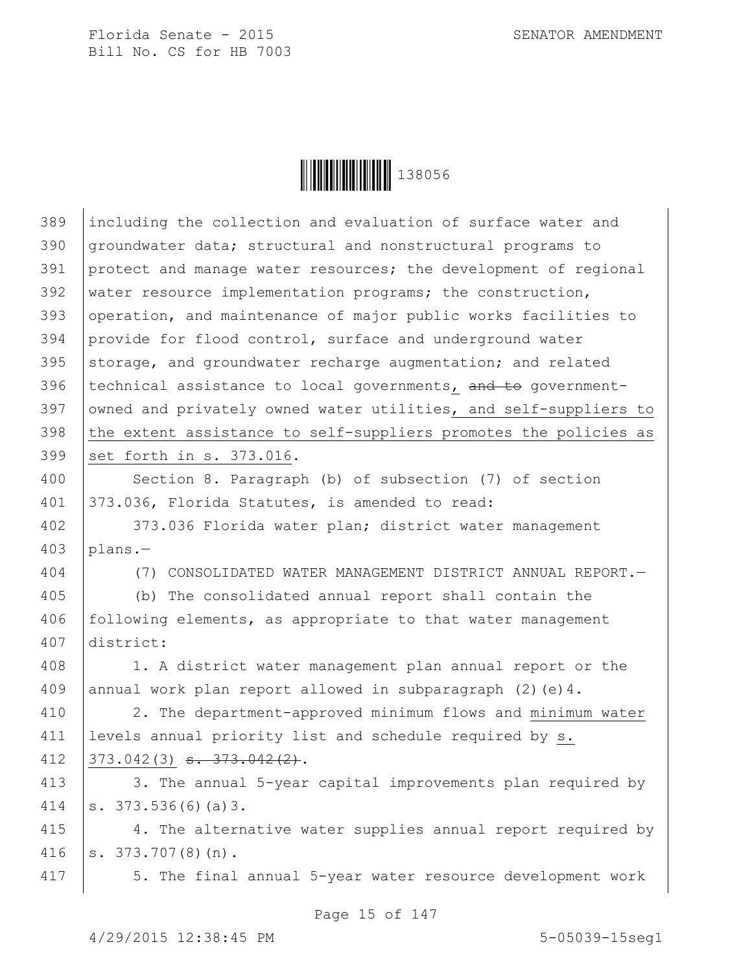

| 389 | including the collection and evaluation of surface water and     |
|-----|------------------------------------------------------------------|
| 390 | groundwater data; structural and nonstructural programs to       |
| 391 | protect and manage water resources; the development of regional  |
| 392 | water resource implementation programs; the construction,        |
| 393 | operation, and maintenance of major public works facilities to   |
| 394 | provide for flood control, surface and underground water         |
| 395 | storage, and groundwater recharge augmentation; and related      |
| 396 | technical assistance to local governments, and to government-    |
| 397 | owned and privately owned water utilities, and self-suppliers to |
| 398 | the extent assistance to self-suppliers promotes the policies as |
| 399 | set forth in s. 373.016.                                         |
| 400 | Section 8. Paragraph (b) of subsection (7) of section            |
| 401 | 373.036, Florida Statutes, is amended to read:                   |
| 402 | 373.036 Florida water plan; district water management            |
| 403 | plans.-                                                          |
| 404 | (7) CONSOLIDATED WATER MANAGEMENT DISTRICT ANNUAL REPORT.-       |
| 405 | (b) The consolidated annual report shall contain the             |
| 406 | following elements, as appropriate to that water management      |
| 407 | district:                                                        |
| 408 | 1. A district water management plan annual report or the         |
| 409 | annual work plan report allowed in subparagraph $(2)$ (e) 4.     |
| 410 | 2. The department-approved minimum flows and minimum water       |
| 411 | levels annual priority list and schedule required by s.          |
| 412 | $373.042(3)$ s. $373.042(2)$ .                                   |
| 413 | 3. The annual 5-year capital improvements plan required by       |
| 414 | s. $373.536(6)(a)3$ .                                            |
| 415 | 4. The alternative water supplies annual report required by      |
| 416 | $s. 373.707(8)(n)$ .                                             |
| 417 | 5. The final annual 5-year water resource development work       |
|     |                                                                  |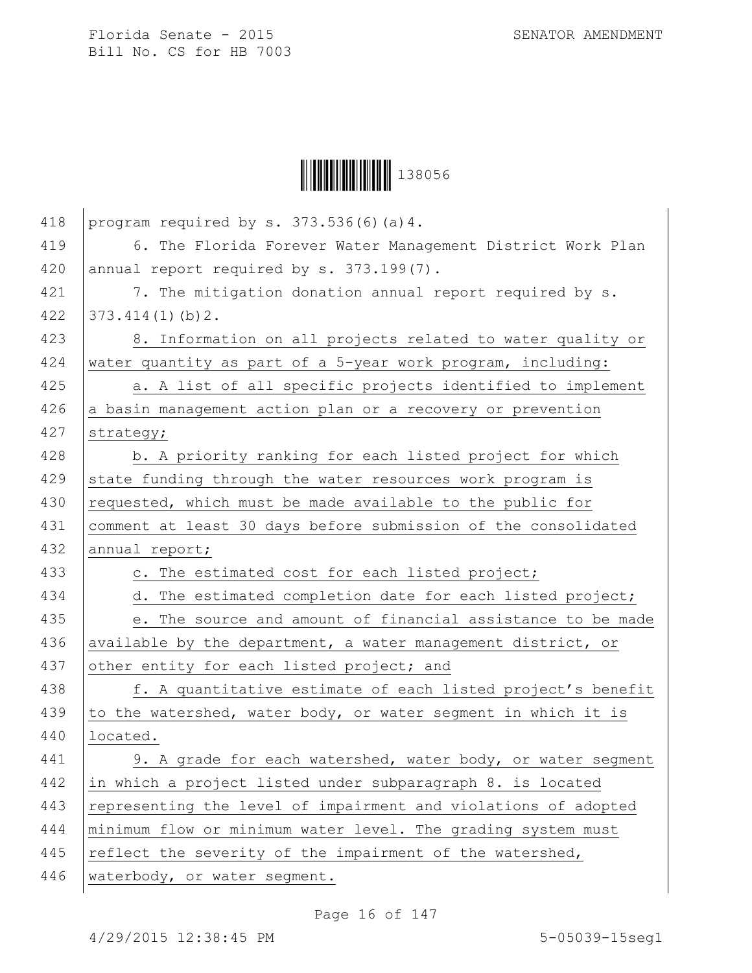

| 418 | program required by s. 373.536(6)(a)4.                         |
|-----|----------------------------------------------------------------|
| 419 | 6. The Florida Forever Water Management District Work Plan     |
| 420 | annual report required by s. 373.199(7).                       |
| 421 | 7. The mitigation donation annual report required by s.        |
| 422 | 373.414(1)(b)2.                                                |
| 423 | 8. Information on all projects related to water quality or     |
| 424 | water quantity as part of a 5-year work program, including:    |
| 425 | a. A list of all specific projects identified to implement     |
| 426 | a basin management action plan or a recovery or prevention     |
| 427 | strategy;                                                      |
| 428 | b. A priority ranking for each listed project for which        |
| 429 | state funding through the water resources work program is      |
| 430 | requested, which must be made available to the public for      |
| 431 | comment at least 30 days before submission of the consolidated |
| 432 | annual report;                                                 |
| 433 | c. The estimated cost for each listed project;                 |
| 434 | d. The estimated completion date for each listed project;      |
| 435 | e. The source and amount of financial assistance to be made    |
| 436 | available by the department, a water management district, or   |
| 437 | other entity for each listed project; and                      |
| 438 | f. A quantitative estimate of each listed project's benefit    |
| 439 | to the watershed, water body, or water segment in which it is  |
| 440 | located.                                                       |
| 441 | 9. A grade for each watershed, water body, or water segment    |
| 442 | in which a project listed under subparagraph 8. is located     |
| 443 | representing the level of impairment and violations of adopted |
| 444 | minimum flow or minimum water level. The grading system must   |
| 445 | reflect the severity of the impairment of the watershed,       |
| 446 | waterbody, or water segment.                                   |

Page 16 of 147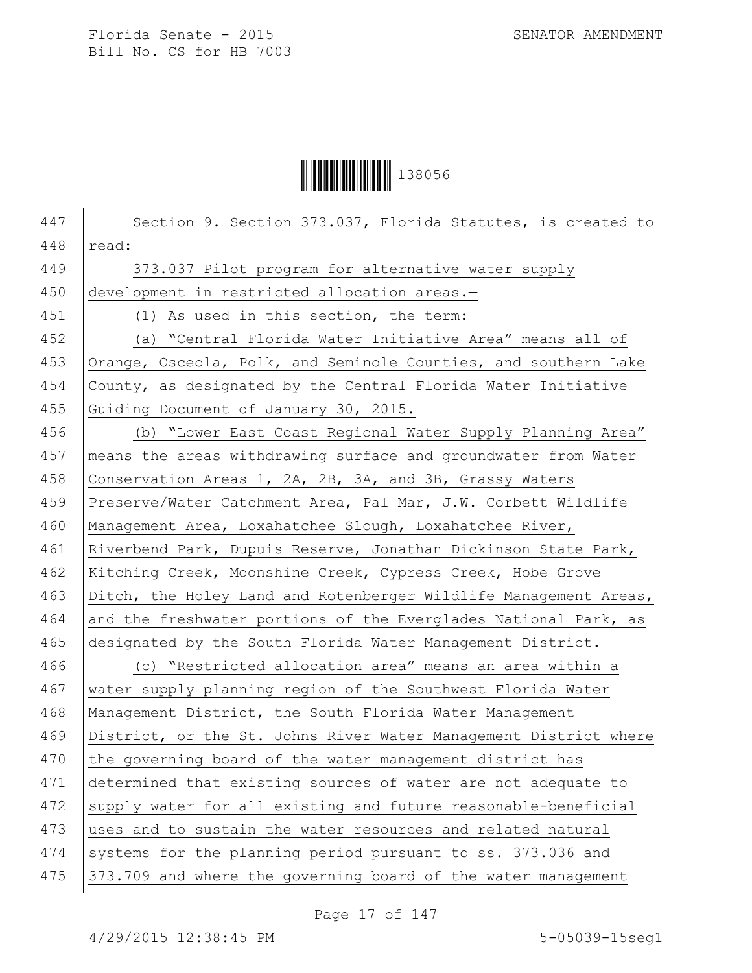

447 | Section 9. Section 373.037, Florida Statutes, is created to  $448$  read: 449 373.037 Pilot program for alternative water supply 450 development in restricted allocation areas.-451 (1) As used in this section, the term: 452 (a) "Central Florida Water Initiative Area" means all of 453 Orange, Osceola, Polk, and Seminole Counties, and southern Lake 454 County, as designated by the Central Florida Water Initiative 455 Guiding Document of January 30, 2015. 456 (b) "Lower East Coast Regional Water Supply Planning Area" 457 means the areas withdrawing surface and groundwater from Water 458 Conservation Areas 1, 2A, 2B, 3A, and 3B, Grassy Waters 459 Preserve/Water Catchment Area, Pal Mar, J.W. Corbett Wildlife 460 Management Area, Loxahatchee Slough, Loxahatchee River, 461 Riverbend Park, Dupuis Reserve, Jonathan Dickinson State Park, 462 Kitching Creek, Moonshine Creek, Cypress Creek, Hobe Grove 463 Ditch, the Holey Land and Rotenberger Wildlife Management Areas, 464 and the freshwater portions of the Everglades National Park, as 465 designated by the South Florida Water Management District. 466 (c) "Restricted allocation area" means an area within a 467 water supply planning region of the Southwest Florida Water 468 | Management District, the South Florida Water Management 469 | District, or the St. Johns River Water Management District where 470 the governing board of the water management district has 471 determined that existing sources of water are not adequate to 472 supply water for all existing and future reasonable-beneficial 473 uses and to sustain the water resources and related natural 474 systems for the planning period pursuant to ss. 373.036 and 475 373.709 and where the governing board of the water management

Page 17 of 147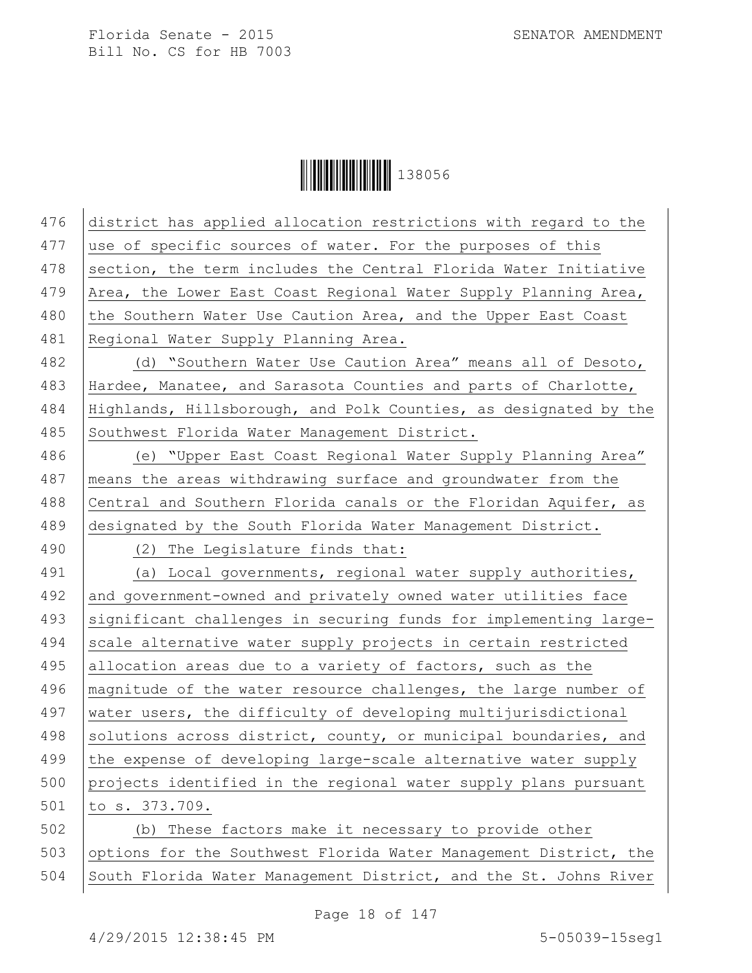**│││││││││││││││││** 138056

| 476 | district has applied allocation restrictions with regard to the  |
|-----|------------------------------------------------------------------|
| 477 | use of specific sources of water. For the purposes of this       |
| 478 | section, the term includes the Central Florida Water Initiative  |
| 479 | Area, the Lower East Coast Regional Water Supply Planning Area,  |
| 480 | the Southern Water Use Caution Area, and the Upper East Coast    |
| 481 | Regional Water Supply Planning Area.                             |
| 482 | (d) "Southern Water Use Caution Area" means all of Desoto,       |
| 483 | Hardee, Manatee, and Sarasota Counties and parts of Charlotte,   |
| 484 | Highlands, Hillsborough, and Polk Counties, as designated by the |
| 485 | Southwest Florida Water Management District.                     |
| 486 | (e) "Upper East Coast Regional Water Supply Planning Area"       |
| 487 | means the areas withdrawing surface and groundwater from the     |
| 488 | Central and Southern Florida canals or the Floridan Aquifer, as  |
| 489 | designated by the South Florida Water Management District.       |
| 490 | (2) The Legislature finds that:                                  |
| 491 | (a) Local governments, regional water supply authorities,        |
| 492 | and government-owned and privately owned water utilities face    |
| 493 | significant challenges in securing funds for implementing large- |
| 494 | scale alternative water supply projects in certain restricted    |
| 495 | allocation areas due to a variety of factors, such as the        |
| 496 | magnitude of the water resource challenges, the large number of  |
| 497 | water users, the difficulty of developing multijurisdictional    |
| 498 | solutions across district, county, or municipal boundaries, and  |
| 499 | the expense of developing large-scale alternative water supply   |
| 500 | projects identified in the regional water supply plans pursuant  |
| 501 | to s. 373.709.                                                   |
| 502 | (b) These factors make it necessary to provide other             |
| 503 | options for the Southwest Florida Water Management District, the |
| 504 | South Florida Water Management District, and the St. Johns River |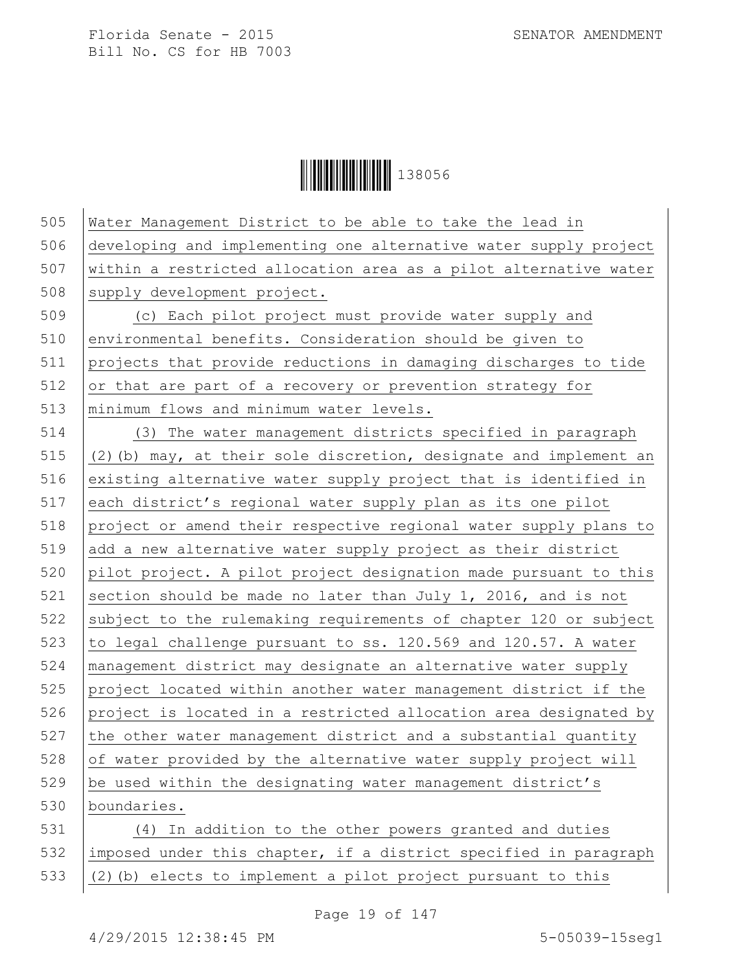Ì1380561Î138056

| 505 | Water Management District to be able to take the lead in          |
|-----|-------------------------------------------------------------------|
| 506 | developing and implementing one alternative water supply project  |
| 507 | within a restricted allocation area as a pilot alternative water  |
| 508 | supply development project.                                       |
| 509 | (c) Each pilot project must provide water supply and              |
| 510 | environmental benefits. Consideration should be given to          |
| 511 | projects that provide reductions in damaging discharges to tide   |
| 512 | or that are part of a recovery or prevention strategy for         |
| 513 | minimum flows and minimum water levels.                           |
| 514 | (3) The water management districts specified in paragraph         |
| 515 | (2) (b) may, at their sole discretion, designate and implement an |
| 516 | existing alternative water supply project that is identified in   |
| 517 | each district's regional water supply plan as its one pilot       |
| 518 | project or amend their respective regional water supply plans to  |
| 519 | add a new alternative water supply project as their district      |
| 520 | pilot project. A pilot project designation made pursuant to this  |
| 521 | section should be made no later than July 1, 2016, and is not     |
| 522 | subject to the rulemaking requirements of chapter 120 or subject  |
| 523 | to legal challenge pursuant to ss. 120.569 and 120.57. A water    |
| 524 | management district may designate an alternative water supply     |
| 525 | project located within another water management district if the   |
| 526 | project is located in a restricted allocation area designated by  |
| 527 | the other water management district and a substantial quantity    |
| 528 | of water provided by the alternative water supply project will    |
| 529 | be used within the designating water management district's        |
| 530 | boundaries.                                                       |
| 531 | (4) In addition to the other powers granted and duties            |
| 532 | imposed under this chapter, if a district specified in paragraph  |
| 533 | (2) (b) elects to implement a pilot project pursuant to this      |
|     |                                                                   |

Page 19 of 147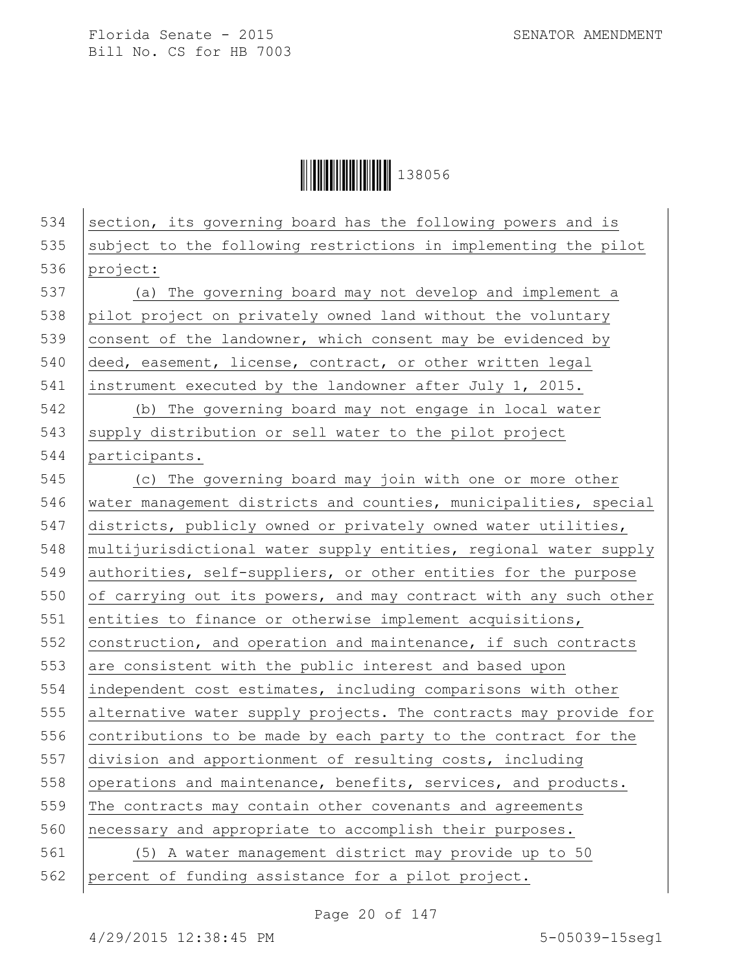Ì1380561Î138056

534 section, its governing board has the following powers and is  $535$  subject to the following restrictions in implementing the pilot 536 project: 537 (a) The governing board may not develop and implement a 538 pilot project on privately owned land without the voluntary 539 consent of the landowner, which consent may be evidenced by 540 deed, easement, license, contract, or other written legal 541 instrument executed by the landowner after July 1, 2015. 542 (b) The governing board may not engage in local water  $543$  supply distribution or sell water to the pilot project 544 | participants. 545 (c) The governing board may join with one or more other 546 water management districts and counties, municipalities, special 547 districts, publicly owned or privately owned water utilities, 548 multijurisdictional water supply entities, regional water supply 549 authorities, self-suppliers, or other entities for the purpose 550 of carrying out its powers, and may contract with any such other 551 entities to finance or otherwise implement acquisitions, 552  $|$  construction, and operation and maintenance, if such contracts 553 are consistent with the public interest and based upon 554 independent cost estimates, including comparisons with other 555 alternative water supply projects. The contracts may provide for 556 contributions to be made by each party to the contract for the 557 division and apportionment of resulting costs, including 558 operations and maintenance, benefits, services, and products. 559 The contracts may contain other covenants and agreements 560 necessary and appropriate to accomplish their purposes. 561 (5) A water management district may provide up to 50 562 percent of funding assistance for a pilot project.

Page 20 of 147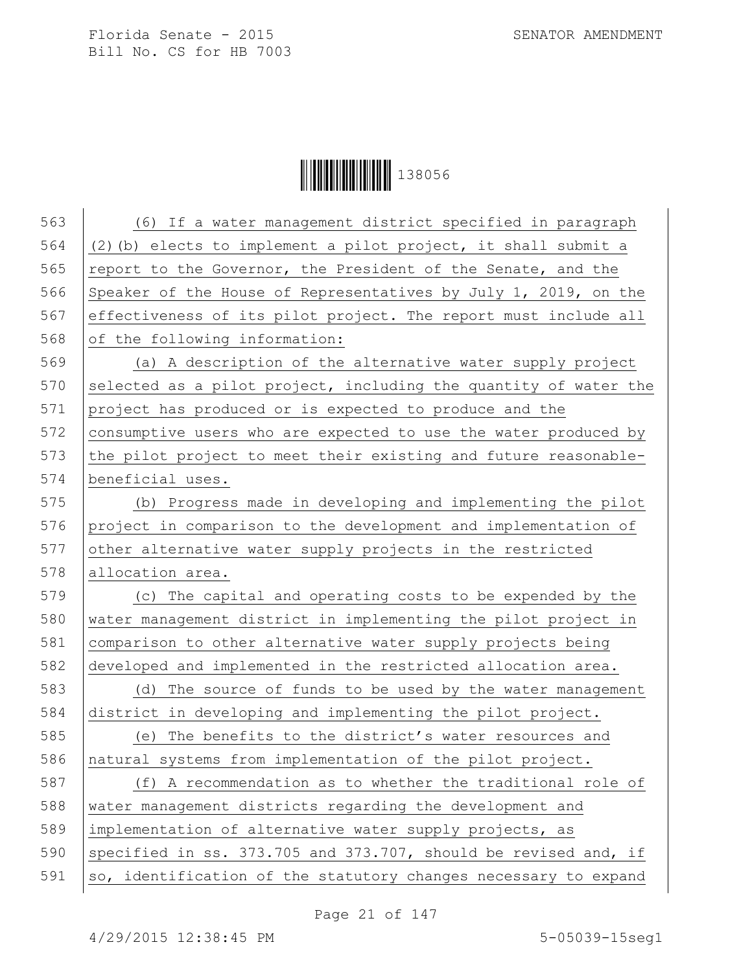**│││││││││││││││││** 138056

| 563 | (6) If a water management district specified in paragraph        |
|-----|------------------------------------------------------------------|
| 564 | (2) (b) elects to implement a pilot project, it shall submit a   |
| 565 | report to the Governor, the President of the Senate, and the     |
| 566 | Speaker of the House of Representatives by July 1, 2019, on the  |
| 567 | effectiveness of its pilot project. The report must include all  |
| 568 | of the following information:                                    |
| 569 | (a) A description of the alternative water supply project        |
| 570 | selected as a pilot project, including the quantity of water the |
| 571 | project has produced or is expected to produce and the           |
| 572 | consumptive users who are expected to use the water produced by  |
| 573 | the pilot project to meet their existing and future reasonable-  |
| 574 | beneficial uses.                                                 |
| 575 | (b) Progress made in developing and implementing the pilot       |
| 576 | project in comparison to the development and implementation of   |
| 577 | other alternative water supply projects in the restricted        |
| 578 | allocation area.                                                 |
| 579 | (c) The capital and operating costs to be expended by the        |
| 580 | water management district in implementing the pilot project in   |
| 581 | comparison to other alternative water supply projects being      |
| 582 | developed and implemented in the restricted allocation area.     |
| 583 | (d) The source of funds to be used by the water management       |
| 584 | district in developing and implementing the pilot project.       |
| 585 | (e) The benefits to the district's water resources and           |
| 586 | natural systems from implementation of the pilot project.        |
| 587 | (f) A recommendation as to whether the traditional role of       |
| 588 | water management districts regarding the development and         |
| 589 | implementation of alternative water supply projects, as          |
| 590 | specified in ss. 373.705 and 373.707, should be revised and, if  |
| 591 | so, identification of the statutory changes necessary to expand  |
|     |                                                                  |

Page 21 of 147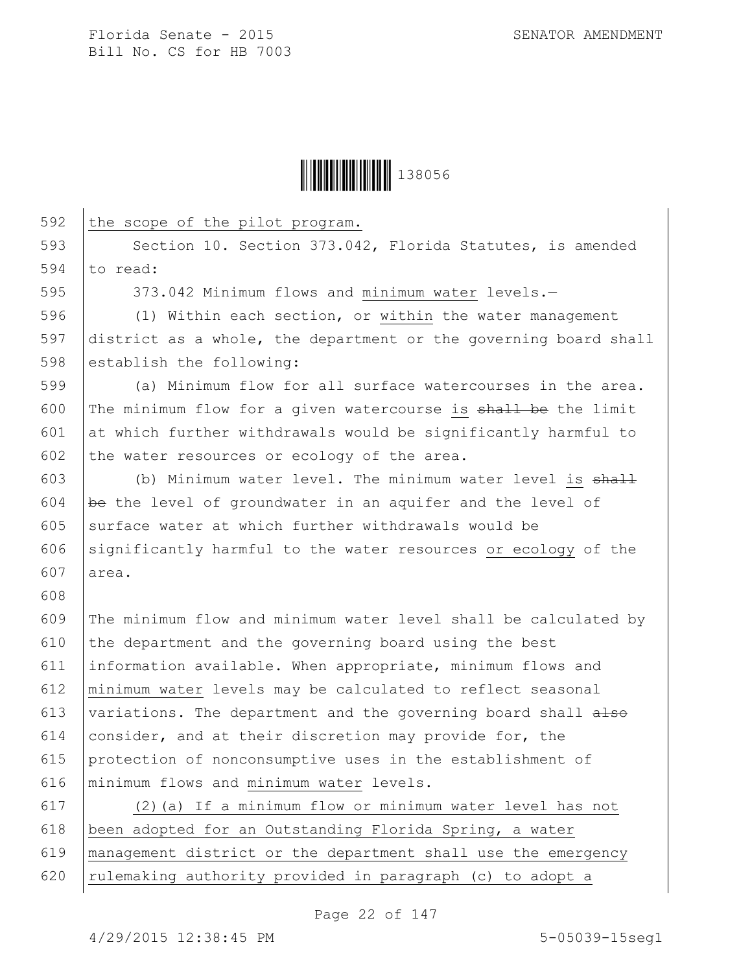

592 the scope of the pilot program. 593 Section 10. Section 373.042, Florida Statutes, is amended 594  $\vert$  to read: 595 373.042 Minimum flows and minimum water levels.-596 (1) Within each section, or within the water management 597 district as a whole, the department or the governing board shall 598 establish the following: 599 (a) Minimum flow for all surface watercourses in the area. 600 The minimum flow for a given watercourse is shall be the limit 601  $\vert$  at which further withdrawals would be significantly harmful to 602 the water resources or ecology of the area. 603 (b) Minimum water level. The minimum water level is  $shall$ 604 be the level of groundwater in an aquifer and the level of 605 surface water at which further withdrawals would be 606 significantly harmful to the water resources or ecology of the 607 area. 608 609 The minimum flow and minimum water level shall be calculated by 610 the department and the governing board using the best 611 information available. When appropriate, minimum flows and 612 minimum water levels may be calculated to reflect seasonal 613 variations. The department and the governing board shall  $a \text{--}$ 614 consider, and at their discretion may provide for, the 615 protection of nonconsumptive uses in the establishment of 616 minimum flows and minimum water levels. 617 (2)(a) If a minimum flow or minimum water level has not 618 been adopted for an Outstanding Florida Spring, a water 619 management district or the department shall use the emergency 620 | rulemaking authority provided in paragraph (c) to adopt a

Page 22 of 147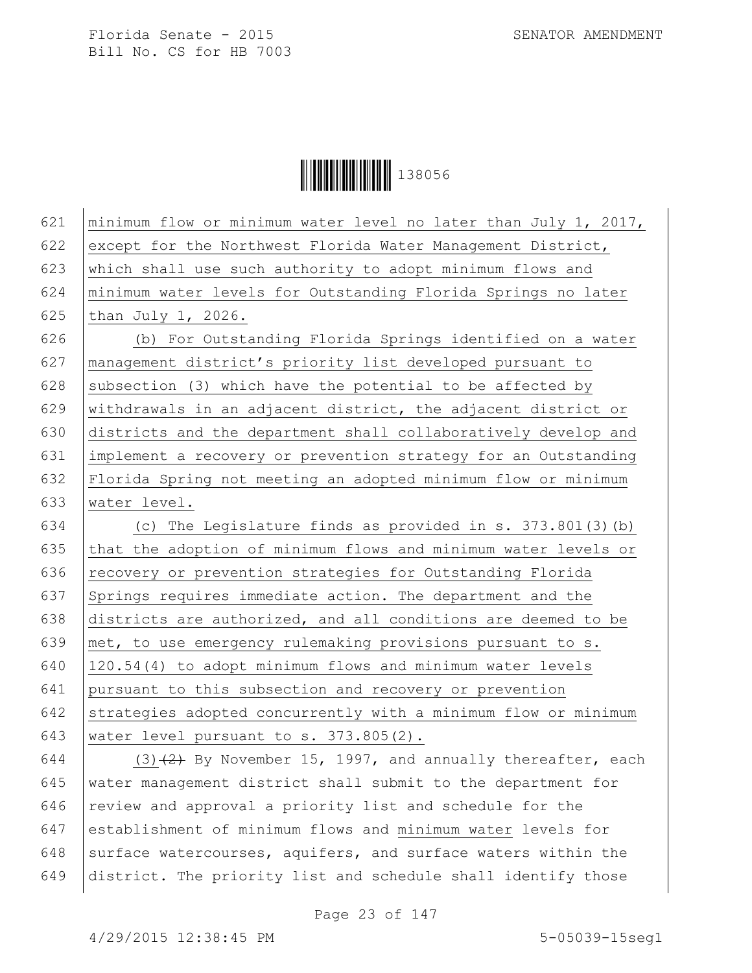**│││││││││││││** 138056

| 621 | minimum flow or minimum water level no later than July 1, 2017, |
|-----|-----------------------------------------------------------------|
| 622 | except for the Northwest Florida Water Management District,     |
| 623 | which shall use such authority to adopt minimum flows and       |
| 624 | minimum water levels for Outstanding Florida Springs no later   |
| 625 | than July $1, 2026.$                                            |
| 626 | (b) For Outstanding Florida Springs identified on a water       |
| 627 | management district's priority list developed pursuant to       |
| 628 | subsection (3) which have the potential to be affected by       |
| 629 | withdrawals in an adjacent district, the adjacent district or   |
| 630 | districts and the department shall collaboratively develop and  |
| 631 | implement a recovery or prevention strategy for an Outstanding  |
| 632 | Florida Spring not meeting an adopted minimum flow or minimum   |
| 633 | water level.                                                    |
| 634 | (c) The Legislature finds as provided in s. 373.801(3)(b)       |
| 635 | that the adoption of minimum flows and minimum water levels or  |
| 636 | recovery or prevention strategies for Outstanding Florida       |
| 637 | Springs requires immediate action. The department and the       |
| 638 | districts are authorized, and all conditions are deemed to be   |
| 639 | met, to use emergency rulemaking provisions pursuant to s.      |
| 640 | 120.54(4) to adopt minimum flows and minimum water levels       |
| 641 | pursuant to this subsection and recovery or prevention          |
| 642 | strategies adopted concurrently with a minimum flow or minimum  |
| 643 | water level pursuant to s. 373.805(2).                          |
| 644 | $(3)$ $(2)$ By November 15, 1997, and annually thereafter, each |
| 615 | $\frac{1}{2}$                                                   |

645 water management district shall submit to the department for  $646$  review and approval a priority list and schedule for the 647 establishment of minimum flows and minimum water levels for 648 surface watercourses, aquifers, and surface waters within the 649 district. The priority list and schedule shall identify those

Page 23 of 147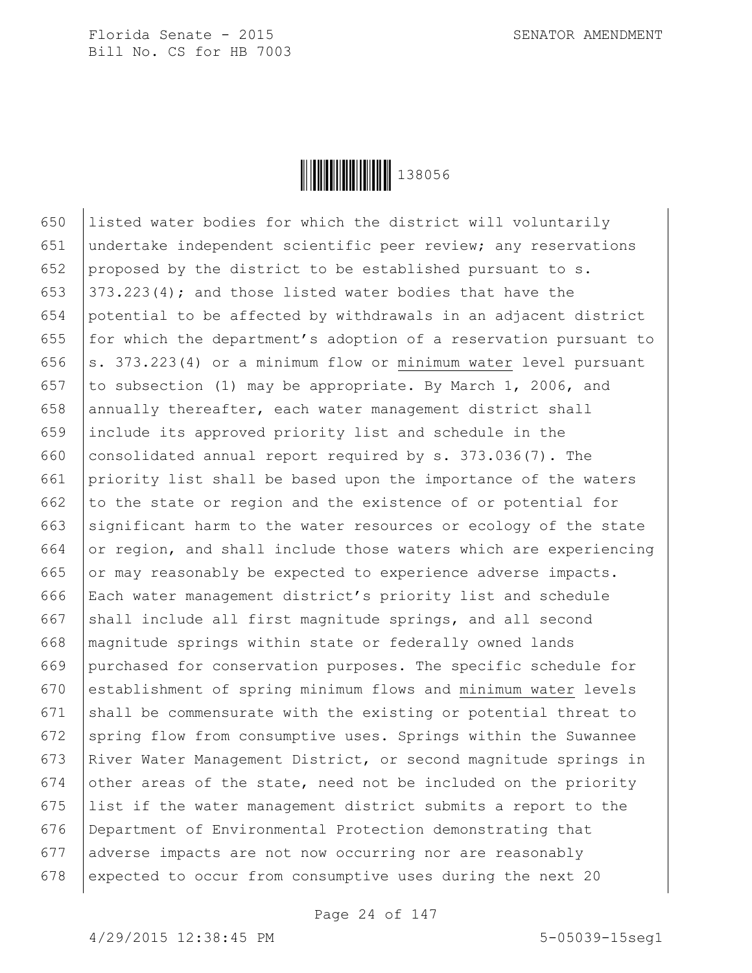

650 listed water bodies for which the district will voluntarily 651 undertake independent scientific peer review; any reservations 652 proposed by the district to be established pursuant to s. 653  $\vert$  373.223(4); and those listed water bodies that have the 654 potential to be affected by withdrawals in an adjacent district 655  $\vert$  for which the department's adoption of a reservation pursuant to 656  $\vert$  s. 373.223(4) or a minimum flow or minimum water level pursuant 657 to subsection (1) may be appropriate. By March 1, 2006, and 658 annually thereafter, each water management district shall 659 include its approved priority list and schedule in the 660 consolidated annual report required by s. 373.036(7). The 661 priority list shall be based upon the importance of the waters 662 to the state or region and the existence of or potential for 663 significant harm to the water resources or ecology of the state 664 or region, and shall include those waters which are experiencing 665 or may reasonably be expected to experience adverse impacts. 666 Each water management district's priority list and schedule 667 shall include all first magnitude springs, and all second 668 magnitude springs within state or federally owned lands 669 purchased for conservation purposes. The specific schedule for 670 establishment of spring minimum flows and minimum water levels 671 shall be commensurate with the existing or potential threat to 672 spring flow from consumptive uses. Springs within the Suwannee 673 River Water Management District, or second magnitude springs in 674 other areas of the state, need not be included on the priority 675 list if the water management district submits a report to the 676 Department of Environmental Protection demonstrating that 677 adverse impacts are not now occurring nor are reasonably 678 expected to occur from consumptive uses during the next 20

Page 24 of 147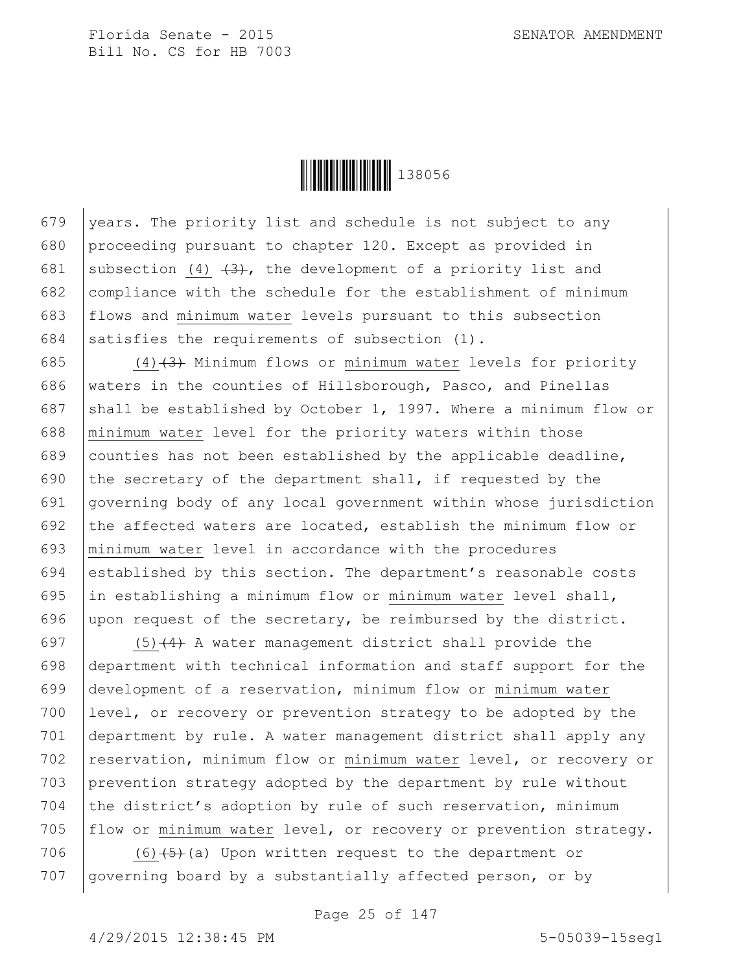

679 vears. The priority list and schedule is not subject to any 680 proceeding pursuant to chapter 120. Except as provided in 681 subsection (4)  $\left(4\right)$ , the development of a priority list and 682 compliance with the schedule for the establishment of minimum 683 flows and minimum water levels pursuant to this subsection 684 satisfies the requirements of subsection  $(1)$ .

685  $(4)$  (4)  $(3)$  Minimum flows or minimum water levels for priority 686 waters in the counties of Hillsborough, Pasco, and Pinellas 687 shall be established by October 1, 1997. Where a minimum flow or 688 minimum water level for the priority waters within those 689 counties has not been established by the applicable deadline, 690 the secretary of the department shall, if requested by the 691 governing body of any local government within whose jurisdiction 692 the affected waters are located, establish the minimum flow or 693 minimum water level in accordance with the procedures 694 established by this section. The department's reasonable costs 695  $\vert$  in establishing a minimum flow or minimum water level shall, 696 upon request of the secretary, be reimbursed by the district.

697 (5)  $(4)$  A water management district shall provide the 698 department with technical information and staff support for the 699 development of a reservation, minimum flow or minimum water 700 level, or recovery or prevention strategy to be adopted by the 701 department by rule. A water management district shall apply any 702 reservation, minimum flow or minimum water level, or recovery or 703 prevention strategy adopted by the department by rule without 704 the district's adoption by rule of such reservation, minimum 705 flow or minimum water level, or recovery or prevention strategy.

706 (6) $(5)+(3)$  Upon written request to the department or 707 | governing board by a substantially affected person, or by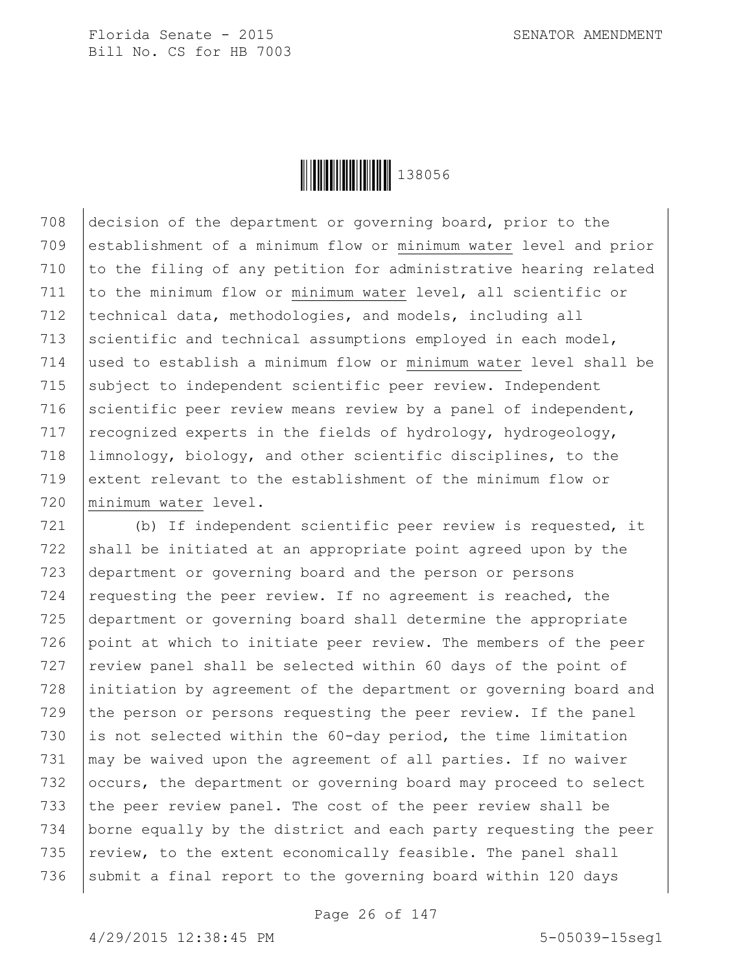

 decision of the department or governing board, prior to the establishment of a minimum flow or minimum water level and prior 710 to the filing of any petition for administrative hearing related to the minimum flow or minimum water level, all scientific or 712 | technical data, methodologies, and models, including all 713 scientific and technical assumptions employed in each model, used to establish a minimum flow or minimum water level shall be subject to independent scientific peer review. Independent 716 scientific peer review means review by a panel of independent, 717 recognized experts in the fields of hydrology, hydrogeology, limnology, biology, and other scientific disciplines, to the extent relevant to the establishment of the minimum flow or minimum water level.

721 (b) If independent scientific peer review is requested, it  $722$  shall be initiated at an appropriate point agreed upon by the 723 department or governing board and the person or persons 724 requesting the peer review. If no agreement is reached, the 725 department or governing board shall determine the appropriate 726 point at which to initiate peer review. The members of the peer  $727$  review panel shall be selected within 60 days of the point of 728 initiation by agreement of the department or governing board and 729 the person or persons requesting the peer review. If the panel 730 is not selected within the  $60$ -day period, the time limitation 731  $\mid$  may be waived upon the agreement of all parties. If no waiver 732 occurs, the department or governing board may proceed to select 733 the peer review panel. The cost of the peer review shall be 734 borne equally by the district and each party requesting the peer 735  $\vert$  review, to the extent economically feasible. The panel shall 736 | submit a final report to the governing board within 120 days

Page 26 of 147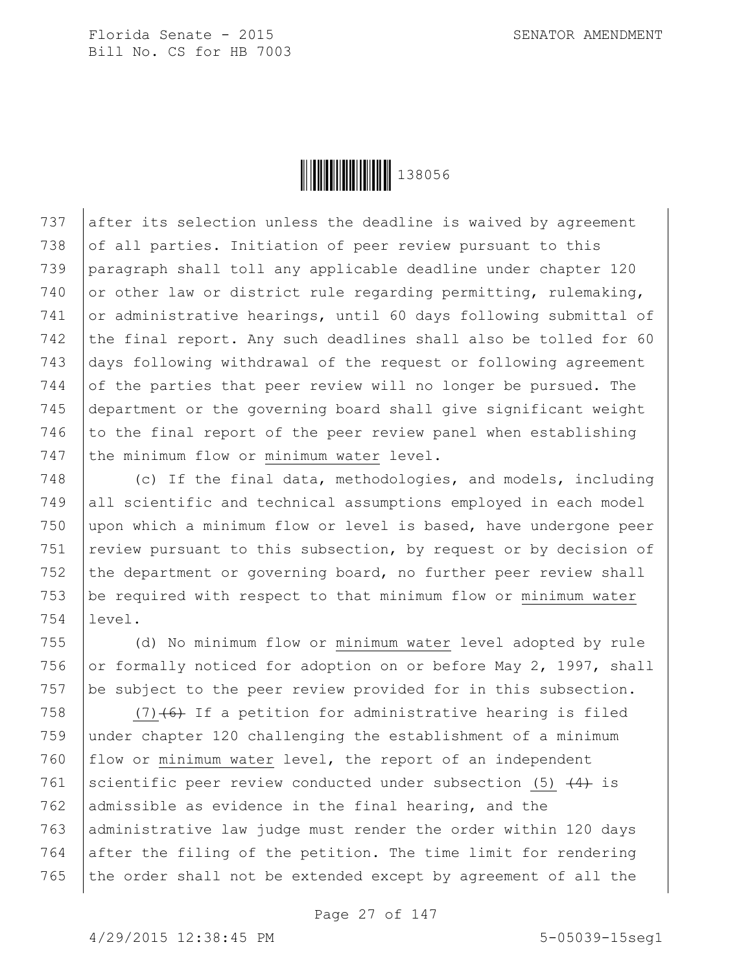

737 after its selection unless the deadline is waived by agreement 738 of all parties. Initiation of peer review pursuant to this 739 paragraph shall toll any applicable deadline under chapter 120 740 or other law or district rule regarding permitting, rulemaking, 741 or administrative hearings, until 60 days following submittal of 742 the final report. Any such deadlines shall also be tolled for 60 743 days following withdrawal of the request or following agreement 744 of the parties that peer review will no longer be pursued. The 745 department or the governing board shall give significant weight 746 to the final report of the peer review panel when establishing 747 the minimum flow or minimum water level.

748 (c) If the final data, methodologies, and models, including 749 all scientific and technical assumptions employed in each model 750 upon which a minimum flow or level is based, have undergone peer 751 | review pursuant to this subsection, by request or by decision of 752 the department or governing board, no further peer review shall 753 be required with respect to that minimum flow or minimum water 754 level.

755 (d) No minimum flow or minimum water level adopted by rule 756 or formally noticed for adoption on or before May 2, 1997, shall 757 be subject to the peer review provided for in this subsection.

 $(7)$  (7) (6) If a petition for administrative hearing is filed under chapter 120 challenging the establishment of a minimum flow or minimum water level, the report of an independent 761 scientific peer review conducted under subsection (5)  $\left(4\right)$  is 762 admissible as evidence in the final hearing, and the 763 administrative law judge must render the order within 120 days after the filing of the petition. The time limit for rendering the order shall not be extended except by agreement of all the

Page 27 of 147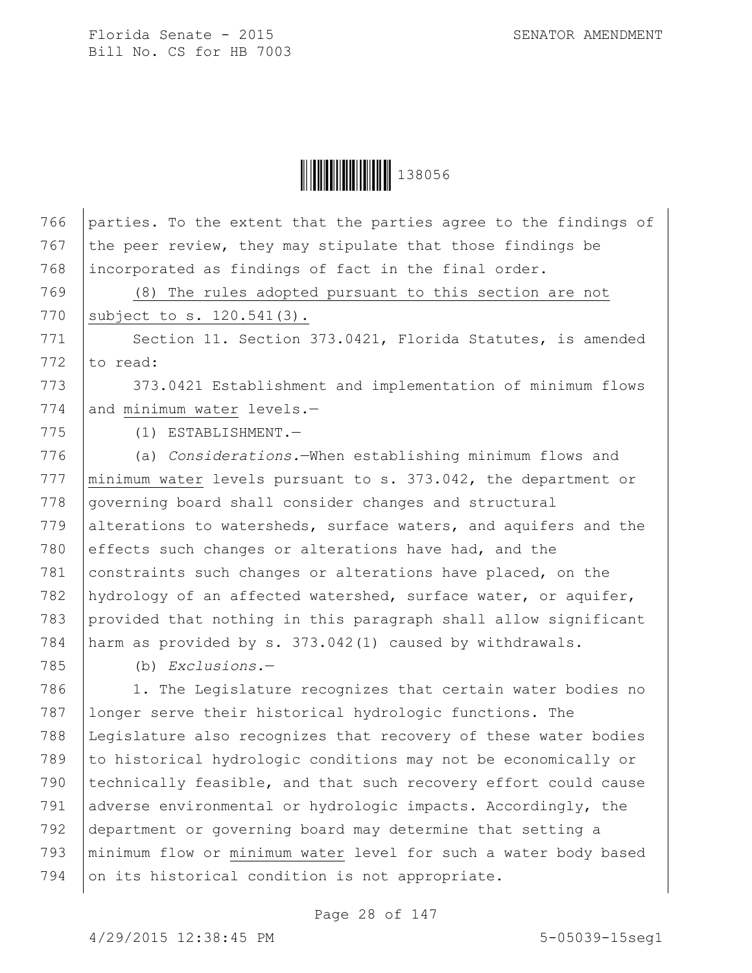Ì1380561Î138056

766 parties. To the extent that the parties agree to the findings of

767 the peer review, they may stipulate that those findings be 768 incorporated as findings of fact in the final order. 769 (8) The rules adopted pursuant to this section are not 770 | subject to s. 120.541(3). 771 Section 11. Section 373.0421, Florida Statutes, is amended 772  $\vert$  to read: 773 373.0421 Establishment and implementation of minimum flows 774 and minimum water levels.-775 (1) ESTABLISHMENT.— 776 (a) *Considerations.*—When establishing minimum flows and 777 | minimum water levels pursuant to s. 373.042, the department or 778 governing board shall consider changes and structural 779 alterations to watersheds, surface waters, and aquifers and the 780 effects such changes or alterations have had, and the 781 constraints such changes or alterations have placed, on the 782 hydrology of an affected watershed, surface water, or aquifer, 783 provided that nothing in this paragraph shall allow significant 784 harm as provided by s. 373.042(1) caused by withdrawals. 785 (b) *Exclusions.*— 786 | 1. The Legislature recognizes that certain water bodies no 787 longer serve their historical hydrologic functions. The 788 Legislature also recognizes that recovery of these water bodies 789 to historical hydrologic conditions may not be economically or 790 | technically feasible, and that such recovery effort could cause 791 adverse environmental or hydrologic impacts. Accordingly, the 792 department or governing board may determine that setting a 793 minimum flow or minimum water level for such a water body based 794 on its historical condition is not appropriate.

Page 28 of 147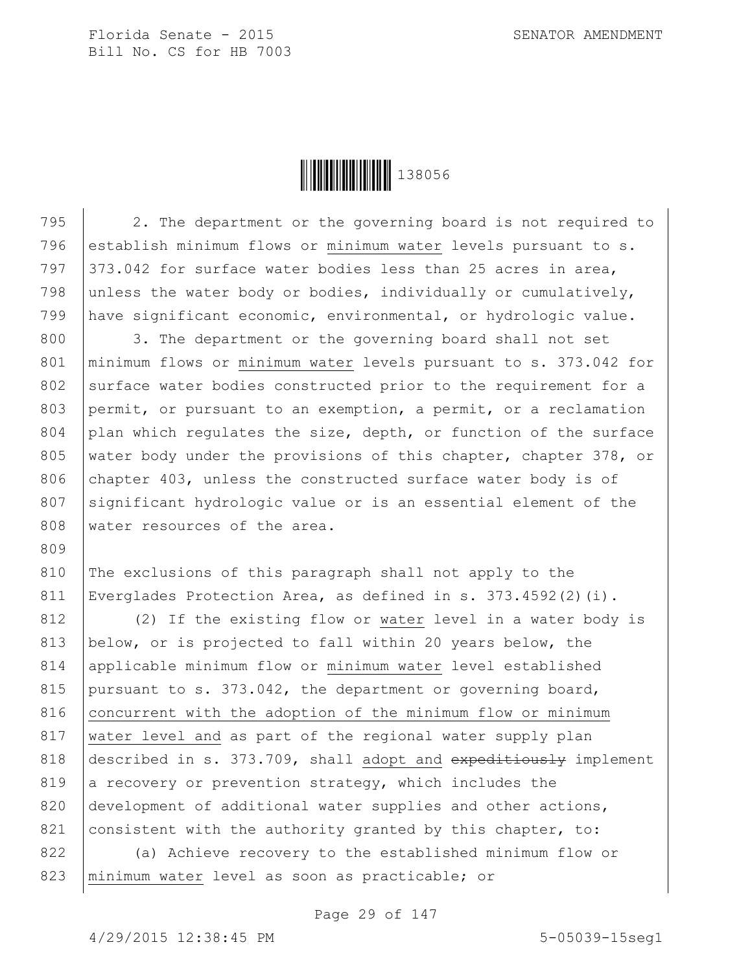Ì1380561Î138056

795 2. The department or the governing board is not required to 796 establish minimum flows or minimum water levels pursuant to s. 797  $\vert$  373.042 for surface water bodies less than 25 acres in area, 798 unless the water body or bodies, individually or cumulatively, 799 have significant economic, environmental, or hydrologic value. 800 3. The department or the governing board shall not set 801 | minimum flows or minimum water levels pursuant to s. 373.042 for 802 surface water bodies constructed prior to the requirement for a 803 permit, or pursuant to an exemption, a permit, or a reclamation 804 plan which regulates the size, depth, or function of the surface 805 | water body under the provisions of this chapter, chapter 378, or 806 chapter 403, unless the constructed surface water body is of 807 significant hydrologic value or is an essential element of the 808 water resources of the area. 809 810 The exclusions of this paragraph shall not apply to the 811 Everglades Protection Area, as defined in s. 373.4592(2)(i).

812 (2) If the existing flow or water level in a water body is 813 below, or is projected to fall within 20 years below, the 814 applicable minimum flow or minimum water level established 815 pursuant to s. 373.042, the department or governing board, 816 concurrent with the adoption of the minimum flow or minimum 817 | water level and as part of the regional water supply plan 818 described in s. 373.709, shall adopt and  $\alpha$  expeditiously implement 819 a recovery or prevention strategy, which includes the 820 development of additional water supplies and other actions, 821 consistent with the authority granted by this chapter, to:

822 (a) Achieve recovery to the established minimum flow or 823 | minimum water level as soon as practicable; or

Page 29 of 147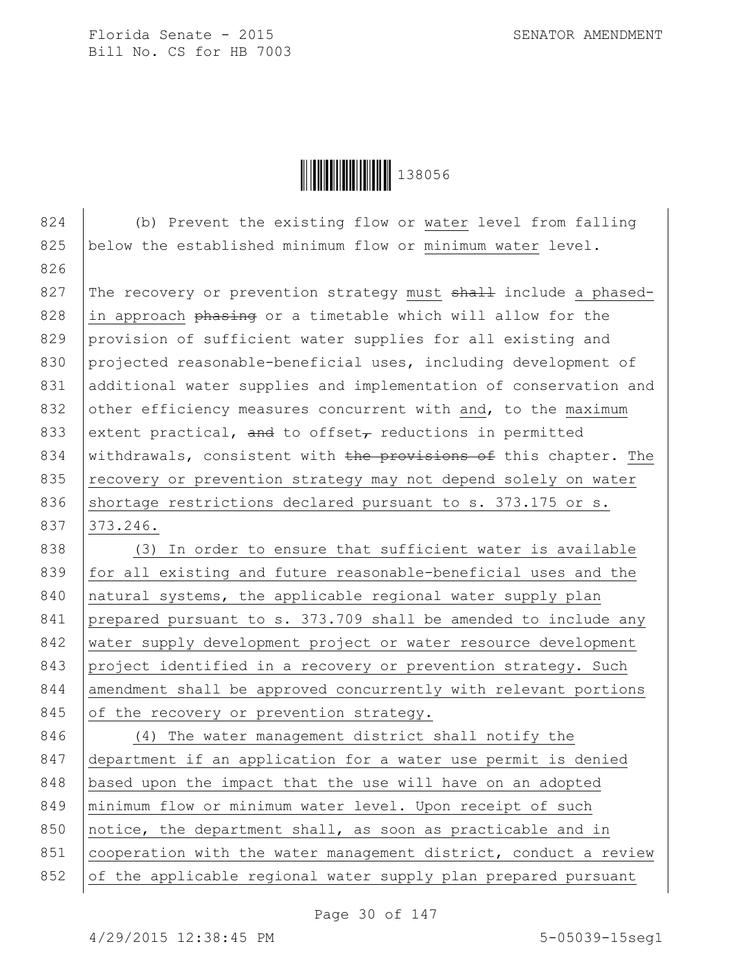Ì1380561Î138056

824 (b) Prevent the existing flow or water level from falling 825 below the established minimum flow or minimum water level. 826 827 The recovery or prevention strategy must  $shall$  include a phased-828 in approach phasing or a timetable which will allow for the 829 provision of sufficient water supplies for all existing and 830 projected reasonable-beneficial uses, including development of 831 additional water supplies and implementation of conservation and 832 other efficiency measures concurrent with and, to the maximum 833 extent practical, and to offset<sub> $\tau$ </sub> reductions in permitted 834 | withdrawals, consistent with the provisions of this chapter. The 835 recovery or prevention strategy may not depend solely on water 836 shortage restrictions declared pursuant to s. 373.175 or s. 837 373.246. 838 (3) In order to ensure that sufficient water is available 839 for all existing and future reasonable-beneficial uses and the 840 | natural systems, the applicable regional water supply plan 841 prepared pursuant to s. 373.709 shall be amended to include any 842 water supply development project or water resource development 843 project identified in a recovery or prevention strategy. Such 844 amendment shall be approved concurrently with relevant portions 845 of the recovery or prevention strategy. 846 (4) The water management district shall notify the 847 department if an application for a water use permit is denied 848 | based upon the impact that the use will have on an adopted 849 | minimum flow or minimum water level. Upon receipt of such 850 notice, the department shall, as soon as practicable and in 851 cooperation with the water management district, conduct a review 852 of the applicable regional water supply plan prepared pursuant

Page 30 of 147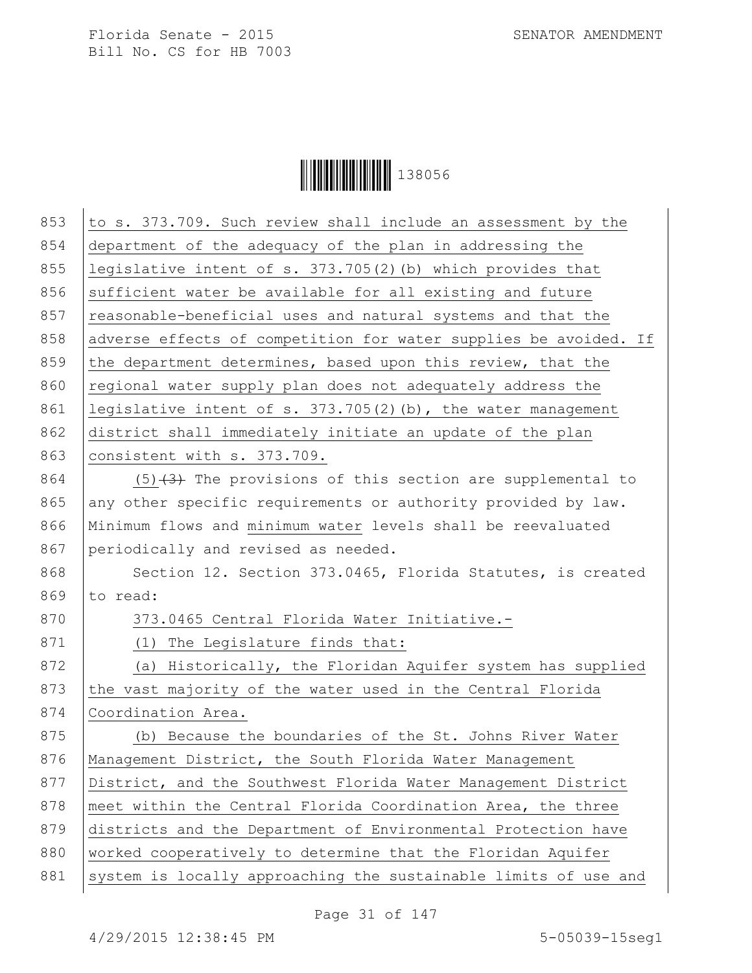

| 853 | to s. 373.709. Such review shall include an assessment by the    |
|-----|------------------------------------------------------------------|
| 854 | department of the adequacy of the plan in addressing the         |
| 855 | legislative intent of s. $373.705(2)$ (b) which provides that    |
| 856 | sufficient water be available for all existing and future        |
| 857 | reasonable-beneficial uses and natural systems and that the      |
| 858 | adverse effects of competition for water supplies be avoided. If |
| 859 | the department determines, based upon this review, that the      |
| 860 | regional water supply plan does not adequately address the       |
| 861 | legislative intent of s. 373.705(2)(b), the water management     |
| 862 | district shall immediately initiate an update of the plan        |
| 863 | consistent with s. 373.709.                                      |
| 864 | $(5)$ $(3)$ The provisions of this section are supplemental to   |
| 865 | any other specific requirements or authority provided by law.    |
| 866 | Minimum flows and minimum water levels shall be reevaluated      |
| 867 | periodically and revised as needed.                              |
| 868 | Section 12. Section 373.0465, Florida Statutes, is created       |
| 869 | to read:                                                         |
| 870 | 373.0465 Central Florida Water Initiative.-                      |
| 871 | (1) The Legislature finds that:                                  |
| 872 | (a) Historically, the Floridan Aquifer system has supplied       |
| 873 | the vast majority of the water used in the Central Florida       |
| 874 | Coordination Area.                                               |
| 875 | (b) Because the boundaries of the St. Johns River Water          |
| 876 | Management District, the South Florida Water Management          |
| 877 | District, and the Southwest Florida Water Management District    |
| 878 | meet within the Central Florida Coordination Area, the three     |
| 879 | districts and the Department of Environmental Protection have    |
| 880 | worked cooperatively to determine that the Floridan Aquifer      |
| 881 | system is locally approaching the sustainable limits of use and  |
|     |                                                                  |

Page 31 of 147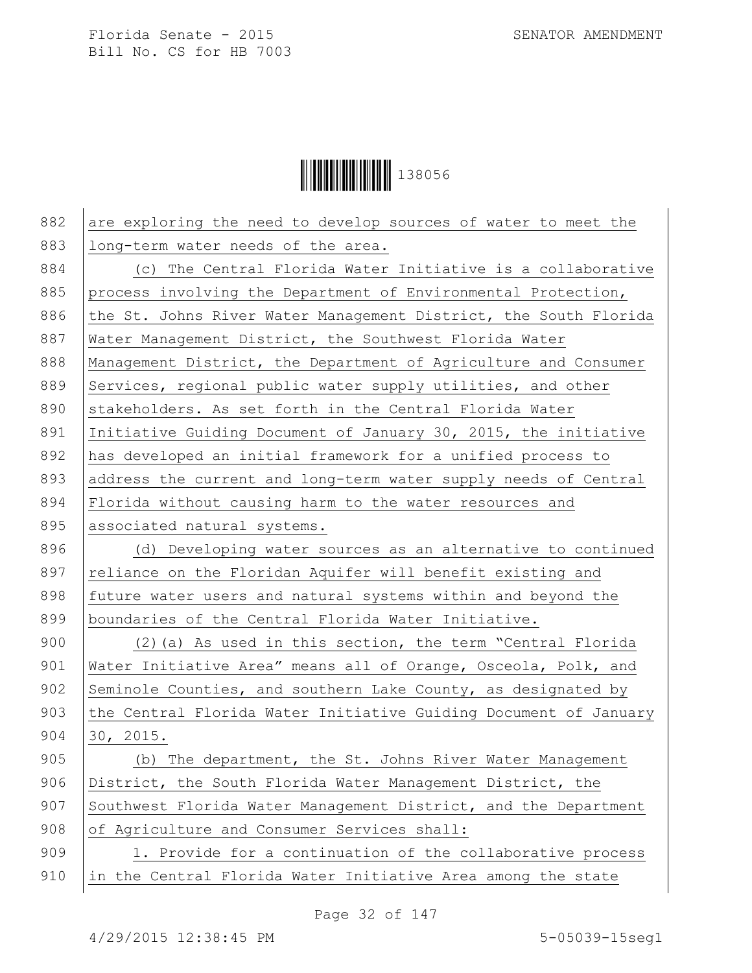**││││││││││││││││** 138056

| 882 | are exploring the need to develop sources of water to meet the   |
|-----|------------------------------------------------------------------|
| 883 | long-term water needs of the area.                               |
| 884 | (c) The Central Florida Water Initiative is a collaborative      |
| 885 | process involving the Department of Environmental Protection,    |
| 886 | the St. Johns River Water Management District, the South Florida |
| 887 | Water Management District, the Southwest Florida Water           |
| 888 | Management District, the Department of Agriculture and Consumer  |
| 889 | Services, regional public water supply utilities, and other      |
| 890 | stakeholders. As set forth in the Central Florida Water          |
| 891 | Initiative Guiding Document of January 30, 2015, the initiative  |
| 892 | has developed an initial framework for a unified process to      |
| 893 | address the current and long-term water supply needs of Central  |
| 894 | Florida without causing harm to the water resources and          |
| 895 | associated natural systems.                                      |
| 896 | (d) Developing water sources as an alternative to continued      |
| 897 | reliance on the Floridan Aquifer will benefit existing and       |
| 898 | future water users and natural systems within and beyond the     |
| 899 | boundaries of the Central Florida Water Initiative.              |
| 900 | (2) (a) As used in this section, the term "Central Florida       |
| 901 | Water Initiative Area" means all of Orange, Osceola, Polk, and   |
| 902 | Seminole Counties, and southern Lake County, as designated by    |
| 903 | the Central Florida Water Initiative Guiding Document of January |
| 904 | 30, 2015.                                                        |
| 905 | (b) The department, the St. Johns River Water Management         |
| 906 | District, the South Florida Water Management District, the       |
| 907 | Southwest Florida Water Management District, and the Department  |
| 908 | of Agriculture and Consumer Services shall:                      |
| 909 | 1. Provide for a continuation of the collaborative process       |
| 910 | in the Central Florida Water Initiative Area among the state     |
|     |                                                                  |

Page 32 of 147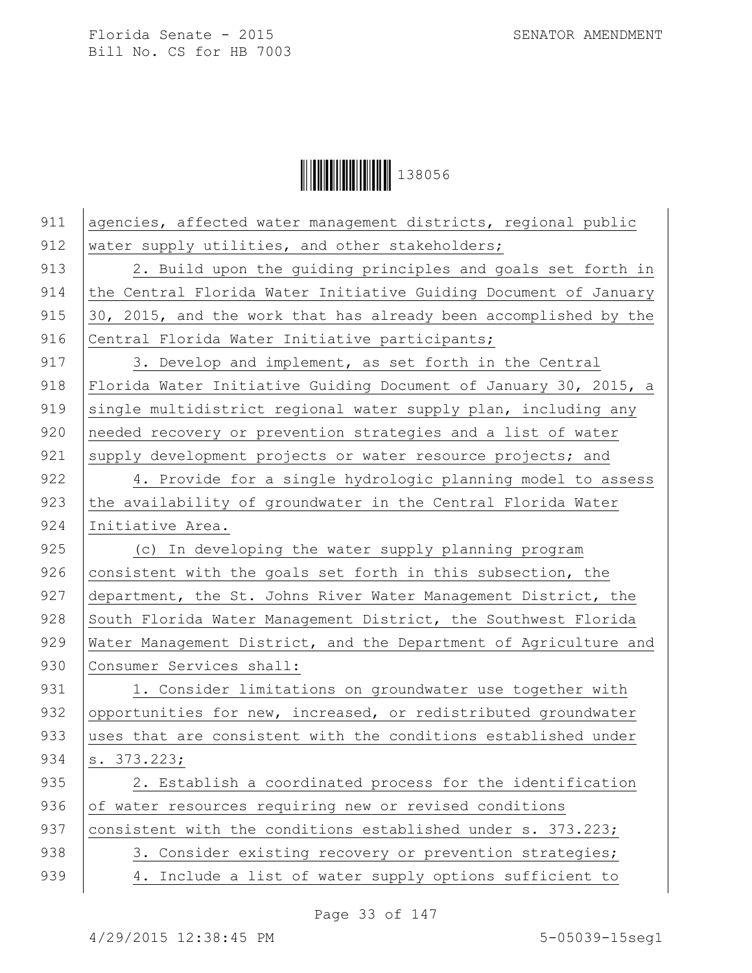

| 911 | agencies, affected water management districts, regional public   |
|-----|------------------------------------------------------------------|
| 912 | water supply utilities, and other stakeholders;                  |
| 913 | 2. Build upon the guiding principles and goals set forth in      |
| 914 | the Central Florida Water Initiative Guiding Document of January |
| 915 | 30, 2015, and the work that has already been accomplished by the |
| 916 | Central Florida Water Initiative participants;                   |
| 917 | 3. Develop and implement, as set forth in the Central            |
| 918 | Florida Water Initiative Guiding Document of January 30, 2015, a |
| 919 | single multidistrict regional water supply plan, including any   |
| 920 | needed recovery or prevention strategies and a list of water     |
| 921 | supply development projects or water resource projects; and      |
| 922 | 4. Provide for a single hydrologic planning model to assess      |
| 923 | the availability of groundwater in the Central Florida Water     |
| 924 | Initiative Area.                                                 |
| 925 | (c) In developing the water supply planning program              |
| 926 | consistent with the goals set forth in this subsection, the      |
| 927 | department, the St. Johns River Water Management District, the   |
| 928 | South Florida Water Management District, the Southwest Florida   |
| 929 | Water Management District, and the Department of Agriculture and |
| 930 | Consumer Services shall:                                         |
| 931 | 1. Consider limitations on groundwater use together with         |
| 932 | opportunities for new, increased, or redistributed groundwater   |
| 933 | uses that are consistent with the conditions established under   |
| 934 | s. 373.223;                                                      |
| 935 | 2. Establish a coordinated process for the identification        |
| 936 | of water resources requiring new or revised conditions           |
| 937 | consistent with the conditions established under s. 373.223;     |
| 938 | 3. Consider existing recovery or prevention strategies;          |
| 939 | Include a list of water supply options sufficient to<br>4.       |

Page 33 of 147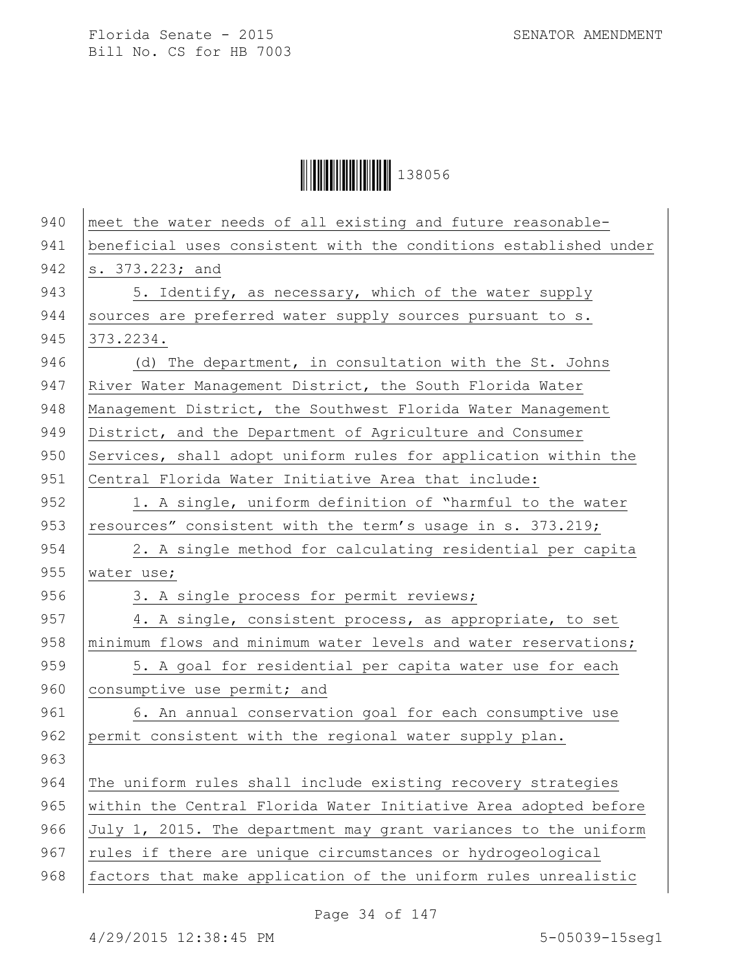**││││││││││││││││** 138056

| 940 | meet the water needs of all existing and future reasonable-      |
|-----|------------------------------------------------------------------|
| 941 | beneficial uses consistent with the conditions established under |
| 942 | s. 373.223; and                                                  |
| 943 | 5. Identify, as necessary, which of the water supply             |
| 944 | sources are preferred water supply sources pursuant to s.        |
| 945 | 373.2234.                                                        |
| 946 | (d) The department, in consultation with the St. Johns           |
| 947 | River Water Management District, the South Florida Water         |
| 948 | Management District, the Southwest Florida Water Management      |
| 949 | District, and the Department of Agriculture and Consumer         |
| 950 | Services, shall adopt uniform rules for application within the   |
| 951 | Central Florida Water Initiative Area that include:              |
| 952 | 1. A single, uniform definition of "harmful to the water         |
| 953 | resources" consistent with the term's usage in s. 373.219;       |
| 954 | 2. A single method for calculating residential per capita        |
| 955 | water use;                                                       |
| 956 | 3. A single process for permit reviews;                          |
| 957 | 4. A single, consistent process, as appropriate, to set          |
| 958 | minimum flows and minimum water levels and water reservations;   |
| 959 | 5. A goal for residential per capita water use for each          |
| 960 | consumptive use permit; and                                      |
| 961 | 6. An annual conservation goal for each consumptive use          |
| 962 | permit consistent with the regional water supply plan.           |
| 963 |                                                                  |
| 964 | The uniform rules shall include existing recovery strategies     |
| 965 | within the Central Florida Water Initiative Area adopted before  |
| 966 | July 1, 2015. The department may grant variances to the uniform  |
| 967 | rules if there are unique circumstances or hydrogeological       |
| 968 | factors that make application of the uniform rules unrealistic   |

Page 34 of 147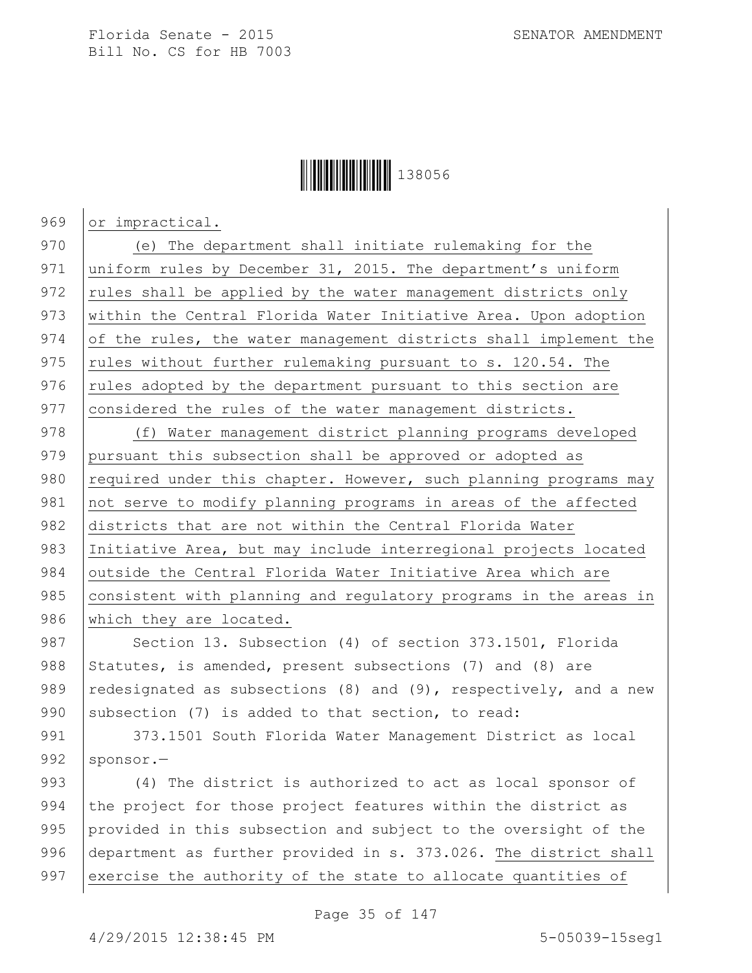

969 or impractical.

970 (e) The department shall initiate rulemaking for the 971 uniform rules by December 31, 2015. The department's uniform 972 rules shall be applied by the water management districts only 973 | within the Central Florida Water Initiative Area. Upon adoption 974 of the rules, the water management districts shall implement the 975 | rules without further rulemaking pursuant to s. 120.54. The  $976$  rules adopted by the department pursuant to this section are 977 considered the rules of the water management districts.

978 (f) Water management district planning programs developed 979 pursuant this subsection shall be approved or adopted as 980  $\vert$  required under this chapter. However, such planning programs may 981 not serve to modify planning programs in areas of the affected 982 districts that are not within the Central Florida Water 983 Initiative Area, but may include interregional projects located 984 outside the Central Florida Water Initiative Area which are 985 consistent with planning and regulatory programs in the areas in 986 which they are located.

987 Section 13. Subsection (4) of section 373.1501, Florida 988 Statutes, is amended, present subsections (7) and (8) are 989 redesignated as subsections (8) and (9), respectively, and a new 990 subsection (7) is added to that section, to read:

991 | 373.1501 South Florida Water Management District as local 992 | sponsor.-

993 (4) The district is authorized to act as local sponsor of 994 the project for those project features within the district as 995 provided in this subsection and subject to the oversight of the 996 department as further provided in s. 373.026. The district shall 997 exercise the authority of the state to allocate quantities of

Page 35 of 147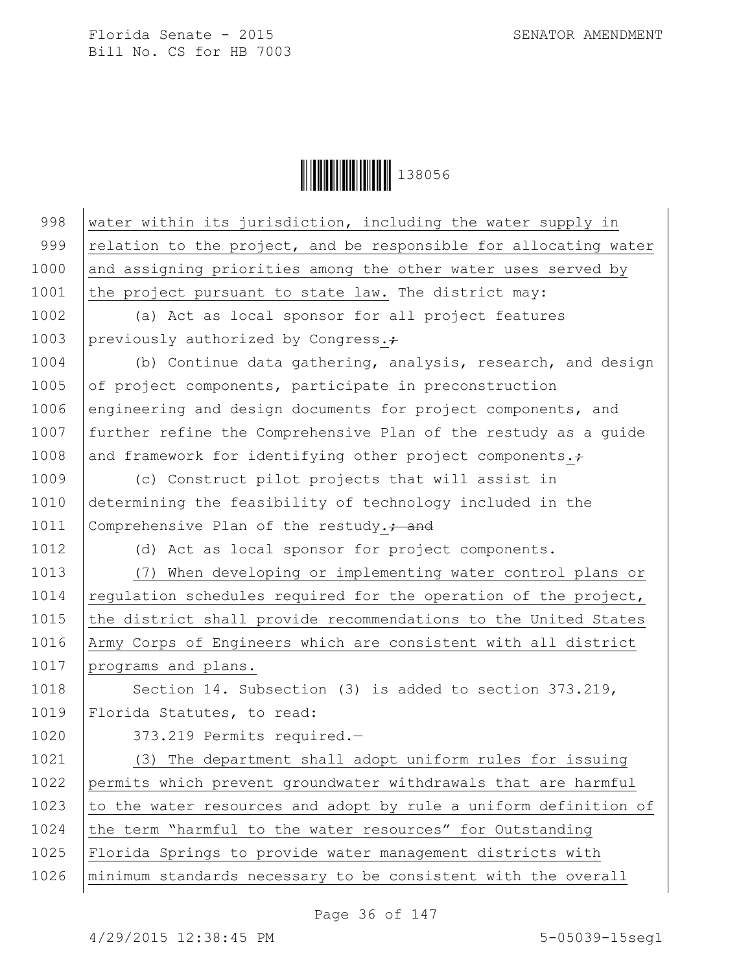**│││││││││││││││││** 138056

| 998  | water within its jurisdiction, including the water supply in     |
|------|------------------------------------------------------------------|
| 999  | relation to the project, and be responsible for allocating water |
| 1000 | and assigning priorities among the other water uses served by    |
| 1001 | the project pursuant to state law. The district may:             |
| 1002 | (a) Act as local sponsor for all project features                |
| 1003 | previously authorized by Congress.;                              |
| 1004 | (b) Continue data gathering, analysis, research, and design      |
| 1005 | of project components, participate in preconstruction            |
| 1006 | engineering and design documents for project components, and     |
| 1007 | further refine the Comprehensive Plan of the restudy as a quide  |
| 1008 | and framework for identifying other project components. $\div$   |
| 1009 | (c) Construct pilot projects that will assist in                 |
| 1010 | determining the feasibility of technology included in the        |
| 1011 | Comprehensive Plan of the restudy. <sup>2</sup> and              |
| 1012 | (d) Act as local sponsor for project components.                 |
| 1013 | (7) When developing or implementing water control plans or       |
| 1014 | regulation schedules required for the operation of the project,  |
| 1015 | the district shall provide recommendations to the United States  |
| 1016 | Army Corps of Engineers which are consistent with all district   |
| 1017 | programs and plans.                                              |
| 1018 | Section 14. Subsection (3) is added to section 373.219,          |
| 1019 | Florida Statutes, to read:                                       |
| 1020 | 373.219 Permits required.-                                       |
| 1021 | (3) The department shall adopt uniform rules for issuing         |
| 1022 | permits which prevent groundwater withdrawals that are harmful   |
| 1023 | to the water resources and adopt by rule a uniform definition of |
| 1024 | the term "harmful to the water resources" for Outstanding        |
| 1025 | Florida Springs to provide water management districts with       |
| 1026 | minimum standards necessary to be consistent with the overall    |

Page 36 of 147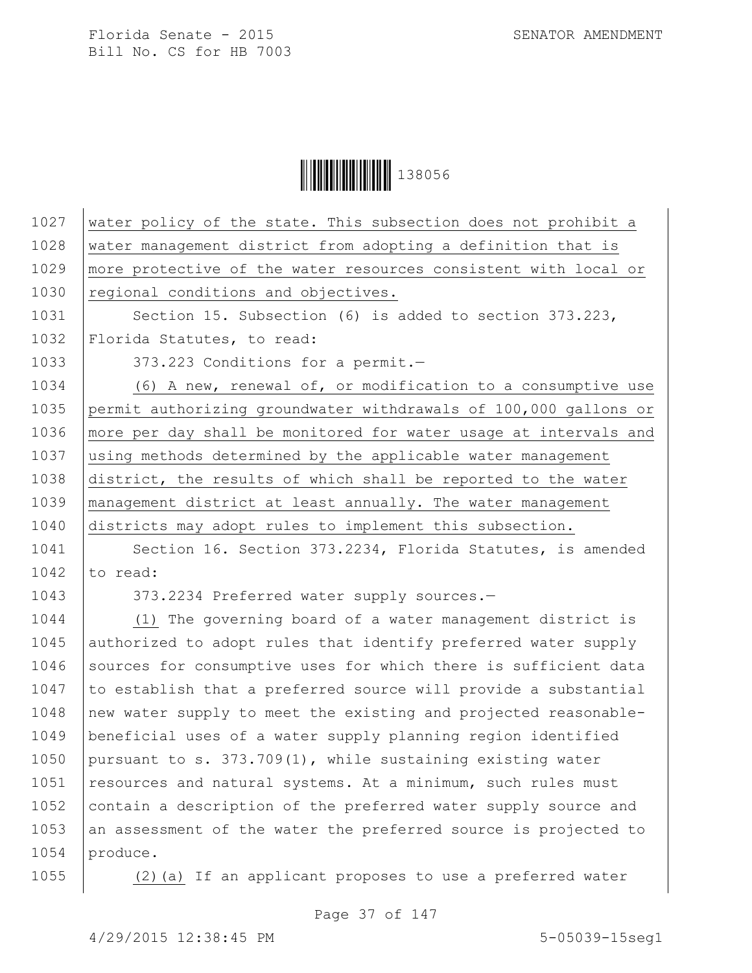Ì1380561Î138056

| 1027 | water policy of the state. This subsection does not prohibit a   |
|------|------------------------------------------------------------------|
| 1028 | water management district from adopting a definition that is     |
| 1029 | more protective of the water resources consistent with local or  |
| 1030 | regional conditions and objectives.                              |
| 1031 | Section 15. Subsection (6) is added to section 373.223,          |
| 1032 | Florida Statutes, to read:                                       |
| 1033 | 373.223 Conditions for a permit.-                                |
| 1034 | (6) A new, renewal of, or modification to a consumptive use      |
| 1035 | permit authorizing groundwater withdrawals of 100,000 gallons or |
| 1036 | more per day shall be monitored for water usage at intervals and |
| 1037 | using methods determined by the applicable water management      |
| 1038 | district, the results of which shall be reported to the water    |
| 1039 | management district at least annually. The water management      |
| 1040 | districts may adopt rules to implement this subsection.          |
| 1041 | Section 16. Section 373.2234, Florida Statutes, is amended       |
| 1042 | to read:                                                         |
| 1043 | 373.2234 Preferred water supply sources.-                        |
| 1044 | (1) The governing board of a water management district is        |
| 1045 | authorized to adopt rules that identify preferred water supply   |
| 1046 | sources for consumptive uses for which there is sufficient data  |
| 1047 | to establish that a preferred source will provide a substantial  |
| 1048 | new water supply to meet the existing and projected reasonable-  |
| 1049 | beneficial uses of a water supply planning region identified     |
| 1050 | pursuant to s. 373.709(1), while sustaining existing water       |
| 1051 | resources and natural systems. At a minimum, such rules must     |
| 1052 | contain a description of the preferred water supply source and   |
| 1053 | an assessment of the water the preferred source is projected to  |
| 1054 | produce.                                                         |

1055 (2)(a) If an applicant proposes to use a preferred water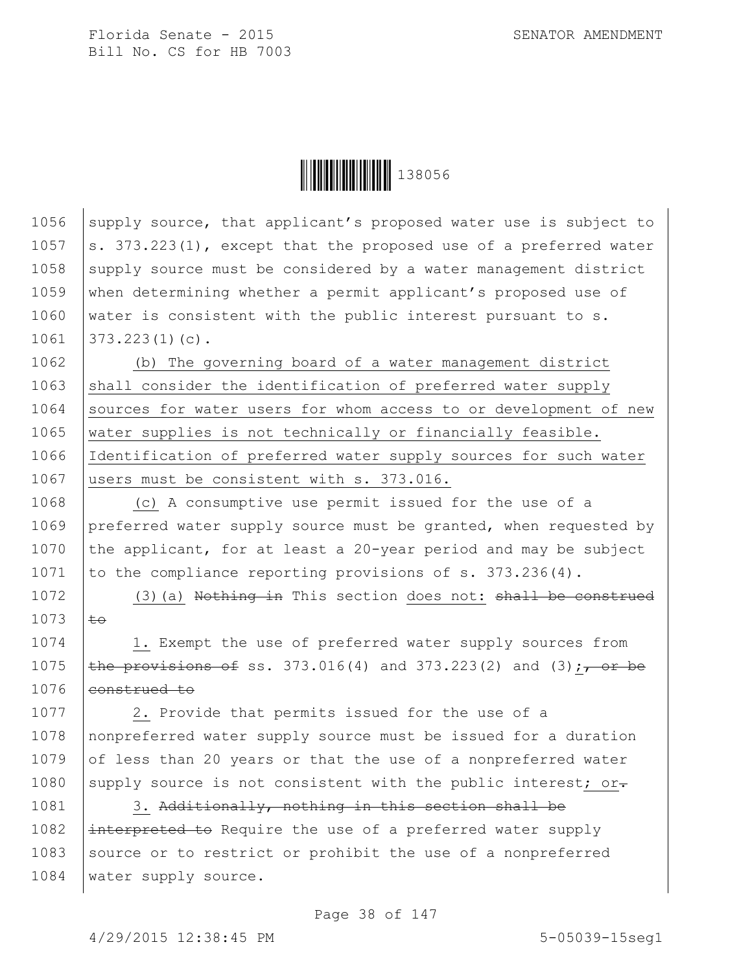

1056 supply source, that applicant's proposed water use is subject to  $\vert$ s. 373.223(1), except that the proposed use of a preferred water 1058 supply source must be considered by a water management district when determining whether a permit applicant's proposed use of water is consistent with the public interest pursuant to s. 373.223(1)(c).

1062 (b) The governing board of a water management district 1063 shall consider the identification of preferred water supply 1064 Sources for water users for whom access to or development of new 1065 water supplies is not technically or financially feasible. 1066 Identification of preferred water supply sources for such water 1067 users must be consistent with s. 373.016.

1068 (c) A consumptive use permit issued for the use of a 1069 preferred water supply source must be granted, when requested by 1070 the applicant, for at least a 20-year period and may be subject 1071 to the compliance reporting provisions of  $s. 373.236(4)$ .

1072 (3)(a) Nothing in This section does not: shall be construed  $1073$   $t\rightarrow$ 

1074 1. Exempt the use of preferred water supply sources from 1075 **the provisions of ss.** 373.016(4) and 373.223(2) and (3);  $\rightarrow$  or be 1076 eonstrued to

1077 | 2. Provide that permits issued for the use of a 1078 nonpreferred water supply source must be issued for a duration 1079 of less than 20 years or that the use of a nonpreferred water 1080 supply source is not consistent with the public interest; or.

1081 3. Additionally, nothing in this section shall be 1082  $\left| \right|$  interpreted to Require the use of a preferred water supply 1083 Source or to restrict or prohibit the use of a nonpreferred 1084 | water supply source.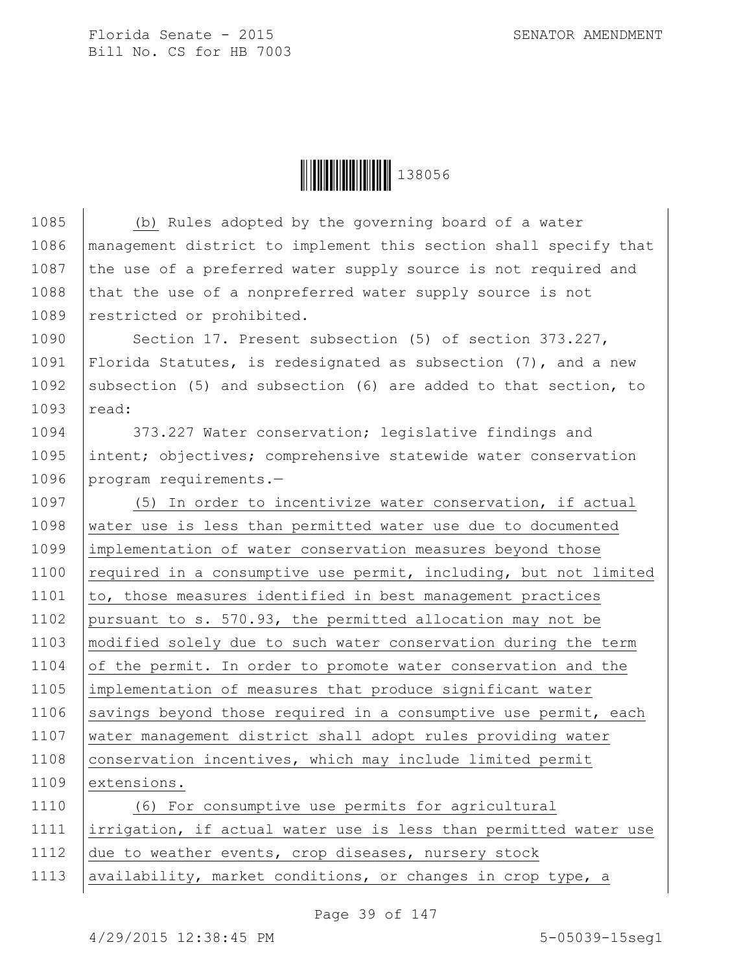

1085 (b) Rules adopted by the governing board of a water 1086 management district to implement this section shall specify that 1087 the use of a preferred water supply source is not required and 1088 that the use of a nonpreferred water supply source is not 1089 | restricted or prohibited. 1090 Section 17. Present subsection (5) of section 373.227, 1091 Florida Statutes, is redesignated as subsection (7), and a new 1092 subsection (5) and subsection (6) are added to that section, to 1093 read: 1094 373.227 Water conservation; legislative findings and 1095 intent; objectives; comprehensive statewide water conservation 1096 program requirements.-1097 (5) In order to incentivize water conservation, if actual 1098 water use is less than permitted water use due to documented 1099 implementation of water conservation measures beyond those 1100 required in a consumptive use permit, including, but not limited  $1101$  to, those measures identified in best management practices 1102 pursuant to s. 570.93, the permitted allocation may not be 1103 modified solely due to such water conservation during the term 1104 of the permit. In order to promote water conservation and the 1105 implementation of measures that produce significant water 1106 savings beyond those required in a consumptive use permit, each 1107 water management district shall adopt rules providing water 1108 conservation incentives, which may include limited permit 1109 extensions. 1110 (6) For consumptive use permits for agricultural 1111 irrigation, if actual water use is less than permitted water use 1112 due to weather events, crop diseases, nursery stock 1113 availability, market conditions, or changes in crop type, a

Page 39 of 147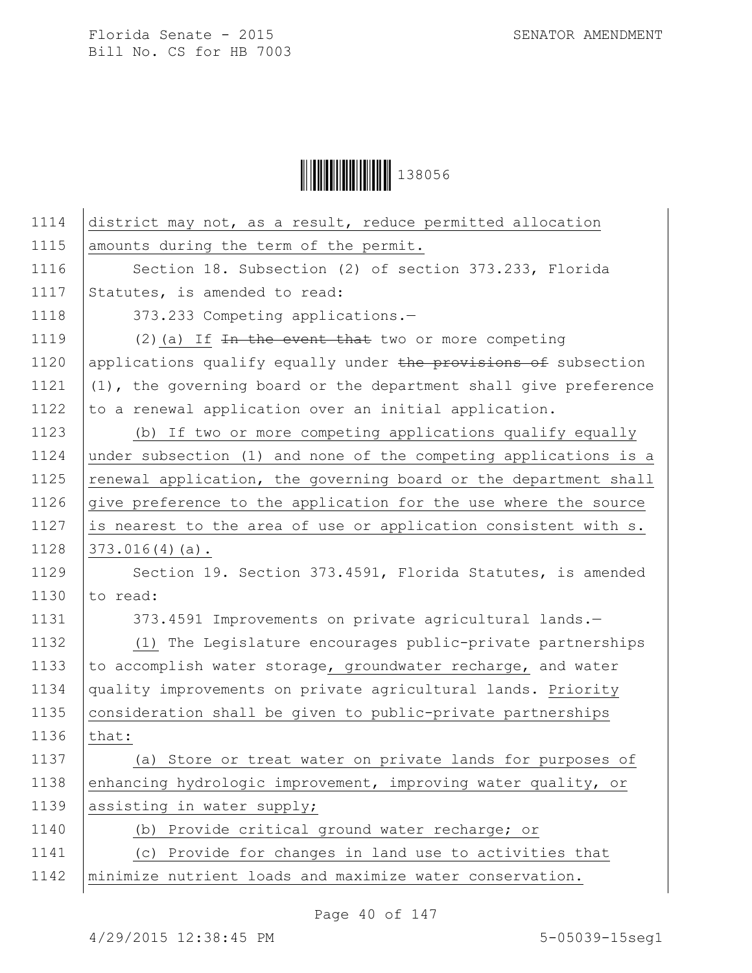**││││││││││││││││** 138056

| 1114 | district may not, as a result, reduce permitted allocation       |
|------|------------------------------------------------------------------|
| 1115 | amounts during the term of the permit.                           |
| 1116 | Section 18. Subsection (2) of section 373.233, Florida           |
| 1117 | Statutes, is amended to read:                                    |
| 1118 | 373.233 Competing applications.-                                 |
| 1119 | $(2)$ (a) If In the event that two or more competing             |
| 1120 | applications qualify equally under the provisions of subsection  |
| 1121 | (1), the governing board or the department shall give preference |
| 1122 | to a renewal application over an initial application.            |
| 1123 | (b) If two or more competing applications qualify equally        |
| 1124 | under subsection (1) and none of the competing applications is a |
| 1125 | renewal application, the governing board or the department shall |
| 1126 | give preference to the application for the use where the source  |
| 1127 | is nearest to the area of use or application consistent with s.  |
| 1128 | $373.016(4)(a)$ .                                                |
| 1129 | Section 19. Section 373.4591, Florida Statutes, is amended       |
| 1130 | to read:                                                         |
| 1131 | 373.4591 Improvements on private agricultural lands.-            |
| 1132 | (1) The Legislature encourages public-private partnerships       |
| 1133 | to accomplish water storage, groundwater recharge, and water     |
| 1134 | quality improvements on private agricultural lands. Priority     |
| 1135 | consideration shall be given to public-private partnerships      |
| 1136 | that:                                                            |
| 1137 | (a) Store or treat water on private lands for purposes of        |
| 1138 | enhancing hydrologic improvement, improving water quality, or    |
| 1139 | assisting in water supply;                                       |
| 1140 | (b) Provide critical ground water recharge; or                   |
| 1141 | (c) Provide for changes in land use to activities that           |
| 1142 | minimize nutrient loads and maximize water conservation.         |
|      |                                                                  |

Page 40 of 147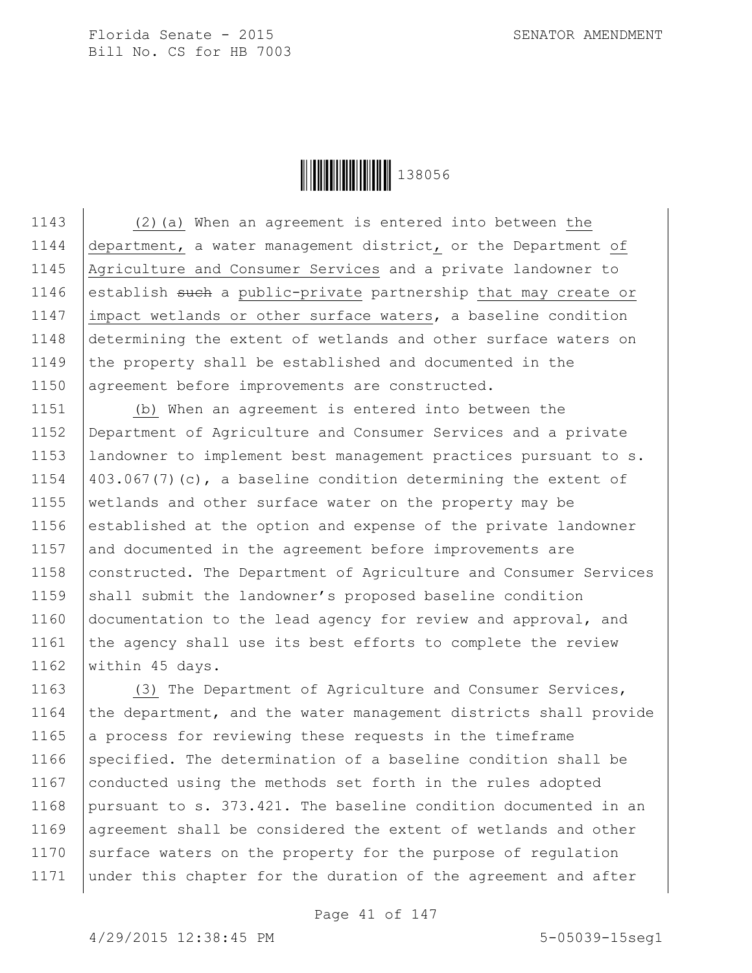

 (2)(a) When an agreement is entered into between the department, a water management district, or the Department of Agriculture and Consumer Services and a private landowner to 1146 establish such a public-private partnership that may create or impact wetlands or other surface waters, a baseline condition determining the extent of wetlands and other surface waters on 1149 the property shall be established and documented in the 1150 agreement before improvements are constructed.

1151 (b) When an agreement is entered into between the 1152 Department of Agriculture and Consumer Services and a private 1153 landowner to implement best management practices pursuant to s. 1154  $\vert$  403.067(7)(c), a baseline condition determining the extent of 1155 wetlands and other surface water on the property may be 1156 established at the option and expense of the private landowner 1157 and documented in the agreement before improvements are 1158 constructed. The Department of Agriculture and Consumer Services 1159  $\beta$  shall submit the landowner's proposed baseline condition 1160 documentation to the lead agency for review and approval, and 1161 the agency shall use its best efforts to complete the review 1162 | within 45 days.

1163 (3) The Department of Agriculture and Consumer Services, 1164 the department, and the water management districts shall provide 1165 a process for reviewing these requests in the timeframe 1166 specified. The determination of a baseline condition shall be 1167 conducted using the methods set forth in the rules adopted 1168 pursuant to s. 373.421. The baseline condition documented in an 1169 | agreement shall be considered the extent of wetlands and other 1170 surface waters on the property for the purpose of regulation 1171 under this chapter for the duration of the agreement and after

Page 41 of 147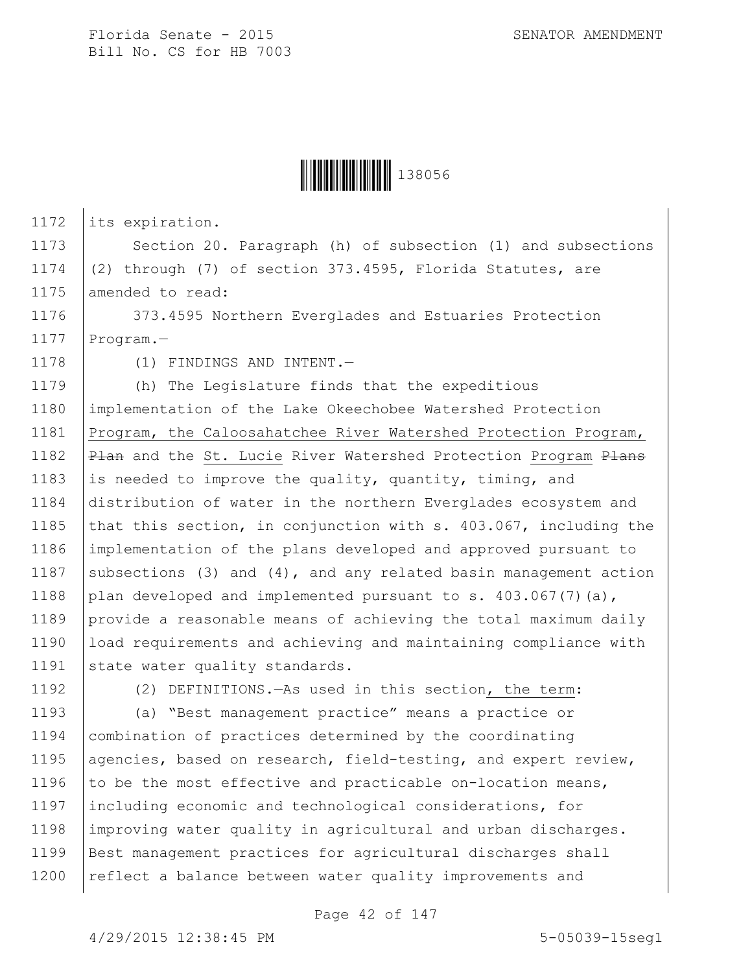

1172 its expiration.

1173 Section 20. Paragraph (h) of subsection (1) and subsections 1174 (2) through (7) of section 373.4595, Florida Statutes, are 1175 amended to read:

1176 373.4595 Northern Everglades and Estuaries Protection 1177 Program.-

1178 (1) FINDINGS AND INTENT.

1179 (h) The Legislature finds that the expeditious 1180 implementation of the Lake Okeechobee Watershed Protection 1181 Program, the Caloosahatchee River Watershed Protection Program, 1182 | Plan and the St. Lucie River Watershed Protection Program Plans 1183 is needed to improve the quality, quantity, timing, and 1184 distribution of water in the northern Everglades ecosystem and 1185 that this section, in conjunction with s. 403.067, including the 1186 implementation of the plans developed and approved pursuant to 1187 subsections (3) and (4), and any related basin management action 1188 plan developed and implemented pursuant to s.  $403.067(7)(a)$ , 1189 provide a reasonable means of achieving the total maximum daily 1190 load requirements and achieving and maintaining compliance with 1191 state water quality standards.

1192 (2) DEFINITIONS.—As used in this section, the term:

 (a) "Best management practice" means a practice or combination of practices determined by the coordinating 1195 agencies, based on research, field-testing, and expert review, 1196 to be the most effective and practicable on-location means, including economic and technological considerations, for improving water quality in agricultural and urban discharges. Best management practices for agricultural discharges shall 1200 | reflect a balance between water quality improvements and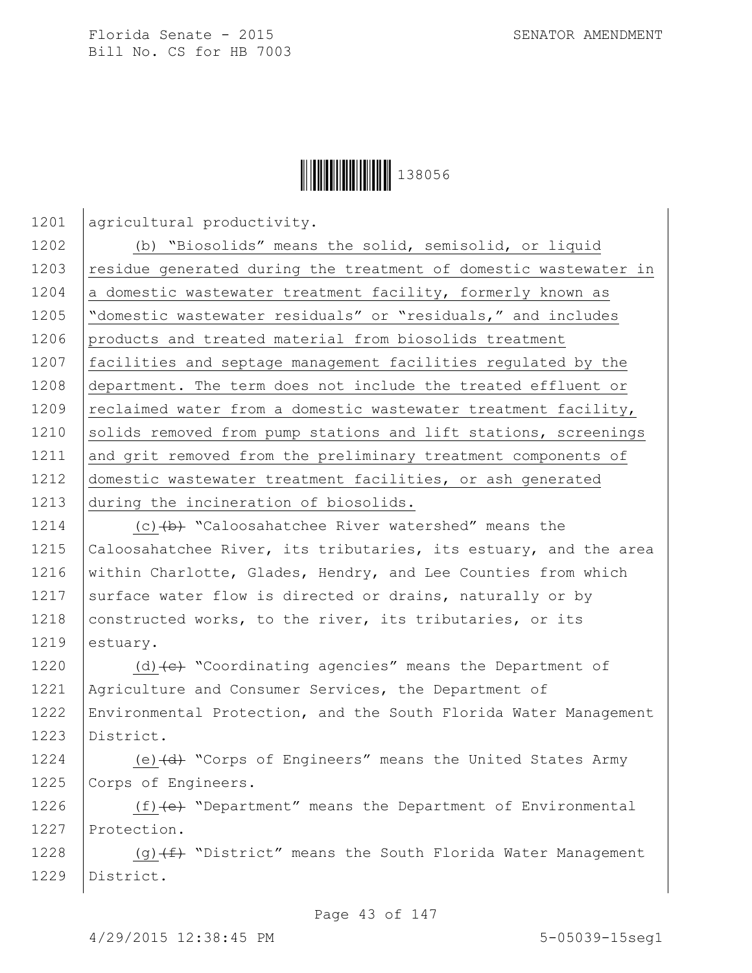

1201 agricultural productivity.

1202 (b) "Biosolids" means the solid, semisolid, or liquid 1203 | residue generated during the treatment of domestic wastewater in 1204 a domestic wastewater treatment facility, formerly known as 1205 "domestic wastewater residuals" or "residuals," and includes 1206 products and treated material from biosolids treatment 1207 | facilities and septage management facilities regulated by the 1208 department. The term does not include the treated effluent or 1209  $|reclaimed water from a domestic wastewater treatment facility,$ 1210 solids removed from pump stations and lift stations, screenings 1211 and grit removed from the preliminary treatment components of 1212 domestic wastewater treatment facilities, or ash generated 1213 during the incineration of biosolids.

1214  $\vert$  (c)  $\langle b \rangle$  "Caloosahatchee River watershed" means the 1215 Caloosahatchee River, its tributaries, its estuary, and the area 1216 within Charlotte, Glades, Hendry, and Lee Counties from which 1217 surface water flow is directed or drains, naturally or by 1218 constructed works, to the river, its tributaries, or its 1219 estuary.

 $\vert$  (d)  $\left\{ e\right\}$  "Coordinating agencies" means the Department of 1221 | Agriculture and Consumer Services, the Department of Environmental Protection, and the South Florida Water Management District.

1224 (e) (d) "Corps of Engineers" means the United States Army 1225 Corps of Engineers.

1226 (f) (e) "Department" means the Department of Environmental 1227 Protection.

1228  $(9)$  (g)  $(f)$  "District" means the South Florida Water Management 1229 District.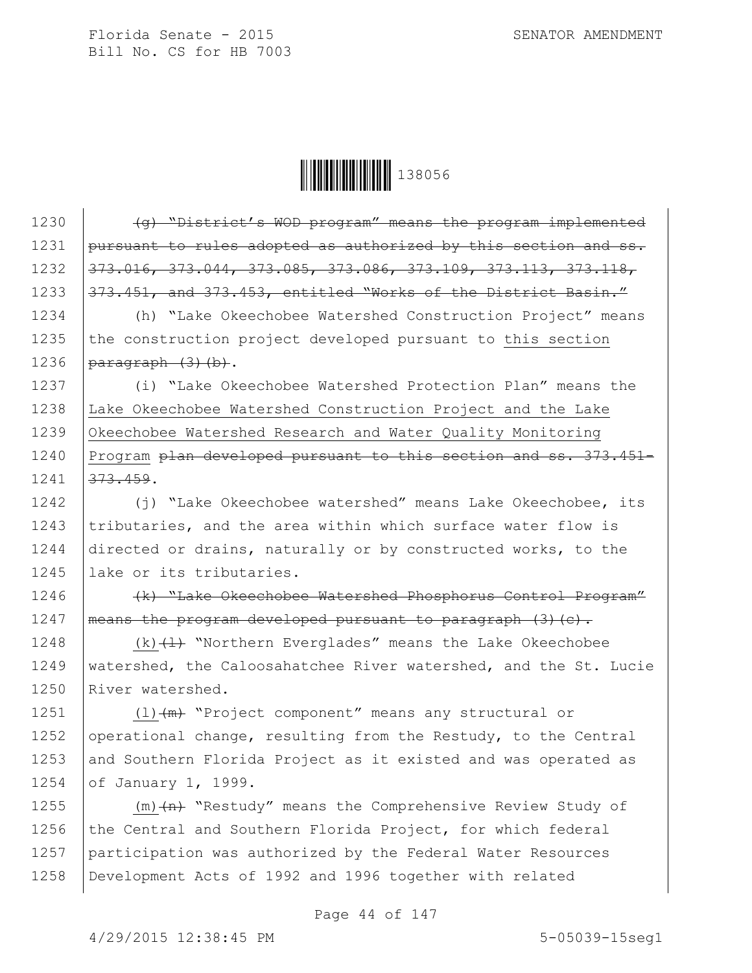

1230  $\sqrt{q}$  "District's WOD program" means the program implemented 1231 pursuant to rules adopted as authorized by this section and ss. 1232 373.016, 373.044, 373.085, 373.086, 373.109, 373.113, 373.118, 1233 373.451, and 373.453, entitled "Works of the District Basin." 1234 (h) "Lake Okeechobee Watershed Construction Project" means 1235  $\vert$  the construction project developed pursuant to this section 1236  $\sqrt{a}$   $\frac{a}{b}$   $\frac{a}{c}$   $\frac{b}{c}$   $\frac{b}{c}$   $\frac{b}{c}$   $\frac{b}{c}$   $\frac{c}{d}$ 1237 (i) "Lake Okeechobee Watershed Protection Plan" means the 1238 Lake Okeechobee Watershed Construction Project and the Lake 1239 Okeechobee Watershed Research and Water Quality Monitoring 1240 Program plan developed pursuant to this section and ss. 373.451- $1241$   $373.459$ . 1242 (j) "Lake Okeechobee watershed" means Lake Okeechobee, its 1243  $|$ tributaries, and the area within which surface water flow is 1244 directed or drains, naturally or by constructed works, to the 1245 lake or its tributaries. 1246 (k) "Lake Okeechobee Watershed Phosphorus Control Program" 1247 | means the program developed pursuant to paragraph  $(3)$  (c). 1248  $|$  (k)  $\left\langle \downarrow \right\rangle$  "Northern Everglades" means the Lake Okeechobee 1249 | watershed, the Caloosahatchee River watershed, and the St. Lucie 1250 River watershed. 1251  $(1)$   $(m)$  "Project component" means any structural or 1252 operational change, resulting from the Restudy, to the Central 1253 and Southern Florida Project as it existed and was operated as 1254 of January 1, 1999. 1255  $(m)$  (m)  $(n)$  "Restudy" means the Comprehensive Review Study of 1256 the Central and Southern Florida Project, for which federal 1257 participation was authorized by the Federal Water Resources

Page 44 of 147

1258 Development Acts of 1992 and 1996 together with related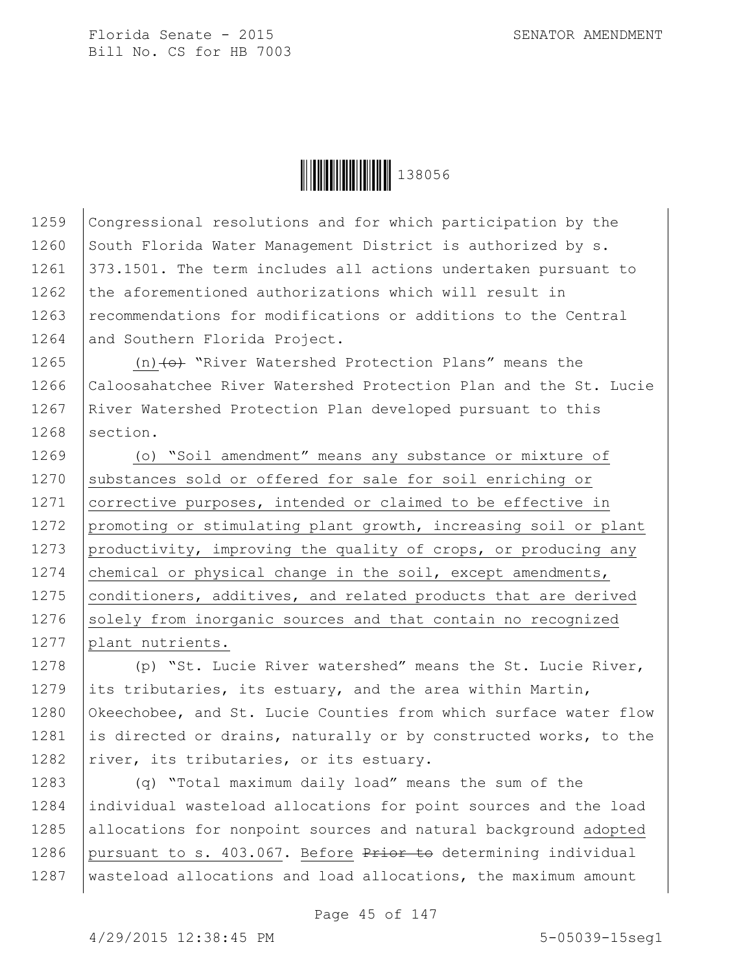

1259 Congressional resolutions and for which participation by the 1260 South Florida Water Management District is authorized by s. 1261 373.1501. The term includes all actions undertaken pursuant to 1262  $\vert$  the aforementioned authorizations which will result in 1263 recommendations for modifications or additions to the Central 1264 and Southern Florida Project.

1265 (n) $\left\{\Theta\right\}$  "River Watershed Protection Plans" means the 1266 Caloosahatchee River Watershed Protection Plan and the St. Lucie 1267 | River Watershed Protection Plan developed pursuant to this 1268 section.

1269 (o) "Soil amendment" means any substance or mixture of 1270 substances sold or offered for sale for soil enriching or 1271 corrective purposes, intended or claimed to be effective in 1272 promoting or stimulating plant growth, increasing soil or plant 1273 productivity, improving the quality of crops, or producing any 1274 chemical or physical change in the soil, except amendments, 1275 | conditioners, additives, and related products that are derived 1276 solely from inorganic sources and that contain no recognized 1277 plant nutrients.

1278 (p) "St. Lucie River watershed" means the St. Lucie River, 1279 its tributaries, its estuary, and the area within Martin, 1280 Okeechobee, and St. Lucie Counties from which surface water flow 1281 is directed or drains, naturally or by constructed works, to the 1282  $|$ river, its tributaries, or its estuary.

1283 (q) "Total maximum daily load" means the sum of the 1284 individual wasteload allocations for point sources and the load 1285 allocations for nonpoint sources and natural background adopted 1286 pursuant to s. 403.067. Before  $P$ rior to determining individual 1287 wasteload allocations and load allocations, the maximum amount

Page 45 of 147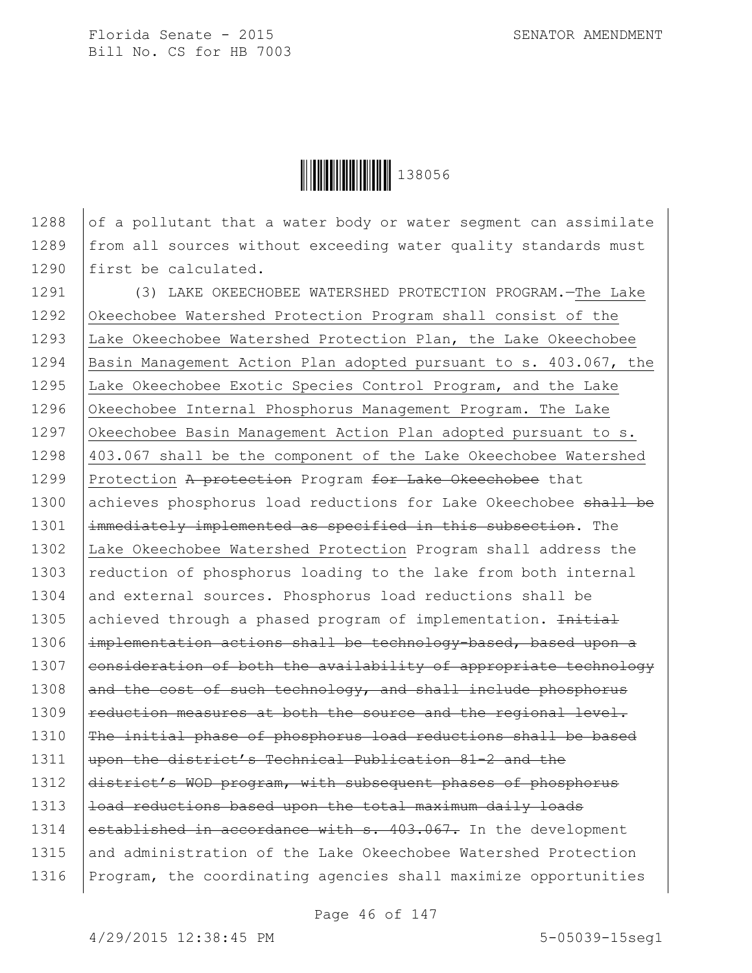

1288  $\vert$  of a pollutant that a water body or water segment can assimilate 1289 | from all sources without exceeding water quality standards must 1290 first be calculated.

1291 (3) LAKE OKEECHOBEE WATERSHED PROTECTION PROGRAM.—The Lake 1292 Okeechobee Watershed Protection Program shall consist of the 1293 Lake Okeechobee Watershed Protection Plan, the Lake Okeechobee 1294 Basin Management Action Plan adopted pursuant to s. 403.067, the 1295 Lake Okeechobee Exotic Species Control Program, and the Lake 1296 Okeechobee Internal Phosphorus Management Program. The Lake 1297 Okeechobee Basin Management Action Plan adopted pursuant to s. 1298 403.067 shall be the component of the Lake Okeechobee Watershed 1299 Protection A protection Program for Lake Okeechobee that 1300 achieves phosphorus load reductions for Lake Okeechobee shall be 1301 | immediately implemented as specified in this subsection. The 1302 Lake Okeechobee Watershed Protection Program shall address the 1303 reduction of phosphorus loading to the lake from both internal 1304 and external sources. Phosphorus load reductions shall be 1305 achieved through a phased program of implementation. Initial 1306 | implementation actions shall be technology-based, based upon a 1307 consideration of both the availability of appropriate technology 1308  $\vert$  and the cost of such technology, and shall include phosphorus  $1309$  reduction measures at both the source and the regional level. 1310 | The initial phase of phosphorus load reductions shall be based 1311 wpon the district's Technical Publication 81-2 and the 1312 district's WOD program, with subsequent phases of phosphorus 1313  $|$  load reductions based upon the total maximum daily loads 1314 established in accordance with s. 403.067. In the development 1315 and administration of the Lake Okeechobee Watershed Protection 1316 Program, the coordinating agencies shall maximize opportunities

Page 46 of 147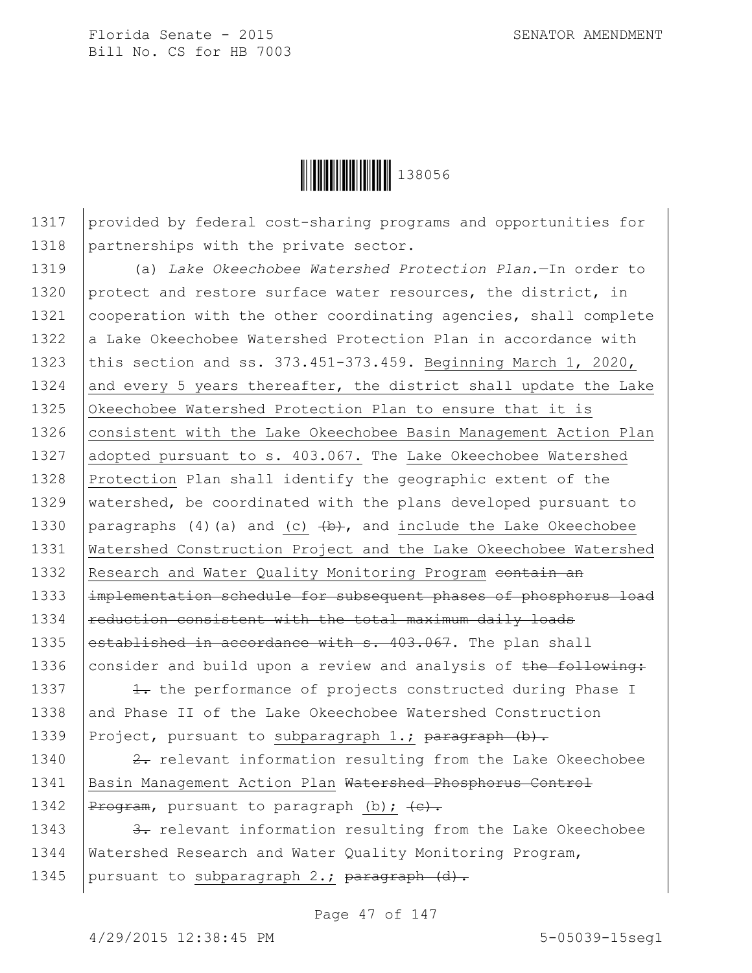

1317 provided by federal cost-sharing programs and opportunities for 1318 partnerships with the private sector.

1319 (a) *Lake Okeechobee Watershed Protection Plan.*—In order to 1320 protect and restore surface water resources, the district, in 1321 | cooperation with the other coordinating agencies, shall complete 1322  $\vert$  a Lake Okeechobee Watershed Protection Plan in accordance with 1323 this section and ss. 373.451-373.459. Beginning March 1, 2020, 1324 and every 5 years thereafter, the district shall update the Lake 1325 Okeechobee Watershed Protection Plan to ensure that it is 1326 | consistent with the Lake Okeechobee Basin Management Action Plan 1327 adopted pursuant to s. 403.067. The Lake Okeechobee Watershed 1328 Protection Plan shall identify the geographic extent of the 1329 watershed, be coordinated with the plans developed pursuant to 1330 | paragraphs (4) (a) and (c)  $\left(\frac{b}{b}\right)$ , and include the Lake Okeechobee 1331 Watershed Construction Project and the Lake Okeechobee Watershed 1332 Research and Water Quality Monitoring Program contain an 1333 | implementation schedule for subsequent phases of phosphorus load  $1334$  reduction consistent with the total maximum daily loads 1335 established in accordance with  $s$ . 403.067. The plan shall 1336 consider and build upon a review and analysis of the following:

1337  $\vert$   $\vert$   $\vert$   $\vert$  the performance of projects constructed during Phase I 1338 and Phase II of the Lake Okeechobee Watershed Construction 1339 Project, pursuant to subparagraph 1.; paragraph  $(b)$ .

1340  $\vert$  2. relevant information resulting from the Lake Okeechobee 1341 | Basin Management Action Plan Watershed Phosphorus Control 1342 |  $P_{\text{rogram}}$ , pursuant to paragraph (b);  $\left\{e\right\}$ .

1343  $\vert$  3. relevant information resulting from the Lake Okeechobee 1344 | Watershed Research and Water Quality Monitoring Program, 1345 | pursuant to subparagraph  $2$ .; paragraph  $(d)$ .

Page 47 of 147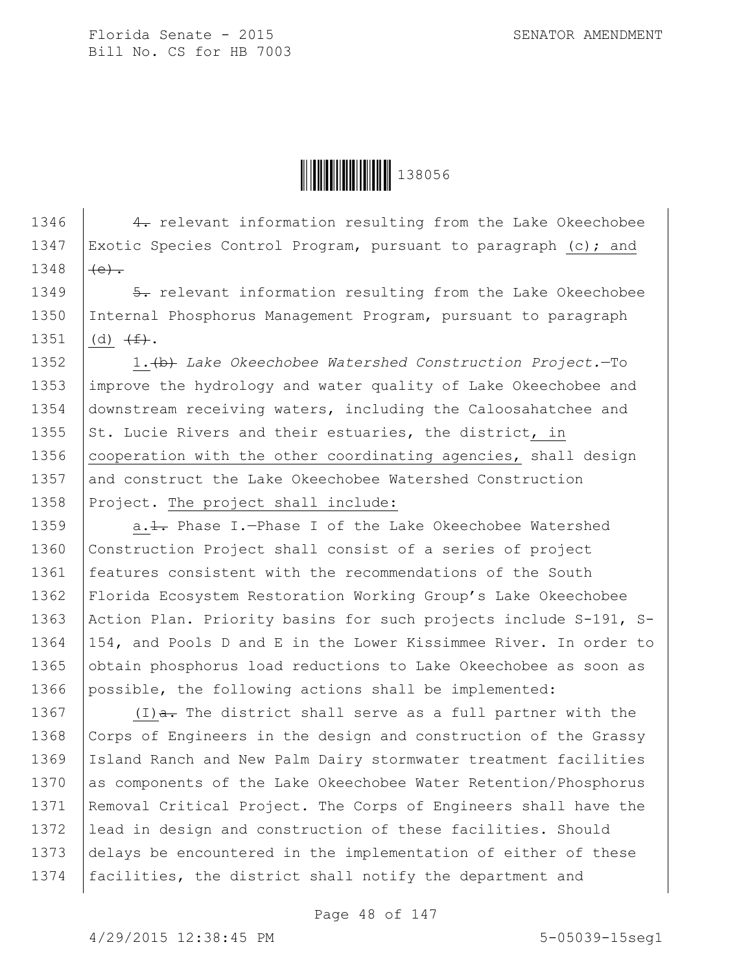Ì1380561Î138056

1346 4. relevant information resulting from the Lake Okeechobee 1347 | Exotic Species Control Program, pursuant to paragraph (c); and 1348  $(e)$ .

1349  $\vert$  5. relevant information resulting from the Lake Okeechobee 1350 Internal Phosphorus Management Program, pursuant to paragraph 1351  $(d)$   $(f)$ .

1352 1.(b) *Lake Okeechobee Watershed Construction Project.*—To 1353 improve the hydrology and water quality of Lake Okeechobee and 1354 downstream receiving waters, including the Caloosahatchee and 1355  $\vert$  St. Lucie Rivers and their estuaries, the district, in 1356 | cooperation with the other coordinating agencies, shall design 1357 and construct the Lake Okeechobee Watershed Construction 1358 Project. The project shall include:

1359 a.1. Phase I.-Phase I of the Lake Okeechobee Watershed 1360 Construction Project shall consist of a series of project 1361 | features consistent with the recommendations of the South 1362 Florida Ecosystem Restoration Working Group's Lake Okeechobee 1363 | Action Plan. Priority basins for such projects include S-191, S-1364 154, and Pools D and E in the Lower Kissimmee River. In order to 1365 obtain phosphorus load reductions to Lake Okeechobee as soon as 1366 possible, the following actions shall be implemented:

1367 (I) $\frac{a}{a}$ . The district shall serve as a full partner with the 1368 Corps of Engineers in the design and construction of the Grassy 1369 Island Ranch and New Palm Dairy stormwater treatment facilities 1370 as components of the Lake Okeechobee Water Retention/Phosphorus 1371 | Removal Critical Project. The Corps of Engineers shall have the 1372 lead in design and construction of these facilities. Should 1373 delays be encountered in the implementation of either of these 1374 | facilities, the district shall notify the department and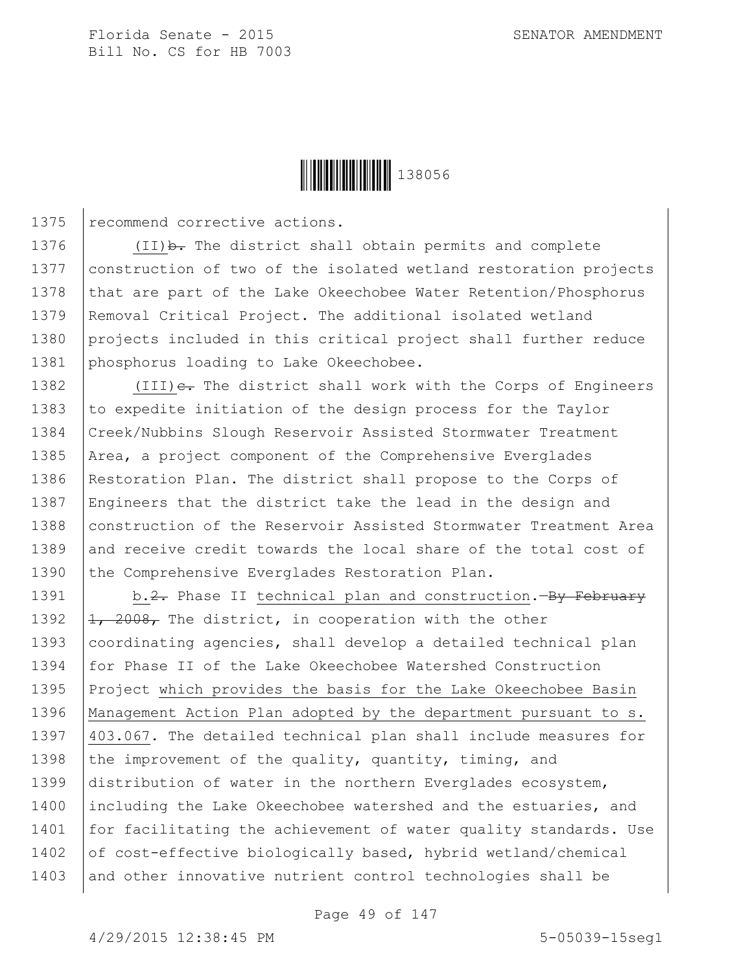

1375 recommend corrective actions.

1376  $(II)$   $\rightarrow$  The district shall obtain permits and complete 1377 construction of two of the isolated wetland restoration projects 1378 that are part of the Lake Okeechobee Water Retention/Phosphorus 1379 Removal Critical Project. The additional isolated wetland 1380 projects included in this critical project shall further reduce 1381 phosphorus loading to Lake Okeechobee.

1382  $\vert$  (III) $\epsilon$ . The district shall work with the Corps of Engineers 1383 to expedite initiation of the design process for the Taylor 1384 Creek/Nubbins Slough Reservoir Assisted Stormwater Treatment 1385 | Area, a project component of the Comprehensive Everglades 1386 Restoration Plan. The district shall propose to the Corps of 1387 Engineers that the district take the lead in the design and 1388 | construction of the Reservoir Assisted Stormwater Treatment Area 1389 and receive credit towards the local share of the total cost of 1390 the Comprehensive Everglades Restoration Plan.

1391 b.2. Phase II technical plan and construction.—By February 1392  $\left| \frac{1}{1} \right\rangle$  2008, The district, in cooperation with the other 1393 coordinating agencies, shall develop a detailed technical plan 1394 for Phase II of the Lake Okeechobee Watershed Construction 1395 Project which provides the basis for the Lake Okeechobee Basin 1396 Management Action Plan adopted by the department pursuant to s. 1397 403.067. The detailed technical plan shall include measures for 1398 the improvement of the quality, quantity, timing, and 1399 distribution of water in the northern Everglades ecosystem, 1400 Including the Lake Okeechobee watershed and the estuaries, and 1401 for facilitating the achievement of water quality standards. Use 1402  $\sigma$  of cost-effective biologically based, hybrid wetland/chemical 1403 and other innovative nutrient control technologies shall be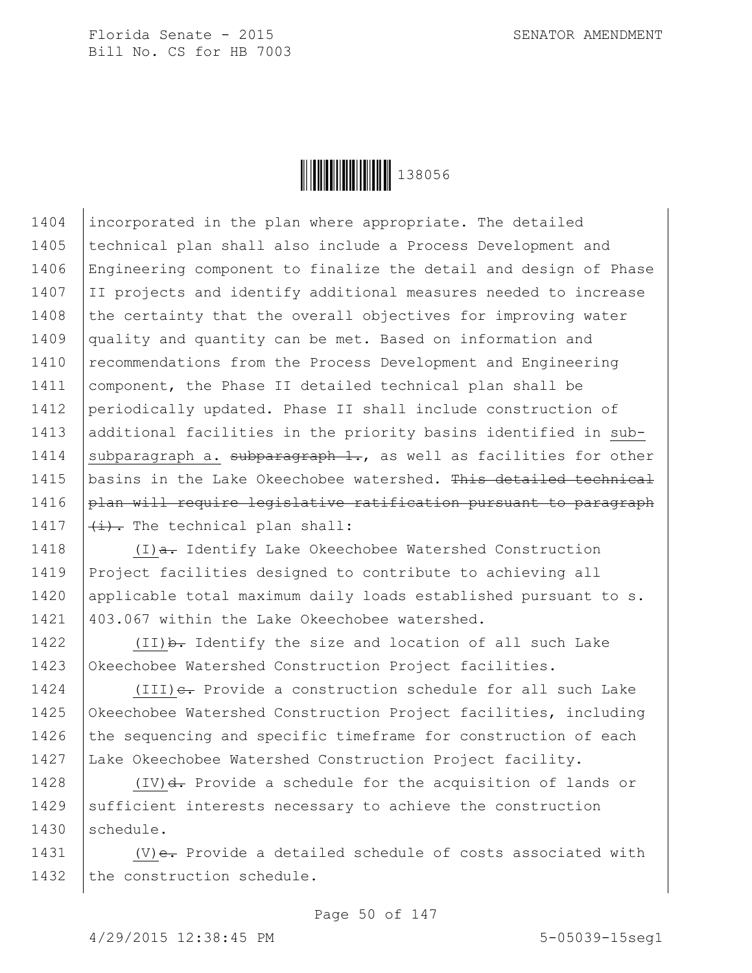

1404 incorporated in the plan where appropriate. The detailed 1405 | technical plan shall also include a Process Development and 1406 Engineering component to finalize the detail and design of Phase 1407 II projects and identify additional measures needed to increase 1408 the certainty that the overall objectives for improving water 1409 quality and quantity can be met. Based on information and 1410 | recommendations from the Process Development and Engineering 1411 | component, the Phase II detailed technical plan shall be 1412 periodically updated. Phase II shall include construction of 1413 additional facilities in the priority basins identified in sub-1414 subparagraph a. subparagraph  $1$ ., as well as facilities for other 1415 | basins in the Lake Okeechobee watershed. This detailed technical  $1416$  plan will require legislative ratification pursuant to paragraph 1417  $\left| \frac{1}{1} \right|$ . The technical plan shall:

 $(1)$ a. Identify Lake Okeechobee Watershed Construction Project facilities designed to contribute to achieving all 1420 applicable total maximum daily loads established pursuant to s. 403.067 within the Lake Okeechobee watershed.

1422  $(II)$  b. Identify the size and location of all such Lake 1423 Okeechobee Watershed Construction Project facilities.

 $(III)$   $\epsilon$ . Provide a construction schedule for all such Lake Okeechobee Watershed Construction Project facilities, including  $\vert$  the sequencing and specific timeframe for construction of each Lake Okeechobee Watershed Construction Project facility.

1428  $(IV)$ d. Provide a schedule for the acquisition of lands or 1429 sufficient interests necessary to achieve the construction 1430 schedule.

1431  $|$  (V) $e$ . Provide a detailed schedule of costs associated with 1432 the construction schedule.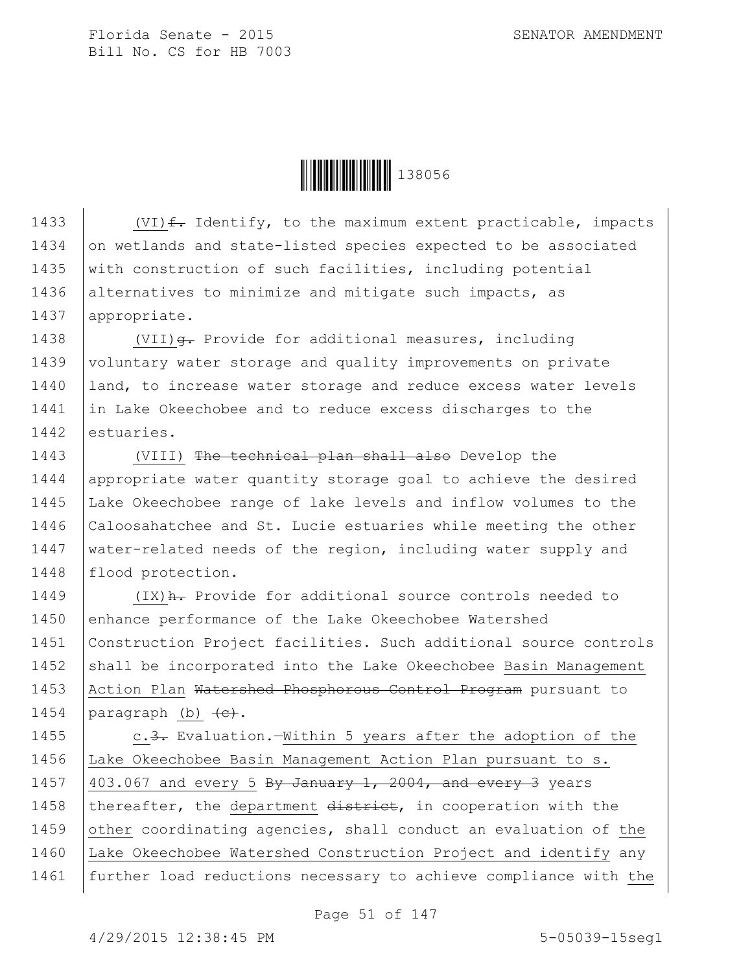

1433  $\vert$  (VI)  $f$ . Identify, to the maximum extent practicable, impacts 1434 on wetlands and state-listed species expected to be associated 1435 | with construction of such facilities, including potential 1436 alternatives to minimize and mitigate such impacts, as 1437 | appropriate.

1438 | (VII)  $\theta$ . Provide for additional measures, including 1439 voluntary water storage and quality improvements on private 1440 | land, to increase water storage and reduce excess water levels 1441 in Lake Okeechobee and to reduce excess discharges to the 1442 estuaries.

1443 | (VIII) The technical plan shall also Develop the 1444 | appropriate water quantity storage goal to achieve the desired 1445 Lake Okeechobee range of lake levels and inflow volumes to the 1446 Caloosahatchee and St. Lucie estuaries while meeting the other 1447 | water-related needs of the region, including water supply and 1448 | flood protection.

1449 | (IX) A. Provide for additional source controls needed to 1450 enhance performance of the Lake Okeechobee Watershed 1451 Construction Project facilities. Such additional source controls 1452 shall be incorporated into the Lake Okeechobee Basin Management 1453 | Action Plan Watershed Phosphorous Control Program pursuant to 1454  $\vert$  paragraph (b)  $\vert$  (e).

1455 c.3. Evaluation.—Within 5 years after the adoption of the 1456 Lake Okeechobee Basin Management Action Plan pursuant to s. 1457  $\vert$  403.067 and every 5 By January 1, 2004, and every 3 years 1458 | thereafter, the department  $\frac{d}{dt}$  district, in cooperation with the 1459 other coordinating agencies, shall conduct an evaluation of the 1460 Lake Okeechobee Watershed Construction Project and identify any 1461 further load reductions necessary to achieve compliance with the

Page 51 of 147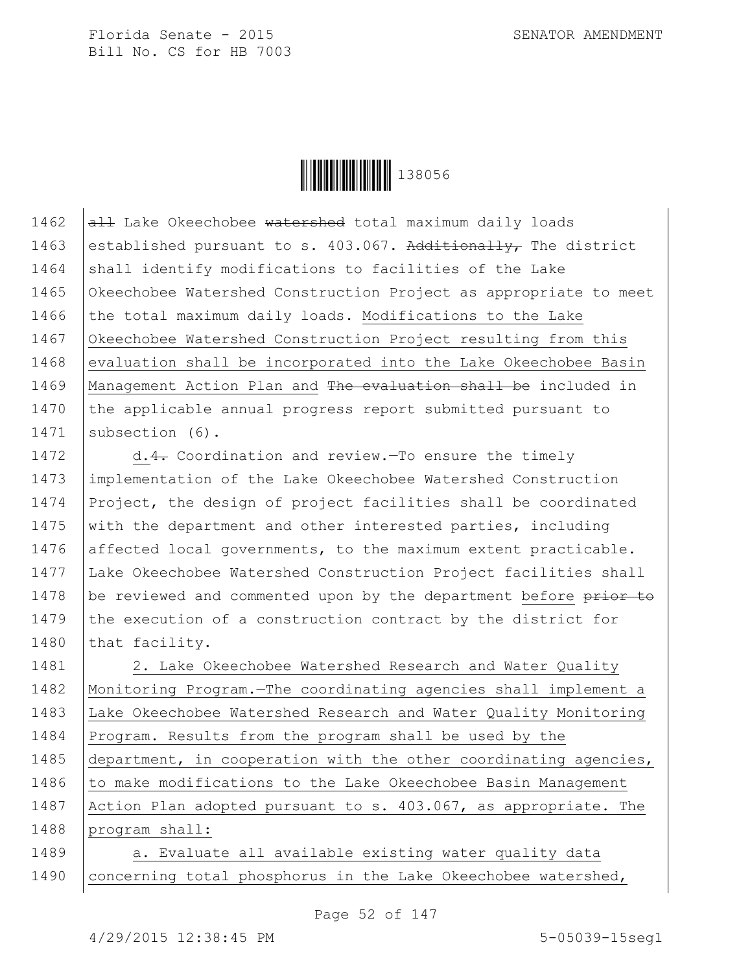**││││││││││││││** 138056

1462  $\overline{aH}$  Lake Okeechobee watershed total maximum daily loads 1463 established pursuant to s. 403.067. Additionally, The district  $1464$  shall identify modifications to facilities of the Lake 1465 Okeechobee Watershed Construction Project as appropriate to meet 1466 the total maximum daily loads. Modifications to the Lake 1467 Okeechobee Watershed Construction Project resulting from this 1468 evaluation shall be incorporated into the Lake Okeechobee Basin 1469 | Management Action Plan and The evaluation shall be included in 1470 the applicable annual progress report submitted pursuant to 1471 Subsection (6).

1472 d.4. Coordination and review. To ensure the timely 1473 implementation of the Lake Okeechobee Watershed Construction 1474 Project, the design of project facilities shall be coordinated 1475 with the department and other interested parties, including 1476 affected local governments, to the maximum extent practicable. 1477 Lake Okeechobee Watershed Construction Project facilities shall 1478 be reviewed and commented upon by the department before prior to 1479  $\vert$  the execution of a construction contract by the district for 1480 that facility.

1481 | 2. Lake Okeechobee Watershed Research and Water Quality 1482 Monitoring Program.—The coordinating agencies shall implement a 1483 Lake Okeechobee Watershed Research and Water Quality Monitoring 1484 Program. Results from the program shall be used by the 1485 department, in cooperation with the other coordinating agencies, 1486 to make modifications to the Lake Okeechobee Basin Management 1487 Action Plan adopted pursuant to s. 403.067, as appropriate. The 1488 program shall:

1489 a. Evaluate all available existing water quality data 1490 | concerning total phosphorus in the Lake Okeechobee watershed,

Page 52 of 147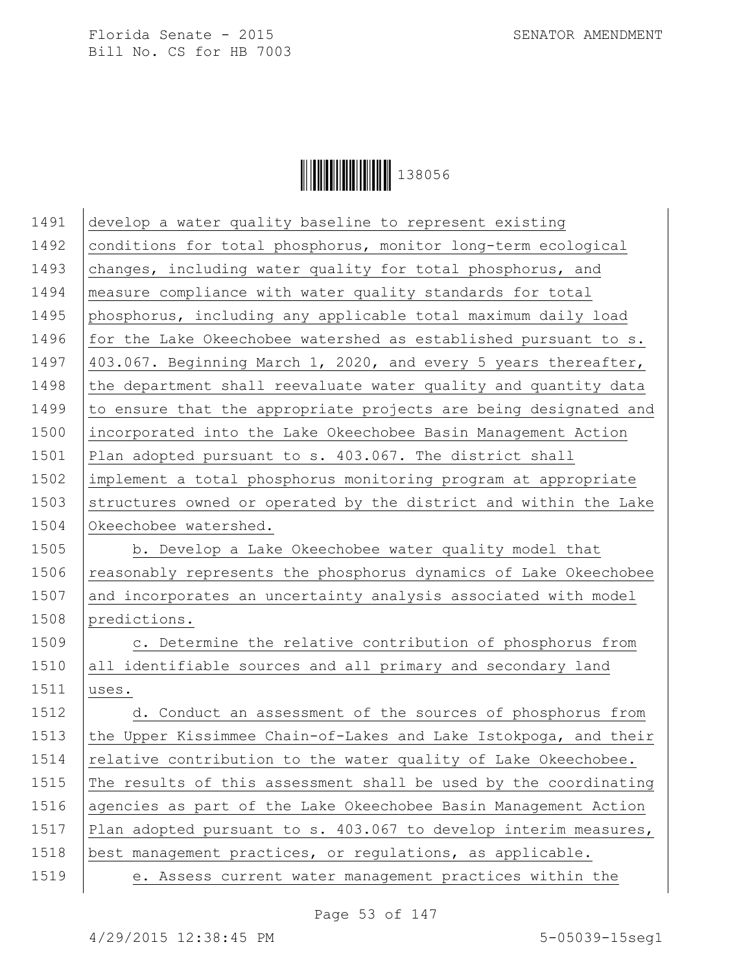

| 1491 | develop a water quality baseline to represent existing           |
|------|------------------------------------------------------------------|
| 1492 | conditions for total phosphorus, monitor long-term ecological    |
| 1493 | changes, including water quality for total phosphorus, and       |
| 1494 | measure compliance with water quality standards for total        |
| 1495 | phosphorus, including any applicable total maximum daily load    |
| 1496 | for the Lake Okeechobee watershed as established pursuant to s.  |
| 1497 | 403.067. Beginning March 1, 2020, and every 5 years thereafter,  |
| 1498 | the department shall reevaluate water quality and quantity data  |
| 1499 | to ensure that the appropriate projects are being designated and |
| 1500 | incorporated into the Lake Okeechobee Basin Management Action    |
| 1501 | Plan adopted pursuant to s. 403.067. The district shall          |
| 1502 | implement a total phosphorus monitoring program at appropriate   |
| 1503 | structures owned or operated by the district and within the Lake |
| 1504 | Okeechobee watershed.                                            |
| 1505 | b. Develop a Lake Okeechobee water quality model that            |
| 1506 | reasonably represents the phosphorus dynamics of Lake Okeechobee |
| 1507 | and incorporates an uncertainty analysis associated with model   |
| 1508 | predictions.                                                     |
| 1509 | c. Determine the relative contribution of phosphorus from        |
| 1510 | all identifiable sources and all primary and secondary land      |
| 1511 | uses.                                                            |
| 1512 | d. Conduct an assessment of the sources of phosphorus from       |
| 1513 | the Upper Kissimmee Chain-of-Lakes and Lake Istokpoga, and their |
| 1514 | relative contribution to the water quality of Lake Okeechobee.   |
| 1515 | The results of this assessment shall be used by the coordinating |
| 1516 | agencies as part of the Lake Okeechobee Basin Management Action  |
| 1517 | Plan adopted pursuant to s. 403.067 to develop interim measures, |
| 1518 | best management practices, or regulations, as applicable.        |
| 1519 | e. Assess current water management practices within the          |
|      |                                                                  |

Page 53 of 147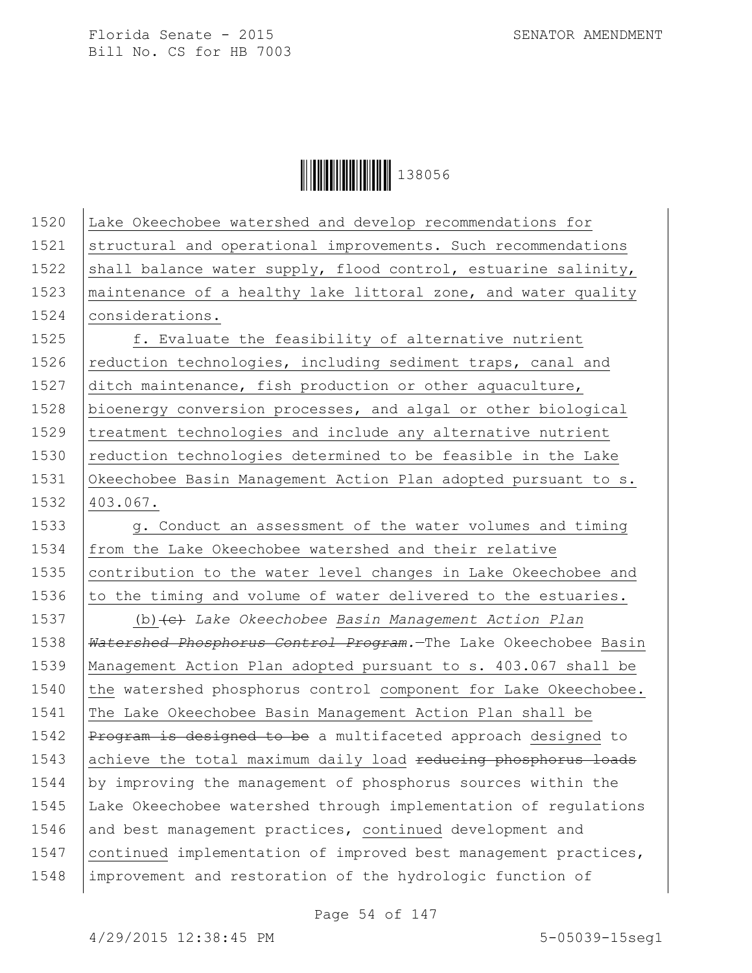**││││││││││││││** 138056

1520 Lake Okeechobee watershed and develop recommendations for 1521 structural and operational improvements. Such recommendations 1522 shall balance water supply, flood control, estuarine salinity, 1523  $\vert$  maintenance of a healthy lake littoral zone, and water quality 1524 | considerations. 1525 f. Evaluate the feasibility of alternative nutrient 1526 reduction technologies, including sediment traps, canal and 1527 ditch maintenance, fish production or other aquaculture, 1528 bioenergy conversion processes, and algal or other biological 1529 treatment technologies and include any alternative nutrient 1530  $\vert$  reduction technologies determined to be feasible in the Lake 1531 Okeechobee Basin Management Action Plan adopted pursuant to s. 1532 403.067. 1533 g. Conduct an assessment of the water volumes and timing 1534 from the Lake Okeechobee watershed and their relative 1535 | contribution to the water level changes in Lake Okeechobee and 1536  $\vert$  to the timing and volume of water delivered to the estuaries. 1537 (b)(c) *Lake Okeechobee Basin Management Action Plan* 1538 *Watershed Phosphorus Control Program.*—The Lake Okeechobee Basin 1539 Management Action Plan adopted pursuant to s. 403.067 shall be 1540 the watershed phosphorus control component for Lake Okeechobee. 1541 The Lake Okeechobee Basin Management Action Plan shall be 1542 | Program is designed to be a multifaceted approach designed to 1543 achieve the total maximum daily load reducing phosphorus loads 1544  $\vert$  by improving the management of phosphorus sources within the 1545 Lake Okeechobee watershed through implementation of regulations 1546 and best management practices, continued development and 1547 continued implementation of improved best management practices, 1548 improvement and restoration of the hydrologic function of

Page 54 of 147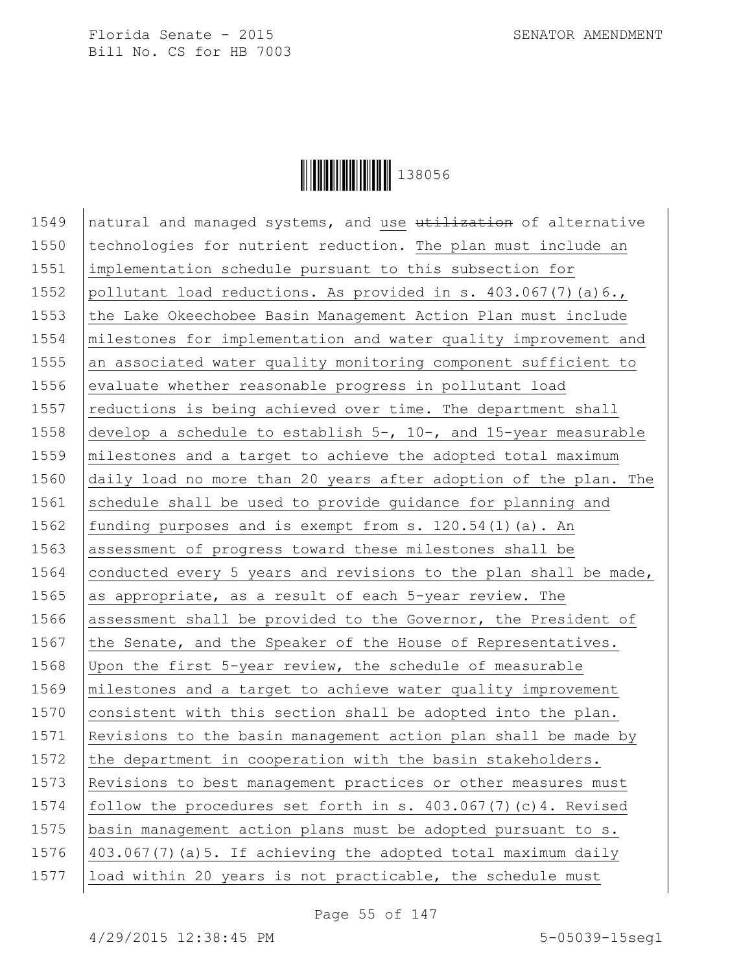

1549 | natural and managed systems, and use utilization of alternative 1550 technologies for nutrient reduction. The plan must include an 1551 implementation schedule pursuant to this subsection for 1552 pollutant load reductions. As provided in s.  $403.067(7)(a)6.$ 1553 the Lake Okeechobee Basin Management Action Plan must include 1554 | milestones for implementation and water quality improvement and 1555 an associated water quality monitoring component sufficient to 1556 evaluate whether reasonable progress in pollutant load 1557  $\vert$  reductions is being achieved over time. The department shall 1558  $\vert$  develop a schedule to establish 5-, 10-, and 15-year measurable 1559 milestones and a target to achieve the adopted total maximum 1560 daily load no more than 20 years after adoption of the plan. The 1561 schedule shall be used to provide quidance for planning and 1562 funding purposes and is exempt from s. 120.54(1)(a). An 1563 assessment of progress toward these milestones shall be 1564 conducted every 5 years and revisions to the plan shall be made, 1565 as appropriate, as a result of each 5-year review. The 1566 assessment shall be provided to the Governor, the President of 1567 the Senate, and the Speaker of the House of Representatives. 1568 Upon the first 5-year review, the schedule of measurable 1569 | milestones and a target to achieve water quality improvement 1570 consistent with this section shall be adopted into the plan. 1571 Revisions to the basin management action plan shall be made by 1572 the department in cooperation with the basin stakeholders. 1573 Revisions to best management practices or other measures must 1574 follow the procedures set forth in s. 403.067(7)(c)4. Revised 1575 basin management action plans must be adopted pursuant to s. 1576  $\vert$  403.067(7) (a) 5. If achieving the adopted total maximum daily 1577 load within 20 years is not practicable, the schedule must

Page 55 of 147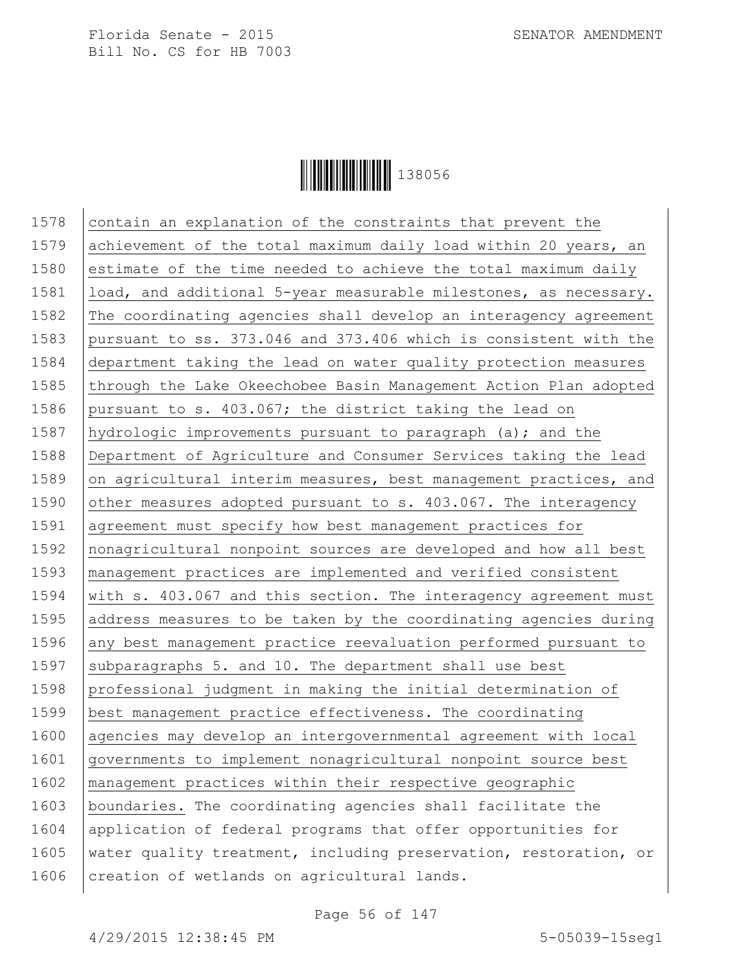

1578  $|$  contain an explanation of the constraints that prevent the 1579 achievement of the total maximum daily load within 20 years, an 1580 estimate of the time needed to achieve the total maximum daily 1581 | load, and additional 5-year measurable milestones, as necessary. 1582 The coordinating agencies shall develop an interagency agreement 1583 pursuant to ss. 373.046 and 373.406 which is consistent with the 1584 department taking the lead on water quality protection measures 1585 through the Lake Okeechobee Basin Management Action Plan adopted 1586 pursuant to s. 403.067; the district taking the lead on 1587 hydrologic improvements pursuant to paragraph (a); and the 1588 Department of Agriculture and Consumer Services taking the lead 1589 on agricultural interim measures, best management practices, and 1590 other measures adopted pursuant to s.  $403.067$ . The interagency 1591 agreement must specify how best management practices for 1592 nonagricultural nonpoint sources are developed and how all best 1593 management practices are implemented and verified consistent 1594 | with s. 403.067 and this section. The interagency agreement must 1595 address measures to be taken by the coordinating agencies during 1596 any best management practice reevaluation performed pursuant to 1597 subparagraphs 5. and 10. The department shall use best 1598 professional judgment in making the initial determination of 1599 best management practice effectiveness. The coordinating 1600 agencies may develop an intergovernmental agreement with local 1601 governments to implement nonagricultural nonpoint source best 1602 management practices within their respective geographic 1603 boundaries. The coordinating agencies shall facilitate the 1604 application of federal programs that offer opportunities for 1605 water quality treatment, including preservation, restoration, or 1606 creation of wetlands on agricultural lands.

Page 56 of 147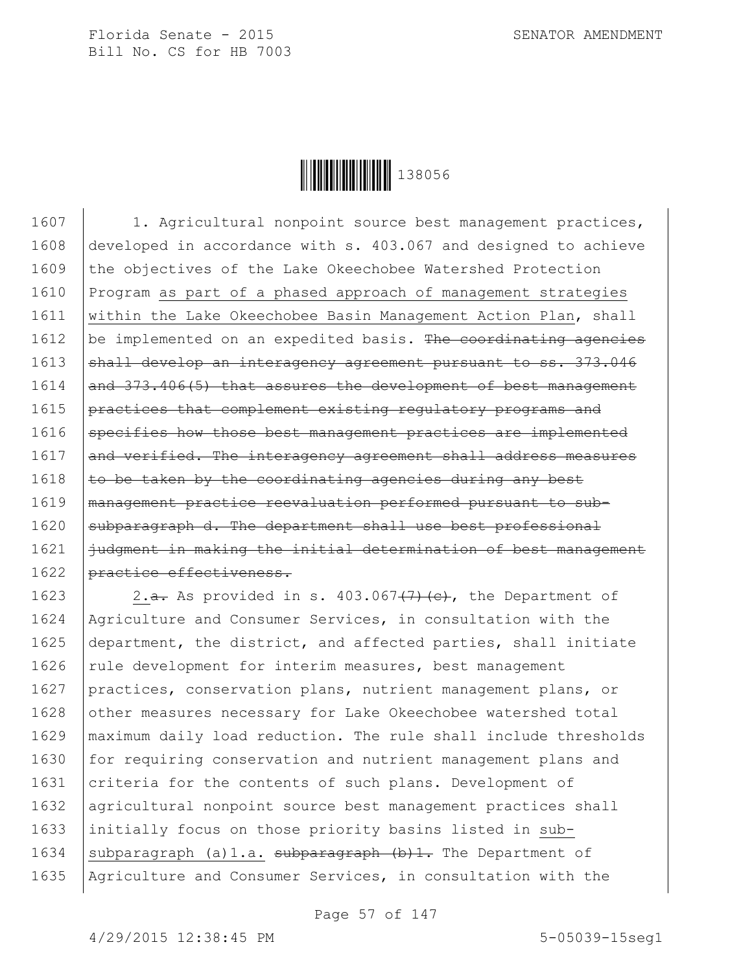

1607 | 1. Agricultural nonpoint source best management practices, 1608 developed in accordance with s. 403.067 and designed to achieve 1609 the objectives of the Lake Okeechobee Watershed Protection 1610 Program as part of a phased approach of management strategies 1611 | within the Lake Okeechobee Basin Management Action Plan, shall 1612  $\vert$  be implemented on an expedited basis. The coordinating agencies 1613 shall develop an interagency agreement pursuant to ss. 373.046  $1614$  and  $373.406(5)$  that assures the development of best management 1615 **practices that complement existing regulatory programs and** 1616 specifies how those best management practices are implemented 1617 and verified. The interagency agreement shall address measures 1618  $\vert$  to be taken by the coordinating agencies during any best 1619 management practice reevaluation performed pursuant to sub-1620 subparagraph d. The department shall use best professional 1621 | judgment in making the initial determination of best management 1622 | practice effectiveness.

1623  $\vert$  2.<del>a.</del> As provided in s. 403.067<del>(7)(c)</del>, the Department of 1624 Agriculture and Consumer Services, in consultation with the 1625 department, the district, and affected parties, shall initiate 1626 | rule development for interim measures, best management 1627 practices, conservation plans, nutrient management plans, or 1628 other measures necessary for Lake Okeechobee watershed total 1629 maximum daily load reduction. The rule shall include thresholds 1630 for requiring conservation and nutrient management plans and 1631 criteria for the contents of such plans. Development of 1632 agricultural nonpoint source best management practices shall 1633 initially focus on those priority basins listed in sub-1634 subparagraph (a)1.a. subparagraph  $(b)$ 1. The Department of 1635 | Agriculture and Consumer Services, in consultation with the

Page 57 of 147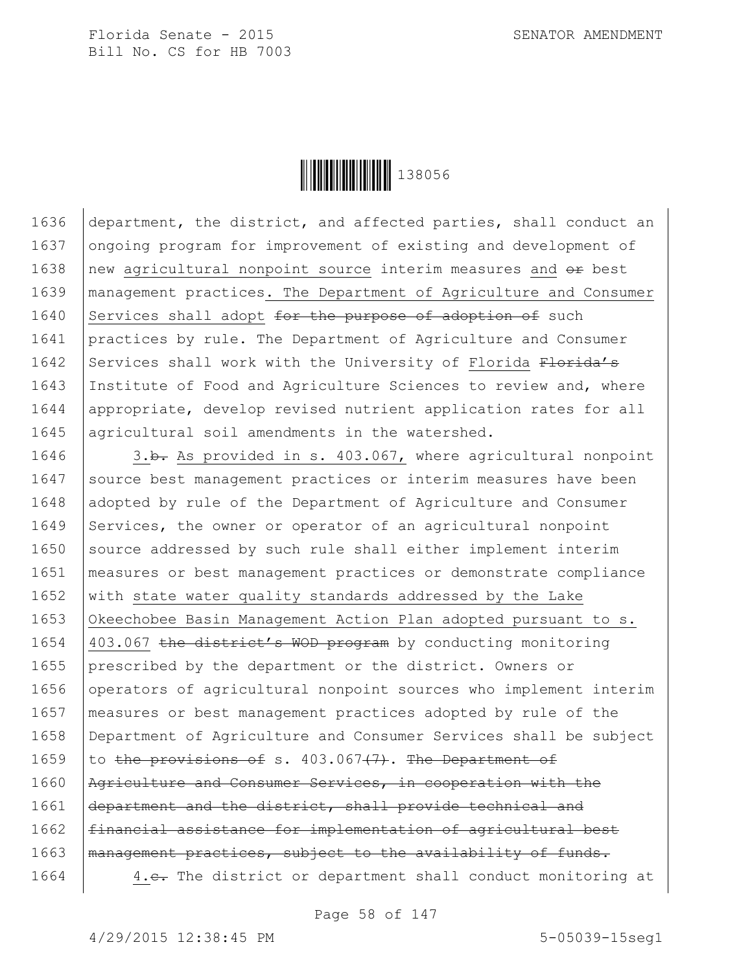

1636 department, the district, and affected parties, shall conduct an 1637 ongoing program for improvement of existing and development of 1638  $\vert$  new agricultural nonpoint source interim measures and  $\sigma$  best 1639 management practices. The Department of Agriculture and Consumer 1640 Services shall adopt  $f$ or the purpose of adoption of such 1641 practices by rule. The Department of Agriculture and Consumer 1642 Services shall work with the University of Florida Florida's 1643 Institute of Food and Agriculture Sciences to review and, where 1644 appropriate, develop revised nutrient application rates for all 1645 agricultural soil amendments in the watershed.

1646 3.b. As provided in s. 403.067, where agricultural nonpoint 1647 Source best management practices or interim measures have been 1648 adopted by rule of the Department of Agriculture and Consumer 1649 Services, the owner or operator of an agricultural nonpoint 1650 source addressed by such rule shall either implement interim 1651 measures or best management practices or demonstrate compliance 1652 with state water quality standards addressed by the Lake 1653 Okeechobee Basin Management Action Plan adopted pursuant to s. 1654 403.067 the district's WOD program by conducting monitoring 1655 prescribed by the department or the district. Owners or 1656 operators of agricultural nonpoint sources who implement interim 1657 measures or best management practices adopted by rule of the 1658 Department of Agriculture and Consumer Services shall be subject 1659 to the provisions of s.  $403.067(7)$ . The Department of 1660 | Agriculture and Consumer Services, in cooperation with the 1661 department and the district, shall provide technical and 1662 | financial assistance for implementation of agricultural best 1663 | management practices, subject to the availability of funds. 1664 | 4.e. The district or department shall conduct monitoring at

Page 58 of 147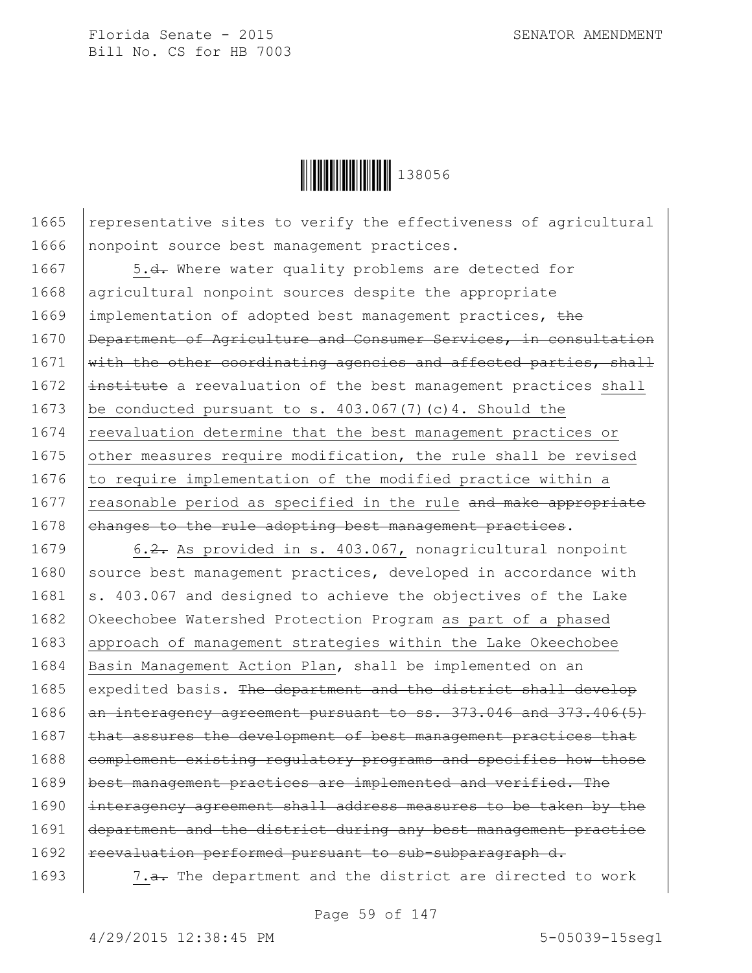

1665 | representative sites to verify the effectiveness of agricultural 1666 nonpoint source best management practices.

1667 | 5.<del>d.</del> Where water quality problems are detected for 1668 agricultural nonpoint sources despite the appropriate 1669 | implementation of adopted best management practices, the 1670 | Department of Agriculture and Consumer Services, in consultation  $1671$  with the other coordinating agencies and affected parties, shall  $1672$   $\pm$ nstitute a reevaluation of the best management practices shall 1673 | be conducted pursuant to s.  $403.067(7)(c)4$ . Should the 1674 reevaluation determine that the best management practices or 1675 other measures require modification, the rule shall be revised 1676  $\vert$  to require implementation of the modified practice within a 1677  $\vert$  reasonable period as specified in the rule and make appropriate 1678 ehanges to the rule adopting best management practices.

1679 6.2. As provided in s. 403.067, nonagricultural nonpoint  $1680$  source best management practices, developed in accordance with 1681  $\vert$ s. 403.067 and designed to achieve the objectives of the Lake 1682 Okeechobee Watershed Protection Program as part of a phased 1683 approach of management strategies within the Lake Okeechobee 1684 Basin Management Action Plan, shall be implemented on an 1685 expedited basis. The department and the district shall develop 1686 an interagency agreement pursuant to ss. 373.046 and 373.406(5)  $1687$  that assures the development of best management practices that  $1688$  complement existing regulatory programs and specifies how those 1689 | best management practices are implemented and verified. The 1690 interagency agreement shall address measures to be taken by the 1691 department and the district during any best management practice 1692 reevaluation performed pursuant to sub-subparagraph d.

1693 | 7.<del>a.</del> The department and the district are directed to work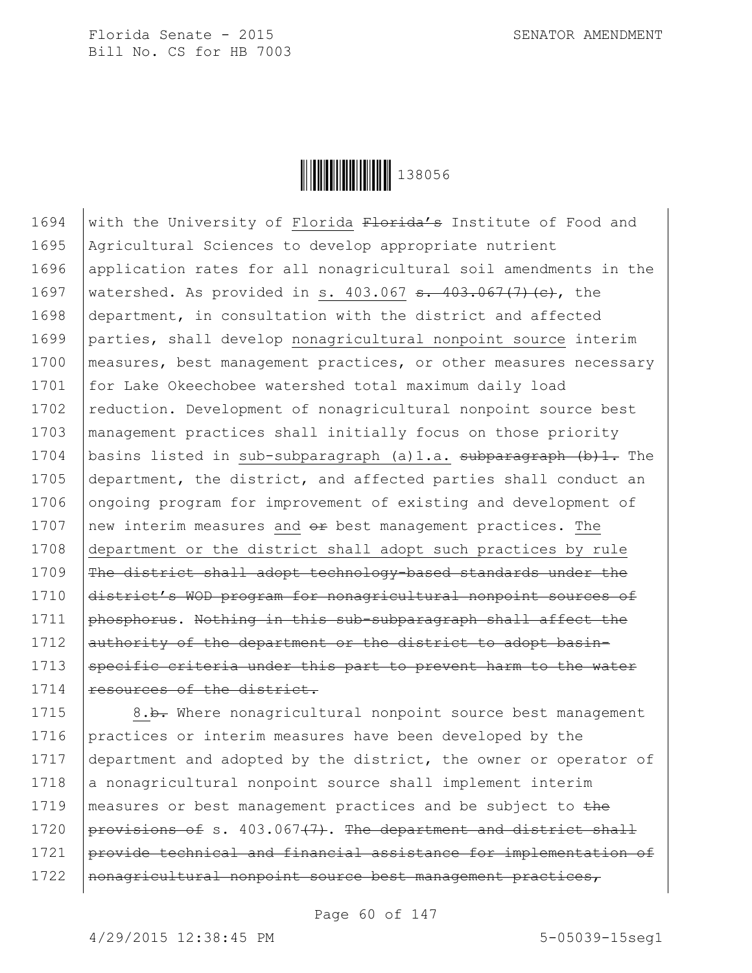

1694 with the University of Florida  $F$ lorida's Institute of Food and 1695 Agricultural Sciences to develop appropriate nutrient 1696 application rates for all nonagricultural soil amendments in the 1697 | watershed. As provided in s. 403.067  $\frac{1}{100}$  +  $\frac{1}{100}$  +  $\frac{1}{100}$  +  $\frac{1}{100}$  +  $\frac{1}{100}$  +  $\frac{1}{100}$  +  $\frac{1}{100}$  +  $\frac{1}{100}$  +  $\frac{1}{100}$  +  $\frac{1}{100}$  +  $\frac{1}{100}$  +  $\frac{1}{100}$  +  $\frac{1}{100$ 1698 department, in consultation with the district and affected 1699 parties, shall develop nonagricultural nonpoint source interim 1700 | measures, best management practices, or other measures necessary 1701 for Lake Okeechobee watershed total maximum daily load 1702 reduction. Development of nonagricultural nonpoint source best 1703 management practices shall initially focus on those priority 1704 basins listed in sub-subparagraph (a)1.a. subparagraph (b)1. The 1705 department, the district, and affected parties shall conduct an 1706 ongoing program for improvement of existing and development of 1707  $\vert$  new interim measures and  $\theta$  best management practices. The 1708 department or the district shall adopt such practices by rule 1709 The district shall adopt technology-based standards under the 1710 district's WOD program for nonagricultural nonpoint sources of 1711 | phosphorus. Nothing in this sub-subparagraph shall affect the 1712 authority of the department or the district to adopt basin-1713 Specific criteria under this part to prevent harm to the water 1714 resources of the district.

1715 | 8.b. Where nonagricultural nonpoint source best management 1716 practices or interim measures have been developed by the 1717 department and adopted by the district, the owner or operator of  $1718$  a nonagricultural nonpoint source shall implement interim 1719 | measures or best management practices and be subject to the 1720  $performs of s. 403.067<sup>+</sup>. The department and district shall$ 1721 provide technical and financial assistance for implementation of 1722 | nonagricultural nonpoint source best management practices,

Page 60 of 147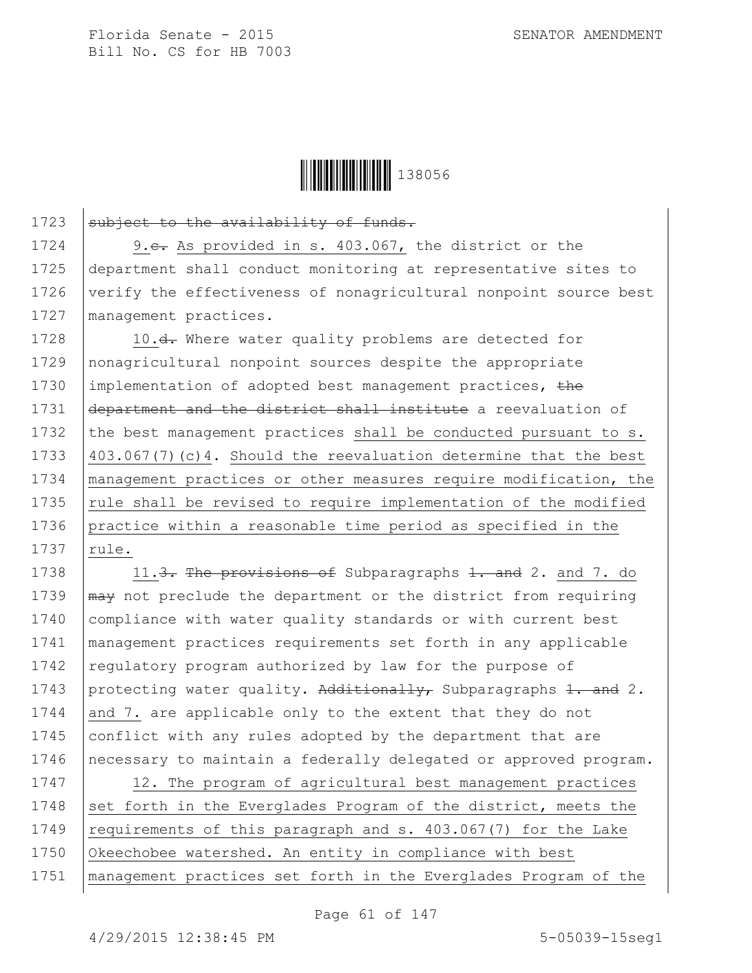

1723 subject to the availability of funds.

1724 9.e. As provided in s. 403.067, the district or the 1725 department shall conduct monitoring at representative sites to 1726 verify the effectiveness of nonagricultural nonpoint source best 1727 | management practices.

1728 | 10.<del>d.</del> Where water quality problems are detected for 1729 nonagricultural nonpoint sources despite the appropriate 1730 | implementation of adopted best management practices, the 1731 department and the district shall institute a reevaluation of 1732 the best management practices shall be conducted pursuant to  $s$ . 1733 403.067(7)(c)4. Should the reevaluation determine that the best 1734 management practices or other measures require modification, the 1735  $\vert$  rule shall be revised to require implementation of the modified 1736 practice within a reasonable time period as specified in the  $1737$  rule.

1738 11.3. The provisions of Subparagraphs  $1.3.4$  and 7. do 1739  $\mu$ <sub>may</sub> not preclude the department or the district from requiring 1740 compliance with water quality standards or with current best 1741 management practices requirements set forth in any applicable 1742 regulatory program authorized by law for the purpose of 1743 protecting water quality. Additionally, Subparagraphs 1. and 2. 1744 and 7. are applicable only to the extent that they do not 1745 conflict with any rules adopted by the department that are 1746 | necessary to maintain a federally delegated or approved program.

1747 | 12. The program of agricultural best management practices 1748 set forth in the Everglades Program of the district, meets the 1749  $\vert$  requirements of this paragraph and s. 403.067(7) for the Lake 1750 Okeechobee watershed. An entity in compliance with best 1751 management practices set forth in the Everglades Program of the

Page 61 of 147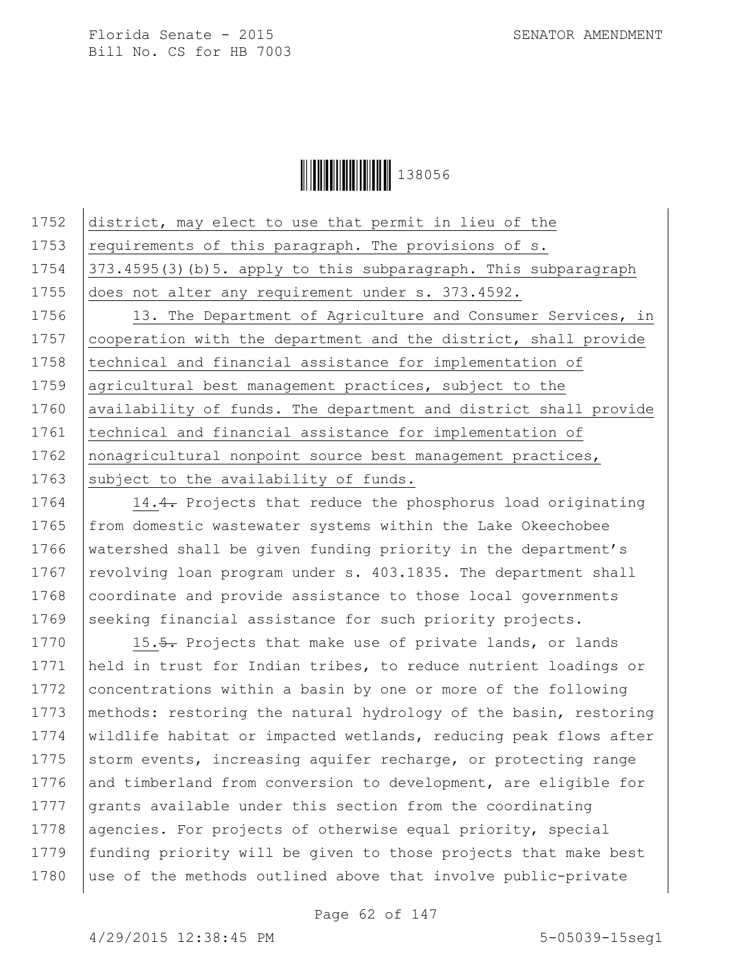**│││││││││││││** 138056

1752 district, may elect to use that permit in lieu of the 1753  $\vert$  requirements of this paragraph. The provisions of s. 1754 373.4595(3)(b)5. apply to this subparagraph. This subparagraph 1755 does not alter any requirement under s. 373.4592. 1756 | 13. The Department of Agriculture and Consumer Services, in 1757 cooperation with the department and the district, shall provide 1758 | technical and financial assistance for implementation of 1759 agricultural best management practices, subject to the 1760 | availability of funds. The department and district shall provide 1761 | technical and financial assistance for implementation of 1762 | nonagricultural nonpoint source best management practices, 1763 subject to the availability of funds.

1764 | 14.4. Projects that reduce the phosphorus load originating 1765 from domestic wastewater systems within the Lake Okeechobee 1766 watershed shall be given funding priority in the department's 1767 revolving loan program under s.  $403.1835$ . The department shall 1768 coordinate and provide assistance to those local governments 1769 seeking financial assistance for such priority projects.

1770 15.5. Projects that make use of private lands, or lands 1771 held in trust for Indian tribes, to reduce nutrient loadings or 1772 concentrations within a basin by one or more of the following 1773 | methods: restoring the natural hydrology of the basin, restoring 1774 | wildlife habitat or impacted wetlands, reducing peak flows after 1775 storm events, increasing aquifer recharge, or protecting range 1776 and timberland from conversion to development, are eligible for 1777 grants available under this section from the coordinating 1778 agencies. For projects of otherwise equal priority, special 1779 funding priority will be given to those projects that make best 1780 | use of the methods outlined above that involve public-private

Page 62 of 147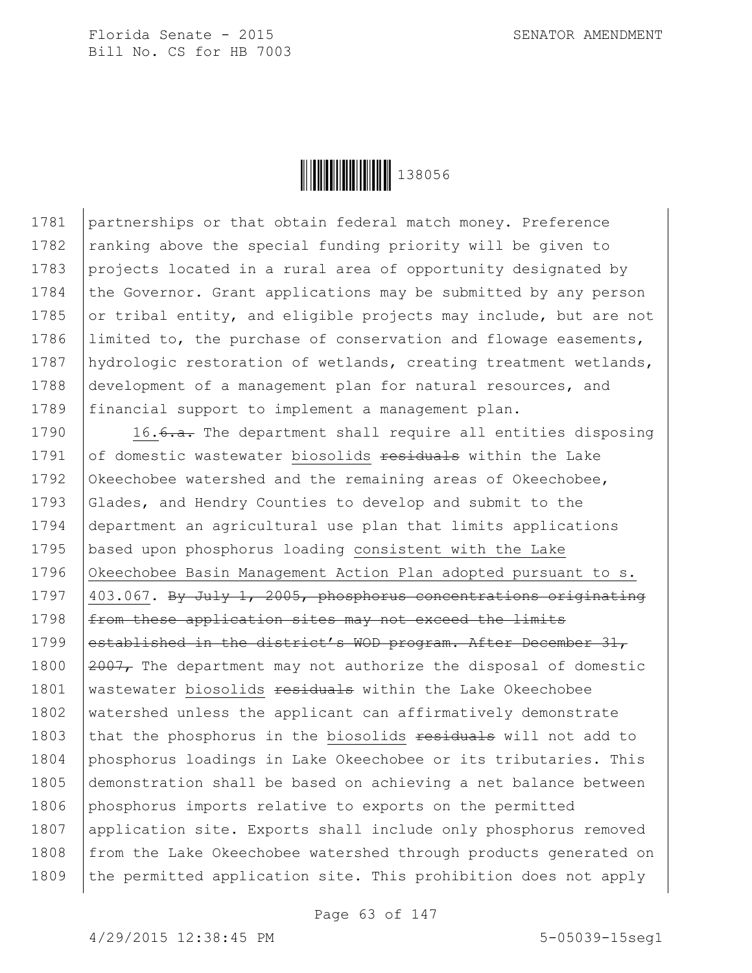

1781 partnerships or that obtain federal match money. Preference 1782 | ranking above the special funding priority will be given to 1783 projects located in a rural area of opportunity designated by 1784 the Governor. Grant applications may be submitted by any person 1785 or tribal entity, and eligible projects may include, but are not 1786 Ilimited to, the purchase of conservation and flowage easements, 1787 hydrologic restoration of wetlands, creating treatment wetlands, 1788 development of a management plan for natural resources, and 1789 financial support to implement a management plan.

1790  $\vert$  16.<del>6.a.</del> The department shall require all entities disposing 1791  $\sigma$  of domestic wastewater biosolids residuals within the Lake 1792 Okeechobee watershed and the remaining areas of Okeechobee, 1793 Glades, and Hendry Counties to develop and submit to the 1794 department an agricultural use plan that limits applications 1795 based upon phosphorus loading consistent with the Lake 1796 Okeechobee Basin Management Action Plan adopted pursuant to s. 1797  $|403.067$ . By July 1, 2005, phosphorus concentrations originating  $1798$  | from these application sites may not exceed the limits 1799 established in the district's WOD program. After December 31, 1800  $\sqrt{2007}$ , The department may not authorize the disposal of domestic 1801 | wastewater biosolids residuals within the Lake Okeechobee 1802 watershed unless the applicant can affirmatively demonstrate 1803 that the phosphorus in the biosolids residuals will not add to 1804 phosphorus loadings in Lake Okeechobee or its tributaries. This 1805 demonstration shall be based on achieving a net balance between 1806 phosphorus imports relative to exports on the permitted 1807 application site. Exports shall include only phosphorus removed 1808 from the Lake Okeechobee watershed through products generated on 1809 the permitted application site. This prohibition does not apply

Page 63 of 147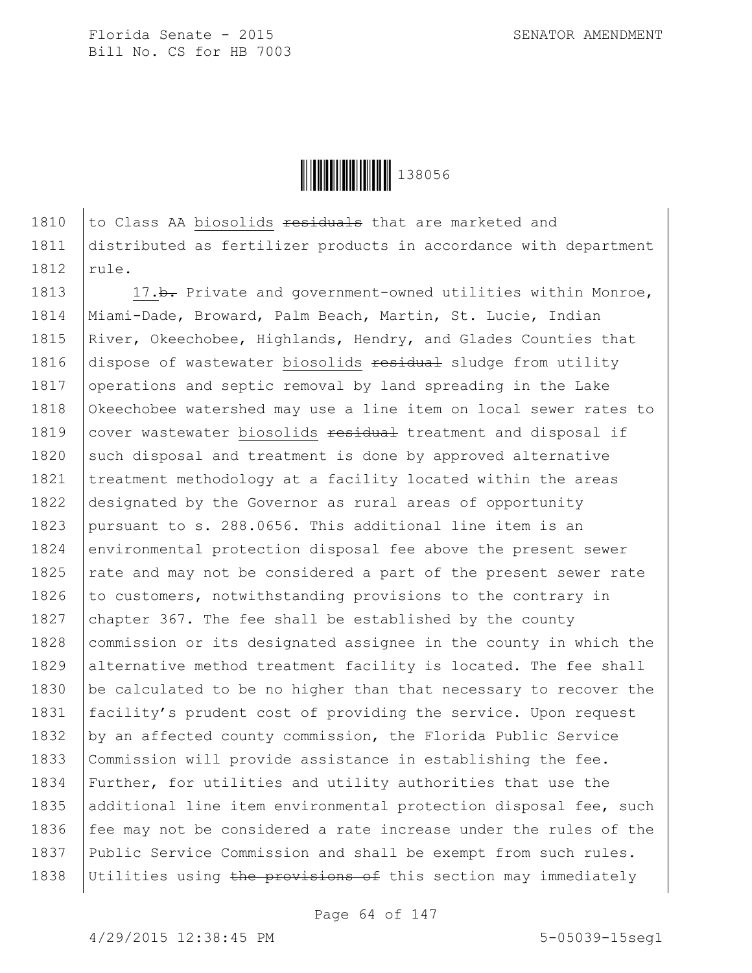**││││││││││││** 138056

1810  $\vert$  to Class AA biosolids  $\frac{1810}{\vert}$  that are marketed and 1811 distributed as fertilizer products in accordance with department  $1812$  rule.

1813 17.b. Private and government-owned utilities within Monroe, 1814 Miami-Dade, Broward, Palm Beach, Martin, St. Lucie, Indian 1815 River, Okeechobee, Highlands, Hendry, and Glades Counties that 1816 dispose of wastewater biosolids residual sludge from utility 1817 operations and septic removal by land spreading in the Lake 1818 Okeechobee watershed may use a line item on local sewer rates to 1819 cover wastewater biosolids residual treatment and disposal if 1820 such disposal and treatment is done by approved alternative 1821 | treatment methodology at a facility located within the areas 1822 designated by the Governor as rural areas of opportunity 1823 pursuant to s. 288.0656. This additional line item is an 1824 environmental protection disposal fee above the present sewer 1825  $\vert$  rate and may not be considered a part of the present sewer rate 1826 to customers, notwithstanding provisions to the contrary in 1827 chapter 367. The fee shall be established by the county 1828 commission or its designated assignee in the county in which the 1829 alternative method treatment facility is located. The fee shall 1830 be calculated to be no higher than that necessary to recover the 1831 facility's prudent cost of providing the service. Upon request 1832 by an affected county commission, the Florida Public Service 1833 Commission will provide assistance in establishing the fee. 1834 Further, for utilities and utility authorities that use the 1835 additional line item environmental protection disposal fee, such 1836  $\vert$  fee may not be considered a rate increase under the rules of the 1837 Public Service Commission and shall be exempt from such rules. 1838 Utilities using the provisions of this section may immediately

Page 64 of 147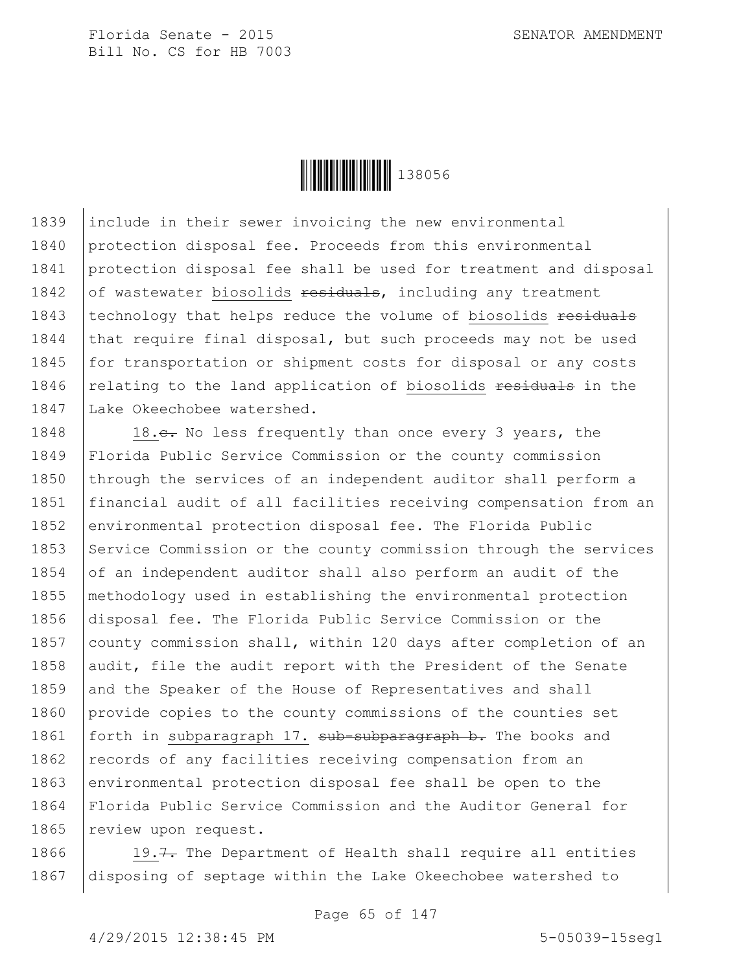

1839 include in their sewer invoicing the new environmental 1840 protection disposal fee. Proceeds from this environmental 1841 protection disposal fee shall be used for treatment and disposal 1842 of wastewater biosolids  $\frac{1842}{1000}$  reatment 1843 technology that helps reduce the volume of biosolids residuals 1844 that require final disposal, but such proceeds may not be used 1845 for transportation or shipment costs for disposal or any costs 1846 relating to the land application of biosolids residuals in the 1847 Lake Okeechobee watershed.

1848 18.c. No less frequently than once every 3 years, the 1849 Florida Public Service Commission or the county commission 1850 through the services of an independent auditor shall perform a 1851 financial audit of all facilities receiving compensation from an 1852 environmental protection disposal fee. The Florida Public 1853 Service Commission or the county commission through the services 1854  $\circ$  of an independent auditor shall also perform an audit of the 1855 methodology used in establishing the environmental protection 1856 disposal fee. The Florida Public Service Commission or the 1857 county commission shall, within 120 days after completion of an 1858 audit, file the audit report with the President of the Senate 1859 and the Speaker of the House of Representatives and shall 1860 provide copies to the county commissions of the counties set 1861 | forth in subparagraph 17. <del>sub-subparagraph b.</del> The books and 1862 | records of any facilities receiving compensation from an 1863 environmental protection disposal fee shall be open to the 1864 Florida Public Service Commission and the Auditor General for 1865 | review upon request.

1866  $\vert$  19.7. The Department of Health shall require all entities 1867 disposing of septage within the Lake Okeechobee watershed to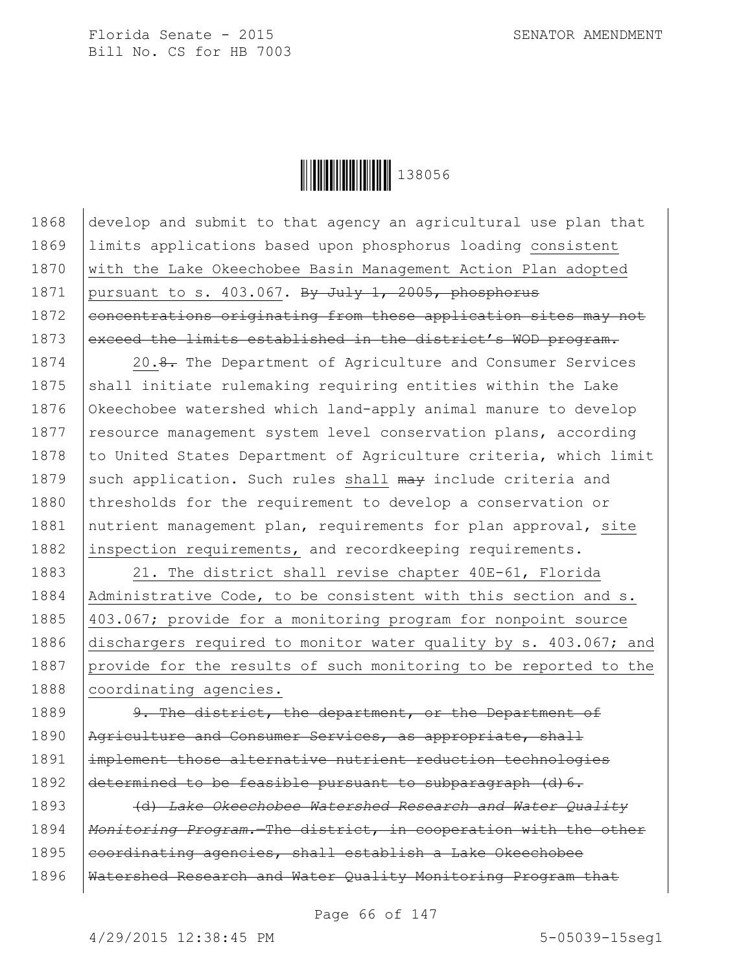

1868 develop and submit to that agency an agricultural use plan that 1869 limits applications based upon phosphorus loading consistent 1870 with the Lake Okeechobee Basin Management Action Plan adopted 1871 pursuant to s. 403.067. By July 1, 2005, phosphorus 1872 concentrations originating from these application sites may not 1873 exceed the limits established in the district's WOD program.

1874 20.8. The Department of Agriculture and Consumer Services 1875 shall initiate rulemaking requiring entities within the Lake 1876 Okeechobee watershed which land-apply animal manure to develop 1877 | resource management system level conservation plans, according 1878 | to United States Department of Agriculture criteria, which limit 1879 such application. Such rules shall  $\frac{m}{4}$  include criteria and 1880 thresholds for the requirement to develop a conservation or 1881 | nutrient management plan, requirements for plan approval, site 1882 inspection requirements, and recordkeeping requirements.

1883 | 21. The district shall revise chapter 40E-61, Florida 1884 | Administrative Code, to be consistent with this section and s. 1885 403.067; provide for a monitoring program for nonpoint source 1886 dischargers required to monitor water quality by s. 403.067; and 1887 provide for the results of such monitoring to be reported to the 1888 coordinating agencies.

1889 9. The district, the department, or the Department of 1890 | Agriculture and Consumer Services, as appropriate, shall 1891 implement those alternative nutrient reduction technologies 1892  $\det$  determined to be feasible pursuant to subparagraph (d) 6.

1893 (d) *Lake Okeechobee Watershed Research and Water Quality*  1894 *Monitoring Program.*—The district, in cooperation with the other 1895 eoordinating agencies, shall establish a Lake Okeechobee 1896 | Watershed Research and Water Quality Monitoring Program that

Page 66 of 147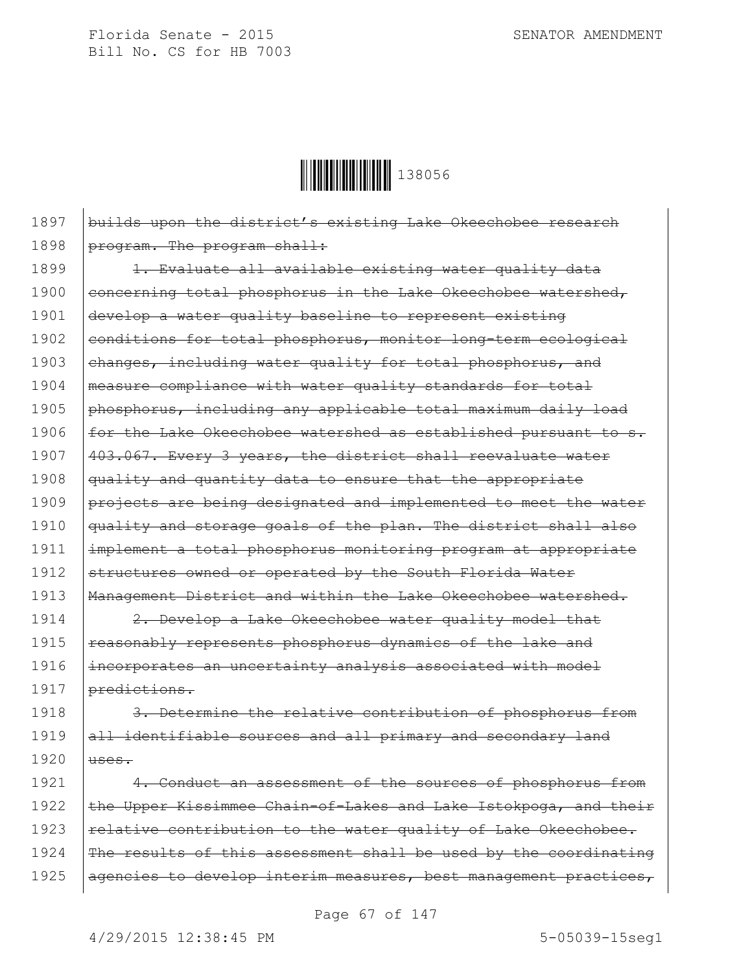

1897 builds upon the district's existing Lake Okeechobee research 1898 | program. The program shall:

1899 | 1. Evaluate all available existing water quality data 1900 concerning total phosphorus in the Lake Okeechobee watershed, 1901 develop a water quality baseline to represent existing 1902 conditions for total phosphorus, monitor long-term ecological 1903  $\vert$  changes, including water quality for total phosphorus, and 1904 | measure compliance with water quality standards for total 1905  $\beta$  phosphorus, including any applicable total maximum daily load 1906  $f$  for the Lake Okeechobee watershed as established pursuant to s. 1907 | 403.067. Every 3 years, the district shall reevaluate water 1908 | quality and quantity data to ensure that the appropriate 1909 projects are being designated and implemented to meet the water 1910 | quality and storage goals of the plan. The district shall also 1911 implement a total phosphorus monitoring program at appropriate 1912 structures owned or operated by the South Florida Water 1913 | Management District and within the Lake Okeechobee watershed.

1914 | 2. Develop a Lake Okeechobee water quality model that 1915 | reasonably represents phosphorus dynamics of the lake and 1916 incorporates an uncertainty analysis associated with model 1917 predictions.

1918 3. Determine the relative contribution of phosphorus from 1919 all identifiable sources and all primary and secondary land  $1920$   $|$  uses.

1921 | 4. Conduct an assessment of the sources of phosphorus from 1922 the Upper Kissimmee Chain-of-Lakes and Lake Istokpoga, and their 1923  $\vert$  relative contribution to the water quality of Lake Okeechobee. 1924 The results of this assessment shall be used by the coordinating 1925 | agencies to develop interim measures, best management practices,

Page 67 of 147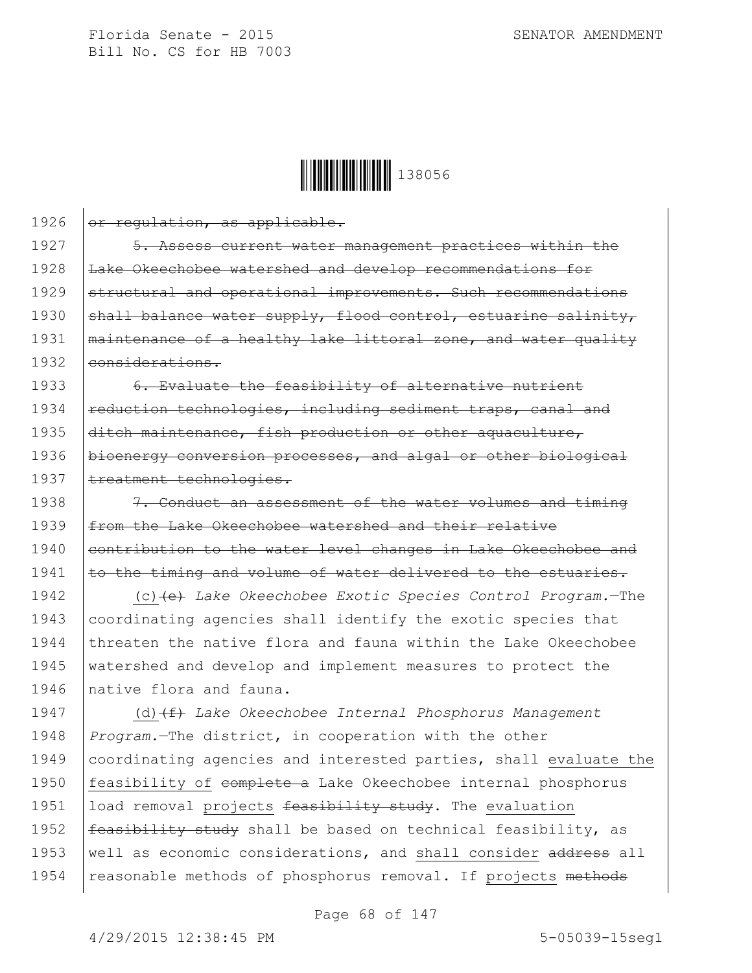1926  $\sigma$  regulation, as applicable.



1927 | 5. Assess current water management practices within the 1928 | Lake Okeechobee watershed and develop recommendations for 1929 structural and operational improvements. Such recommendations 1930  $\beta$  shall balance water supply, flood control, estuarine salinity, 1931 | maintenance of a healthy lake littoral zone, and water quality 1932 eonsiderations. 1933 6. Evaluate the feasibility of alternative nutrient  $1934$  reduction technologies, including sediment traps, canal and 1935 ditch maintenance, fish production or other aquaculture, 1936 | bioenergy conversion processes, and algal or other biological 1937 | treatment technologies. 1938 **7.** Conduct an assessment of the water volumes and timing 1939 | from the Lake Okeechobee watershed and their relative 1940 contribution to the water level changes in Lake Okeechobee and  $1941$  to the timing and volume of water delivered to the estuaries. 1942 (c)(e) *Lake Okeechobee Exotic Species Control Program.*—The 1943 coordinating agencies shall identify the exotic species that 1944 threaten the native flora and fauna within the Lake Okeechobee 1945 watershed and develop and implement measures to protect the 1946 native flora and fauna. 1947 (d) (f) Lake Okeechobee Internal Phosphorus Management 1948 *Program.*—The district, in cooperation with the other 1949 coordinating agencies and interested parties, shall evaluate the 1950 | feasibility of complete a Lake Okeechobee internal phosphorus 1951 | load removal projects feasibility study. The evaluation 1952  $\frac{1}{1}$   $\frac{1}{1}$   $\frac{1}{1}$   $\frac{1}{1}$   $\frac{1}{1}$   $\frac{1}{1}$   $\frac{1}{1}$   $\frac{1}{1}$   $\frac{1}{1}$   $\frac{1}{1}$   $\frac{1}{1}$   $\frac{1}{1}$   $\frac{1}{1}$   $\frac{1}{1}$   $\frac{1}{1}$   $\frac{1}{1}$   $\frac{1}{1}$   $\frac{1}{1}$   $\frac{1}{1}$   $\frac{1}{1}$   $\frac{1}{1}$   $\frac{1}{$ 1953 | well as economic considerations, and shall consider  $\frac{1}{100}$  and  $\frac{1}{100}$ 1954 | reasonable methods of phosphorus removal. If projects methods

Page 68 of 147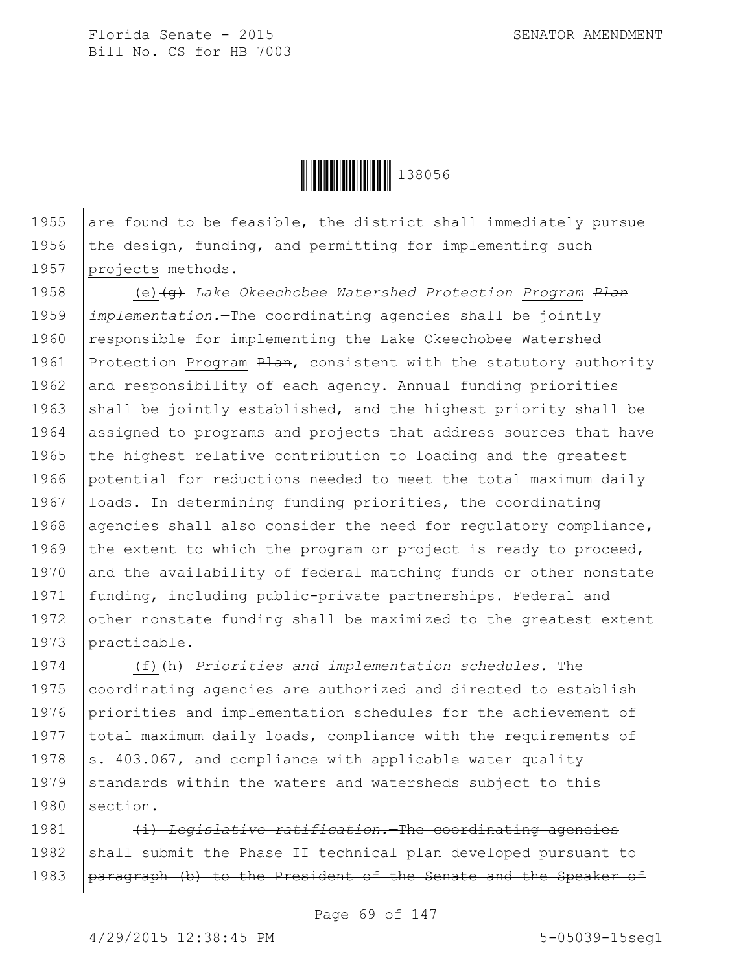

1955 are found to be feasible, the district shall immediately pursue 1956 the design, funding, and permitting for implementing such 1957 projects methods.

1958 (e)(g) *Lake Okeechobee Watershed Protection Program Plan* 1959 *implementation.*—The coordinating agencies shall be jointly 1960 responsible for implementing the Lake Okeechobee Watershed 1961 Protection Program  $P$ lan, consistent with the statutory authority 1962 and responsibility of each agency. Annual funding priorities 1963 shall be jointly established, and the highest priority shall be 1964 assigned to programs and projects that address sources that have 1965  $\vert$  the highest relative contribution to loading and the greatest 1966 potential for reductions needed to meet the total maximum daily 1967 | loads. In determining funding priorities, the coordinating 1968 agencies shall also consider the need for regulatory compliance, 1969 the extent to which the program or project is ready to proceed, 1970 and the availability of federal matching funds or other nonstate 1971 funding, including public-private partnerships. Federal and 1972 other nonstate funding shall be maximized to the greatest extent 1973 practicable.

1974 (f)(h) *Priorities and implementation schedules.*—The 1975 coordinating agencies are authorized and directed to establish 1976 priorities and implementation schedules for the achievement of 1977 | total maximum daily loads, compliance with the requirements of 1978  $\vert$  s. 403.067, and compliance with applicable water quality 1979 standards within the waters and watersheds subject to this 1980 section.

1981 (i) *Legislative ratification.*—The coordinating agencies 1982 shall submit the Phase II technical plan developed pursuant to 1983 | paragraph (b) to the President of the Senate and the Speaker of

Page 69 of 147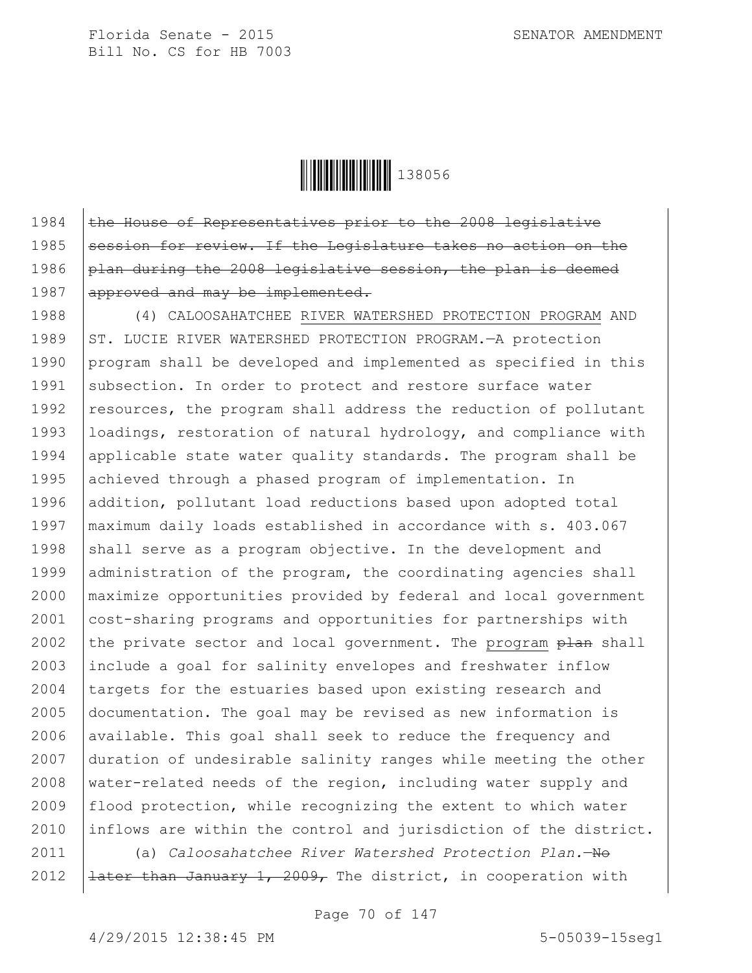

1984  $\vert$  the House of Representatives prior to the 2008 legislative 1985 Session for review. If the Legislature takes no action on the 1986 plan during the 2008 legislative session, the plan is deemed 1987 approved and may be implemented.

1988 (4) CALOOSAHATCHEE RIVER WATERSHED PROTECTION PROGRAM AND 1989 ST. LUCIE RIVER WATERSHED PROTECTION PROGRAM. - A protection 1990 program shall be developed and implemented as specified in this 1991 | subsection. In order to protect and restore surface water 1992 | resources, the program shall address the reduction of pollutant 1993 loadings, restoration of natural hydrology, and compliance with 1994 applicable state water quality standards. The program shall be 1995 achieved through a phased program of implementation. In 1996 addition, pollutant load reductions based upon adopted total 1997 maximum daily loads established in accordance with s. 403.067 1998 shall serve as a program objective. In the development and 1999 administration of the program, the coordinating agencies shall 2000 maximize opportunities provided by federal and local government 2001 cost-sharing programs and opportunities for partnerships with 2002 the private sector and local government. The program  $\frac{1}{2}$  shall 2003 include a goal for salinity envelopes and freshwater inflow 2004 targets for the estuaries based upon existing research and 2005 documentation. The goal may be revised as new information is 2006 available. This goal shall seek to reduce the frequency and 2007 duration of undesirable salinity ranges while meeting the other 2008 water-related needs of the region, including water supply and 2009 | flood protection, while recognizing the extent to which water 2010 inflows are within the control and jurisdiction of the district.

2011 (a) *Caloosahatchee River Watershed Protection Plan.*—No 2012  $\left| \frac{1}{1} \right|$   $\left| \frac{1}{1} \right|$   $\left| \frac{1}{1} \right|$   $\left| \frac{1}{1} \right|$   $\left| \frac{1}{1} \right|$   $\left| \frac{1}{1} \right|$   $\left| \frac{1}{1} \right|$   $\left| \frac{1}{1} \right|$   $\left| \frac{1}{1} \right|$   $\left| \frac{1}{1} \right|$   $\left| \frac{1}{1} \right|$   $\left| \frac{1}{1} \right|$   $\left| \frac{1}{1} \right|$   $\left| \frac{1$ 

Page 70 of 147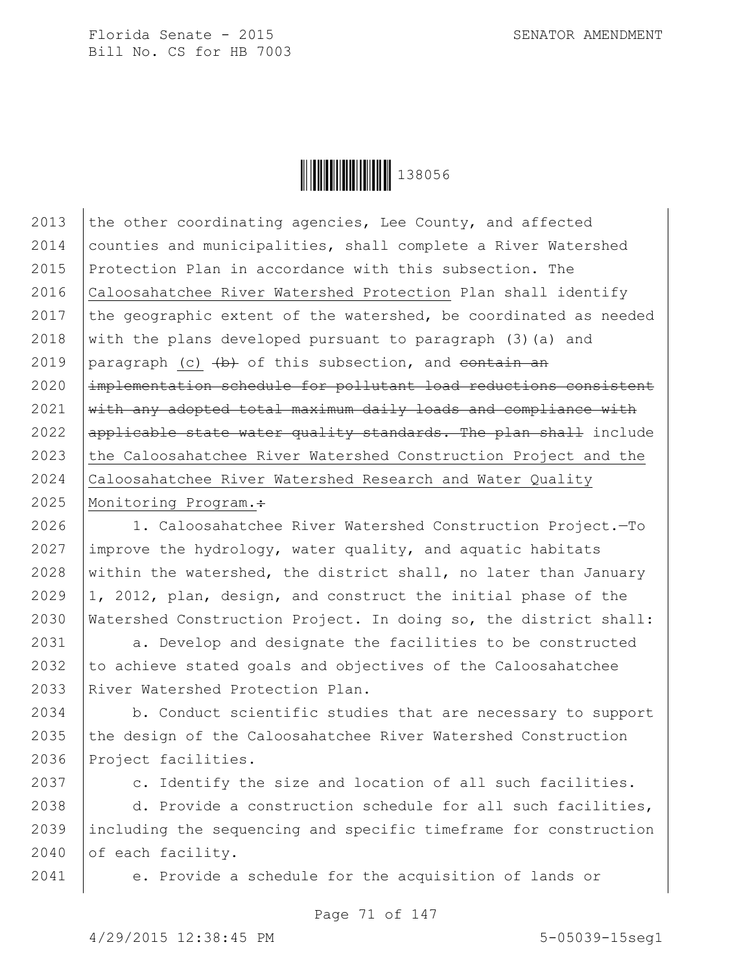

2013 the other coordinating agencies, Lee County, and affected 2014 counties and municipalities, shall complete a River Watershed 2015 Protection Plan in accordance with this subsection. The 2016 Caloosahatchee River Watershed Protection Plan shall identify 2017 the geographic extent of the watershed, be coordinated as needed 2018 with the plans developed pursuant to paragraph  $(3)(a)$  and 2019 | paragraph (c)  $\left(\frac{b}{b}\right)$  of this subsection, and contain an  $2020$   $\pm$  mplementation schedule for pollutant load reductions consistent  $2021$  with any adopted total maximum daily loads and compliance with 2022  $\alpha$  applicable state water quality standards. The plan shall include 2023 the Caloosahatchee River Watershed Construction Project and the 2024 Caloosahatchee River Watershed Research and Water Quality 2025 | Monitoring Program.:

 1. Caloosahatchee River Watershed Construction Project.—To  $\vert$  improve the hydrology, water quality, and aquatic habitats 2028 within the watershed, the district shall, no later than January  $|1, 2012,$  plan, design, and construct the initial phase of the Watershed Construction Project. In doing so, the district shall:

2031 a. Develop and designate the facilities to be constructed  $2032$  to achieve stated goals and objectives of the Caloosahatchee 2033 River Watershed Protection Plan.

2034 b. Conduct scientific studies that are necessary to support 2035  $\vert$  the design of the Caloosahatchee River Watershed Construction 2036 Project facilities.

2037 c. Identify the size and location of all such facilities.

2038  $\vert$  d. Provide a construction schedule for all such facilities, 2039 including the sequencing and specific timeframe for construction 2040 of each facility.

2041 e. Provide a schedule for the acquisition of lands or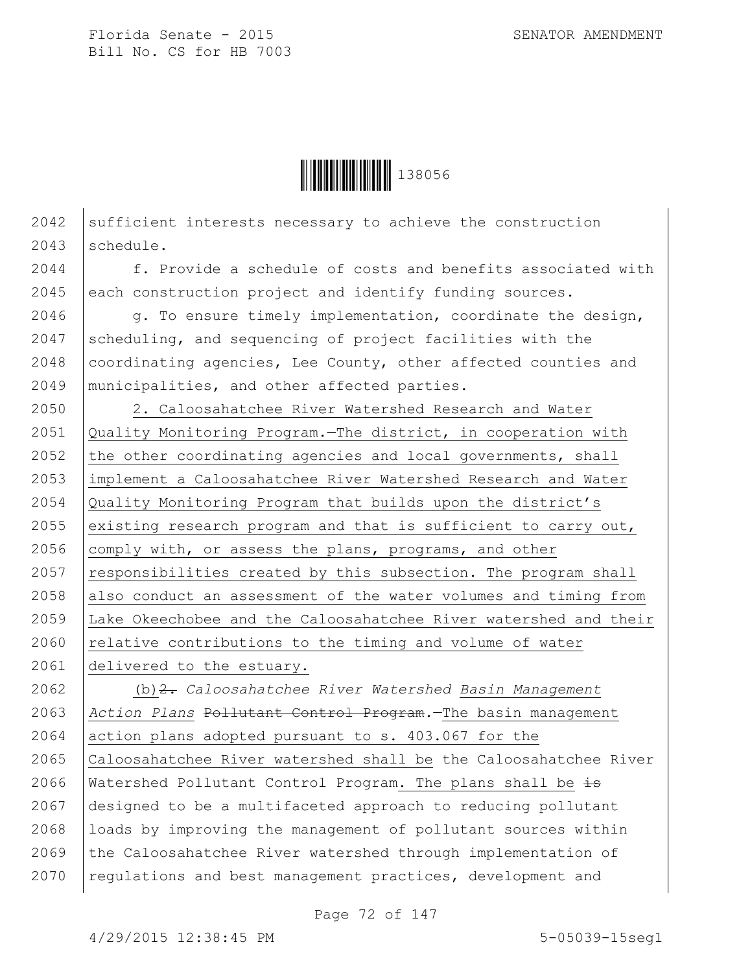

 $2042$  sufficient interests necessary to achieve the construction 2043 schedule.

2044 f. Provide a schedule of costs and benefits associated with 2045 each construction project and identify funding sources.

2046 g. To ensure timely implementation, coordinate the design, 2047 scheduling, and sequencing of project facilities with the 2048 coordinating agencies, Lee County, other affected counties and 2049 municipalities, and other affected parties.

 2. Caloosahatchee River Watershed Research and Water Quality Monitoring Program.—The district, in cooperation with 2052 the other coordinating agencies and local governments, shall 2053 | implement a Caloosahatchee River Watershed Research and Water Quality Monitoring Program that builds upon the district's 2055 existing research program and that is sufficient to carry out,  $\vert$  comply with, or assess the plans, programs, and other 2057 | responsibilities created by this subsection. The program shall also conduct an assessment of the water volumes and timing from Lake Okeechobee and the Caloosahatchee River watershed and their  $\vert$  relative contributions to the timing and volume of water delivered to the estuary.

 (b)2. *Caloosahatchee River Watershed Basin Management Action Plans* Pollutant Control Program*.*—The basin management action plans adopted pursuant to s. 403.067 for the Caloosahatchee River watershed shall be the Caloosahatchee River 2066 | Watershed Pollutant Control Program. The plans shall be  $\pm$ s designed to be a multifaceted approach to reducing pollutant |loads by improving the management of pollutant sources within  $\vert$  the Caloosahatchee River watershed through implementation of 2070 | regulations and best management practices, development and

Page 72 of 147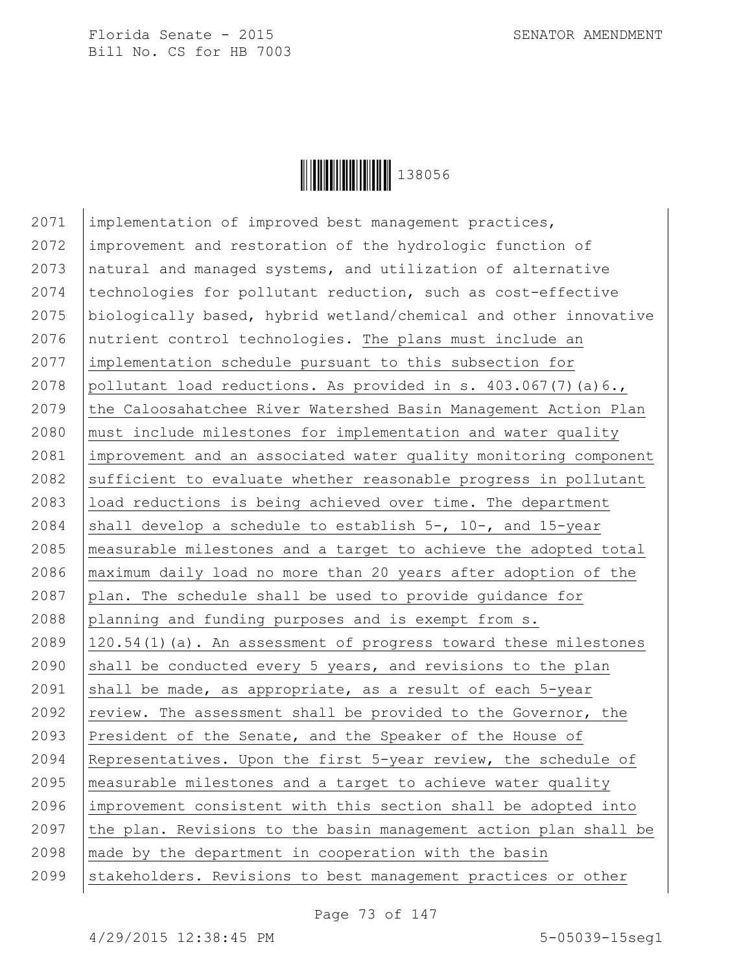

2071 | implementation of improved best management practices, improvement and restoration of the hydrologic function of natural and managed systems, and utilization of alternative 2074 | technologies for pollutant reduction, such as cost-effective biologically based, hybrid wetland/chemical and other innovative nutrient control technologies. The plans must include an implementation schedule pursuant to this subsection for 2078 pollutant load reductions. As provided in s.  $403.067(7)(a)6.$ 2079 the Caloosahatchee River Watershed Basin Management Action Plan must include milestones for implementation and water quality improvement and an associated water quality monitoring component 2082 sufficient to evaluate whether reasonable progress in pollutant load reductions is being achieved over time. The department 2084 shall develop a schedule to establish  $5-$ , 10-, and 15-year measurable milestones and a target to achieve the adopted total maximum daily load no more than 20 years after adoption of the 2087 plan. The schedule shall be used to provide guidance for planning and funding purposes and is exempt from s. 120.54(1)(a). An assessment of progress toward these milestones  $\beta$  shall be conducted every 5 years, and revisions to the plan 2091 shall be made, as appropriate, as a result of each  $5$ -year  $\vert$  review. The assessment shall be provided to the Governor, the President of the Senate, and the Speaker of the House of Representatives. Upon the first 5-year review, the schedule of measurable milestones and a target to achieve water quality improvement consistent with this section shall be adopted into 2097 the plan. Revisions to the basin management action plan shall be made by the department in cooperation with the basin 2099 Stakeholders. Revisions to best management practices or other

Page 73 of 147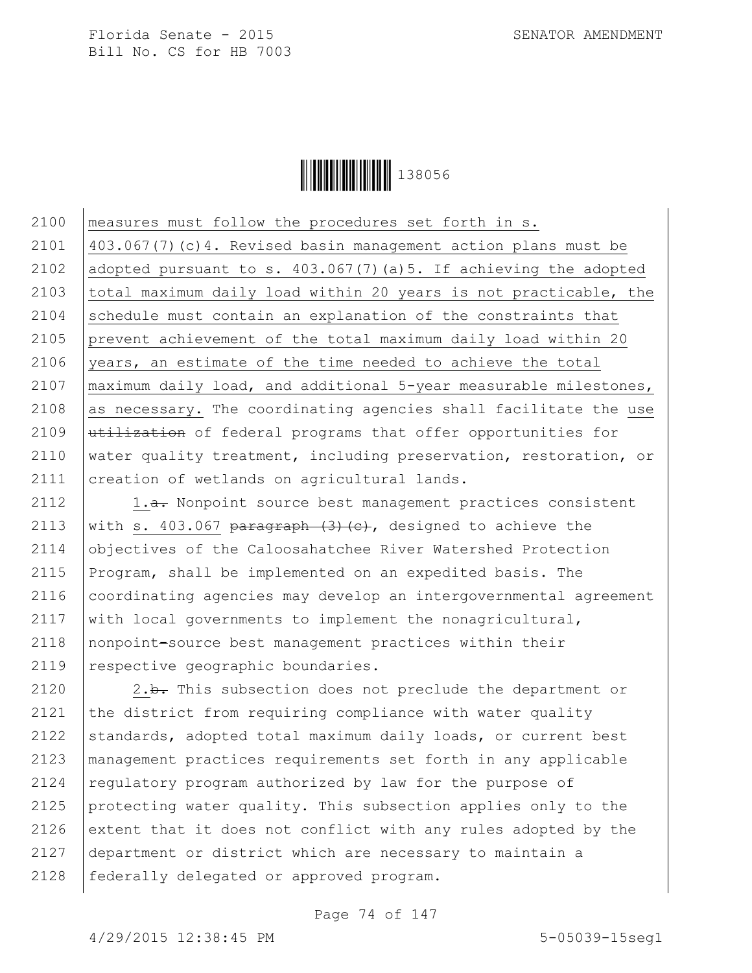

 measures must follow the procedures set forth in s. 403.067(7)(c)4. Revised basin management action plans must be adopted pursuant to s. 403.067(7)(a)5. If achieving the adopted total maximum daily load within 20 years is not practicable, the schedule must contain an explanation of the constraints that prevent achievement of the total maximum daily load within 20 years, an estimate of the time needed to achieve the total maximum daily load, and additional 5-year measurable milestones, as necessary. The coordinating agencies shall facilitate the use  $|\text{utilization of federal programs that offer opportunities for}$ 2110 | water quality treatment, including preservation, restoration, or 2111 | creation of wetlands on agricultural lands.

 $\vert$  1.<del>a.</del> Nonpoint source best management practices consistent 2113 with s. 403.067 paragraph  $(3)$   $(c)$ , designed to achieve the objectives of the Caloosahatchee River Watershed Protection Program, shall be implemented on an expedited basis. The 2116 | coordinating agencies may develop an intergovernmental agreement  $\vert$  with local governments to implement the nonagricultural, nonpoint-source best management practices within their 2119 | respective geographic boundaries.

2120  $\vert$  2.b. This subsection does not preclude the department or 2121  $\vert$  the district from requiring compliance with water quality 2122 standards, adopted total maximum daily loads, or current best 2123 management practices requirements set forth in any applicable 2124 requlatory program authorized by law for the purpose of 2125 protecting water quality. This subsection applies only to the 2126 extent that it does not conflict with any rules adopted by the 2127 department or district which are necessary to maintain a 2128 | federally delegated or approved program.

Page 74 of 147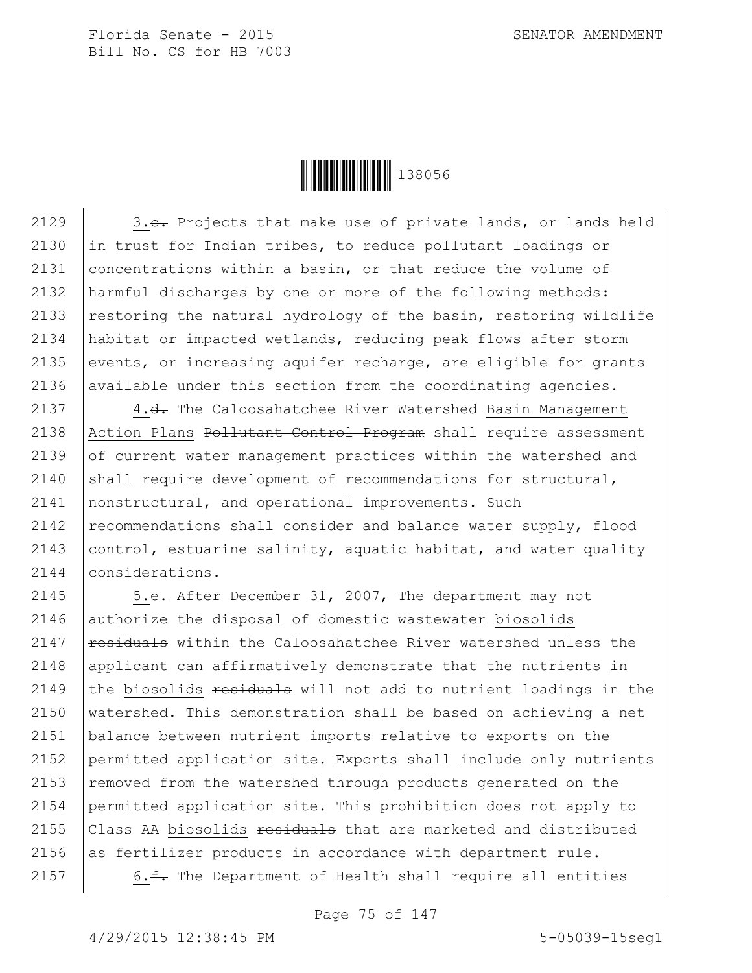

2129 | 3.e. Projects that make use of private lands, or lands held 2130 in trust for Indian tribes, to reduce pollutant loadings or 2131 concentrations within a basin, or that reduce the volume of 2132 harmful discharges by one or more of the following methods: 2133 | restoring the natural hydrology of the basin, restoring wildlife 2134 habitat or impacted wetlands, reducing peak flows after storm 2135 events, or increasing aquifer recharge, are eligible for grants 2136 available under this section from the coordinating agencies.

2137 4.<del>d.</del> The Caloosahatchee River Watershed Basin Management 2138 Action Plans Pollutant Control Program shall require assessment 2139 of current water management practices within the watershed and  $\vert$  shall require development of recommendations for structural, nonstructural, and operational improvements. Such recommendations shall consider and balance water supply, flood  $|$  control, estuarine salinity, aquatic habitat, and water quality considerations.

 $\vert$  5.e. After December 31, 2007, The department may not 2146 authorize the disposal of domestic wastewater biosolids  $\vert$  residuals within the Caloosahatchee River watershed unless the 2148 | applicant can affirmatively demonstrate that the nutrients in 2149 the biosolids  $\frac{1}{2}$  residuals will not add to nutrient loadings in the watershed. This demonstration shall be based on achieving a net balance between nutrient imports relative to exports on the permitted application site. Exports shall include only nutrients  $\vert$  removed from the watershed through products generated on the permitted application site. This prohibition does not apply to  $\vert$  Class AA biosolids  $\frac{1}{2}$  residuals that are marketed and distributed as fertilizer products in accordance with department rule.  $\vert$  6.<del>f.</del> The Department of Health shall require all entities

Page 75 of 147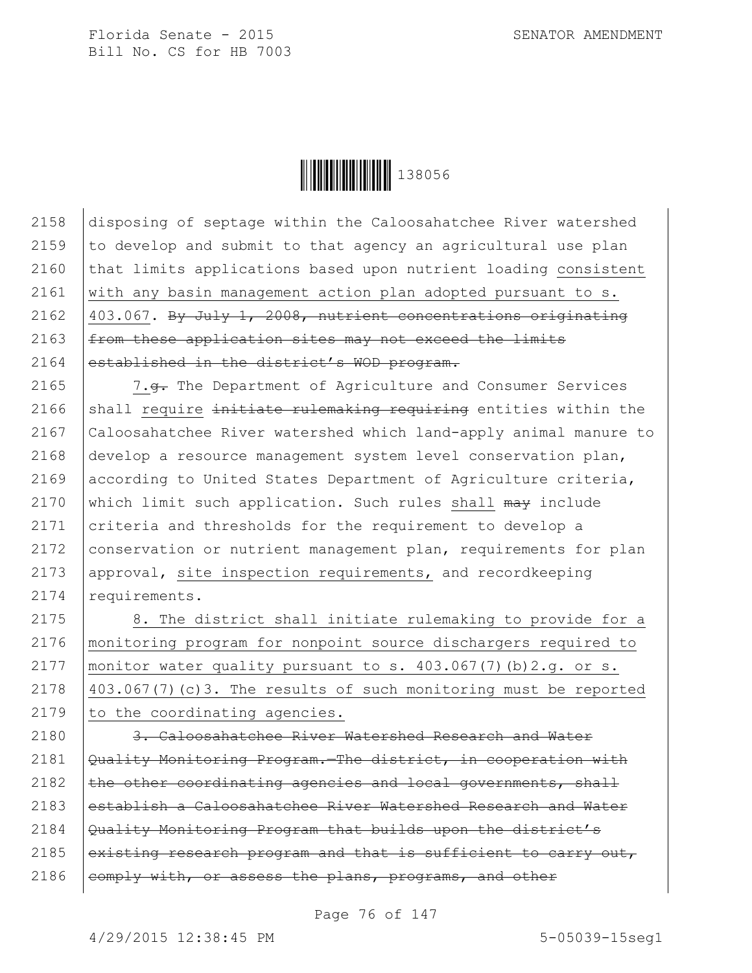

2158 disposing of septage within the Caloosahatchee River watershed 2159  $\vert$  to develop and submit to that agency an agricultural use plan 2160 that limits applications based upon nutrient loading consistent 2161 with any basin management action plan adopted pursuant to s. 2162  $|403.067$ . By July 1, 2008, nutrient concentrations originating 2163 from these application sites may not exceed the limits 2164 established in the district's WOD program.

2165 | 7.g. The Department of Agriculture and Consumer Services 2166 shall require initiate rulemaking requiring entities within the 2167 Caloosahatchee River watershed which land-apply animal manure to 2168 develop a resource management system level conservation plan, 2169 according to United States Department of Agriculture criteria, 2170 which limit such application. Such rules shall  $\frac{m}{m}$  include 2171 criteria and thresholds for the requirement to develop a 2172 | conservation or nutrient management plan, requirements for plan 2173 approval, site inspection requirements, and recordkeeping 2174 requirements.

2175 | 8. The district shall initiate rulemaking to provide for a 2176 monitoring program for nonpoint source dischargers required to 2177 | monitor water quality pursuant to s.  $403.067(7)$  (b)  $2.g.$  or s. 2178  $\vert$  403.067(7)(c)3. The results of such monitoring must be reported  $2179$  to the coordinating agencies.

2180 3. Caloosahatchee River Watershed Research and Water 2181  $\sqrt{Quality Monitoring Program.}$ The district, in cooperation with 2182  $\vert$  the other coordinating agencies and local governments, shall 2183 establish a Caloosahatchee River Watershed Research and Water 2184 Quality Monitoring Program that builds upon the district's 2185 existing research program and that is sufficient to carry out,  $2186$  eomply with, or assess the plans, programs, and other

Page 76 of 147

4/29/2015 12:38:45 PM 5-05039-15seg1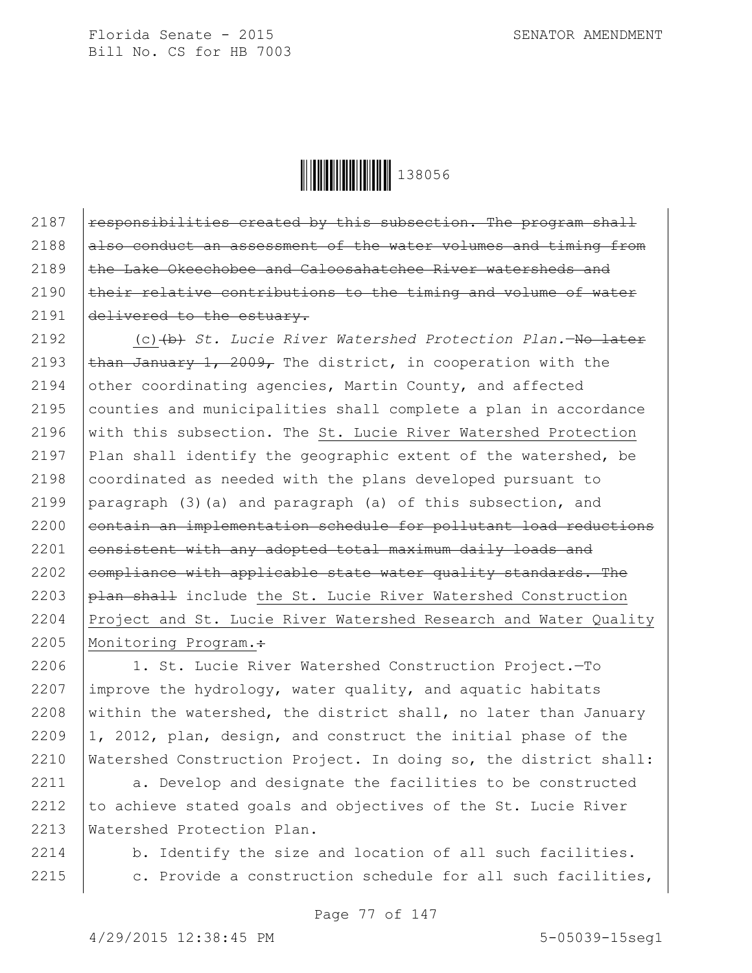

2187  $\vert$  responsibilities created by this subsection. The program shall  $2188$  also conduct an assessment of the water volumes and timing from 2189 the Lake Okeechobee and Caloosahatchee River watersheds and 2190  $\vert$  their relative contributions to the timing and volume of water 2191 delivered to the estuary.

2192 (c)(b) *St. Lucie River Watershed Protection Plan.*—No later 2193  $\frac{1}{2}$  than January 1, 2009, The district, in cooperation with the 2194 other coordinating agencies, Martin County, and affected 2195 counties and municipalities shall complete a plan in accordance 2196 with this subsection. The St. Lucie River Watershed Protection 2197 Plan shall identify the geographic extent of the watershed, be 2198 coordinated as needed with the plans developed pursuant to 2199 paragraph (3)(a) and paragraph (a) of this subsection, and 2200 contain an implementation schedule for pollutant load reductions 2201  $|$  consistent with any adopted total maximum daily loads and 2202  $\vert$  compliance with applicable state water quality standards. The 2203 plan shall include the St. Lucie River Watershed Construction 2204 Project and St. Lucie River Watershed Research and Water Quality 2205 | Monitoring Program.:

2206 1. St. Lucie River Watershed Construction Project.—To 2207 improve the hydrology, water quality, and aquatic habitats 2208 within the watershed, the district shall, no later than January 2209  $|1, 2012,$  plan, design, and construct the initial phase of the 2210 Watershed Construction Project. In doing so, the district shall:

2211 a. Develop and designate the facilities to be constructed 2212  $\vert$  to achieve stated goals and objectives of the St. Lucie River 2213 Watershed Protection Plan.

2214 b. Identify the size and location of all such facilities. 2215 | c. Provide a construction schedule for all such facilities,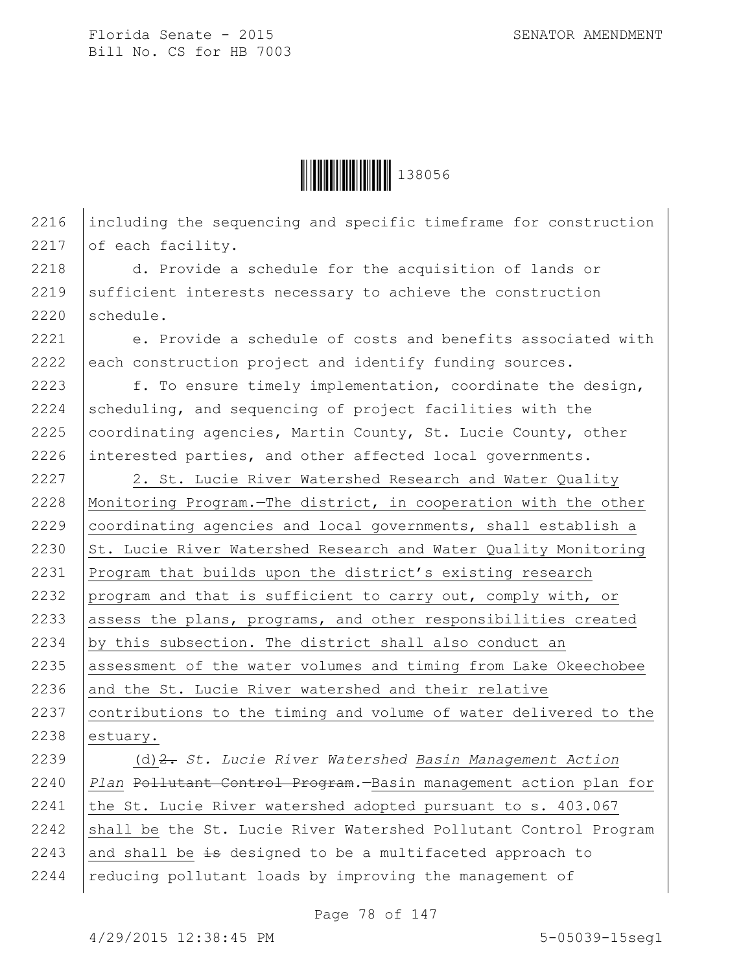

2216 including the sequencing and specific timeframe for construction 2217 of each facility.

2218 d. Provide a schedule for the acquisition of lands or  $2219$  sufficient interests necessary to achieve the construction 2220 schedule.

2221 e. Provide a schedule of costs and benefits associated with 2222 each construction project and identify funding sources.

2223 f. To ensure timely implementation, coordinate the design, 2224 scheduling, and sequencing of project facilities with the 2225  $\vert$  coordinating agencies, Martin County, St. Lucie County, other 2226 interested parties, and other affected local governments.

2227 | 2. St. Lucie River Watershed Research and Water Quality 2228 Monitoring Program.—The district, in cooperation with the other 2229 coordinating agencies and local governments, shall establish a 2230  $\vert$  St. Lucie River Watershed Research and Water Quality Monitoring 2231 Program that builds upon the district's existing research 2232 program and that is sufficient to carry out, comply with, or 2233 assess the plans, programs, and other responsibilities created 2234 by this subsection. The district shall also conduct an 2235 assessment of the water volumes and timing from Lake Okeechobee  $2236$  and the St. Lucie River watershed and their relative 2237 contributions to the timing and volume of water delivered to the 2238 estuary.

2239 (d)2. *St. Lucie River Watershed Basin Management Action*  2240 *Plan* Pollutant Control Program*.*—Basin management action plan for 2241 | the St. Lucie River watershed adopted pursuant to  $s. 403.067$ 2242  $\mid$  shall be the St. Lucie River Watershed Pollutant Control Program 2243 and shall be  $\pm$ s designed to be a multifaceted approach to 2244 | reducing pollutant loads by improving the management of

Page 78 of 147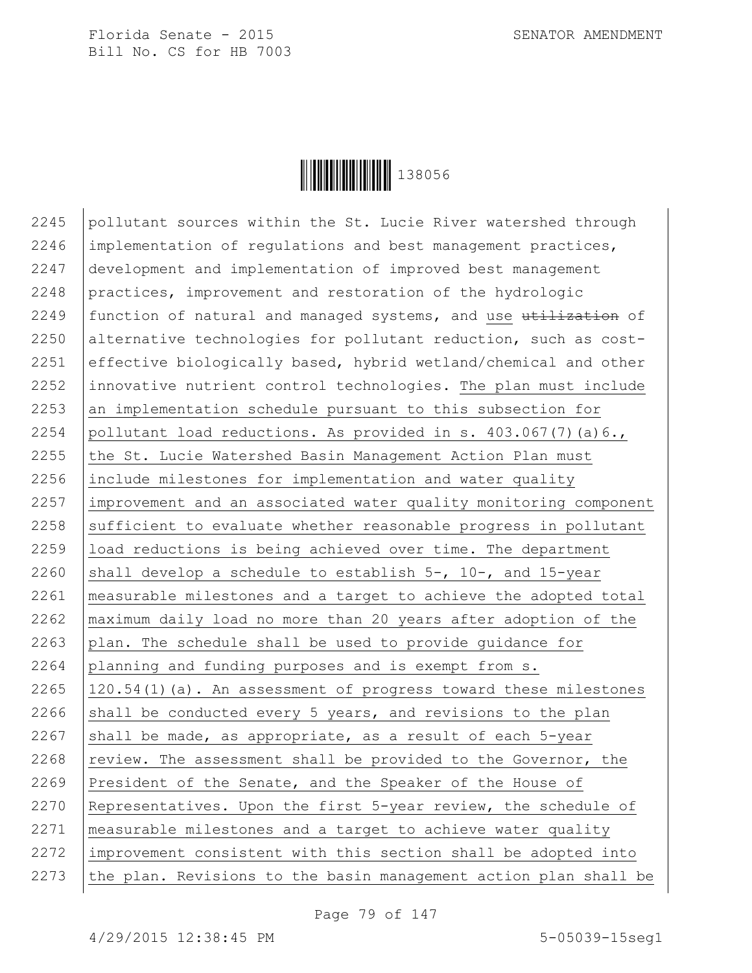

 pollutant sources within the St. Lucie River watershed through implementation of regulations and best management practices, development and implementation of improved best management practices, improvement and restoration of the hydrologic 2249 | function of natural and managed systems, and use  $t$  utilization of 2250 alternative technologies for pollutant reduction, such as cost-2251 effective biologically based, hybrid wetland/chemical and other innovative nutrient control technologies. The plan must include an implementation schedule pursuant to this subsection for 2254 pollutant load reductions. As provided in s.  $403.067(7)(a)6.$ 2255 the St. Lucie Watershed Basin Management Action Plan must 2256 include milestones for implementation and water quality 2257 | improvement and an associated water quality monitoring component sufficient to evaluate whether reasonable progress in pollutant load reductions is being achieved over time. The department 2260 shall develop a schedule to establish  $5-$ , 10-, and 15-year measurable milestones and a target to achieve the adopted total maximum daily load no more than 20 years after adoption of the  $\vert$  plan. The schedule shall be used to provide quidance for planning and funding purposes and is exempt from s. 120.54(1)(a). An assessment of progress toward these milestones 2266 shall be conducted every 5 years, and revisions to the plan 2267 shall be made, as appropriate, as a result of each  $5$ -year  $\vert$  review. The assessment shall be provided to the Governor, the 2269 President of the Senate, and the Speaker of the House of Representatives. Upon the first 5-year review, the schedule of measurable milestones and a target to achieve water quality improvement consistent with this section shall be adopted into the plan. Revisions to the basin management action plan shall be

Page 79 of 147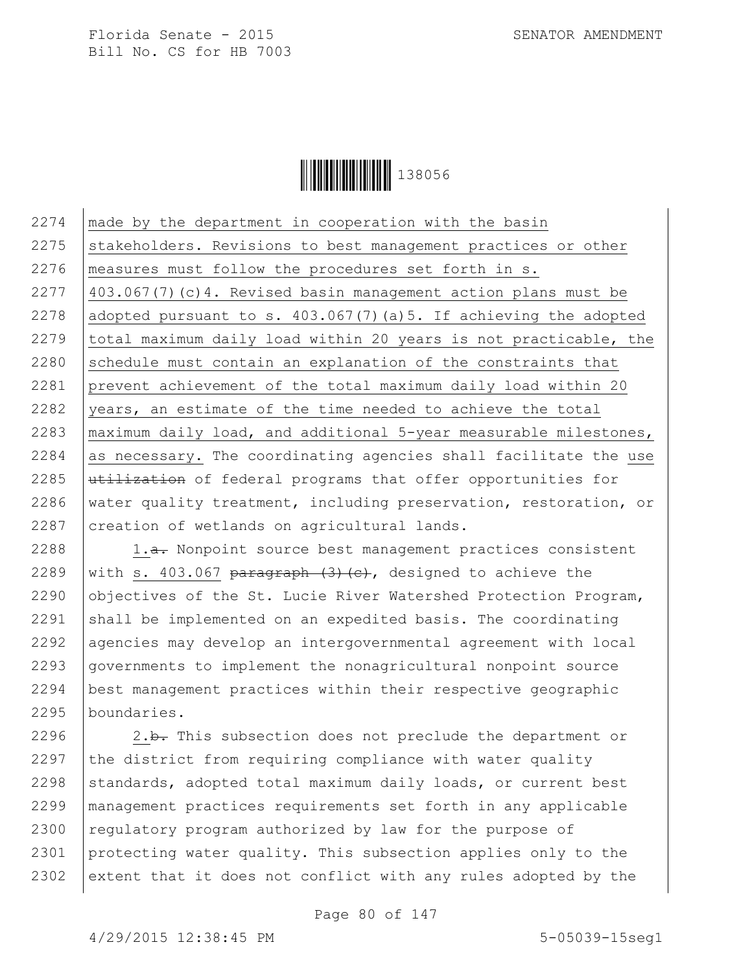

2274 made by the department in cooperation with the basin 2275 Stakeholders. Revisions to best management practices or other 2276 measures must follow the procedures set forth in s. 2277  $\vert$  403.067(7)(c)4. Revised basin management action plans must be 2278 adopted pursuant to s.  $403.067(7)$  (a) 5. If achieving the adopted 2279 total maximum daily load within 20 years is not practicable, the  $2280$  schedule must contain an explanation of the constraints that 2281 prevent achievement of the total maximum daily load within 20 2282 vears, an estimate of the time needed to achieve the total 2283 | maximum daily load, and additional  $5$ -year measurable milestones,  $2284$  as necessary. The coordinating agencies shall facilitate the use 2285  $u$ tilization of federal programs that offer opportunities for 2286 water quality treatment, including preservation, restoration, or 2287 | creation of wetlands on agricultural lands.

2288 | 1.<del>a.</del> Nonpoint source best management practices consistent 2289 with s. 403.067 paragraph  $(3)$  (c), designed to achieve the 2290 objectives of the St. Lucie River Watershed Protection Program,  $\vert$  shall be implemented on an expedited basis. The coordinating agencies may develop an intergovernmental agreement with local governments to implement the nonagricultural nonpoint source best management practices within their respective geographic boundaries.

2296  $\vert$  2.b. This subsection does not preclude the department or 2297  $\vert$  the district from requiring compliance with water quality 2298 standards, adopted total maximum daily loads, or current best 2299 management practices requirements set forth in any applicable 2300 regulatory program authorized by law for the purpose of 2301 protecting water quality. This subsection applies only to the 2302 extent that it does not conflict with any rules adopted by the

Page 80 of 147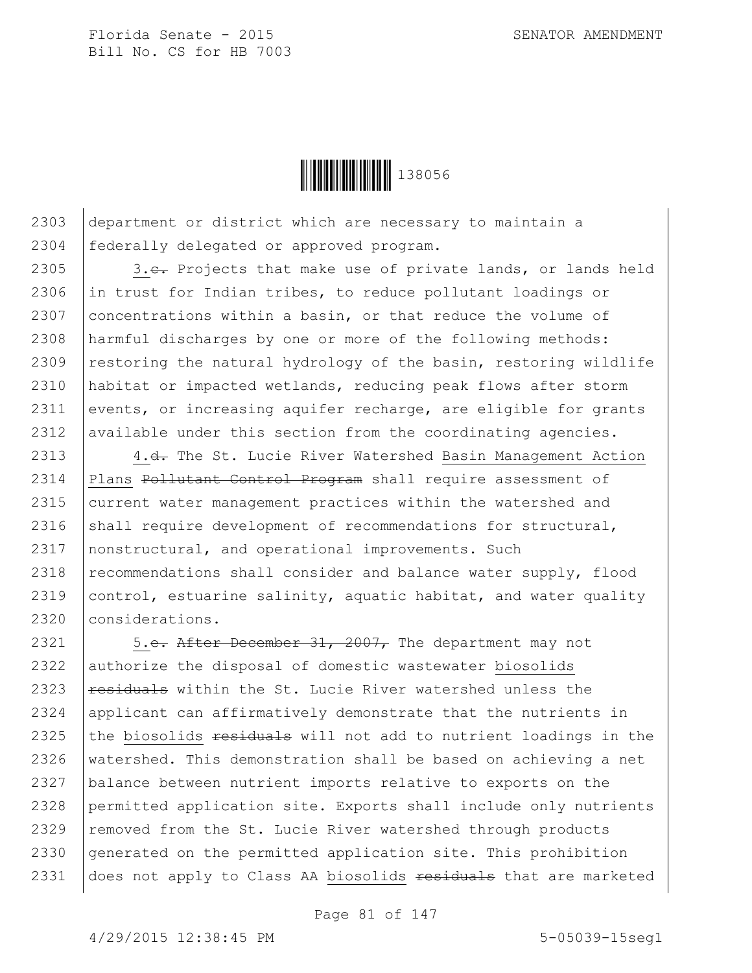

2303 department or district which are necessary to maintain a 2304 federally delegated or approved program.

2305 3.e. Projects that make use of private lands, or lands held 2306 in trust for Indian tribes, to reduce pollutant loadings or 2307 concentrations within a basin, or that reduce the volume of 2308 harmful discharges by one or more of the following methods: 2309 restoring the natural hydrology of the basin, restoring wildlife 2310 habitat or impacted wetlands, reducing peak flows after storm 2311 events, or increasing aquifer recharge, are eligible for grants 2312 available under this section from the coordinating agencies.

2313 | 4.<del>d.</del> The St. Lucie River Watershed Basin Management Action 2314 | Plans Pollutant Control Program shall require assessment of 2315 current water management practices within the watershed and 2316  $\vert$  shall require development of recommendations for structural, 2317 nonstructural, and operational improvements. Such 2318  $\vert$  recommendations shall consider and balance water supply, flood 2319  $|$  control, estuarine salinity, aquatic habitat, and water quality 2320 considerations.

2321  $\vert$  5.e. After December 31, 2007, The department may not 2322 authorize the disposal of domestic wastewater biosolids 2323  $residuals$  within the St. Lucie River watershed unless the 2324 applicant can affirmatively demonstrate that the nutrients in 2325 the biosolids  $\frac{1}{10}$  residuals will not add to nutrient loadings in the 2326 | watershed. This demonstration shall be based on achieving a net 2327 balance between nutrient imports relative to exports on the 2328 permitted application site. Exports shall include only nutrients 2329 | removed from the St. Lucie River watershed through products 2330 generated on the permitted application site. This prohibition 2331 | does not apply to Class AA biosolids residuals that are marketed

Page 81 of 147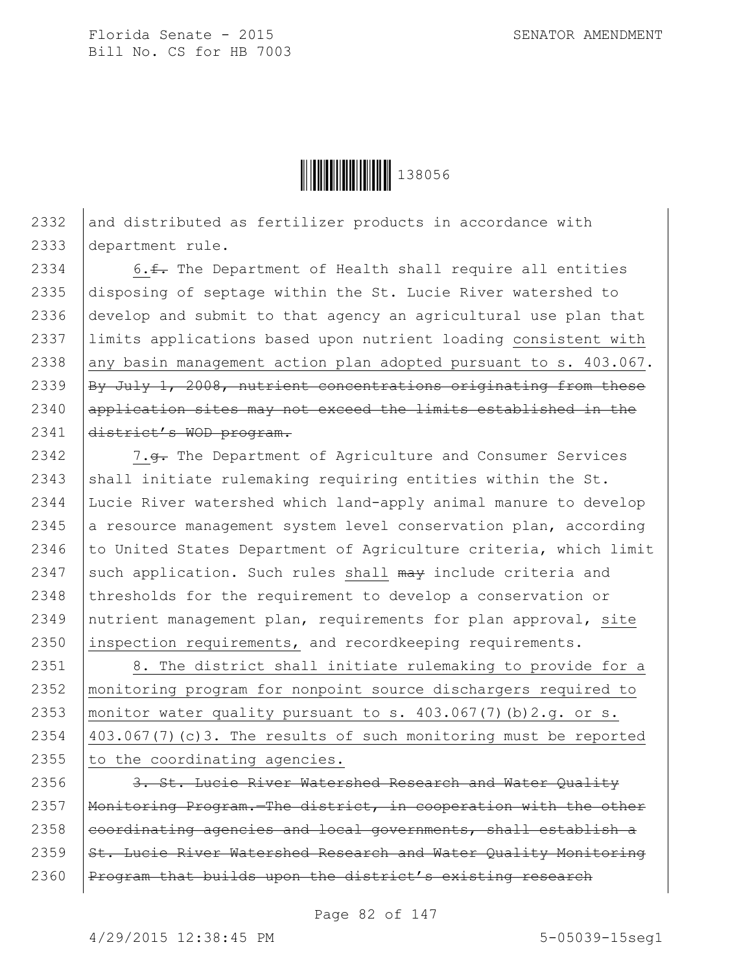

 $2332$  and distributed as fertilizer products in accordance with 2333 department rule.

 $\vert$  6. f. The Department of Health shall require all entities disposing of septage within the St. Lucie River watershed to develop and submit to that agency an agricultural use plan that limits applications based upon nutrient loading consistent with 2338 any basin management action plan adopted pursuant to s.  $403.067$ .  $\vert$ By July 1, 2008, nutrient concentrations originating from these 2340 application sites may not exceed the limits established in the 2341 district's WOD program.

2342 | 7.<del>g.</del> The Department of Agriculture and Consumer Services 2343 shall initiate rulemaking requiring entities within the St. 2344 Lucie River watershed which land-apply animal manure to develop 2345  $\vert$  a resource management system level conservation plan, according 2346  $\vert$  to United States Department of Agriculture criteria, which limit 2347 such application. Such rules shall  $\frac{m}{m}$  include criteria and 2348 thresholds for the requirement to develop a conservation or 2349 nutrient management plan, requirements for plan approval, site 2350 inspection requirements, and recordkeeping requirements.

 | 8. The district shall initiate rulemaking to provide for a monitoring program for nonpoint source dischargers required to 2353 | monitor water quality pursuant to s.  $403.067(7)$  (b)  $2.g.$  or s. 403.067(7)(c)3. The results of such monitoring must be reported to the coordinating agencies.

2356 3. St. Lucie River Watershed Research and Water Quality 2357 | Monitoring Program. - The district, in cooperation with the other  $2358$  eoordinating agencies and local governments, shall establish a 2359  $\frac{1}{1}$  St. Lucie River Watershed Research and Water Quality Monitoring 2360 | Program that builds upon the district's existing research

Page 82 of 147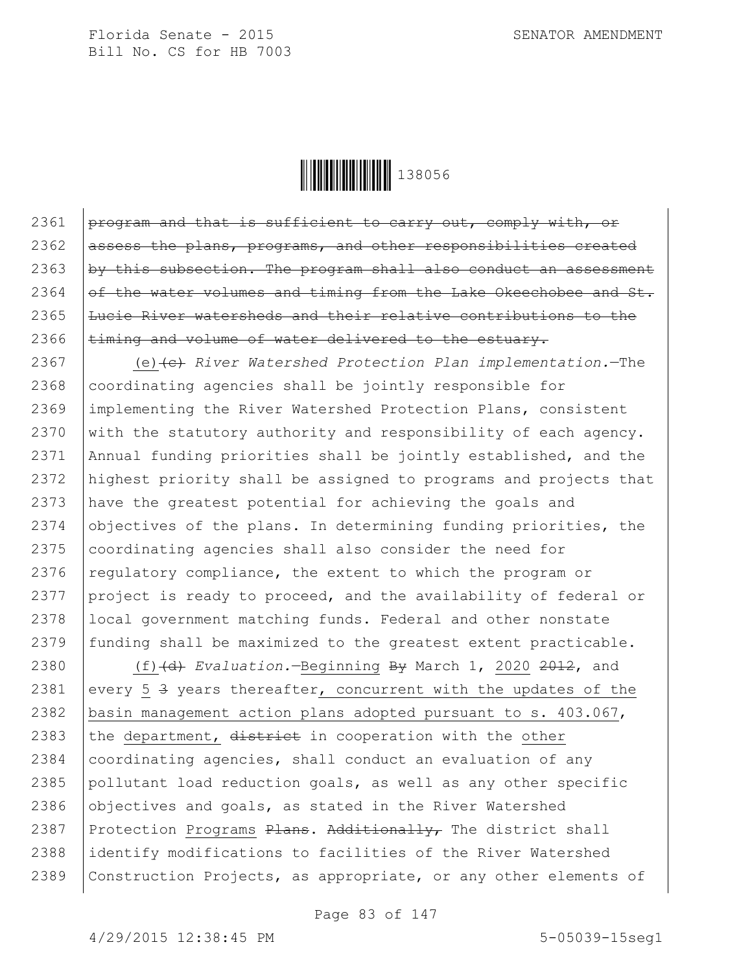

 $\beta$  program and that is sufficient to carry out, comply with, or assess the plans, programs, and other responsibilities created  $\beta$  by this subsection. The program shall also conduct an assessment of the water volumes and timing from the Lake Okeechobee and St. Lucie River watersheds and their relative contributions to the  $\times$  timing and volume of water delivered to the estuary.

 (e)(c) *River Watershed Protection Plan implementation.*—The coordinating agencies shall be jointly responsible for implementing the River Watershed Protection Plans, consistent  $\vert$  with the statutory authority and responsibility of each agency. Annual funding priorities shall be jointly established, and the highest priority shall be assigned to programs and projects that have the greatest potential for achieving the goals and 2374 objectives of the plans. In determining funding priorities, the 2375 coordinating agencies shall also consider the need for 2376 regulatory compliance, the extent to which the program or 2377 project is ready to proceed, and the availability of federal or local government matching funds. Federal and other nonstate 2379 funding shall be maximized to the greatest extent practicable.

2380 (f)(d) *Evaluation.*—Beginning By March 1, 2020 2012, and 2381 every 5  $\frac{3}{7}$  years thereafter, concurrent with the updates of the 2382 basin management action plans adopted pursuant to s. 403.067, 2383 the department,  $\frac{d\text{istrict}}{dt}$  in cooperation with the other 2384  $|$  coordinating agencies, shall conduct an evaluation of any 2385 pollutant load reduction goals, as well as any other specific  $2386$  objectives and goals, as stated in the River Watershed 2387 | Protection Programs  $Plans.$  Additionally, The district shall 2388 identify modifications to facilities of the River Watershed 2389 Construction Projects, as appropriate, or any other elements of

Page 83 of 147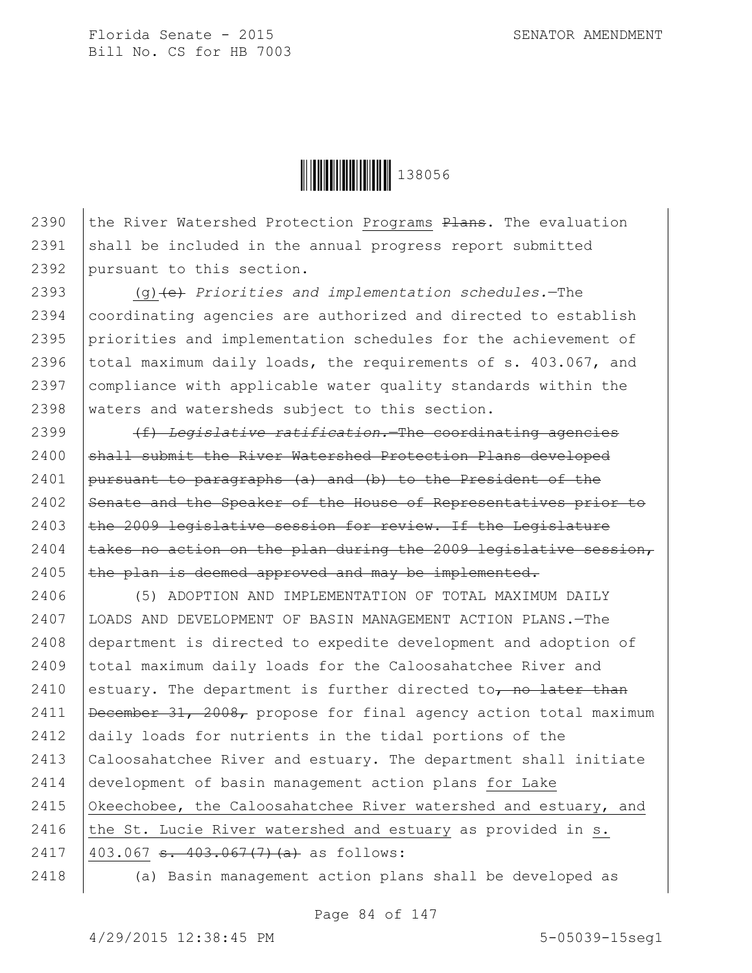

2390  $\vert$  the River Watershed Protection Programs  $Plans$ . The evaluation  $2391$  shall be included in the annual progress report submitted 2392 pursuant to this section.

 (g)(e) *Priorities and implementation schedules.*—The coordinating agencies are authorized and directed to establish priorities and implementation schedules for the achievement of 2396 total maximum daily loads, the requirements of s. 403.067, and compliance with applicable water quality standards within the waters and watersheds subject to this section.

2399 (f) *Legislative ratification.*—The coordinating agencies 2400 shall submit the River Watershed Protection Plans developed 2401 | pursuant to paragraphs  $(a)$  and  $(b)$  to the President of the 2402 Senate and the Speaker of the House of Representatives prior to  $2403$  the 2009 legislative session for review. If the Legislature 2404  $\vert$  takes no action on the plan during the 2009 legislative session, 2405  $\vert$  the plan is deemed approved and may be implemented.

 (5) ADOPTION AND IMPLEMENTATION OF TOTAL MAXIMUM DAILY LOADS AND DEVELOPMENT OF BASIN MANAGEMENT ACTION PLANS.—The department is directed to expedite development and adoption of total maximum daily loads for the Caloosahatchee River and 2410 estuary. The department is further directed to, no later than  $\beta$  December 31, 2008, propose for final agency action total maximum daily loads for nutrients in the tidal portions of the Caloosahatchee River and estuary. The department shall initiate development of basin management action plans for Lake 2415 Okeechobee, the Caloosahatchee River watershed and estuary, and 2416 the St. Lucie River watershed and estuary as provided in s.  $|403.067 s. 403.067(7)(a)$  as follows: (a) Basin management action plans shall be developed as

Page 84 of 147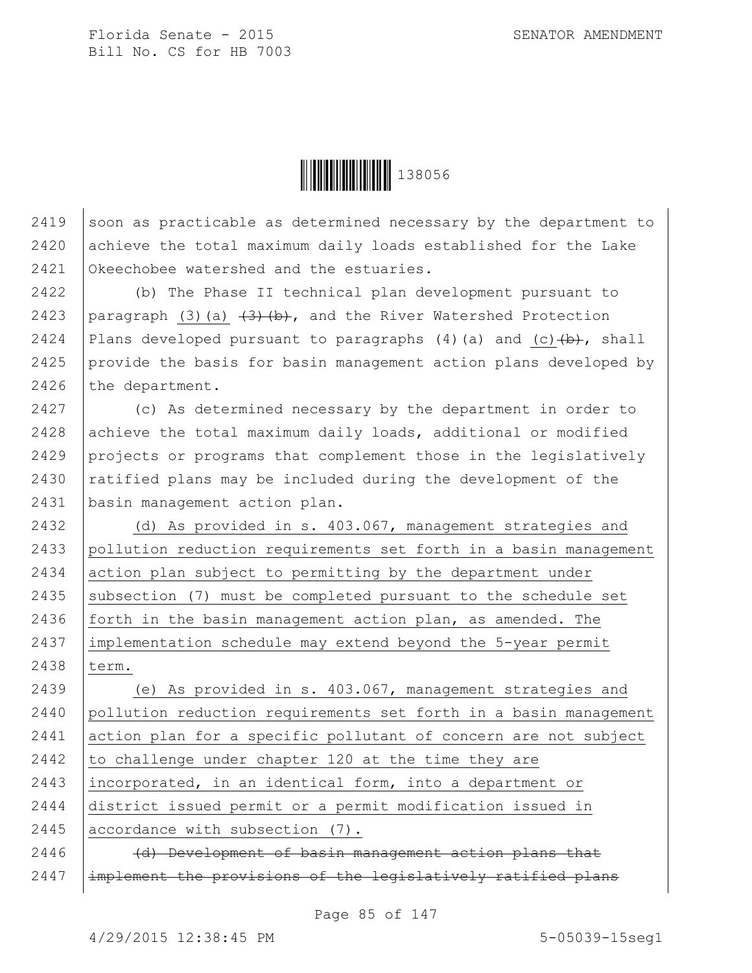

2419 soon as practicable as determined necessary by the department to 2420 achieve the total maximum daily loads established for the Lake 2421 Okeechobee watershed and the estuaries.

2422 (b) The Phase II technical plan development pursuant to 2423 | paragraph (3)(a)  $\left(\frac{3}{4}\right)$  (b), and the River Watershed Protection 2424 Plans developed pursuant to paragraphs (4)(a) and (c) $\left(\frac{b}{b}\right)$ , shall 2425 provide the basis for basin management action plans developed by 2426 the department.

 (c) As determined necessary by the department in order to 2428 achieve the total maximum daily loads, additional or modified projects or programs that complement those in the legislatively  $\vert$  ratified plans may be included during the development of the basin management action plan.

 (d) As provided in s. 403.067, management strategies and pollution reduction requirements set forth in a basin management action plan subject to permitting by the department under 2435 subsection (7) must be completed pursuant to the schedule set forth in the basin management action plan, as amended. The implementation schedule may extend beyond the 5-year permit 2438 term.

 (e) As provided in s. 403.067, management strategies and pollution reduction requirements set forth in a basin management action plan for a specific pollutant of concern are not subject  $\vert$  to challenge under chapter 120 at the time they are incorporated, in an identical form, into a department or district issued permit or a permit modification issued in 2445 accordance with subsection (7).

2446 (d) Development of basin management action plans that 2447 | implement the provisions of the legislatively ratified plans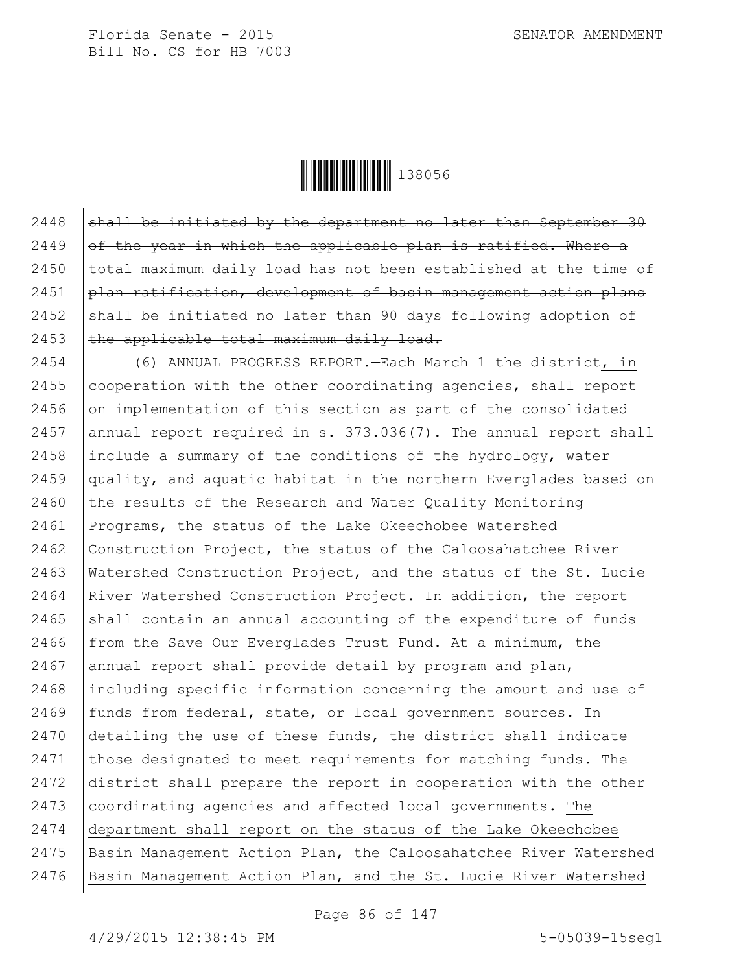

 $\vert$  shall be initiated by the department no later than September 30 | of the year in which the applicable plan is ratified. Where a  $|$  total maximum daily load has not been established at the time of  $\beta$  plan ratification, development of basin management action plans shall be initiated no later than 90 days following adoption of  $\vert$  the applicable total maximum daily load.

2454 (6) ANNUAL PROGRESS REPORT.—Each March 1 the district, in 2455 | cooperation with the other coordinating agencies, shall report 2456 on implementation of this section as part of the consolidated 2457 annual report required in s.  $373.036(7)$ . The annual report shall 2458 include a summary of the conditions of the hydrology, water 2459 quality, and aquatic habitat in the northern Everglades based on 2460  $\vert$  the results of the Research and Water Ouality Monitoring 2461 Programs, the status of the Lake Okeechobee Watershed 2462 Construction Project, the status of the Caloosahatchee River 2463 Watershed Construction Project, and the status of the St. Lucie 2464 River Watershed Construction Project. In addition, the report 2465  $\vert$  shall contain an annual accounting of the expenditure of funds 2466  $from$  the Save Our Everglades Trust Fund. At a minimum, the 2467 | annual report shall provide detail by program and plan, 2468 including specific information concerning the amount and use of 2469 funds from federal, state, or local government sources. In 2470 detailing the use of these funds, the district shall indicate 2471 those designated to meet requirements for matching funds. The 2472 district shall prepare the report in cooperation with the other 2473 coordinating agencies and affected local governments. The 2474 department shall report on the status of the Lake Okeechobee 2475 Basin Management Action Plan, the Caloosahatchee River Watershed 2476 Basin Management Action Plan, and the St. Lucie River Watershed

Page 86 of 147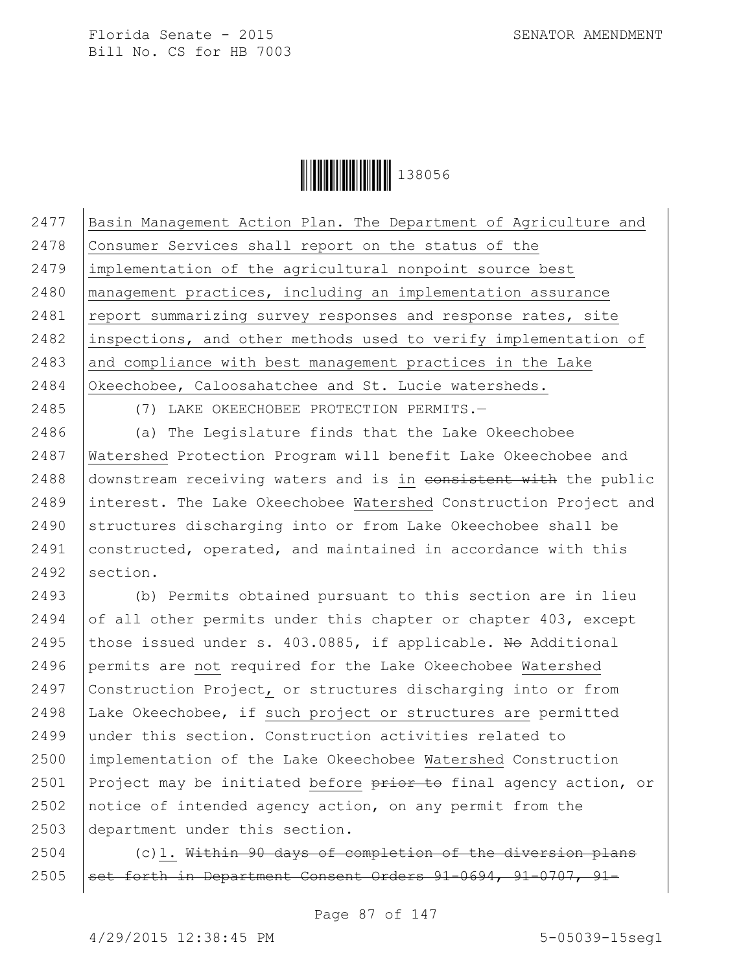

 Basin Management Action Plan. The Department of Agriculture and Consumer Services shall report on the status of the implementation of the agricultural nonpoint source best management practices, including an implementation assurance 2481 | report summarizing survey responses and response rates, site 2482 inspections, and other methods used to verify implementation of and compliance with best management practices in the Lake Okeechobee, Caloosahatchee and St. Lucie watersheds.

(7) LAKE OKEECHOBEE PROTECTION PERMITS.—

 (a) The Legislature finds that the Lake Okeechobee Watershed Protection Program will benefit Lake Okeechobee and downstream receiving waters and is in consistent with the public interest. The Lake Okeechobee Watershed Construction Project and 2490 Structures discharging into or from Lake Okeechobee shall be constructed, operated, and maintained in accordance with this section.

 (b) Permits obtained pursuant to this section are in lieu 2494 of all other permits under this chapter or chapter , except 2495 those issued under s. 403.0885, if applicable. No Additional permits are not required for the Lake Okeechobee Watershed Construction Project, or structures discharging into or from Lake Okeechobee, if such project or structures are permitted under this section. Construction activities related to implementation of the Lake Okeechobee Watershed Construction 2501 Project may be initiated before  $\frac{1}{2}$  prior to final agency action, or notice of intended agency action, on any permit from the department under this section.

 (c)1. Within 90 days of completion of the diversion plans set forth in Department Consent Orders 91-0694, 91-0707, 91-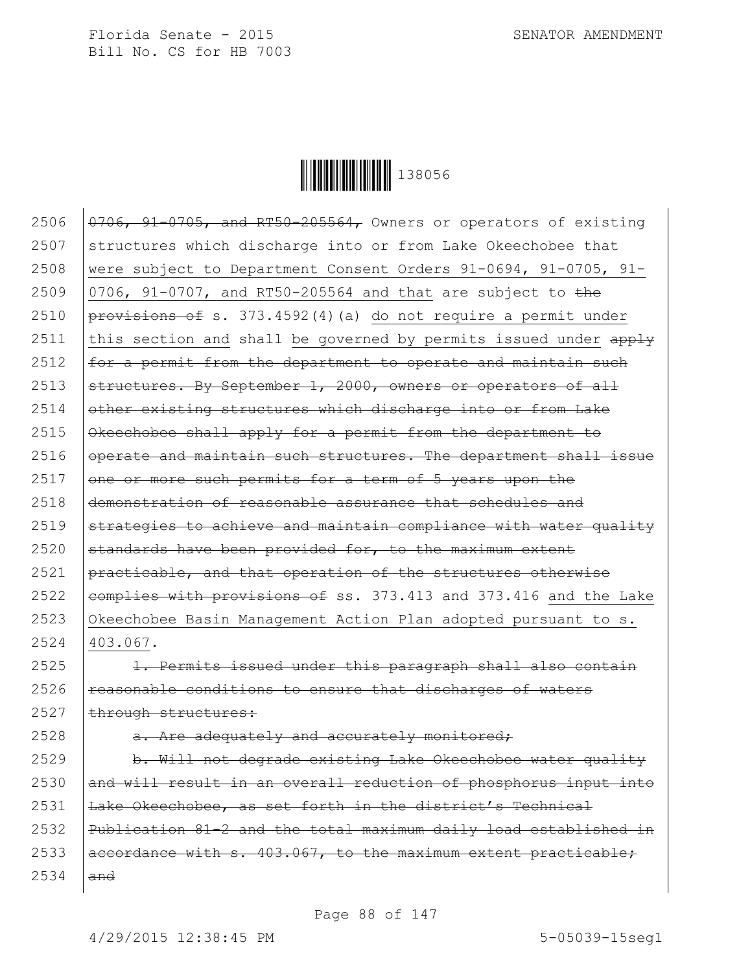

 $\sqrt{0.0706}$ , 91-0705, and RT50-205564, Owners or operators of existing structures which discharge into or from Lake Okeechobee that were subject to Department Consent Orders 91-0694, 91-0705, 91-  $\vert$  0706, 91-0707, and RT50-205564 and that are subject to the  $pero$ isions of s. 373.4592(4)(a) do not require a permit under 2511 this section and shall be governed by permits issued under  $\frac{apply}{ap}$  $\vert$  for a permit from the department to operate and maintain such  $\vert$  structures. By September 1, 2000, owners or operators of all 2514 other existing structures which discharge into or from Lake Okeechobee shall apply for a permit from the department to operate and maintain such structures. The department shall issue one or more such permits for a term of 5 years upon the demonstration of reasonable assurance that schedules and |strategies to achieve and maintain compliance with water quality standards have been provided for, to the maximum extent  $\beta$  practicable, and that operation of the structures otherwise  $\epsilon$  eomplies with provisions of ss. 373.413 and 373.416 and the Lake Okeechobee Basin Management Action Plan adopted pursuant to s. 2524 403.067. |  $1.$  Permits issued under this paragraph shall also contain reasonable conditions to ensure that discharges of waters through structures:  $\vert$  a. Are adequately and accurately monitored;  $\frac{b. \text{Will not decrease existing Lake Okeechobee water quality}}{}$  and will result in an overall reduction of phosphorus input into  $\vert$  Lake Okeechobee, as set forth in the district's Technical Publication 81-2 and the total maximum daily load established in  $|aecordance with s. 403.067, to the maximum extent practiceable:$  $2534$  and

Page 88 of 147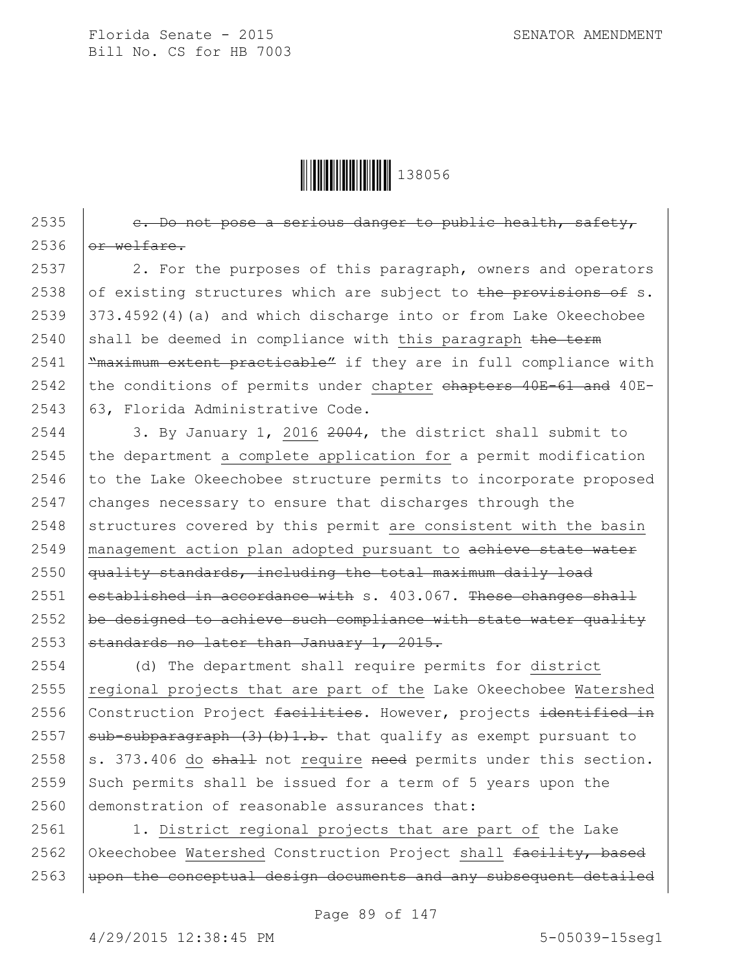

2535  $\vert$  e. Do not pose a serious danger to public health, safety,  $2536$  or welfare. 2537 2. For the purposes of this paragraph, owners and operators 2538 of existing structures which are subject to the provisions of s. 2539 373.4592(4)(a) and which discharge into or from Lake Okeechobee 2540 shall be deemed in compliance with this paragraph  $t$ he term 2541  $\frac{m}{\text{maximum extent practice}}$  if they are in full compliance with  $2542$  the conditions of permits under chapter chapters 40E-61 and 40E-2543 63, Florida Administrative Code.

 $\vert$  3. By January 1, 2016 2004, the district shall submit to the department a complete application for a permit modification to the Lake Okeechobee structure permits to incorporate proposed changes necessary to ensure that discharges through the structures covered by this permit are consistent with the basin 2549 | management action plan adopted pursuant to achieve state water quality standards, including the total maximum daily load  $established in accordance with s. 403.067. These changes shall$  $\vert$  be designed to achieve such compliance with state water quality  $\sigma$  standards no later than January 1, 2015.

 (d) The department shall require permits for district regional projects that are part of the Lake Okeechobee Watershed 2556 Construction Project facilities. However, projects identified in  $\vert$  sub-subparagraph (3) (b) 1.b. that qualify as exempt pursuant to  $\vert$ s. 373.406 do shall not require need permits under this section. 2559 Such permits shall be issued for a term of 5 years upon the demonstration of reasonable assurances that:

2561 | 1. District regional projects that are part of the Lake 2562 Okeechobee Watershed Construction Project shall  $facility$ , based  $2563$  | upon the conceptual design documents and any subsequent detailed

Page 89 of 147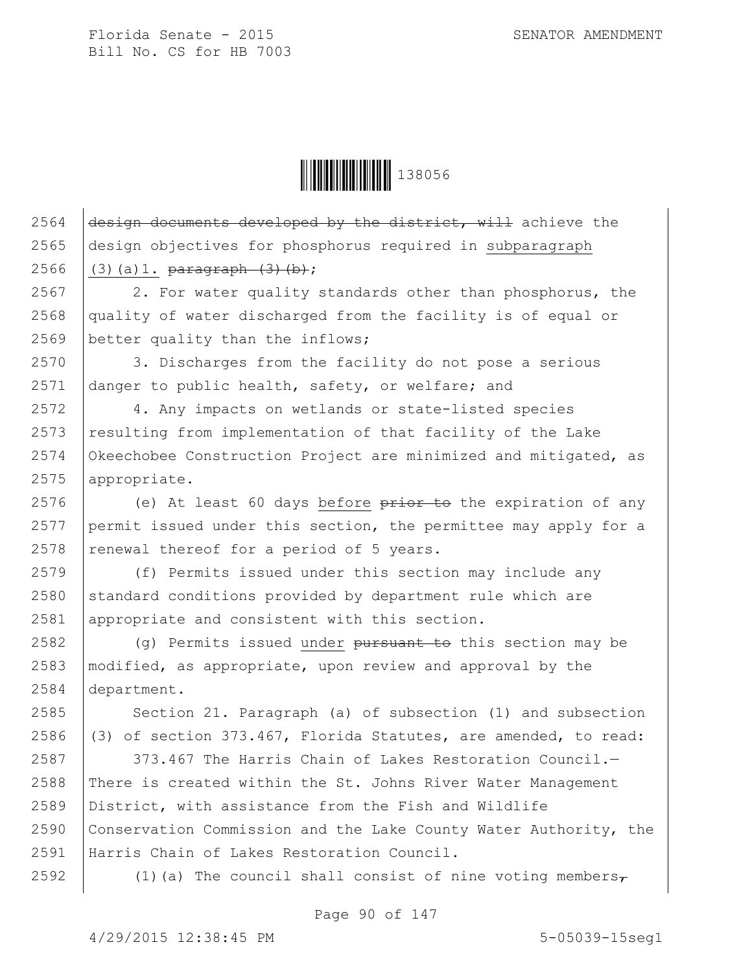

2564  $\frac{1}{\text{design}}$  documents developed by the district, will achieve the 2565 design objectives for phosphorus required in subparagraph 2566 (3)(a)1.  $\frac{1}{p} \frac{1}{p} \left( \frac{3}{p} \right)$ 

2567 2. For water quality standards other than phosphorus, the 2568 quality of water discharged from the facility is of equal or 2569 better quality than the inflows;

2570 3. Discharges from the facility do not pose a serious 2571 danger to public health, safety, or welfare; and

 4. Any impacts on wetlands or state-listed species resulting from implementation of that facility of the Lake Okeechobee Construction Project are minimized and mitigated, as appropriate.

2576 (e) At least 60 days before  $\frac{1}{2}$  be the expiration of any 2577 permit issued under this section, the permittee may apply for a 2578 | renewal thereof for a period of 5 years.

2579 (f) Permits issued under this section may include any  $2580$  standard conditions provided by department rule which are 2581 appropriate and consistent with this section.

2582  $\vert$  (q) Permits issued under pursuant to this section may be 2583 modified, as appropriate, upon review and approval by the 2584 department.

2585 Section 21. Paragraph (a) of subsection (1) and subsection 2586  $(3)$  of section 373.467, Florida Statutes, are amended, to read:

 $\vert$  373.467 The Harris Chain of Lakes Restoration Council. 2588 There is created within the St. Johns River Water Management District, with assistance from the Fish and Wildlife Conservation Commission and the Lake County Water Authority, the Harris Chain of Lakes Restoration Council.

2592  $(1)(a)$  The council shall consist of nine voting members,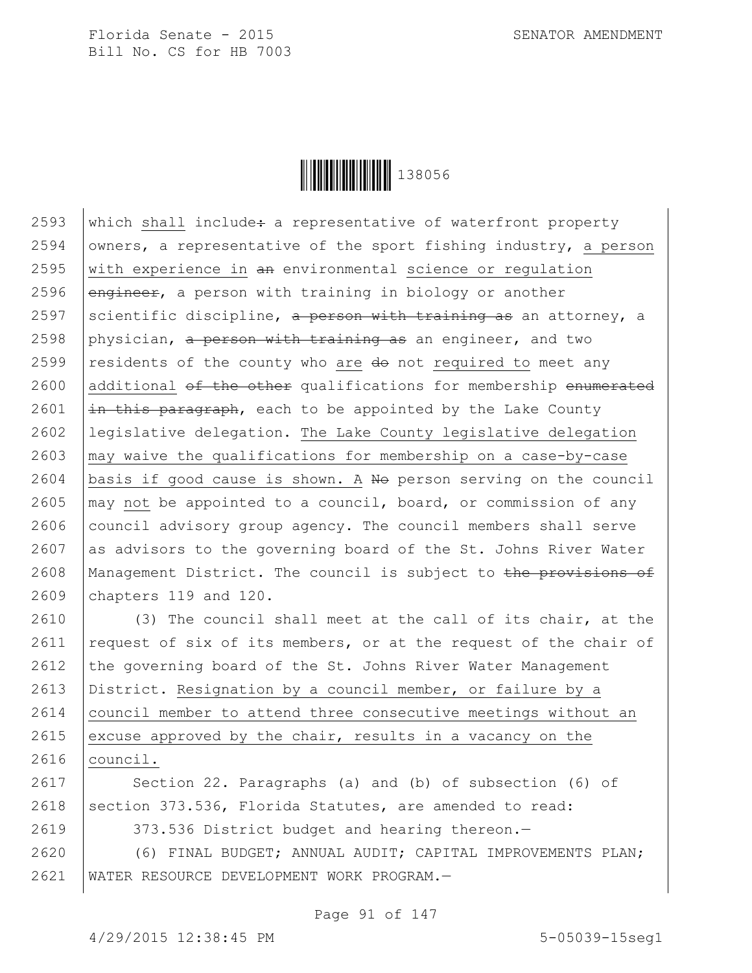

2593 which shall include: a representative of waterfront property 2594 owners, a representative of the sport fishing industry, a person 2595  $\vert$  with experience in an environmental science or regulation 2596  $\sqrt{\frac{2596}{n}}$  engineer, a person with training in biology or another 2597 Scientific discipline, a person with training as an attorney, a 2598 physician, a person with training as an engineer, and two 2599 | residents of the county who are  $d\theta$  not required to meet any  $2600$  additional of the other qualifications for membership enumerated 2601  $\frac{1}{2}$   $\frac{1}{2}$   $\frac{1}{2}$   $\frac{1}{2}$   $\frac{1}{2}$   $\frac{1}{2}$   $\frac{1}{2}$   $\frac{1}{2}$   $\frac{1}{2}$   $\frac{1}{2}$   $\frac{1}{2}$   $\frac{1}{2}$   $\frac{1}{2}$   $\frac{1}{2}$   $\frac{1}{2}$   $\frac{1}{2}$   $\frac{1}{2}$   $\frac{1}{2}$   $\frac{1}{2}$   $\frac{1}{2}$   $\frac{1}{2}$   $\frac{1}{$ 2602 legislative delegation. The Lake County legislative delegation  $2603$   $\mid$  may waive the qualifications for membership on a case-by-case 2604 | basis if good cause is shown. A  $N\Theta$  person serving on the council 2605  $\vert$  may not be appointed to a council, board, or commission of any 2606 council advisory group agency. The council members shall serve  $2607$  as advisors to the governing board of the St. Johns River Water 2608 | Management District. The council is subject to the provisions of 2609 chapters 119 and 120.

2610 (3) The council shall meet at the call of its chair, at the 2611 request of six of its members, or at the request of the chair of 2612 the governing board of the St. Johns River Water Management 2613 District. Resignation by a council member, or failure by a 2614 | council member to attend three consecutive meetings without an 2615 excuse approved by the chair, results in a vacancy on the  $2616$  council.

2617 Section 22. Paragraphs (a) and (b) of subsection (6) of 2618 | section 373.536, Florida Statutes, are amended to read:

2619 | 373.536 District budget and hearing thereon.-

2620 (6) FINAL BUDGET; ANNUAL AUDIT; CAPITAL IMPROVEMENTS PLAN; 2621 WATER RESOURCE DEVELOPMENT WORK PROGRAM.—

Page 91 of 147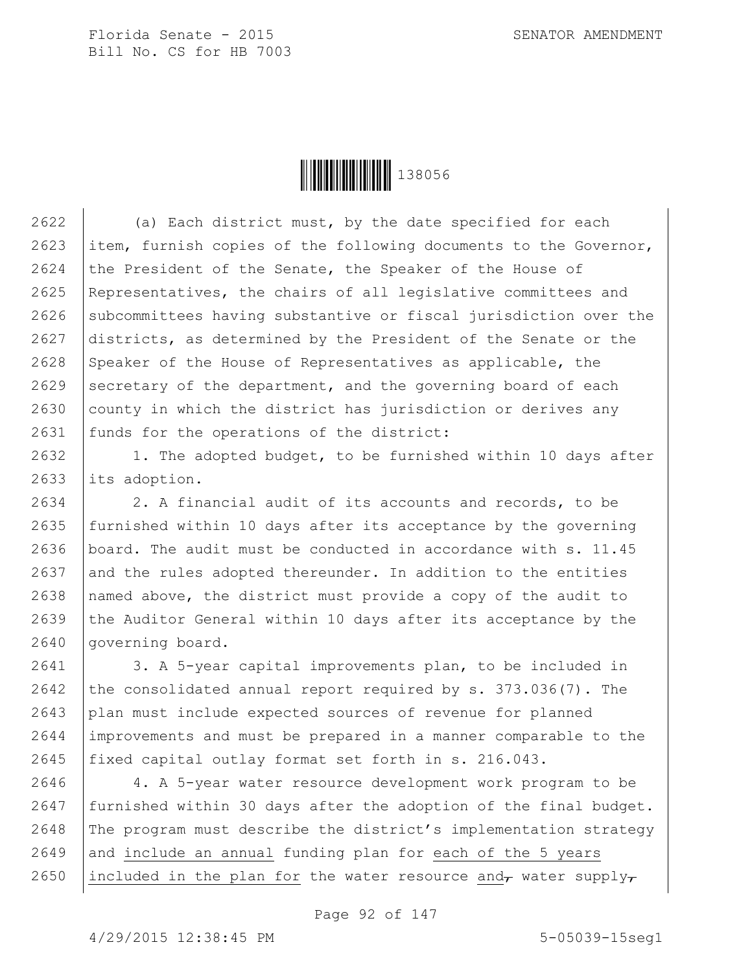

2622 (a) Each district must, by the date specified for each 2623 item, furnish copies of the following documents to the Governor, 2624 the President of the Senate, the Speaker of the House of 2625 Representatives, the chairs of all legislative committees and 2626 Subcommittees having substantive or fiscal jurisdiction over the 2627 districts, as determined by the President of the Senate or the 2628 Speaker of the House of Representatives as applicable, the 2629 secretary of the department, and the governing board of each 2630 county in which the district has jurisdiction or derives any 2631 | funds for the operations of the district:

2632 | 1. The adopted budget, to be furnished within 10 days after 2633 its adoption.

 $2634$  | 2. A financial audit of its accounts and records, to be 2635 furnished within 10 days after its acceptance by the governing 2636 board. The audit must be conducted in accordance with s. 11.45 2637 and the rules adopted thereunder. In addition to the entities 2638 | named above, the district must provide a copy of the audit to 2639 the Auditor General within 10 days after its acceptance by the 2640 governing board.

2641 | 3. A 5-year capital improvements plan, to be included in 2642 the consolidated annual report required by  $s. 373.036(7)$ . The 2643 plan must include expected sources of revenue for planned 2644 improvements and must be prepared in a manner comparable to the 2645 fixed capital outlay format set forth in s. 216.043.

2646 4. A 5-year water resource development work program to be 2647 | furnished within 30 days after the adoption of the final budget. 2648 The program must describe the district's implementation strategy  $2649$  and include an annual funding plan for each of the 5 years 2650 | included in the plan for the water resource and, water supply,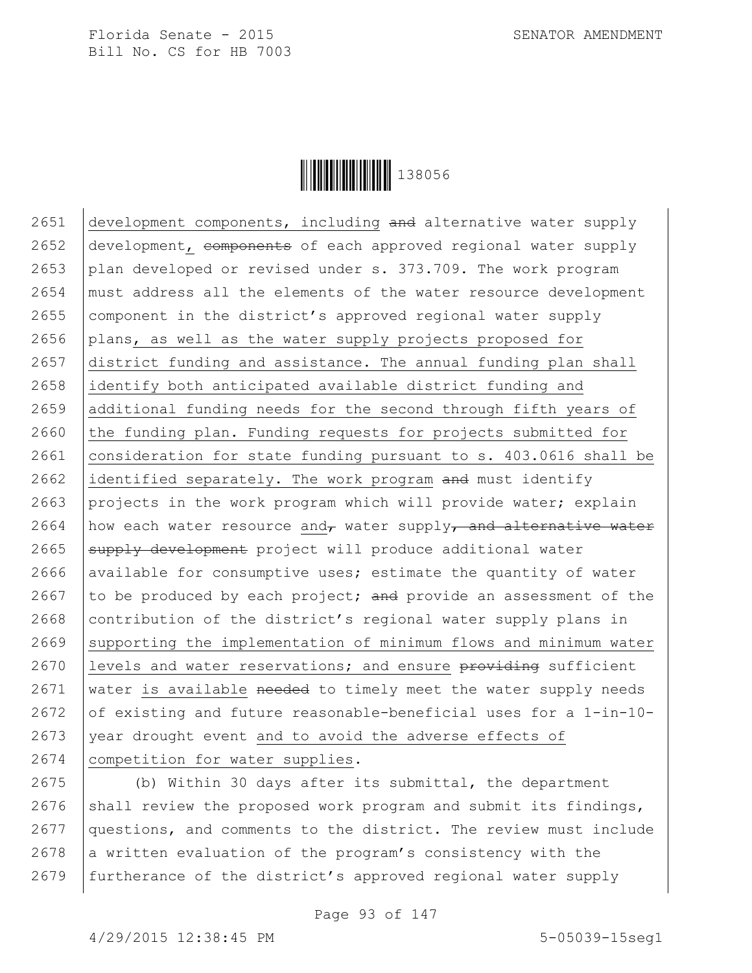

2651  $\vert$  development components, including and alternative water supply 2652 development, components of each approved regional water supply 2653 plan developed or revised under s. 373.709. The work program 2654 must address all the elements of the water resource development 2655 component in the district's approved regional water supply 2656 plans, as well as the water supply projects proposed for 2657 district funding and assistance. The annual funding plan shall 2658 identify both anticipated available district funding and 2659 additional funding needs for the second through fifth years of  $2660$  the funding plan. Funding requests for projects submitted for 2661 consideration for state funding pursuant to s. 403.0616 shall be 2662 identified separately. The work program and must identify 2663 projects in the work program which will provide water; explain 2664 | how each water resource and, water supply, and alternative water  $2665$  supply development project will produce additional water 2666 available for consumptive uses; estimate the quantity of water 2667 to be produced by each project; and provide an assessment of the 2668 contribution of the district's regional water supply plans in  $2669$  supporting the implementation of minimum flows and minimum water 2670 | levels and water reservations; and ensure  $\frac{1}{2}$  providing sufficient 2671 water is available needed to timely meet the water supply needs 2672 of existing and future reasonable-beneficial uses for a 1-in-10-2673 year drought event and to avoid the adverse effects of 2674 | competition for water supplies.

2675 (b) Within 30 days after its submittal, the department 2676 | shall review the proposed work program and submit its findings, 2677 questions, and comments to the district. The review must include 2678 a written evaluation of the program's consistency with the 2679 | furtherance of the district's approved regional water supply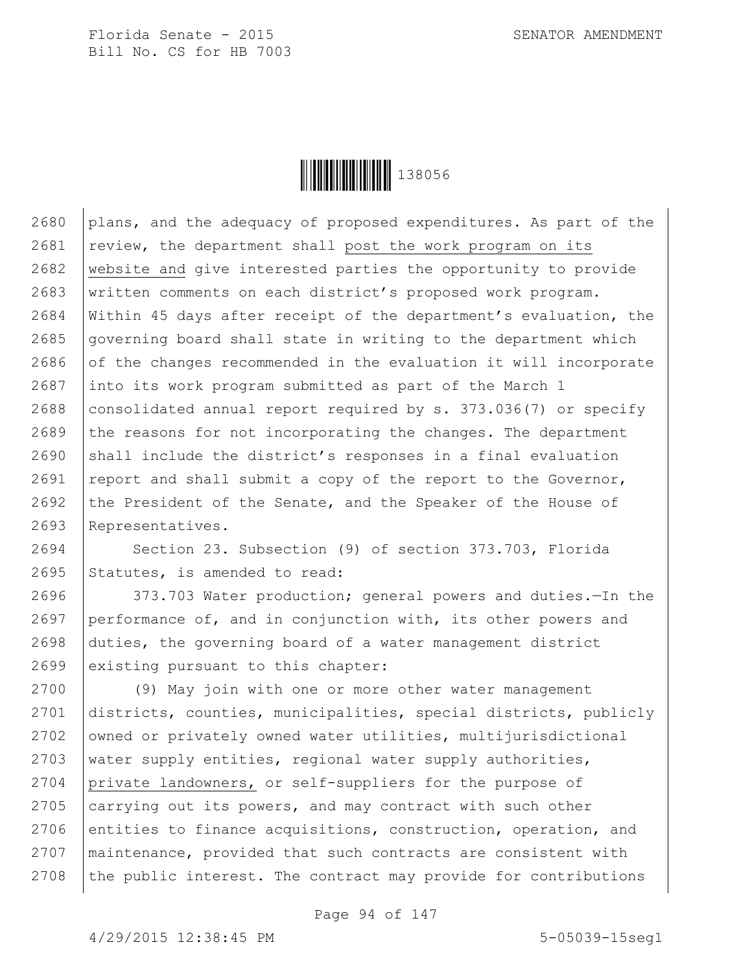

2680 plans, and the adequacy of proposed expenditures. As part of the review, the department shall post the work program on its website and give interested parties the opportunity to provide written comments on each district's proposed work program. Within 45 days after receipt of the department's evaluation, the governing board shall state in writing to the department which of the changes recommended in the evaluation it will incorporate 2687 into its work program submitted as part of the March 1 2688 consolidated annual report required by s.  $373.036(7)$  or specify the reasons for not incorporating the changes. The department shall include the district's responses in a final evaluation 2691 | report and shall submit a copy of the report to the Governor, 2692 the President of the Senate, and the Speaker of the House of Representatives.

2694 Section 23. Subsection (9) of section 373.703, Florida 2695 Statutes, is amended to read:

 373.703 Water production; general powers and duties.—In the performance of, and in conjunction with, its other powers and duties, the governing board of a water management district 2699 existing pursuant to this chapter:

 (9) May join with one or more other water management districts, counties, municipalities, special districts, publicly 2702 | owned or privately owned water utilities, multijurisdictional 2703 | water supply entities, regional water supply authorities, private landowners, or self-suppliers for the purpose of  $\alpha$  carrying out its powers, and may contract with such other 2706 entities to finance acquisitions, construction, operation, and maintenance, provided that such contracts are consistent with the public interest. The contract may provide for contributions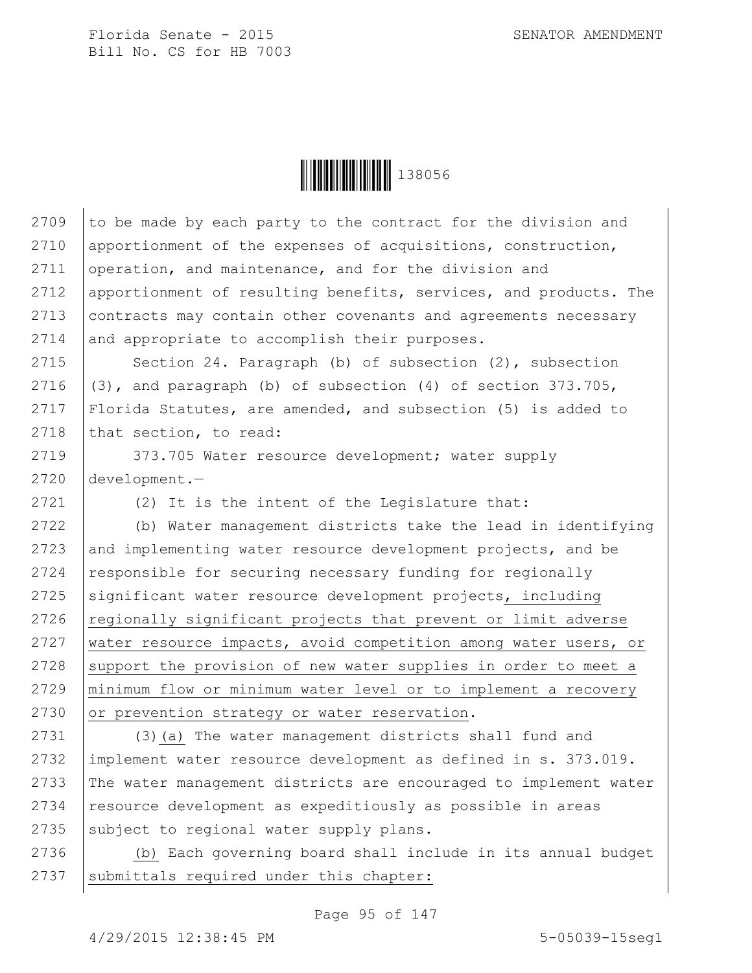

2709  $\vert$  to be made by each party to the contract for the division and 2710 apportionment of the expenses of acquisitions, construction, 2711 operation, and maintenance, and for the division and 2712 apportionment of resulting benefits, services, and products. The 2713 | contracts may contain other covenants and agreements necessary 2714 and appropriate to accomplish their purposes.

2715 Section 24. Paragraph (b) of subsection (2), subsection  $(3)$ , and paragraph (b) of subsection (4) of section 373.705, Florida Statutes, are amended, and subsection (5) is added to that section, to read:

2719 | 373.705 Water resource development; water supply 2720 development.—

2721 (2) It is the intent of the Legislature that:

 (b) Water management districts take the lead in identifying and implementing water resource development projects, and be 2724 responsible for securing necessary funding for regionally significant water resource development projects, including regionally significant projects that prevent or limit adverse 2727 water resource impacts, avoid competition among water users, or support the provision of new water supplies in order to meet a minimum flow or minimum water level or to implement a recovery 2730 or prevention strategy or water reservation.

2731 (3)(a) The water management districts shall fund and 2732 implement water resource development as defined in s. 373.019. 2733 The water management districts are encouraged to implement water 2734 | resource development as expeditiously as possible in areas  $2735$  subject to regional water supply plans.

2736 (b) Each governing board shall include in its annual budget  $2737$  submittals required under this chapter:

Page 95 of 147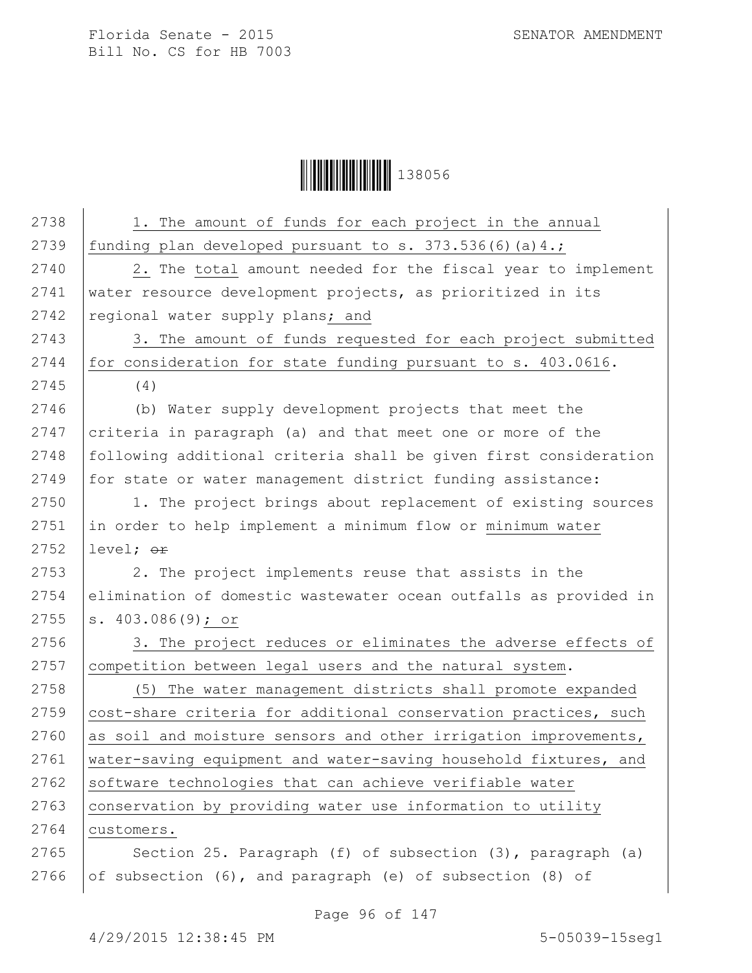

| 2738 | 1. The amount of funds for each project in the annual            |
|------|------------------------------------------------------------------|
| 2739 | funding plan developed pursuant to s. 373.536(6)(a)4.;           |
| 2740 | 2. The total amount needed for the fiscal year to implement      |
| 2741 | water resource development projects, as prioritized in its       |
| 2742 | regional water supply plans; and                                 |
| 2743 | 3. The amount of funds requested for each project submitted      |
| 2744 | for consideration for state funding pursuant to s. 403.0616.     |
| 2745 | (4)                                                              |
| 2746 | (b) Water supply development projects that meet the              |
| 2747 | criteria in paragraph (a) and that meet one or more of the       |
| 2748 | following additional criteria shall be given first consideration |
| 2749 | for state or water management district funding assistance:       |
| 2750 | 1. The project brings about replacement of existing sources      |
| 2751 | in order to help implement a minimum flow or minimum water       |
| 2752 | level; or                                                        |
| 2753 | 2. The project implements reuse that assists in the              |
| 2754 | elimination of domestic wastewater ocean outfalls as provided in |
| 2755 | s. $403.086(9)$ ; or                                             |
| 2756 | 3. The project reduces or eliminates the adverse effects of      |
| 2757 | competition between legal users and the natural system.          |
| 2758 | (5) The water management districts shall promote expanded        |
| 2759 | cost-share criteria for additional conservation practices, such  |
| 2760 | as soil and moisture sensors and other irrigation improvements,  |
| 2761 | water-saving equipment and water-saving household fixtures, and  |
| 2762 | software technologies that can achieve verifiable water          |
| 2763 | conservation by providing water use information to utility       |
| 2764 | customers.                                                       |
| 2765 | Section 25. Paragraph (f) of subsection (3), paragraph (a)       |
| 2766 | of subsection (6), and paragraph (e) of subsection (8) of        |

Page 96 of 147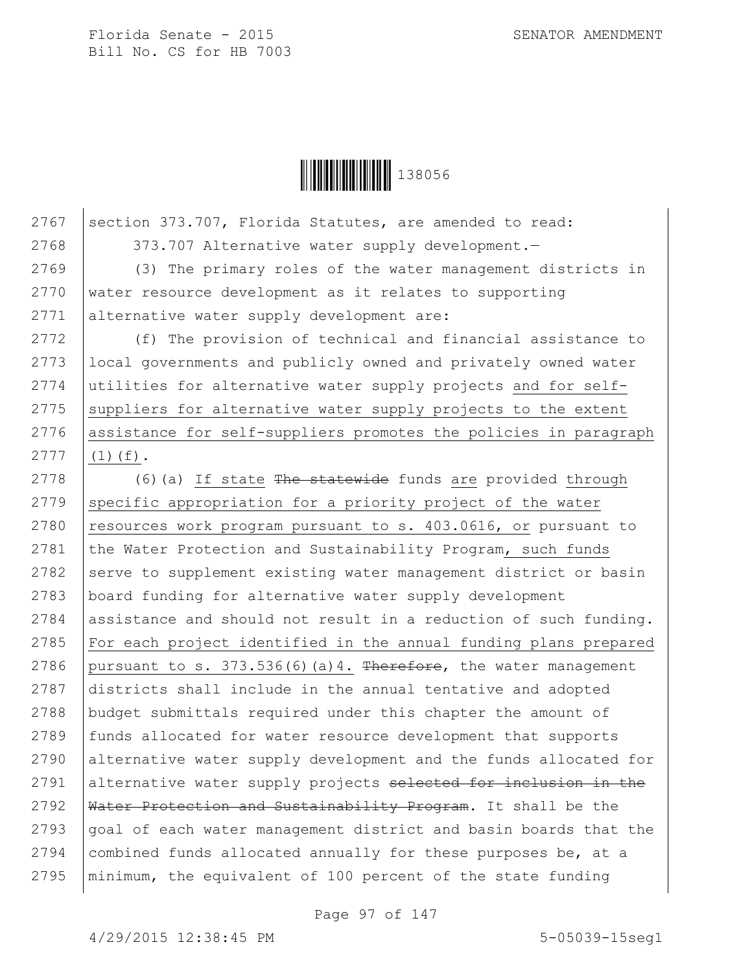

2767 Section 373.707, Florida Statutes, are amended to read: 2768 373.707 Alternative water supply development.

2769 (3) The primary roles of the water management districts in 2770 water resource development as it relates to supporting 2771 alternative water supply development are:

2772 (f) The provision of technical and financial assistance to local governments and publicly owned and privately owned water utilities for alternative water supply projects and for self- suppliers for alternative water supply projects to the extent assistance for self-suppliers promotes the policies in paragraph  $2777$  (1)(f).

2778  $(6)(a)$  If state The statewide funds are provided through  $2779$  specific appropriation for a priority project of the water 2780 resources work program pursuant to s. 403.0616, or pursuant to 2781 the Water Protection and Sustainability Program, such funds  $2782$  serve to supplement existing water management district or basin 2783 board funding for alternative water supply development 2784 assistance and should not result in a reduction of such funding. 2785  $\vert$  For each project identified in the annual funding plans prepared 2786 | pursuant to s.  $373.536(6)(a)4$ . Therefore, the water management 2787 districts shall include in the annual tentative and adopted 2788 budget submittals required under this chapter the amount of 2789 | funds allocated for water resource development that supports 2790 alternative water supply development and the funds allocated for 2791 alternative water supply projects selected for inclusion in the 2792 Water Protection and Sustainability Program. It shall be the 2793 goal of each water management district and basin boards that the 2794 combined funds allocated annually for these purposes be, at a 2795 minimum, the equivalent of 100 percent of the state funding

Page 97 of 147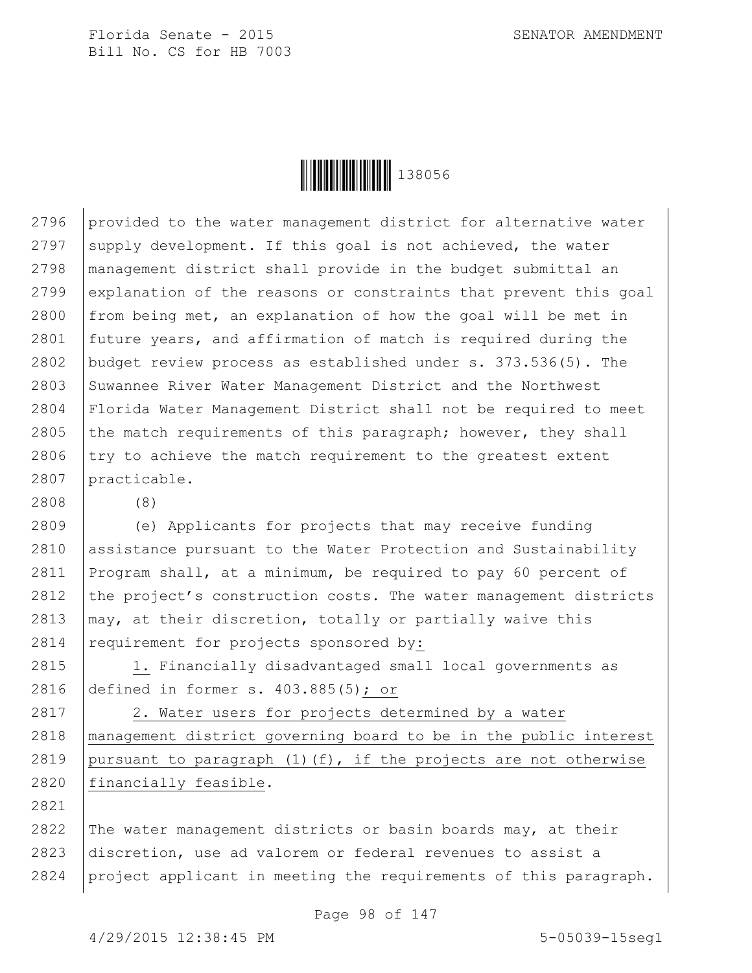

2796 provided to the water management district for alternative water 2797 supply development. If this goal is not achieved, the water 2798 management district shall provide in the budget submittal an 2799 explanation of the reasons or constraints that prevent this goal 2800 from being met, an explanation of how the goal will be met in 2801 future years, and affirmation of match is required during the 2802 budget review process as established under s. 373.536(5). The 2803 Suwannee River Water Management District and the Northwest 2804 Florida Water Management District shall not be required to meet 2805 the match requirements of this paragraph; however, they shall  $2806$  try to achieve the match requirement to the greatest extent 2807 practicable.

 (e) Applicants for projects that may receive funding assistance pursuant to the Water Protection and Sustainability Program shall, at a minimum, be required to pay 60 percent of 2812 the project's construction costs. The water management districts  $\mid$  may, at their discretion, totally or partially waive this 2814 requirement for projects sponsored by:

2815 1. Financially disadvantaged small local governments as 2816 defined in former s. 403.885(5); or

2817 | 2. Water users for projects determined by a water 2818 management district governing board to be in the public interest 2819 | pursuant to paragraph  $(1)$  (f), if the projects are not otherwise 2820 financially feasible.

2822 The water management districts or basin boards may, at their 2823 discretion, use ad valorem or federal revenues to assist a 2824 project applicant in meeting the requirements of this paragraph.

Page 98 of 147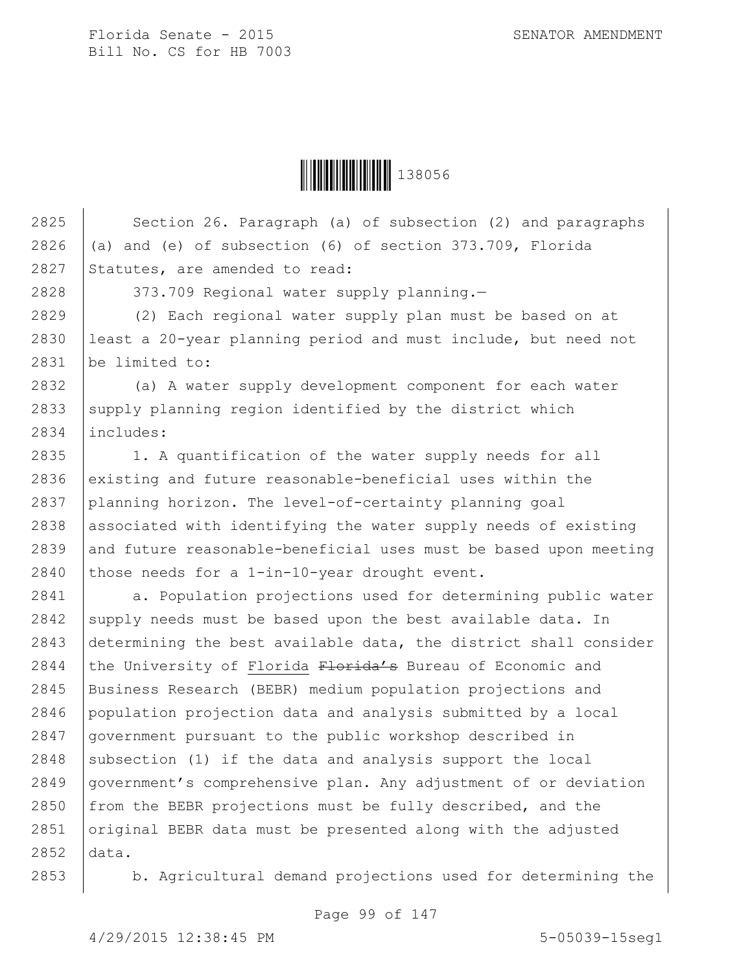

2825 Section 26. Paragraph (a) of subsection (2) and paragraphs 2826  $\vert$  (a) and (e) of subsection (6) of section 373.709, Florida 2827 Statutes, are amended to read:

2828 | 373.709 Regional water supply planning.-

2829 (2) Each regional water supply plan must be based on at 2830 least a 20-year planning period and must include, but need not 2831 be limited to:

2832 (a) A water supply development component for each water 2833 supply planning region identified by the district which 2834 includes:

2835 | 1. A quantification of the water supply needs for all  $2836$  existing and future reasonable-beneficial uses within the 2837 planning horizon. The level-of-certainty planning goal 2838 associated with identifying the water supply needs of existing 2839 and future reasonable-beneficial uses must be based upon meeting 2840 those needs for a 1-in-10-year drought event.

2841 a. Population projections used for determining public water 2842 supply needs must be based upon the best available data. In 2843 determining the best available data, the district shall consider 2844 the University of Florida  $F$ lorida's Bureau of Economic and 2845 Business Research (BEBR) medium population projections and 2846 population projection data and analysis submitted by a local 2847 government pursuant to the public workshop described in 2848 subsection (1) if the data and analysis support the local 2849 government's comprehensive plan. Any adjustment of or deviation 2850 from the BEBR projections must be fully described, and the 2851 original BEBR data must be presented along with the adjusted 2852 data.

2853 | b. Agricultural demand projections used for determining the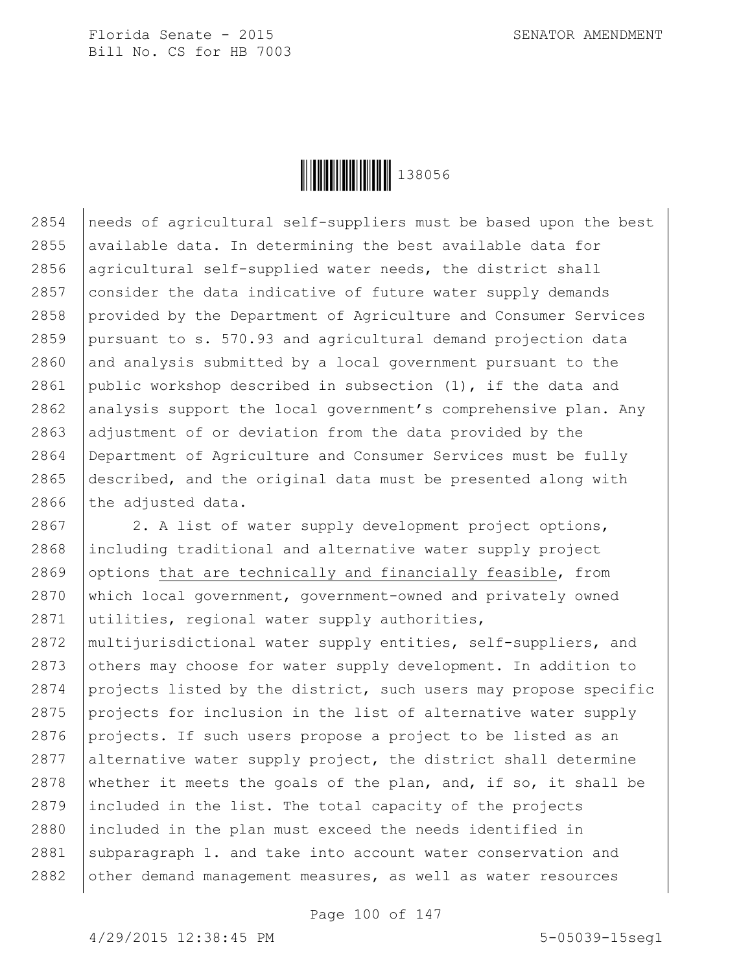

2854 needs of agricultural self-suppliers must be based upon the best 2855 available data. In determining the best available data for 2856 agricultural self-supplied water needs, the district shall 2857 consider the data indicative of future water supply demands 2858 provided by the Department of Agriculture and Consumer Services 2859 pursuant to s. 570.93 and agricultural demand projection data  $2860$  and analysis submitted by a local government pursuant to the 2861 public workshop described in subsection  $(1)$ , if the data and 2862 analysis support the local government's comprehensive plan. Any 2863 adjustment of or deviation from the data provided by the 2864 Department of Agriculture and Consumer Services must be fully 2865 described, and the original data must be presented along with 2866 the adjusted data.

2867 | 2. A list of water supply development project options, including traditional and alternative water supply project 2869 options that are technically and financially feasible, from which local government, government-owned and privately owned utilities, regional water supply authorities, multijurisdictional water supply entities, self-suppliers, and 2873 others may choose for water supply development. In addition to projects listed by the district, such users may propose specific projects for inclusion in the list of alternative water supply 2876 projects. If such users propose a project to be listed as an alternative water supply project, the district shall determine 2878 whether it meets the goals of the plan, and, if so, it shall be included in the list. The total capacity of the projects included in the plan must exceed the needs identified in 2881 subparagraph 1. and take into account water conservation and other demand management measures, as well as water resources

Page 100 of 147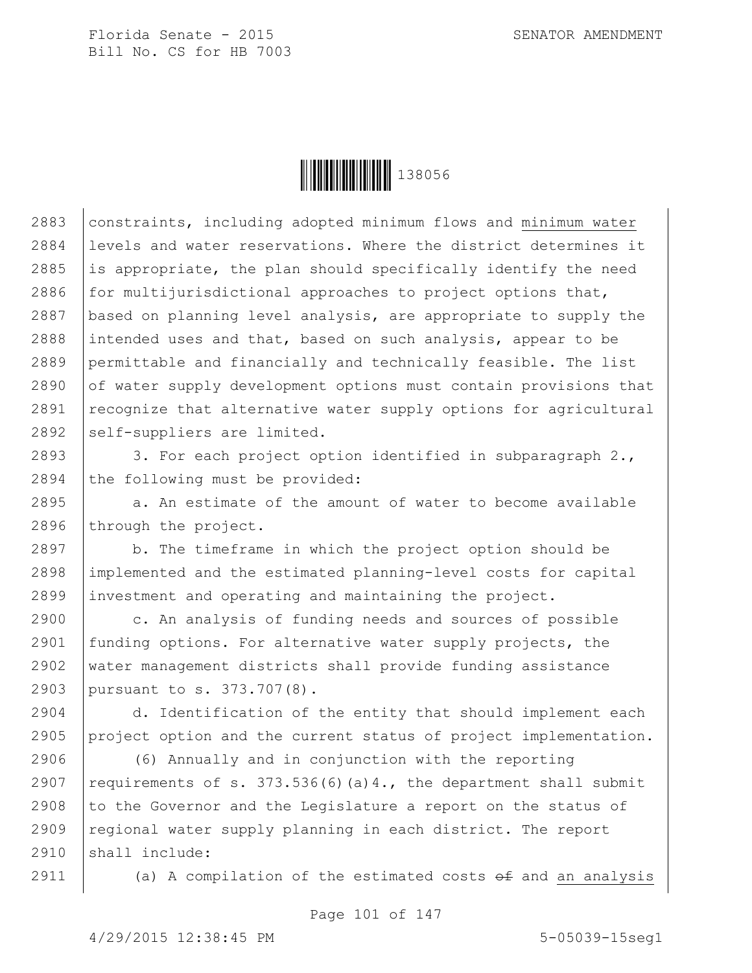

2883 | constraints, including adopted minimum flows and minimum water 2884 levels and water reservations. Where the district determines it 2885 is appropriate, the plan should specifically identify the need 2886  $for$  multijurisdictional approaches to project options that, 2887 | based on planning level analysis, are appropriate to supply the 2888 intended uses and that, based on such analysis, appear to be 2889 permittable and financially and technically feasible. The list  $2890$  of water supply development options must contain provisions that  $2891$  recognize that alternative water supply options for agricultural  $2892$  self-suppliers are limited.

2893  $\vert$  3. For each project option identified in subparagraph 2.,  $2894$  the following must be provided:

 $2895$  a. An estimate of the amount of water to become available 2896 through the project.

2897 b. The timeframe in which the project option should be 2898 implemented and the estimated planning-level costs for capital 2899 investment and operating and maintaining the project.

2900 c. An analysis of funding needs and sources of possible funding options. For alternative water supply projects, the water management districts shall provide funding assistance pursuant to s. 373.707(8).

2904 d. Identification of the entity that should implement each 2905 project option and the current status of project implementation.

2906 (6) Annually and in conjunction with the reporting 2907 | requirements of s. 373.536(6)(a)4., the department shall submit 2908  $\vert$  to the Governor and the Legislature a report on the status of 2909 regional water supply planning in each district. The report 2910 shall include:

2911  $\vert$  (a) A compilation of the estimated costs  $\theta$  and an analysis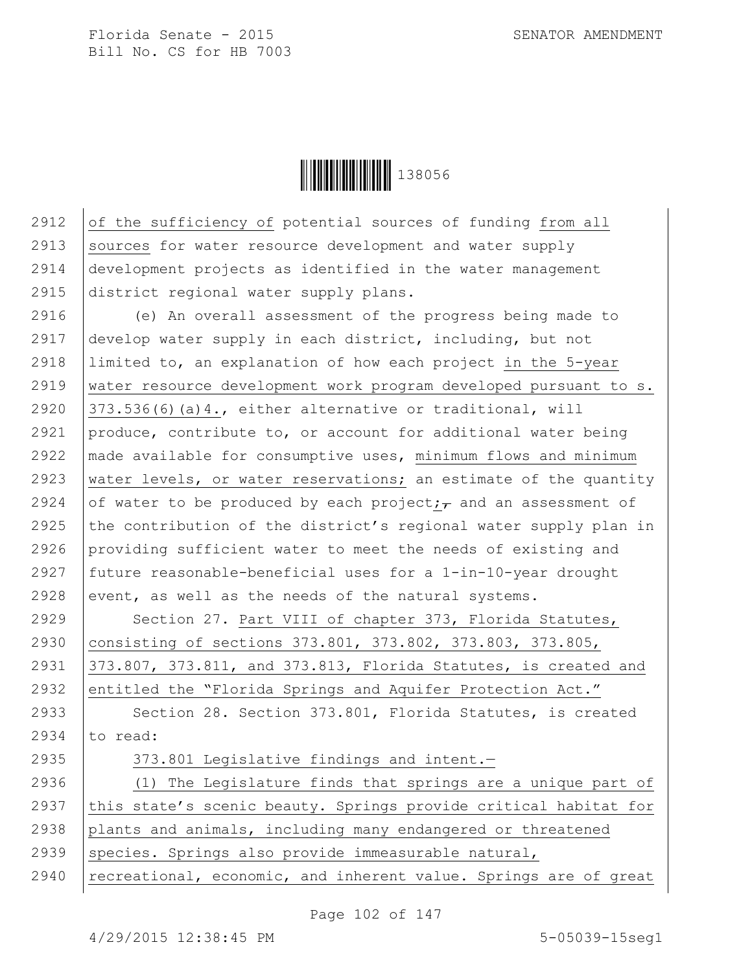**|| || || || || || || || || || || || ||** 138056

2912 of the sufficiency of potential sources of funding from all 2913 Sources for water resource development and water supply 2914 development projects as identified in the water management 2915 district regional water supply plans.

2916 (e) An overall assessment of the progress being made to 2917 develop water supply in each district, including, but not 2918 limited to, an explanation of how each project in the 5-year 2919 water resource development work program developed pursuant to s. 2920  $\vert$  373.536(6)(a)4., either alternative or traditional, will 2921 produce, contribute to, or account for additional water being 2922 made available for consumptive uses, minimum flows and minimum 2923 water levels, or water reservations; an estimate of the quantity 2924 of water to be produced by each project; and an assessment of 2925 the contribution of the district's regional water supply plan in 2926 providing sufficient water to meet the needs of existing and 2927 future reasonable-beneficial uses for a 1-in-10-year drought 2928 event, as well as the needs of the natural systems.

2929 | Section 27. Part VIII of chapter 373, Florida Statutes, 2930 consisting of sections 373.801, 373.802, 373.803, 373.805, 2931 373.807, 373.811, and 373.813, Florida Statutes, is created and 2932 entitled the "Florida Springs and Aquifer Protection Act."

2933 Section 28. Section 373.801, Florida Statutes, is created 2934  $\vert$  to read:

## 2935 373.801 Legislative findings and intent.

2936 (1) The Legislature finds that springs are a unique part of 2937  $\vert$  this state's scenic beauty. Springs provide critical habitat for 2938 plants and animals, including many endangered or threatened 2939 | species. Springs also provide immeasurable natural, 2940 | recreational, economic, and inherent value. Springs are of great

Page 102 of 147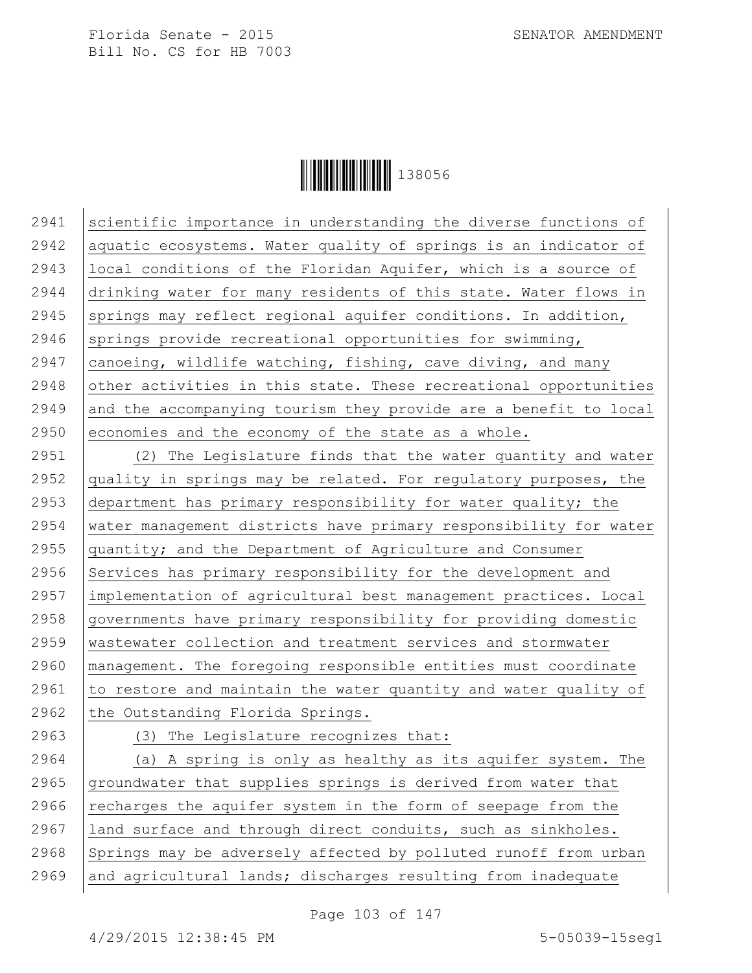

2941 Scientific importance in understanding the diverse functions of 2942 | aquatic ecosystems. Water quality of springs is an indicator of 2943 local conditions of the Floridan Aquifer, which is a source of 2944 drinking water for many residents of this state. Water flows in 2945 springs may reflect regional aquifer conditions. In addition, 2946 springs provide recreational opportunities for swimming, 2947  $\vert$  canoeing, wildlife watching, fishing, cave diving, and many  $2948$  other activities in this state. These recreational opportunities  $2949$  and the accompanying tourism they provide are a benefit to local 2950 economies and the economy of the state as a whole.

 (2) The Legislature finds that the water quantity and water 2952 quality in springs may be related. For regulatory purposes, the department has primary responsibility for water quality; the 2954 | water management districts have primary responsibility for water quantity; and the Department of Agriculture and Consumer 2956 Services has primary responsibility for the development and implementation of agricultural best management practices. Local governments have primary responsibility for providing domestic wastewater collection and treatment services and stormwater management. The foregoing responsible entities must coordinate  $\vert$  to restore and maintain the water quantity and water quality of 2962 the Outstanding Florida Springs.

2963 (3) The Legislature recognizes that:

2964 (a) A spring is only as healthy as its aquifer system. The 2965  $g$  groundwater that supplies springs is derived from water that 2966 recharges the aquifer system in the form of seepage from the 2967 land surface and through direct conduits, such as sinkholes. 2968 Springs may be adversely affected by polluted runoff from urban 2969 and agricultural lands; discharges resulting from inadequate

Page 103 of 147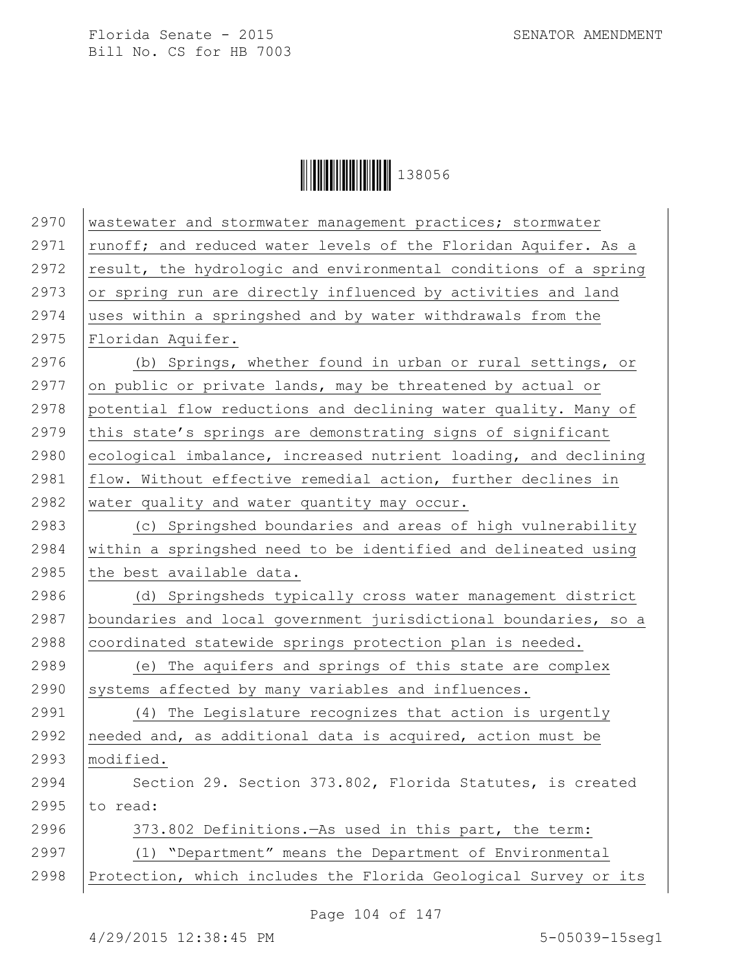**││││││││││││││││** 138056

| 2970 | wastewater and stormwater management practices; stormwater      |
|------|-----------------------------------------------------------------|
| 2971 | runoff; and reduced water levels of the Floridan Aquifer. As a  |
| 2972 | result, the hydrologic and environmental conditions of a spring |
| 2973 | or spring run are directly influenced by activities and land    |
| 2974 | uses within a springshed and by water withdrawals from the      |
| 2975 | Floridan Aquifer.                                               |
| 2976 | (b) Springs, whether found in urban or rural settings, or       |
| 2977 | on public or private lands, may be threatened by actual or      |
| 2978 | potential flow reductions and declining water quality. Many of  |
| 2979 | this state's springs are demonstrating signs of significant     |
| 2980 | ecological imbalance, increased nutrient loading, and declining |
| 2981 | flow. Without effective remedial action, further declines in    |
| 2982 | water quality and water quantity may occur.                     |
| 2983 | (c) Springshed boundaries and areas of high vulnerability       |
| 2984 | within a springshed need to be identified and delineated using  |
| 2985 | the best available data.                                        |
| 2986 | (d) Springsheds typically cross water management district       |
| 2987 | boundaries and local government jurisdictional boundaries, so a |
| 2988 | coordinated statewide springs protection plan is needed.        |
| 2989 | (e) The aquifers and springs of this state are complex          |
| 2990 | systems affected by many variables and influences.              |
| 2991 | (4) The Legislature recognizes that action is urgently          |
| 2992 | needed and, as additional data is acquired, action must be      |
| 2993 | modified.                                                       |
| 2994 | Section 29. Section 373.802, Florida Statutes, is created       |
| 2995 | to read:                                                        |
| 2996 | 373.802 Definitions. - As used in this part, the term:          |
| 2997 | (1) "Department" means the Department of Environmental          |
| 2998 | Protection, which includes the Florida Geological Survey or its |
|      |                                                                 |

Page 104 of 147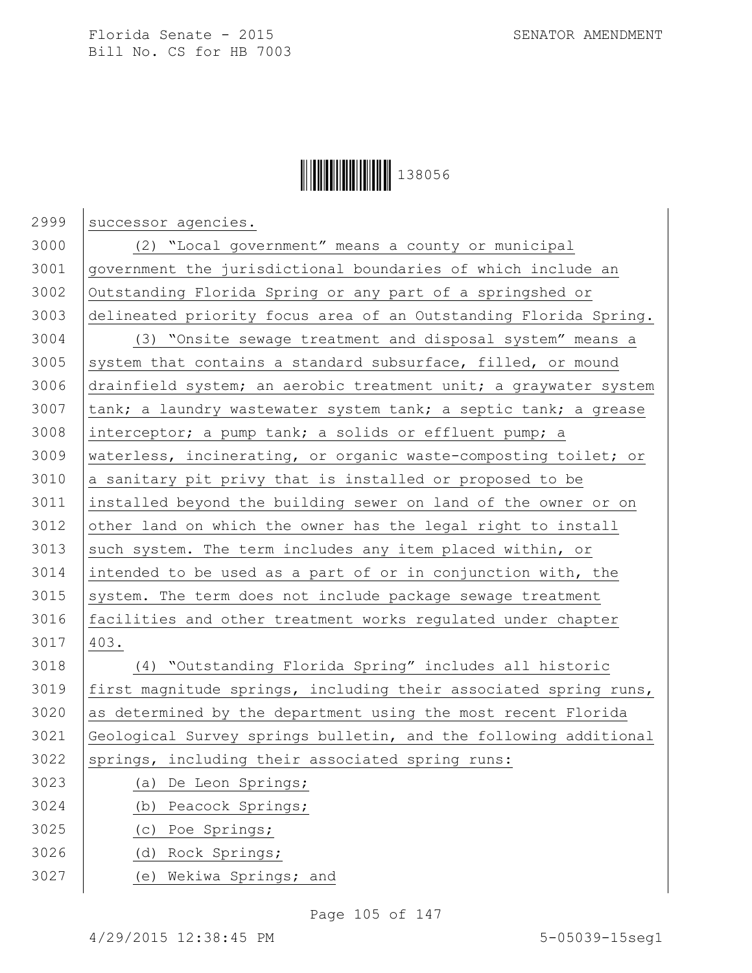

2999 successor agencies. (2) "Local government" means a county or municipal government the jurisdictional boundaries of which include an Outstanding Florida Spring or any part of a springshed or delineated priority focus area of an Outstanding Florida Spring. (3) "Onsite sewage treatment and disposal system" means a system that contains a standard subsurface, filled, or mound drainfield system; an aerobic treatment unit; a graywater system  $\vert$  tank; a laundry wastewater system tank; a septic tank; a grease interceptor; a pump tank; a solids or effluent pump; a waterless, incinerating, or organic waste-composting toilet; or a sanitary pit privy that is installed or proposed to be installed beyond the building sewer on land of the owner or on 3012 other land on which the owner has the legal right to install 3013 such system. The term includes any item placed within, or intended to be used as a part of or in conjunction with, the system. The term does not include package sewage treatment 3016 | facilities and other treatment works regulated under chapter 403. (4) "Outstanding Florida Spring" includes all historic 3019 | first magnitude springs, including their associated spring runs, as determined by the department using the most recent Florida Geological Survey springs bulletin, and the following additional 3022 | springs, including their associated spring runs: (a) De Leon Springs; (b) Peacock Springs; (c) Poe Springs; (d) Rock Springs; (e) Wekiwa Springs; and

Page 105 of 147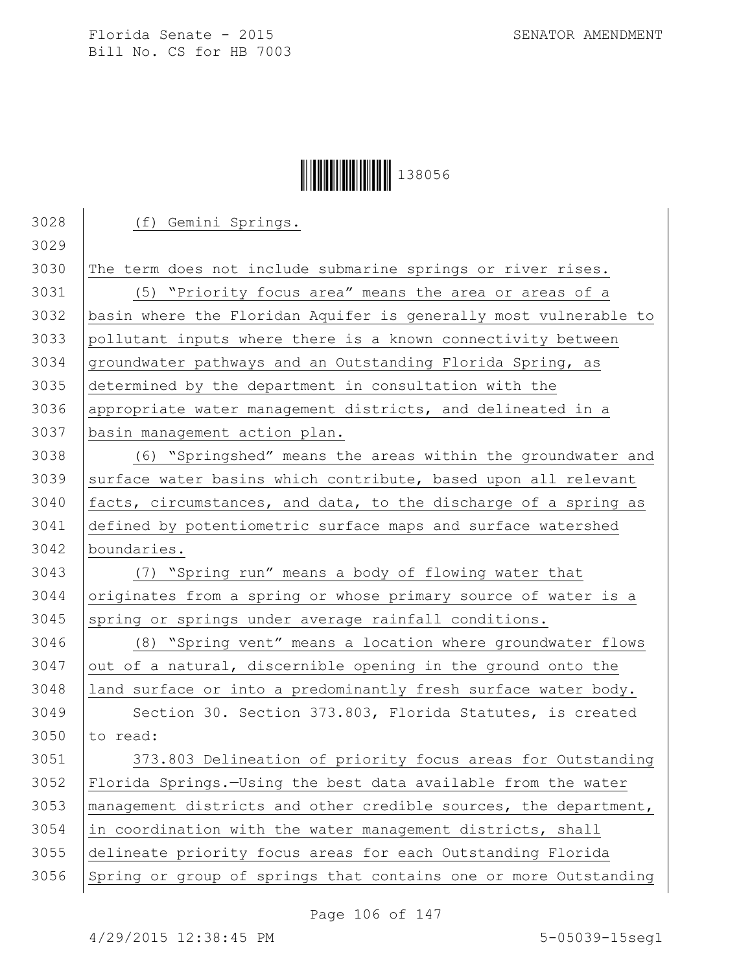## **│││││││││││││││││** 138056

| 3028 | (f) Gemini Springs.                                              |
|------|------------------------------------------------------------------|
| 3029 |                                                                  |
| 3030 | The term does not include submarine springs or river rises.      |
| 3031 | (5) "Priority focus area" means the area or areas of a           |
| 3032 | basin where the Floridan Aquifer is generally most vulnerable to |
| 3033 | pollutant inputs where there is a known connectivity between     |
| 3034 | groundwater pathways and an Outstanding Florida Spring, as       |
| 3035 | determined by the department in consultation with the            |
| 3036 | appropriate water management districts, and delineated in a      |
| 3037 | basin management action plan.                                    |
| 3038 | (6) "Springshed" means the areas within the groundwater and      |
| 3039 | surface water basins which contribute, based upon all relevant   |
| 3040 | facts, circumstances, and data, to the discharge of a spring as  |
| 3041 | defined by potentiometric surface maps and surface watershed     |
| 3042 | boundaries.                                                      |
| 3043 | (7) "Spring run" means a body of flowing water that              |
| 3044 | originates from a spring or whose primary source of water is a   |
| 3045 | spring or springs under average rainfall conditions.             |
| 3046 | (8) "Spring vent" means a location where groundwater flows       |
| 3047 | out of a natural, discernible opening in the ground onto the     |
| 3048 | land surface or into a predominantly fresh surface water body.   |
| 3049 | Section 30. Section 373.803, Florida Statutes, is created        |
| 3050 | to read:                                                         |
| 3051 | 373.803 Delineation of priority focus areas for Outstanding      |
| 3052 | Florida Springs. - Using the best data available from the water  |
| 3053 | management districts and other credible sources, the department, |
| 3054 | in coordination with the water management districts, shall       |
| 3055 | delineate priority focus areas for each Outstanding Florida      |
| 3056 | Spring or group of springs that contains one or more Outstanding |
|      |                                                                  |

Page 106 of 147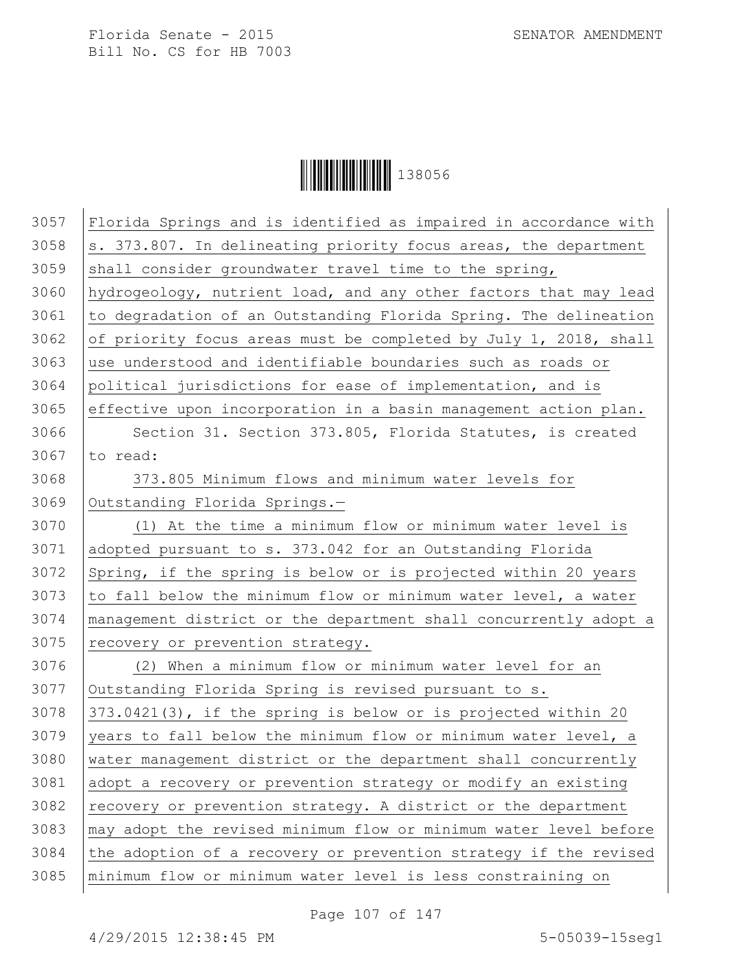**│││││││││││││││││** 138056

| 3057 | Florida Springs and is identified as impaired in accordance with |
|------|------------------------------------------------------------------|
| 3058 | s. 373.807. In delineating priority focus areas, the department  |
| 3059 | shall consider groundwater travel time to the spring,            |
| 3060 | hydrogeology, nutrient load, and any other factors that may lead |
| 3061 | to degradation of an Outstanding Florida Spring. The delineation |
| 3062 | of priority focus areas must be completed by July 1, 2018, shall |
| 3063 | use understood and identifiable boundaries such as roads or      |
| 3064 | political jurisdictions for ease of implementation, and is       |
| 3065 | effective upon incorporation in a basin management action plan.  |
| 3066 | Section 31. Section 373.805, Florida Statutes, is created        |
| 3067 | to read:                                                         |
| 3068 | 373.805 Minimum flows and minimum water levels for               |
| 3069 | Outstanding Florida Springs.-                                    |
| 3070 | (1) At the time a minimum flow or minimum water level is         |
| 3071 | adopted pursuant to s. 373.042 for an Outstanding Florida        |
| 3072 | Spring, if the spring is below or is projected within 20 years   |
| 3073 | to fall below the minimum flow or minimum water level, a water   |
| 3074 | management district or the department shall concurrently adopt a |
| 3075 | recovery or prevention strategy.                                 |
| 3076 | (2) When a minimum flow or minimum water level for an            |
| 3077 | Outstanding Florida Spring is revised pursuant to s.             |
| 3078 | 373.0421(3), if the spring is below or is projected within 20    |
| 3079 | years to fall below the minimum flow or minimum water level, a   |
| 3080 | water management district or the department shall concurrently   |
| 3081 | adopt a recovery or prevention strategy or modify an existing    |
| 3082 | recovery or prevention strategy. A district or the department    |
| 3083 | may adopt the revised minimum flow or minimum water level before |
| 3084 | the adoption of a recovery or prevention strategy if the revised |
| 3085 | minimum flow or minimum water level is less constraining on      |

Page 107 of 147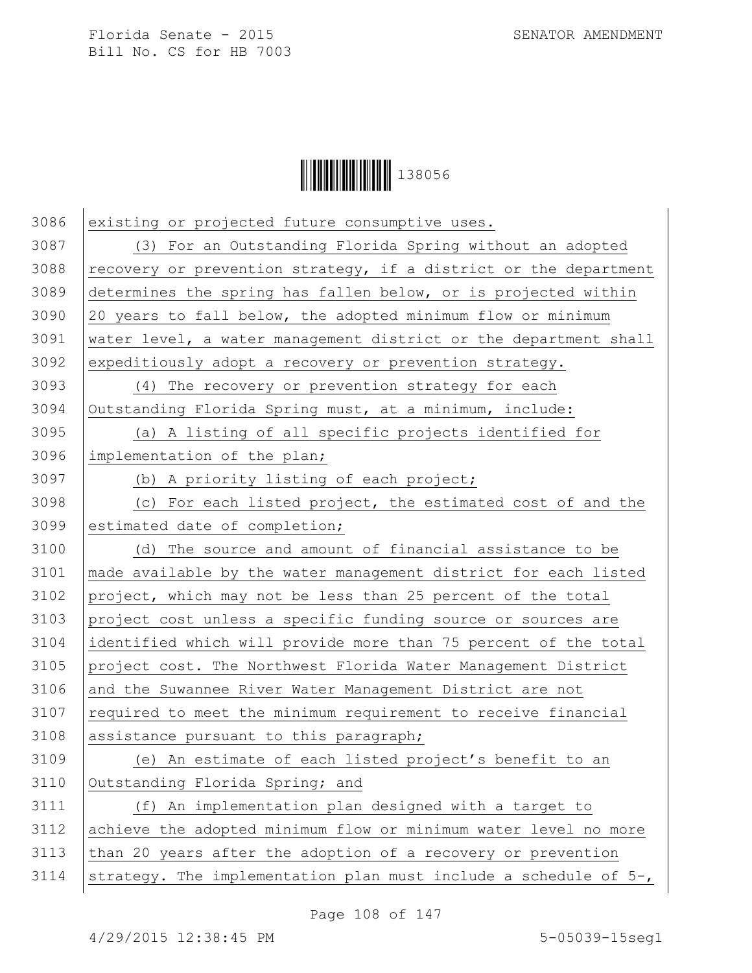

3086 existing or projected future consumptive uses. (3) For an Outstanding Florida Spring without an adopted  $\vert$  recovery or prevention strategy, if a district or the department determines the spring has fallen below, or is projected within 20 years to fall below, the adopted minimum flow or minimum water level, a water management district or the department shall 3092 expeditiously adopt a recovery or prevention strategy. (4) The recovery or prevention strategy for each Outstanding Florida Spring must, at a minimum, include: (a) A listing of all specific projects identified for implementation of the plan; (b) A priority listing of each project; (c) For each listed project, the estimated cost of and the 3099 estimated date of completion; (d) The source and amount of financial assistance to be made available by the water management district for each listed project, which may not be less than 25 percent of the total project cost unless a specific funding source or sources are identified which will provide more than 75 percent of the total project cost. The Northwest Florida Water Management District 3106 and the Suwannee River Water Management District are not required to meet the minimum requirement to receive financial 3108 assistance pursuant to this paragraph; (e) An estimate of each listed project's benefit to an 3110 | Outstanding Florida Spring; and (f) An implementation plan designed with a target to achieve the adopted minimum flow or minimum water level no more  $\vert$  than 20 years after the adoption of a recovery or prevention 3114 strategy. The implementation plan must include a schedule of  $5-$ ,

Page 108 of 147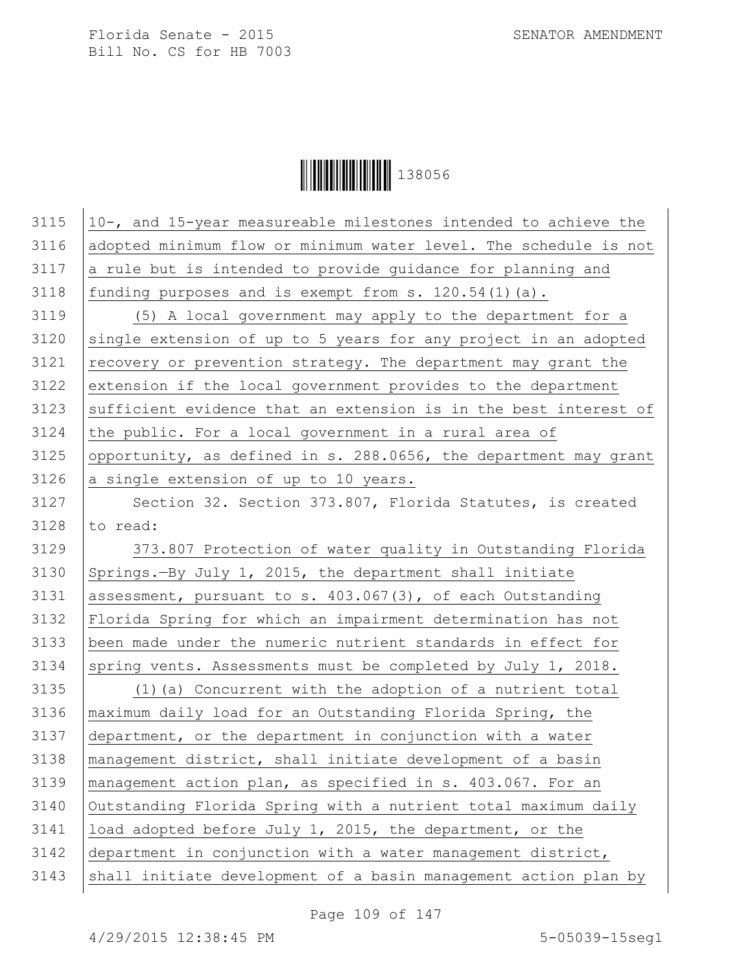**│││││││││││││││││** 138056

| 3115 | 10-, and 15-year measureable milestones intended to achieve the  |
|------|------------------------------------------------------------------|
| 3116 | adopted minimum flow or minimum water level. The schedule is not |
| 3117 | a rule but is intended to provide guidance for planning and      |
| 3118 | funding purposes and is exempt from s. $120.54(1)(a)$ .          |
| 3119 | (5) A local government may apply to the department for a         |
| 3120 | single extension of up to 5 years for any project in an adopted  |
| 3121 | recovery or prevention strategy. The department may grant the    |
| 3122 | extension if the local government provides to the department     |
| 3123 | sufficient evidence that an extension is in the best interest of |
| 3124 | the public. For a local government in a rural area of            |
| 3125 | opportunity, as defined in s. 288.0656, the department may grant |
| 3126 | a single extension of up to 10 years.                            |
| 3127 | Section 32. Section 373.807, Florida Statutes, is created        |
| 3128 | to read:                                                         |
| 3129 | 373.807 Protection of water quality in Outstanding Florida       |
| 3130 | Springs.-By July 1, 2015, the department shall initiate          |
| 3131 | assessment, pursuant to s. 403.067(3), of each Outstanding       |
| 3132 | Florida Spring for which an impairment determination has not     |
| 3133 | been made under the numeric nutrient standards in effect for     |
| 3134 | spring vents. Assessments must be completed by July 1, 2018.     |
| 3135 | (1) (a) Concurrent with the adoption of a nutrient total         |
| 3136 | maximum daily load for an Outstanding Florida Spring, the        |
| 3137 | department, or the department in conjunction with a water        |
| 3138 | management district, shall initiate development of a basin       |
| 3139 | management action plan, as specified in s. 403.067. For an       |
| 3140 | Outstanding Florida Spring with a nutrient total maximum daily   |
| 3141 | load adopted before July 1, 2015, the department, or the         |
| 3142 | department in conjunction with a water management district,      |
| 3143 | shall initiate development of a basin management action plan by  |
|      |                                                                  |

Page 109 of 147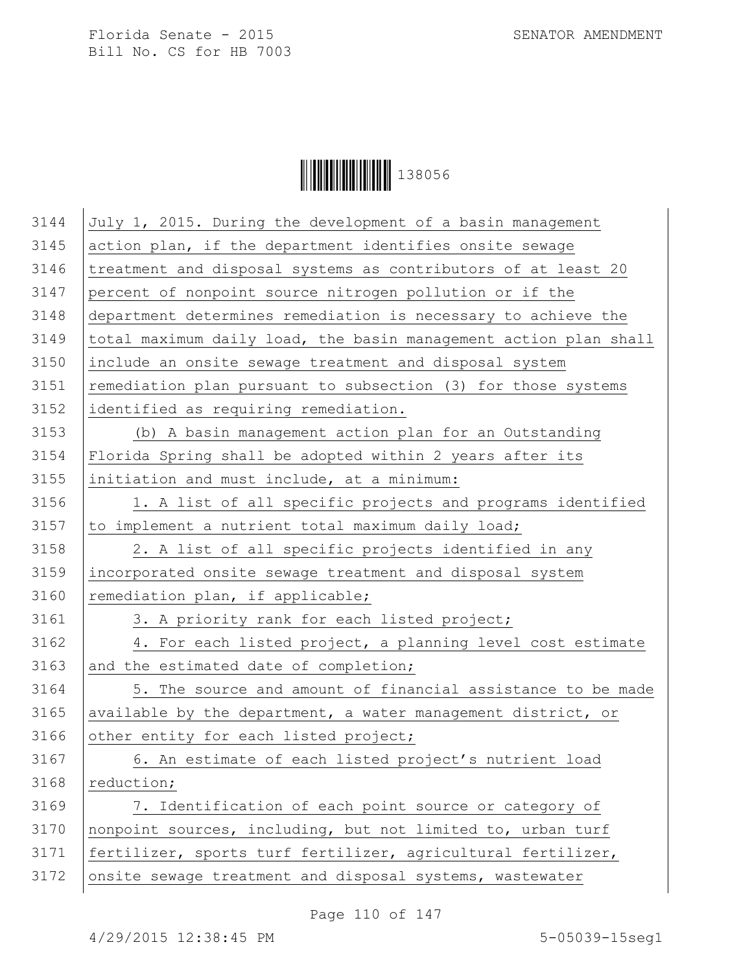

| 3144 | July 1, 2015. During the development of a basin management       |
|------|------------------------------------------------------------------|
| 3145 | action plan, if the department identifies onsite sewage          |
| 3146 | treatment and disposal systems as contributors of at least 20    |
| 3147 | percent of nonpoint source nitrogen pollution or if the          |
| 3148 | department determines remediation is necessary to achieve the    |
| 3149 | total maximum daily load, the basin management action plan shall |
| 3150 | include an onsite sewage treatment and disposal system           |
| 3151 | remediation plan pursuant to subsection (3) for those systems    |
| 3152 | identified as requiring remediation.                             |
| 3153 | (b) A basin management action plan for an Outstanding            |
| 3154 | Florida Spring shall be adopted within 2 years after its         |
| 3155 | initiation and must include, at a minimum:                       |
| 3156 | 1. A list of all specific projects and programs identified       |
| 3157 | to implement a nutrient total maximum daily load;                |
| 3158 | 2. A list of all specific projects identified in any             |
| 3159 | incorporated onsite sewage treatment and disposal system         |
| 3160 | remediation plan, if applicable;                                 |
| 3161 | 3. A priority rank for each listed project;                      |
| 3162 | 4. For each listed project, a planning level cost estimate       |
| 3163 | and the estimated date of completion;                            |
| 3164 | 5. The source and amount of financial assistance to be made      |
| 3165 | available by the department, a water management district, or     |
| 3166 | other entity for each listed project;                            |
| 3167 | 6. An estimate of each listed project's nutrient load            |
| 3168 | reduction;                                                       |
| 3169 | 7. Identification of each point source or category of            |
| 3170 | nonpoint sources, including, but not limited to, urban turf      |
| 3171 | fertilizer, sports turf fertilizer, agricultural fertilizer,     |
| 3172 | onsite sewage treatment and disposal systems, wastewater         |
|      |                                                                  |

Page 110 of 147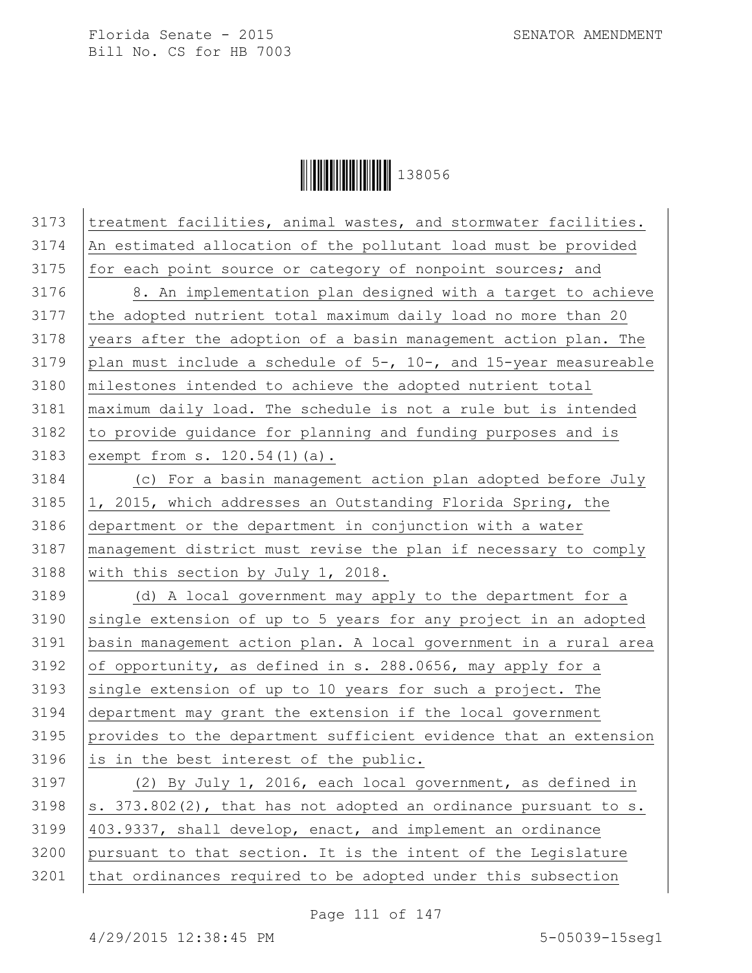**│││││││││││││││││** 138056

| 3173 | treatment facilities, animal wastes, and stormwater facilities.           |
|------|---------------------------------------------------------------------------|
| 3174 | An estimated allocation of the pollutant load must be provided            |
| 3175 | for each point source or category of nonpoint sources; and                |
| 3176 | 8. An implementation plan designed with a target to achieve               |
| 3177 | the adopted nutrient total maximum daily load no more than 20             |
| 3178 | years after the adoption of a basin management action plan. The           |
| 3179 | plan must include a schedule of $5-$ , $10-$ , and $15-$ year measureable |
| 3180 | milestones intended to achieve the adopted nutrient total                 |
| 3181 | maximum daily load. The schedule is not a rule but is intended            |
| 3182 | to provide guidance for planning and funding purposes and is              |
| 3183 | exempt from s. 120.54(1)(a).                                              |
| 3184 | (c) For a basin management action plan adopted before July                |
| 3185 | 1, 2015, which addresses an Outstanding Florida Spring, the               |
| 3186 | department or the department in conjunction with a water                  |
| 3187 | management district must revise the plan if necessary to comply           |
| 3188 | with this section by July 1, 2018.                                        |
| 3189 | (d) A local government may apply to the department for a                  |
| 3190 | single extension of up to 5 years for any project in an adopted           |
| 3191 | basin management action plan. A local government in a rural area          |
| 3192 | of opportunity, as defined in s. 288.0656, may apply for a                |
| 3193 | single extension of up to 10 years for such a project. The                |
| 3194 | department may grant the extension if the local government                |
| 3195 | provides to the department sufficient evidence that an extension          |
| 3196 | is in the best interest of the public.                                    |
| 3197 | (2) By July 1, 2016, each local government, as defined in                 |
| 3198 | s. 373.802(2), that has not adopted an ordinance pursuant to s.           |
| 3199 | 403.9337, shall develop, enact, and implement an ordinance                |
| 3200 | pursuant to that section. It is the intent of the Legislature             |
| 3201 | that ordinances required to be adopted under this subsection              |

Page 111 of 147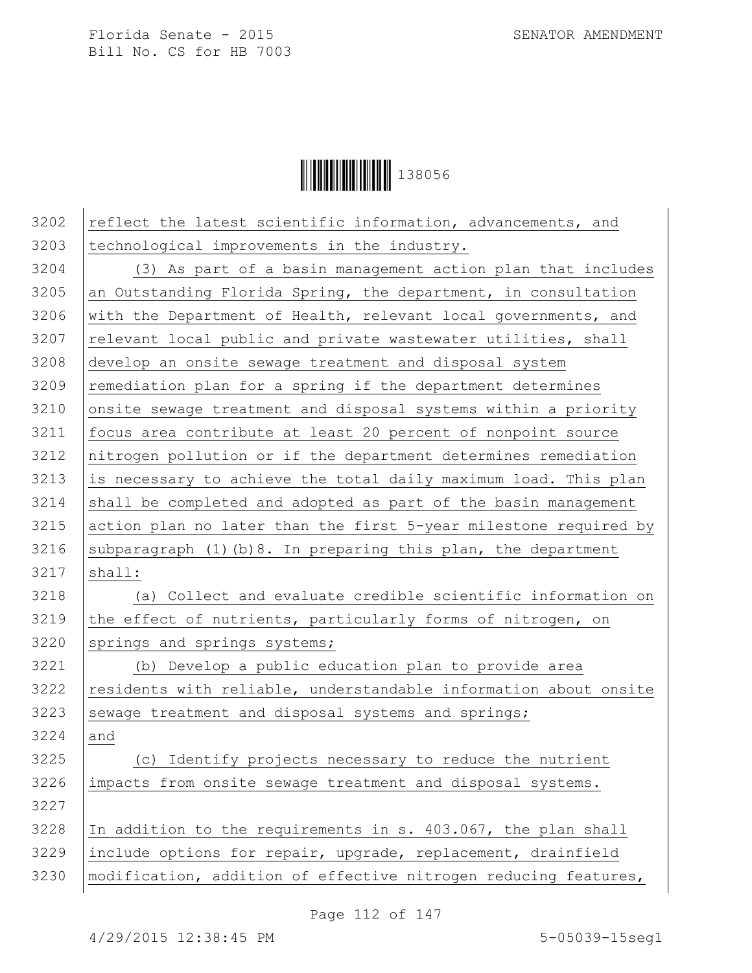

| 3202 | reflect the latest scientific information, advancements, and     |
|------|------------------------------------------------------------------|
| 3203 | technological improvements in the industry.                      |
| 3204 | (3) As part of a basin management action plan that includes      |
| 3205 | an Outstanding Florida Spring, the department, in consultation   |
| 3206 | with the Department of Health, relevant local governments, and   |
| 3207 | relevant local public and private wastewater utilities, shall    |
| 3208 | develop an onsite sewage treatment and disposal system           |
| 3209 | remediation plan for a spring if the department determines       |
| 3210 | onsite sewage treatment and disposal systems within a priority   |
| 3211 | focus area contribute at least 20 percent of nonpoint source     |
| 3212 | nitrogen pollution or if the department determines remediation   |
| 3213 | is necessary to achieve the total daily maximum load. This plan  |
| 3214 | shall be completed and adopted as part of the basin management   |
| 3215 | action plan no later than the first 5-year milestone required by |
| 3216 | subparagraph (1) (b) 8. In preparing this plan, the department   |
| 3217 | shall:                                                           |
| 3218 | (a) Collect and evaluate credible scientific information on      |
| 3219 | the effect of nutrients, particularly forms of nitrogen, on      |
| 3220 | springs and springs systems;                                     |
| 3221 | (b) Develop a public education plan to provide area              |
| 3222 | residents with reliable, understandable information about onsite |
| 3223 | sewage treatment and disposal systems and springs;               |
| 3224 | and                                                              |
| 3225 | (c) Identify projects necessary to reduce the nutrient           |
| 3226 | impacts from onsite sewage treatment and disposal systems.       |
| 3227 |                                                                  |
| 3228 | In addition to the requirements in s. 403.067, the plan shall    |
| 3229 | include options for repair, upgrade, replacement, drainfield     |
| 3230 | modification, addition of effective nitrogen reducing features,  |
|      |                                                                  |

Page 112 of 147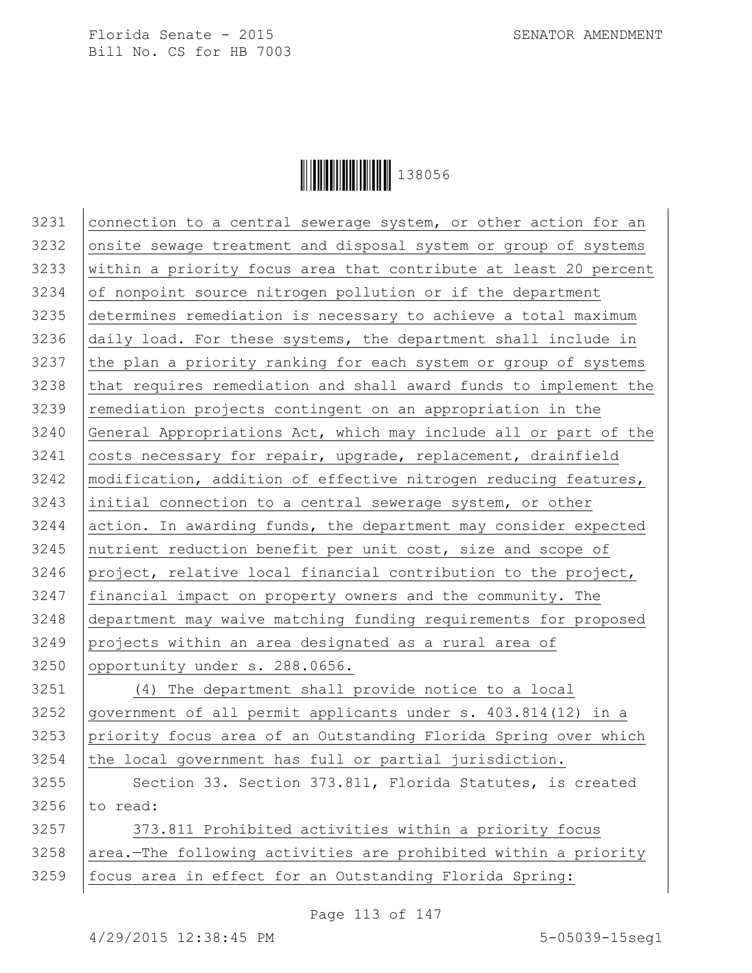

3231 connection to a central sewerage system, or other action for an onsite sewage treatment and disposal system or group of systems within a priority focus area that contribute at least 20 percent of nonpoint source nitrogen pollution or if the department determines remediation is necessary to achieve a total maximum daily load. For these systems, the department shall include in the plan a priority ranking for each system or group of systems 3238 that requires remediation and shall award funds to implement the 3239 remediation projects contingent on an appropriation in the General Appropriations Act, which may include all or part of the costs necessary for repair, upgrade, replacement, drainfield 3242 | modification, addition of effective nitrogen reducing features, initial connection to a central sewerage system, or other action. In awarding funds, the department may consider expected 3245 nutrient reduction benefit per unit cost, size and scope of project, relative local financial contribution to the project, financial impact on property owners and the community. The department may waive matching funding requirements for proposed projects within an area designated as a rural area of 3250 opportunity under s. 288.0656. (4) The department shall provide notice to a local government of all permit applicants under s. 403.814(12) in a priority focus area of an Outstanding Florida Spring over which the local government has full or partial jurisdiction. 3255 Section 33. Section 373.811, Florida Statutes, is created to read: 3257 | 373.811 Prohibited activities within a priority focus area.—The following activities are prohibited within a priority focus area in effect for an Outstanding Florida Spring:

Page 113 of 147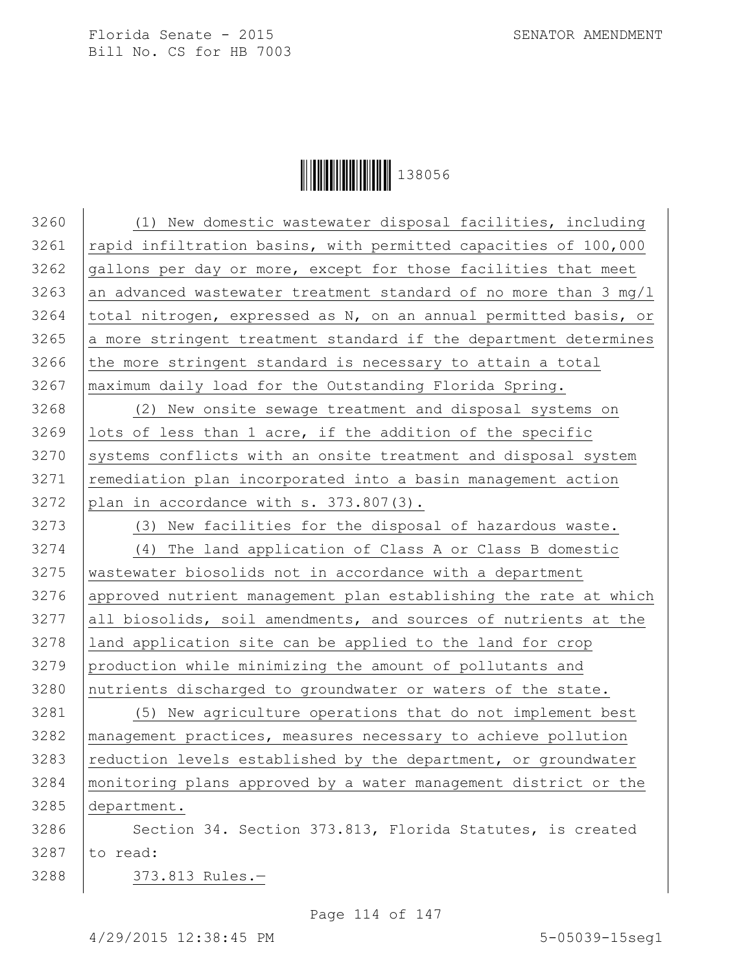

 (1) New domestic wastewater disposal facilities, including  $\vert$  rapid infiltration basins, with permitted capacities of 100,000 gallons per day or more, except for those facilities that meet 3263 an advanced wastewater treatment standard of no more than 3 mg/l 3264 | total nitrogen, expressed as N, on an annual permitted basis, or a more stringent treatment standard if the department determines the more stringent standard is necessary to attain a total maximum daily load for the Outstanding Florida Spring. (2) New onsite sewage treatment and disposal systems on lots of less than 1 acre, if the addition of the specific 3270 Systems conflicts with an onsite treatment and disposal system 3271 | remediation plan incorporated into a basin management action plan in accordance with s.  $373.807(3)$ . 3273 | (3) New facilities for the disposal of hazardous waste. (4) The land application of Class A or Class B domestic wastewater biosolids not in accordance with a department approved nutrient management plan establishing the rate at which all biosolids, soil amendments, and sources of nutrients at the land application site can be applied to the land for crop production while minimizing the amount of pollutants and 3280 nutrients discharged to groundwater or waters of the state. (5) New agriculture operations that do not implement best management practices, measures necessary to achieve pollution reduction levels established by the department, or groundwater monitoring plans approved by a water management district or the department. 3286 | Section 34. Section 373.813, Florida Statutes, is created to read: 373.813 Rules.—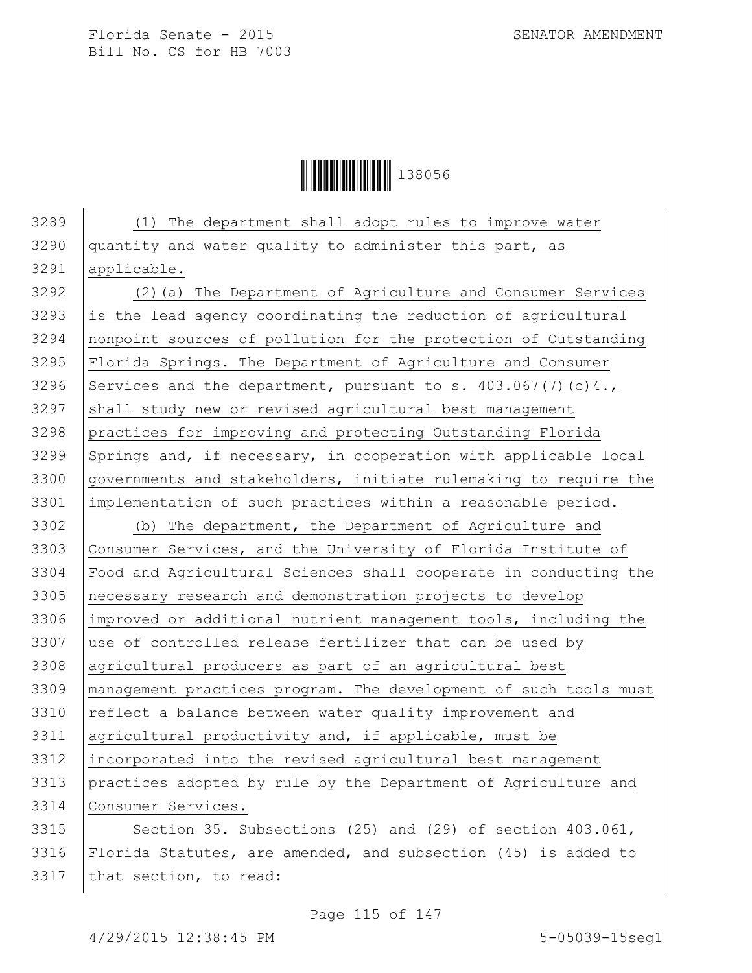

 (1) The department shall adopt rules to improve water quantity and water quality to administer this part, as applicable. (2)(a) The Department of Agriculture and Consumer Services is the lead agency coordinating the reduction of agricultural nonpoint sources of pollution for the protection of Outstanding Florida Springs. The Department of Agriculture and Consumer 3296 Services and the department, pursuant to s.  $403.067(7)(c)4.$ 3297 shall study new or revised agricultural best management practices for improving and protecting Outstanding Florida Springs and, if necessary, in cooperation with applicable local governments and stakeholders, initiate rulemaking to require the implementation of such practices within a reasonable period. (b) The department, the Department of Agriculture and Consumer Services, and the University of Florida Institute of Food and Agricultural Sciences shall cooperate in conducting the necessary research and demonstration projects to develop improved or additional nutrient management tools, including the use of controlled release fertilizer that can be used by agricultural producers as part of an agricultural best management practices program. The development of such tools must 3310 reflect a balance between water quality improvement and agricultural productivity and, if applicable, must be incorporated into the revised agricultural best management practices adopted by rule by the Department of Agriculture and Consumer Services. 3315 Section 35. Subsections (25) and (29) of section  $403.061$ , 3316 Florida Statutes, are amended, and subsection (45) is added to

3317  $|$ that section, to read: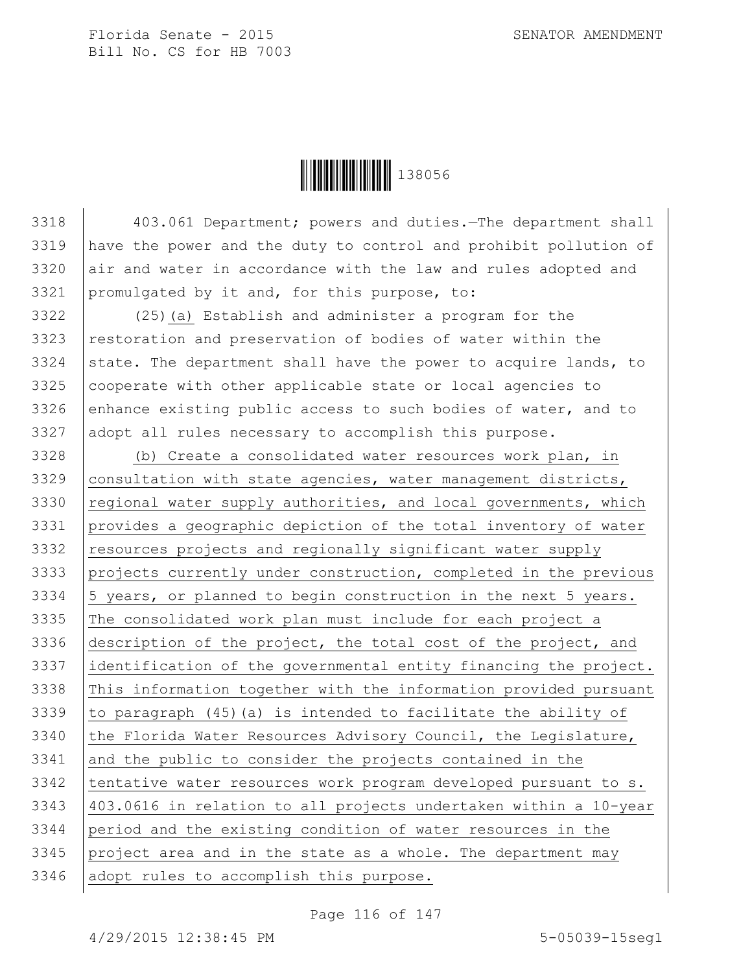

 403.061 Department; powers and duties.—The department shall have the power and the duty to control and prohibit pollution of air and water in accordance with the law and rules adopted and 3321 promulgated by it and, for this purpose, to:

3322 (25)(a) Establish and administer a program for the  $3323$  restoration and preservation of bodies of water within the 3324 state. The department shall have the power to acquire lands, to  $3325$  cooperate with other applicable state or local agencies to 3326 enhance existing public access to such bodies of water, and to 3327 adopt all rules necessary to accomplish this purpose.

3328 (b) Create a consolidated water resources work plan, in 3329 | consultation with state agencies, water management districts, 3330  $\vert$  regional water supply authorities, and local governments, which 3331 provides a geographic depiction of the total inventory of water 3332 resources projects and regionally significant water supply 3333 projects currently under construction, completed in the previous 3334  $\vert$  5 years, or planned to begin construction in the next 5 years. 3335 The consolidated work plan must include for each project a 3336 description of the project, the total cost of the project, and 3337 identification of the governmental entity financing the project. 3338 This information together with the information provided pursuant 3339  $\vert$  to paragraph (45) (a) is intended to facilitate the ability of 3340 the Florida Water Resources Advisory Council, the Legislature, 3341 and the public to consider the projects contained in the 3342 | tentative water resources work program developed pursuant to s. 3343 403.0616 in relation to all projects undertaken within a 10-year 3344 period and the existing condition of water resources in the  $3345$  project area and in the state as a whole. The department may 3346 adopt rules to accomplish this purpose.

Page 116 of 147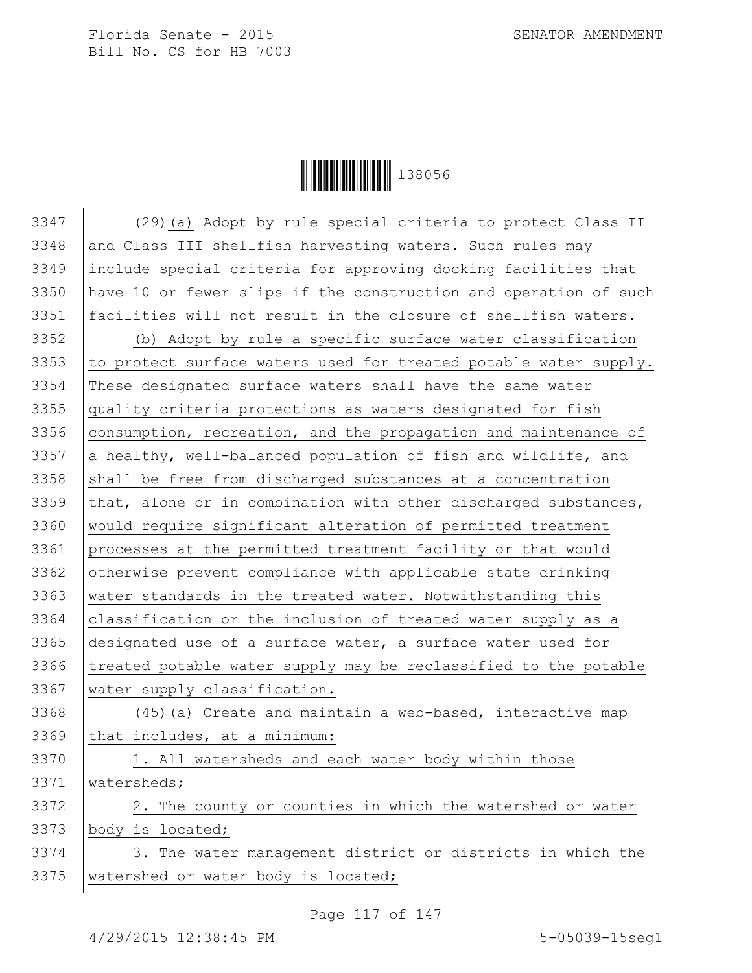Ì1380561Î138056

 (29)(a) Adopt by rule special criteria to protect Class II 3348 and Class III shellfish harvesting waters. Such rules may include special criteria for approving docking facilities that have 10 or fewer slips if the construction and operation of such facilities will not result in the closure of shellfish waters. (b) Adopt by rule a specific surface water classification 3353 to protect surface waters used for treated potable water supply. These designated surface waters shall have the same water quality criteria protections as waters designated for fish consumption, recreation, and the propagation and maintenance of  $|a$  healthy, well-balanced population of fish and wildlife, and shall be free from discharged substances at a concentration  $\vert$ that, alone or in combination with other discharged substances, would require significant alteration of permitted treatment processes at the permitted treatment facility or that would 3362 otherwise prevent compliance with applicable state drinking water standards in the treated water. Notwithstanding this classification or the inclusion of treated water supply as a designated use of a surface water, a surface water used for 3366 treated potable water supply may be reclassified to the potable water supply classification. 3368 (45) (a) Create and maintain a web-based, interactive map that includes, at a minimum: 3370 | 1. All watersheds and each water body within those watersheds; 3372 | 2. The county or counties in which the watershed or water body is located; 3374 3. The water management district or districts in which the 3375 | watershed or water body is located;

Page 117 of 147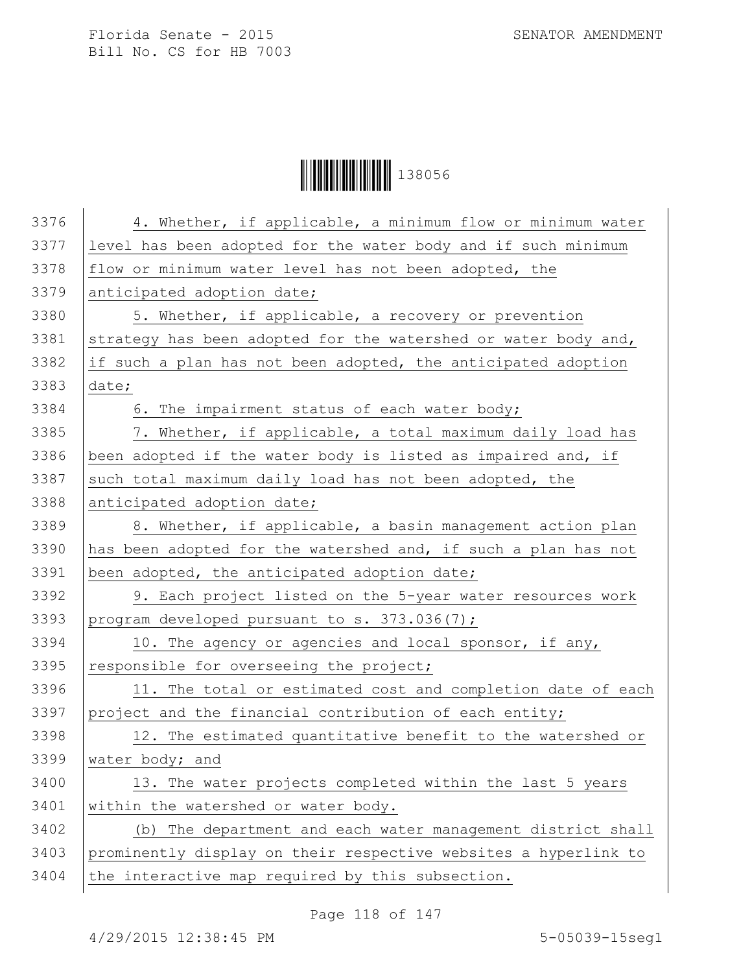**│││││││││││││││││** 138056

| 3376 | 4. Whether, if applicable, a minimum flow or minimum water      |
|------|-----------------------------------------------------------------|
| 3377 | level has been adopted for the water body and if such minimum   |
| 3378 | flow or minimum water level has not been adopted, the           |
| 3379 | anticipated adoption date;                                      |
| 3380 | 5. Whether, if applicable, a recovery or prevention             |
| 3381 | strategy has been adopted for the watershed or water body and,  |
| 3382 | if such a plan has not been adopted, the anticipated adoption   |
| 3383 | date;                                                           |
| 3384 | 6. The impairment status of each water body;                    |
| 3385 | 7. Whether, if applicable, a total maximum daily load has       |
| 3386 | been adopted if the water body is listed as impaired and, if    |
| 3387 | such total maximum daily load has not been adopted, the         |
| 3388 | anticipated adoption date;                                      |
| 3389 | 8. Whether, if applicable, a basin management action plan       |
| 3390 | has been adopted for the watershed and, if such a plan has not  |
| 3391 | been adopted, the anticipated adoption date;                    |
| 3392 | 9. Each project listed on the 5-year water resources work       |
| 3393 | program developed pursuant to s. 373.036(7);                    |
| 3394 | 10. The agency or agencies and local sponsor, if any,           |
| 3395 | responsible for overseeing the project;                         |
| 3396 | 11. The total or estimated cost and completion date of each     |
| 3397 | project and the financial contribution of each entity;          |
| 3398 | 12. The estimated quantitative benefit to the watershed or      |
| 3399 | water body; and                                                 |
| 3400 | 13. The water projects completed within the last 5 years        |
| 3401 | within the watershed or water body.                             |
| 3402 | (b) The department and each water management district shall     |
| 3403 | prominently display on their respective websites a hyperlink to |
| 3404 | the interactive map required by this subsection.                |
|      |                                                                 |

Page 118 of 147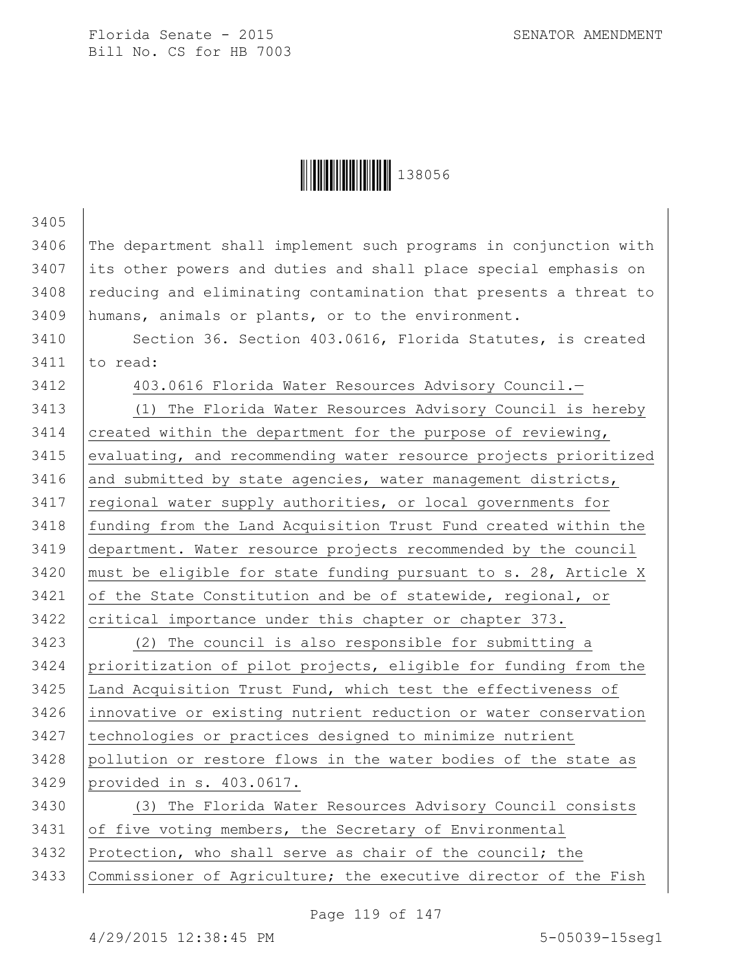

| 3405 |                                                                  |
|------|------------------------------------------------------------------|
| 3406 | The department shall implement such programs in conjunction with |
| 3407 | its other powers and duties and shall place special emphasis on  |
| 3408 | reducing and eliminating contamination that presents a threat to |
| 3409 | humans, animals or plants, or to the environment.                |
| 3410 | Section 36. Section 403.0616, Florida Statutes, is created       |
| 3411 | to read:                                                         |
| 3412 | 403.0616 Florida Water Resources Advisory Council.-              |
| 3413 | (1) The Florida Water Resources Advisory Council is hereby       |
| 3414 | created within the department for the purpose of reviewing,      |
| 3415 | evaluating, and recommending water resource projects prioritized |
| 3416 | and submitted by state agencies, water management districts,     |
| 3417 | regional water supply authorities, or local governments for      |
| 3418 | funding from the Land Acquisition Trust Fund created within the  |
| 3419 | department. Water resource projects recommended by the council   |
| 3420 | must be eligible for state funding pursuant to s. 28, Article X  |
| 3421 | of the State Constitution and be of statewide, regional, or      |
| 3422 | critical importance under this chapter or chapter 373.           |
| 3423 | (2) The council is also responsible for submitting a             |
| 3424 | prioritization of pilot projects, eligible for funding from the  |
| 3425 | Land Acquisition Trust Fund, which test the effectiveness of     |
| 3426 | innovative or existing nutrient reduction or water conservation  |
| 3427 | technologies or practices designed to minimize nutrient          |
| 3428 | pollution or restore flows in the water bodies of the state as   |
| 3429 | provided in s. 403.0617.                                         |
| 3430 | (3) The Florida Water Resources Advisory Council consists        |
| 3431 | of five voting members, the Secretary of Environmental           |
| 3432 | Protection, who shall serve as chair of the council; the         |
| 3433 | Commissioner of Agriculture; the executive director of the Fish  |

Page 119 of 147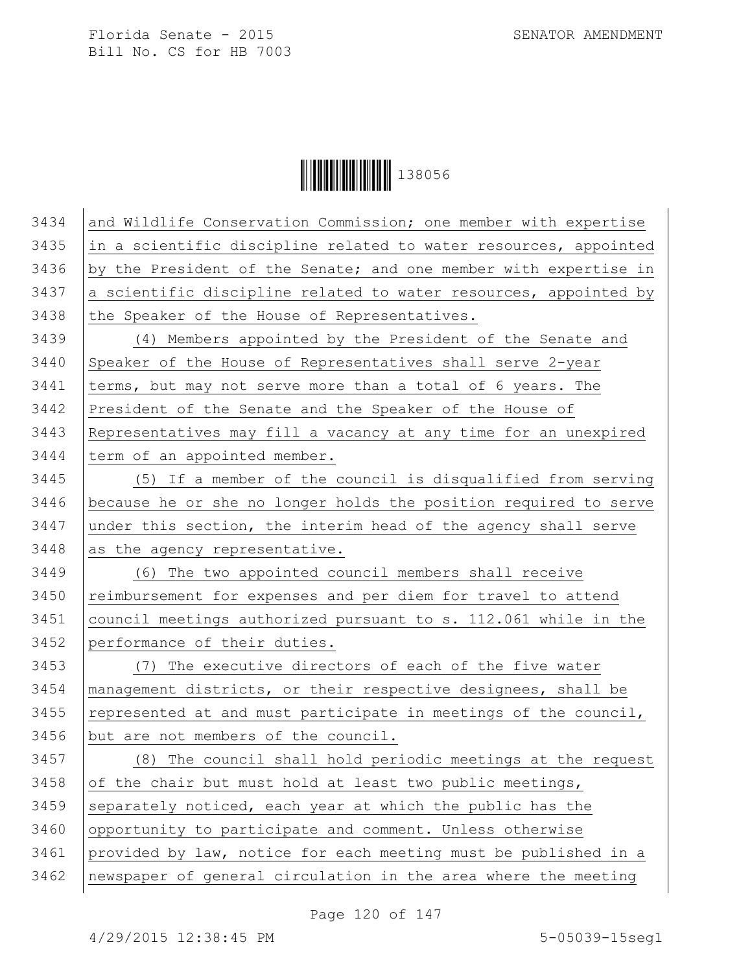**│││││││││││││││││** 138056

| 3434 | and Wildlife Conservation Commission; one member with expertise  |
|------|------------------------------------------------------------------|
| 3435 | in a scientific discipline related to water resources, appointed |
| 3436 | by the President of the Senate; and one member with expertise in |
| 3437 | a scientific discipline related to water resources, appointed by |
| 3438 | the Speaker of the House of Representatives.                     |
| 3439 | (4) Members appointed by the President of the Senate and         |
| 3440 | Speaker of the House of Representatives shall serve 2-year       |
| 3441 | terms, but may not serve more than a total of 6 years. The       |
| 3442 | President of the Senate and the Speaker of the House of          |
| 3443 | Representatives may fill a vacancy at any time for an unexpired  |
| 3444 | term of an appointed member.                                     |
| 3445 | (5) If a member of the council is disqualified from serving      |
| 3446 | because he or she no longer holds the position required to serve |
| 3447 | under this section, the interim head of the agency shall serve   |
| 3448 | as the agency representative.                                    |
| 3449 | (6) The two appointed council members shall receive              |
| 3450 | reimbursement for expenses and per diem for travel to attend     |
| 3451 | council meetings authorized pursuant to s. 112.061 while in the  |
| 3452 | performance of their duties.                                     |
| 3453 | (7) The executive directors of each of the five water            |
| 3454 | management districts, or their respective designees, shall be    |
| 3455 | represented at and must participate in meetings of the council,  |
| 3456 | but are not members of the council.                              |
| 3457 |                                                                  |
|      | (8) The council shall hold periodic meetings at the request      |
| 3458 | of the chair but must hold at least two public meetings,         |
| 3459 | separately noticed, each year at which the public has the        |
| 3460 | opportunity to participate and comment. Unless otherwise         |
| 3461 | provided by law, notice for each meeting must be published in a  |
| 3462 | newspaper of general circulation in the area where the meeting   |

Page 120 of 147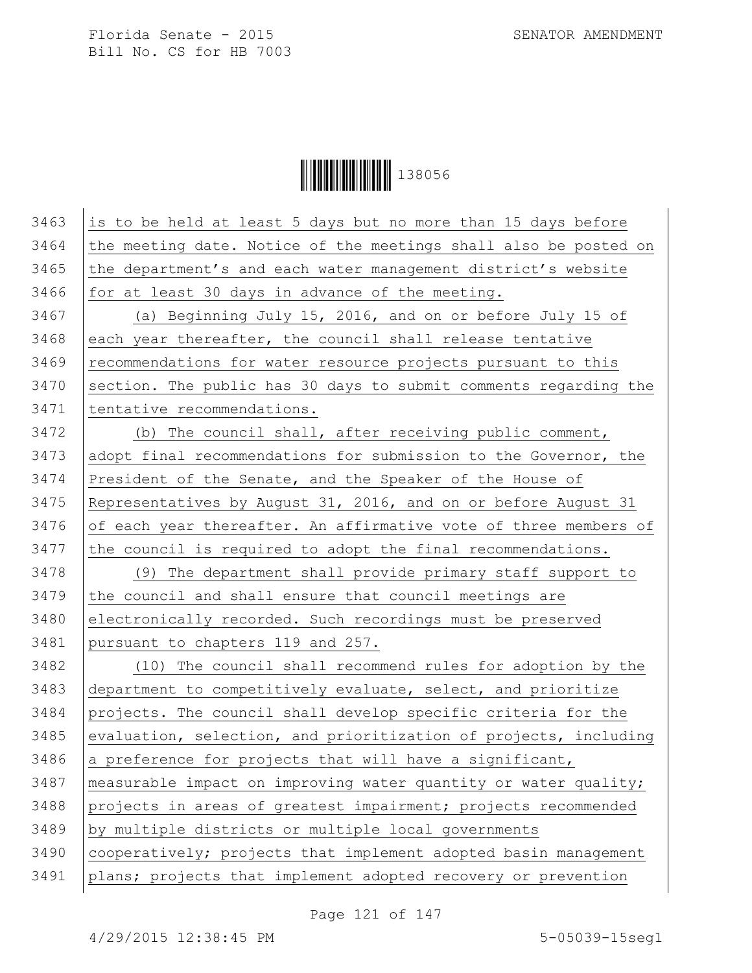**││││││││││││││││** 138056

| 3463 | is to be held at least 5 days but no more than 15 days before    |
|------|------------------------------------------------------------------|
| 3464 | the meeting date. Notice of the meetings shall also be posted on |
| 3465 | the department's and each water management district's website    |
| 3466 | for at least 30 days in advance of the meeting.                  |
| 3467 | (a) Beginning July 15, 2016, and on or before July 15 of         |
| 3468 | each year thereafter, the council shall release tentative        |
| 3469 | recommendations for water resource projects pursuant to this     |
| 3470 | section. The public has 30 days to submit comments regarding the |
| 3471 | tentative recommendations.                                       |
| 3472 | (b) The council shall, after receiving public comment,           |
| 3473 | adopt final recommendations for submission to the Governor, the  |
| 3474 | President of the Senate, and the Speaker of the House of         |
| 3475 | Representatives by August 31, 2016, and on or before August 31   |
| 3476 | of each year thereafter. An affirmative vote of three members of |
| 3477 | the council is required to adopt the final recommendations.      |
| 3478 | (9) The department shall provide primary staff support to        |
| 3479 | the council and shall ensure that council meetings are           |
| 3480 | electronically recorded. Such recordings must be preserved       |
| 3481 | pursuant to chapters 119 and 257.                                |
| 3482 | (10) The council shall recommend rules for adoption by the       |
| 3483 | department to competitively evaluate, select, and prioritize     |
| 3484 | projects. The council shall develop specific criteria for the    |
| 3485 | evaluation, selection, and prioritization of projects, including |
| 3486 | a preference for projects that will have a significant,          |
| 3487 | measurable impact on improving water quantity or water quality;  |
| 3488 | projects in areas of greatest impairment; projects recommended   |
| 3489 | by multiple districts or multiple local governments              |
| 3490 | cooperatively; projects that implement adopted basin management  |
| 3491 | plans; projects that implement adopted recovery or prevention    |
|      |                                                                  |

Page 121 of 147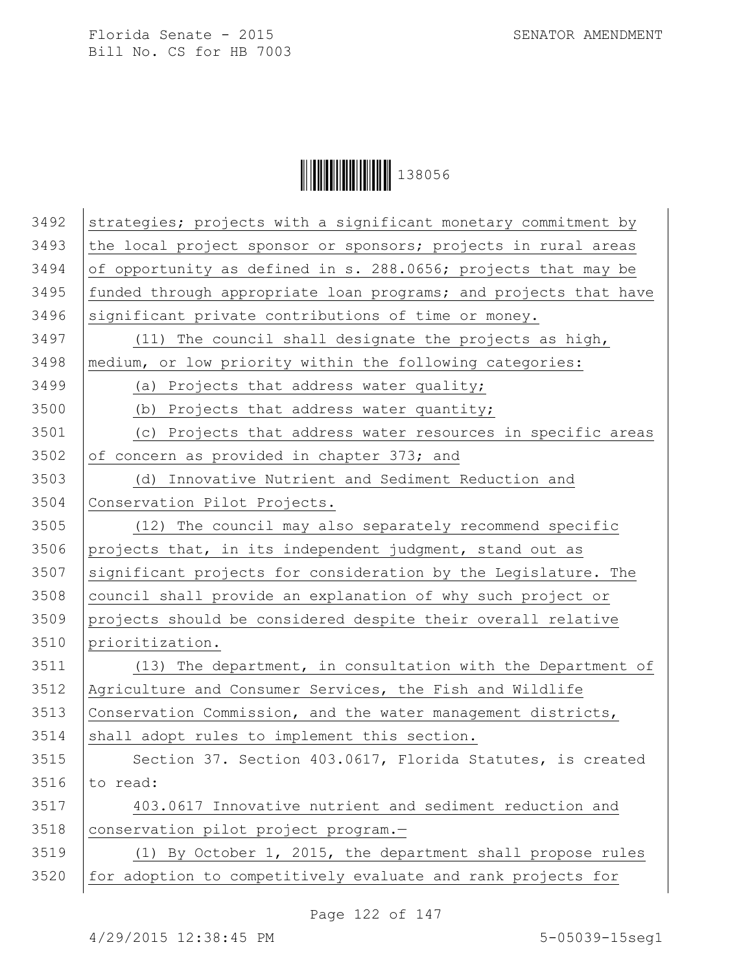**││││││││││││││││** 138056

| 3492 | strategies; projects with a significant monetary commitment by   |
|------|------------------------------------------------------------------|
| 3493 | the local project sponsor or sponsors; projects in rural areas   |
| 3494 | of opportunity as defined in s. 288.0656; projects that may be   |
| 3495 | funded through appropriate loan programs; and projects that have |
| 3496 | significant private contributions of time or money.              |
| 3497 | (11) The council shall designate the projects as high,           |
| 3498 | medium, or low priority within the following categories:         |
| 3499 | (a) Projects that address water quality;                         |
| 3500 | (b) Projects that address water quantity;                        |
| 3501 | (c) Projects that address water resources in specific areas      |
| 3502 | of concern as provided in chapter 373; and                       |
| 3503 | (d) Innovative Nutrient and Sediment Reduction and               |
| 3504 | Conservation Pilot Projects.                                     |
| 3505 | (12) The council may also separately recommend specific          |
| 3506 | projects that, in its independent judgment, stand out as         |
| 3507 | significant projects for consideration by the Legislature. The   |
| 3508 | council shall provide an explanation of why such project or      |
| 3509 | projects should be considered despite their overall relative     |
| 3510 | prioritization.                                                  |
| 3511 | (13) The department, in consultation with the Department of      |
| 3512 | Agriculture and Consumer Services, the Fish and Wildlife         |
| 3513 | Conservation Commission, and the water management districts,     |
| 3514 | shall adopt rules to implement this section.                     |
| 3515 | Section 37. Section 403.0617, Florida Statutes, is created       |
| 3516 | to read:                                                         |
| 3517 | 403.0617 Innovative nutrient and sediment reduction and          |
| 3518 | conservation pilot project program.-                             |
| 3519 | (1) By October 1, 2015, the department shall propose rules       |
| 3520 | for adoption to competitively evaluate and rank projects for     |
|      |                                                                  |

Page 122 of 147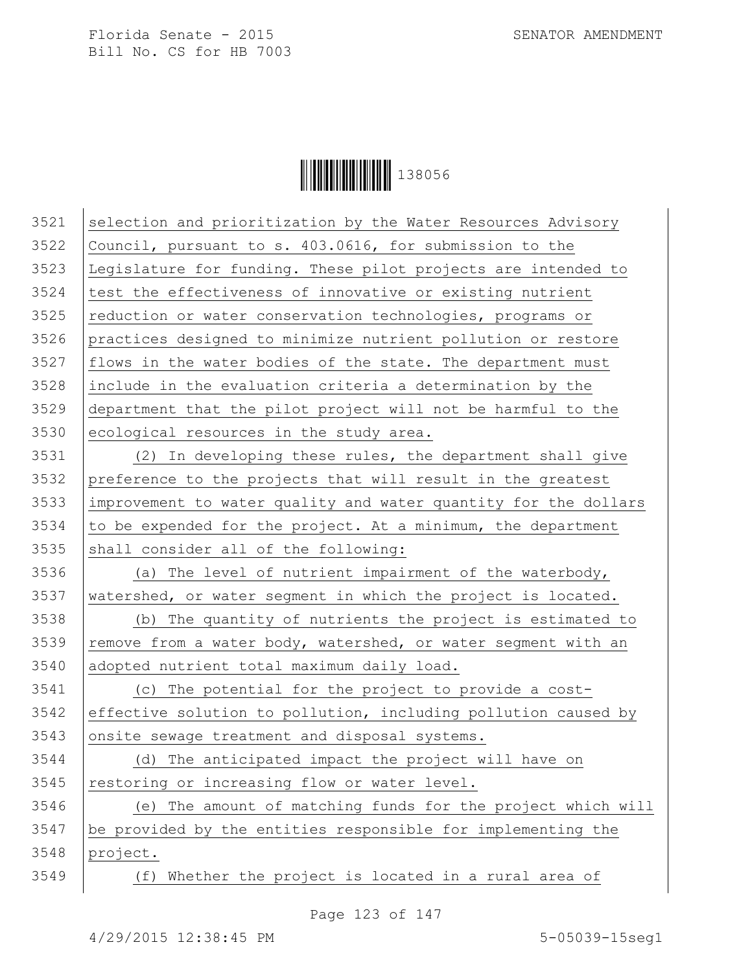

 selection and prioritization by the Water Resources Advisory Council, pursuant to s. 403.0616, for submission to the Legislature for funding. These pilot projects are intended to test the effectiveness of innovative or existing nutrient reduction or water conservation technologies, programs or practices designed to minimize nutrient pollution or restore | flows in the water bodies of the state. The department must include in the evaluation criteria a determination by the department that the pilot project will not be harmful to the ecological resources in the study area.

 (2) In developing these rules, the department shall give preference to the projects that will result in the greatest improvement to water quality and water quantity for the dollars to be expended for the project. At a minimum, the department shall consider all of the following:

3536  $\vert$  (a) The level of nutrient impairment of the waterbody, watershed, or water seqment in which the project is located.

 (b) The quantity of nutrients the project is estimated to 3539 | remove from a water body, watershed, or water segment with an adopted nutrient total maximum daily load.

 (c) The potential for the project to provide a cost- effective solution to pollution, including pollution caused by onsite sewage treatment and disposal systems.

 (d) The anticipated impact the project will have on restoring or increasing flow or water level.

 (e) The amount of matching funds for the project which will be provided by the entities responsible for implementing the project.

(f) Whether the project is located in a rural area of

Page 123 of 147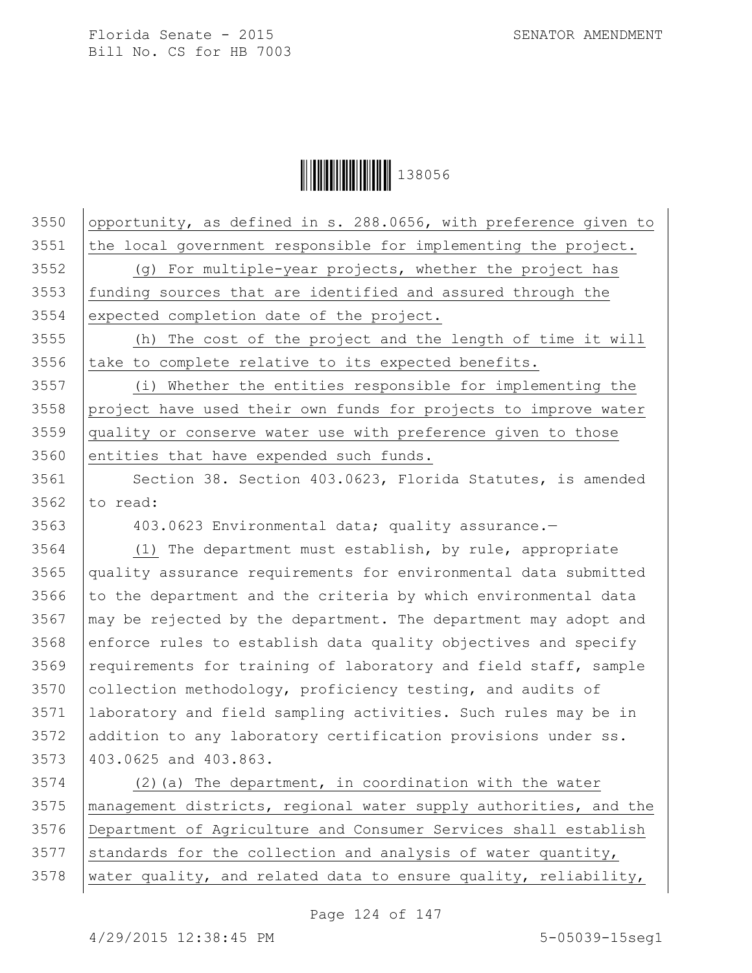Ì1380561Î138056

| 3550 | opportunity, as defined in s. 288.0656, with preference given to |
|------|------------------------------------------------------------------|
| 3551 | the local government responsible for implementing the project.   |
| 3552 | (g) For multiple-year projects, whether the project has          |
| 3553 | funding sources that are identified and assured through the      |
| 3554 | expected completion date of the project.                         |
| 3555 | (h) The cost of the project and the length of time it will       |
| 3556 | take to complete relative to its expected benefits.              |
| 3557 | (i) Whether the entities responsible for implementing the        |
| 3558 | project have used their own funds for projects to improve water  |
| 3559 | quality or conserve water use with preference given to those     |
| 3560 | entities that have expended such funds.                          |
| 3561 | Section 38. Section 403.0623, Florida Statutes, is amended       |
| 3562 | to read:                                                         |
| 3563 | 403.0623 Environmental data; quality assurance.-                 |
| 3564 | (1) The department must establish, by rule, appropriate          |
| 3565 | quality assurance requirements for environmental data submitted  |
| 3566 | to the department and the criteria by which environmental data   |
| 3567 | may be rejected by the department. The department may adopt and  |
| 3568 | enforce rules to establish data quality objectives and specify   |
| 3569 | requirements for training of laboratory and field staff, sample  |
| 3570 | collection methodology, proficiency testing, and audits of       |
| 3571 | laboratory and field sampling activities. Such rules may be in   |
| 3572 | addition to any laboratory certification provisions under ss.    |
| 3573 | 403.0625 and 403.863.                                            |
| 3574 | (2) (a) The department, in coordination with the water           |
| 3575 | management districts, regional water supply authorities, and the |
| 3576 | Department of Agriculture and Consumer Services shall establish  |
| 3577 | standards for the collection and analysis of water quantity,     |

water quality, and related data to ensure quality, reliability,

Page 124 of 147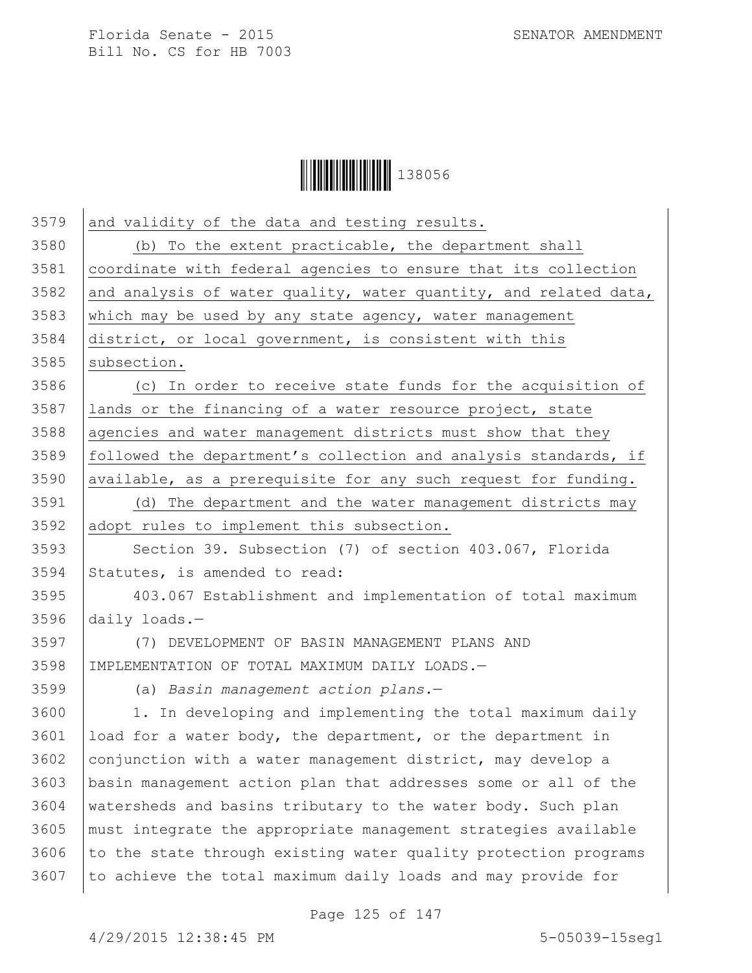

| 3579 | and validity of the data and testing results.                    |
|------|------------------------------------------------------------------|
| 3580 | (b) To the extent practicable, the department shall              |
| 3581 | coordinate with federal agencies to ensure that its collection   |
| 3582 | and analysis of water quality, water quantity, and related data, |
| 3583 | which may be used by any state agency, water management          |
| 3584 | district, or local government, is consistent with this           |
| 3585 | subsection.                                                      |
| 3586 | (c) In order to receive state funds for the acquisition of       |
| 3587 | lands or the financing of a water resource project, state        |
| 3588 | agencies and water management districts must show that they      |
| 3589 | followed the department's collection and analysis standards, if  |
| 3590 | available, as a prerequisite for any such request for funding.   |
| 3591 | (d) The department and the water management districts may        |
| 3592 | adopt rules to implement this subsection.                        |
| 3593 | Section 39. Subsection (7) of section 403.067, Florida           |
| 3594 | Statutes, is amended to read:                                    |
| 3595 | 403.067 Establishment and implementation of total maximum        |
| 3596 | daily loads. $-$                                                 |
| 3597 | (7) DEVELOPMENT OF BASIN MANAGEMENT PLANS AND                    |
| 3598 | IMPLEMENTATION OF TOTAL MAXIMUM DAILY LOADS.-                    |
| 3599 | (a) Basin management action plans.-                              |
| 3600 | 1. In developing and implementing the total maximum daily        |
| 3601 | load for a water body, the department, or the department in      |
| 3602 | conjunction with a water management district, may develop a      |
| 3603 | basin management action plan that addresses some or all of the   |
| 3604 | watersheds and basins tributary to the water body. Such plan     |
| 3605 | must integrate the appropriate management strategies available   |
| 3606 | to the state through existing water quality protection programs  |
| 3607 | to achieve the total maximum daily loads and may provide for     |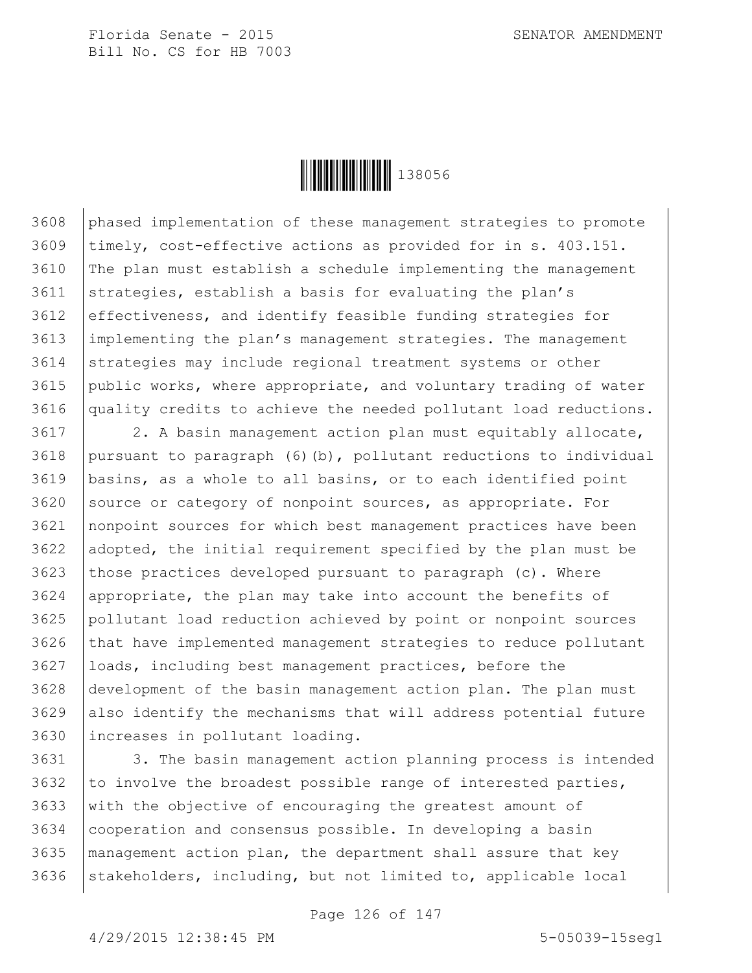

 phased implementation of these management strategies to promote timely, cost-effective actions as provided for in s. 403.151. The plan must establish a schedule implementing the management 3611 strategies, establish a basis for evaluating the plan's effectiveness, and identify feasible funding strategies for implementing the plan's management strategies. The management 3614 strategies may include regional treatment systems or other public works, where appropriate, and voluntary trading of water quality credits to achieve the needed pollutant load reductions.

3617 | 2. A basin management action plan must equitably allocate, 3618 | pursuant to paragraph  $(6)$  (b), pollutant reductions to individual basins, as a whole to all basins, or to each identified point source or category of nonpoint sources, as appropriate. For nonpoint sources for which best management practices have been adopted, the initial requirement specified by the plan must be 3623 those practices developed pursuant to paragraph (c). Where appropriate, the plan may take into account the benefits of pollutant load reduction achieved by point or nonpoint sources 3626 that have implemented management strategies to reduce pollutant loads, including best management practices, before the development of the basin management action plan. The plan must also identify the mechanisms that will address potential future increases in pollutant loading.

3631 3. The basin management action planning process is intended 3632 to involve the broadest possible range of interested parties, with the objective of encouraging the greatest amount of cooperation and consensus possible. In developing a basin management action plan, the department shall assure that key stakeholders, including, but not limited to, applicable local

Page 126 of 147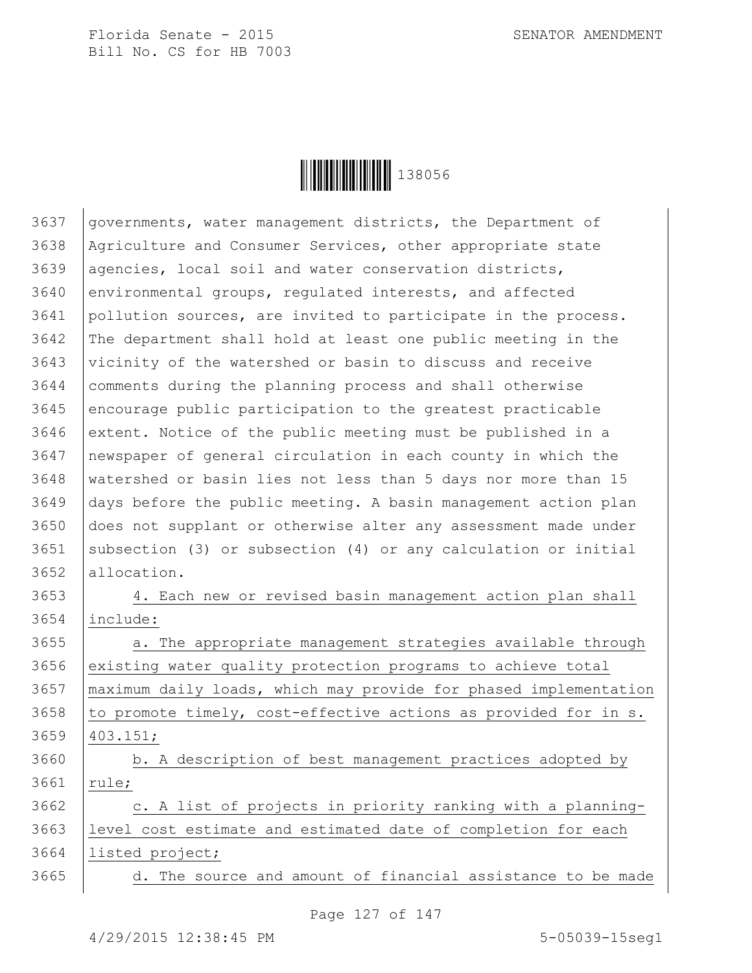

 governments, water management districts, the Department of Agriculture and Consumer Services, other appropriate state 3639 | agencies, local soil and water conservation districts, environmental groups, regulated interests, and affected pollution sources, are invited to participate in the process. The department shall hold at least one public meeting in the vicinity of the watershed or basin to discuss and receive comments during the planning process and shall otherwise encourage public participation to the greatest practicable extent. Notice of the public meeting must be published in a newspaper of general circulation in each county in which the watershed or basin lies not less than 5 days nor more than 15 days before the public meeting. A basin management action plan does not supplant or otherwise alter any assessment made under 3651 | subsection (3) or subsection (4) or any calculation or initial 3652 allocation.

 4. Each new or revised basin management action plan shall include:

3655 a. The appropriate management strategies available through 3656 existing water quality protection programs to achieve total maximum daily loads, which may provide for phased implementation to promote timely, cost-effective actions as provided for in s. 403.151;

3660 b. A description of best management practices adopted by 3661 | rule;

  $\vert$  c. A list of projects in priority ranking with a planning- level cost estimate and estimated date of completion for each listed project;

3665 | d. The source and amount of financial assistance to be made

Page 127 of 147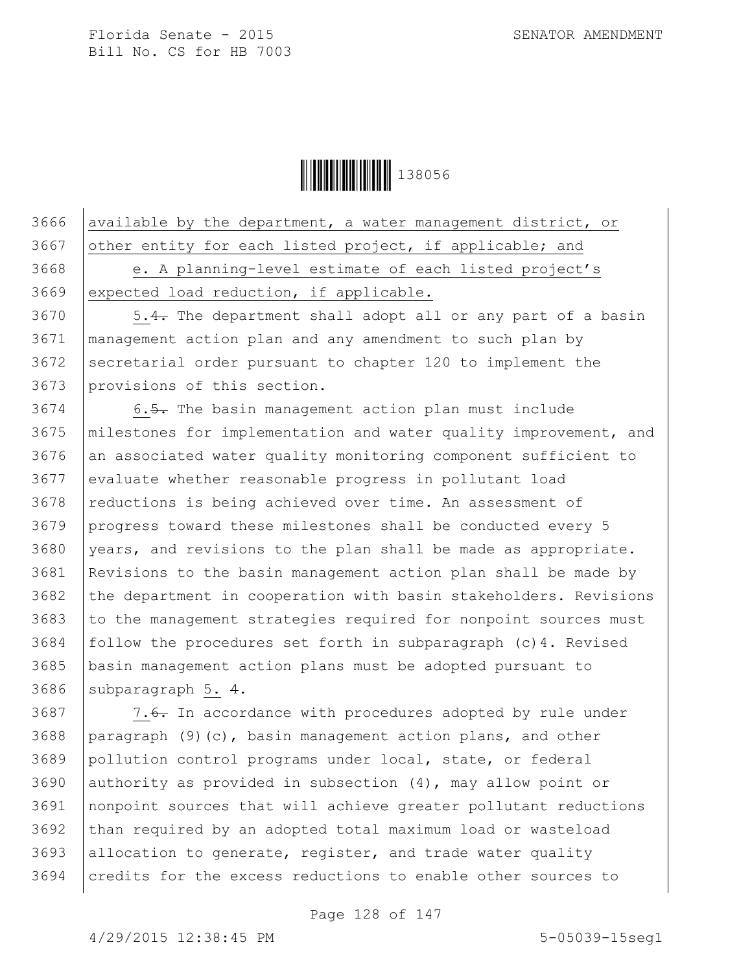

3666 available by the department, a water management district, or 3667 other entity for each listed project, if applicable; and 3668 e. A planning-level estimate of each listed project's 3669 expected load reduction, if applicable.

3670 | 5.4. The department shall adopt all or any part of a basin management action plan and any amendment to such plan by secretarial order pursuant to chapter 120 to implement the provisions of this section.

3674 6.5. The basin management action plan must include milestones for implementation and water quality improvement, and 3676 an associated water quality monitoring component sufficient to evaluate whether reasonable progress in pollutant load 3678 reductions is being achieved over time. An assessment of progress toward these milestones shall be conducted every 5 years, and revisions to the plan shall be made as appropriate. Revisions to the basin management action plan shall be made by 3682 the department in cooperation with basin stakeholders. Revisions to the management strategies required for nonpoint sources must  $\vert$  follow the procedures set forth in subparagraph (c)4. Revised basin management action plans must be adopted pursuant to 3686 subparagraph  $5. 4.$ 

 |  $7.6$ . In accordance with procedures adopted by rule under paragraph (9)(c), basin management action plans, and other pollution control programs under local, state, or federal authority as provided in subsection (4), may allow point or nonpoint sources that will achieve greater pollutant reductions than required by an adopted total maximum load or wasteload allocation to generate, register, and trade water quality 3694 credits for the excess reductions to enable other sources to

Page 128 of 147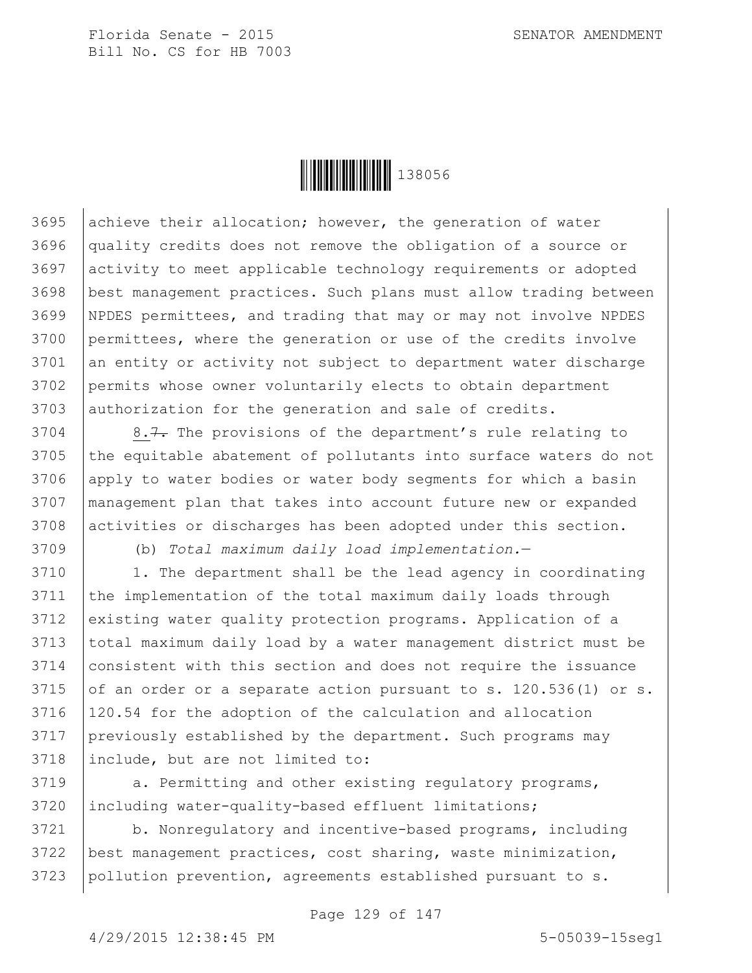

3695 achieve their allocation; however, the generation of water quality credits does not remove the obligation of a source or activity to meet applicable technology requirements or adopted best management practices. Such plans must allow trading between NPDES permittees, and trading that may or may not involve NPDES permittees, where the generation or use of the credits involve 3701 an entity or activity not subject to department water discharge permits whose owner voluntarily elects to obtain department 3703 authorization for the generation and sale of credits.

 | 8.7. The provisions of the department's rule relating to 3705 | the equitable abatement of pollutants into surface waters do not apply to water bodies or water body segments for which a basin management plan that takes into account future new or expanded activities or discharges has been adopted under this section.

3709 (b) *Total maximum daily load implementation.*—

 1. The department shall be the lead agency in coordinating the implementation of the total maximum daily loads through 3712 existing water quality protection programs. Application of a 3713 total maximum daily load by a water management district must be consistent with this section and does not require the issuance 3715 of an order or a separate action pursuant to s.  $120.536(1)$  or s. 120.54 for the adoption of the calculation and allocation previously established by the department. Such programs may include, but are not limited to:

3719 a. Permitting and other existing regulatory programs, 3720 including water-quality-based effluent limitations;

3721 | b. Nonregulatory and incentive-based programs, including 3722 best management practices, cost sharing, waste minimization, 3723 pollution prevention, agreements established pursuant to s.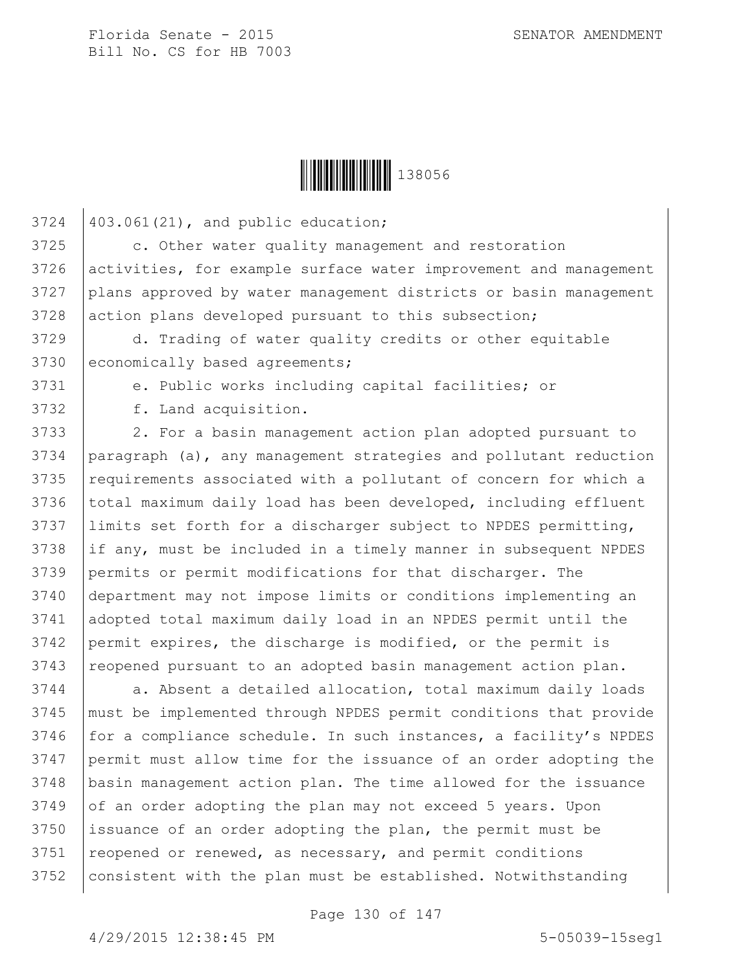$3724$   $|403.061(21)$ , and public education;



3725 c. Other water quality management and restoration 3726 activities, for example surface water improvement and management 3727 plans approved by water management districts or basin management 3728 action plans developed pursuant to this subsection; d. Trading of water quality credits or other equitable 3730 economically based agreements; e. Public works including capital facilities; or f. Land acquisition. 3733 | 2. For a basin management action plan adopted pursuant to paragraph (a), any management strategies and pollutant reduction 3735 requirements associated with a pollutant of concern for which a 3736 total maximum daily load has been developed, including effluent limits set forth for a discharger subject to NPDES permitting, 3738 if any, must be included in a timely manner in subsequent NPDES permits or permit modifications for that discharger. The department may not impose limits or conditions implementing an adopted total maximum daily load in an NPDES permit until the permit expires, the discharge is modified, or the permit is reopened pursuant to an adopted basin management action plan. 3744 | a. Absent a detailed allocation, total maximum daily loads must be implemented through NPDES permit conditions that provide for a compliance schedule. In such instances, a facility's NPDES permit must allow time for the issuance of an order adopting the basin management action plan. The time allowed for the issuance of an order adopting the plan may not exceed 5 years. Upon issuance of an order adopting the plan, the permit must be reopened or renewed, as necessary, and permit conditions 3752 | consistent with the plan must be established. Notwithstanding

Page 130 of 147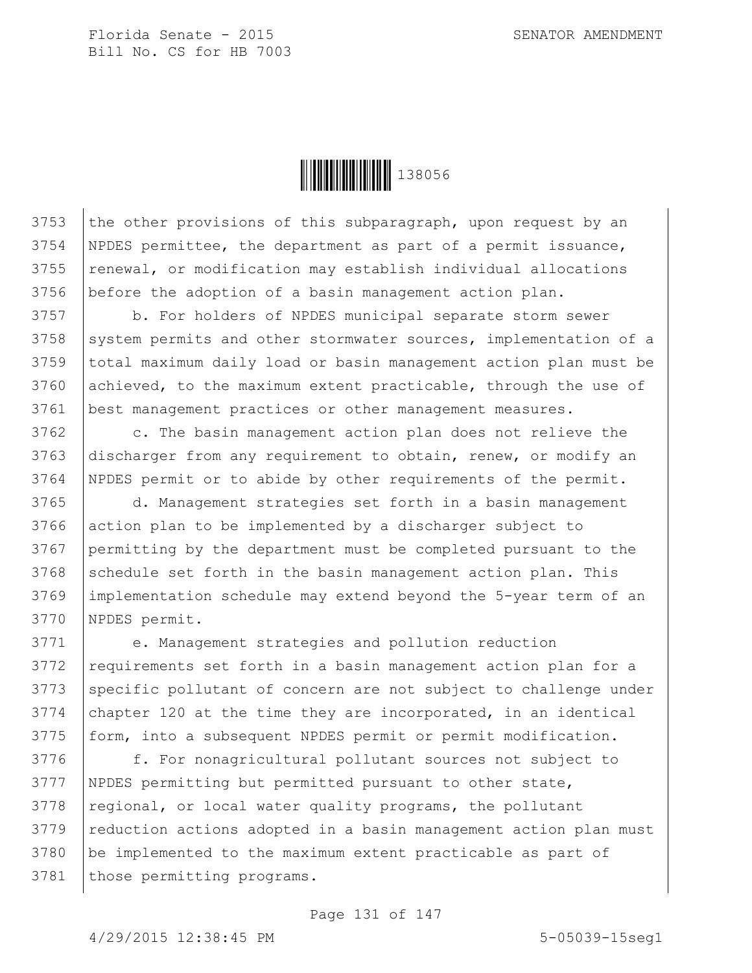

3753 the other provisions of this subparagraph, upon request by an NPDES permittee, the department as part of a permit issuance, renewal, or modification may establish individual allocations before the adoption of a basin management action plan.

3757 b. For holders of NPDES municipal separate storm sewer  $3758$  system permits and other stormwater sources, implementation of a 3759 total maximum daily load or basin management action plan must be 3760 achieved, to the maximum extent practicable, through the use of 3761 best management practices or other management measures.

3762 c. The basin management action plan does not relieve the 3763 discharger from any requirement to obtain, renew, or modify an 3764 NPDES permit or to abide by other requirements of the permit.

 d. Management strategies set forth in a basin management action plan to be implemented by a discharger subject to permitting by the department must be completed pursuant to the schedule set forth in the basin management action plan. This implementation schedule may extend beyond the 5-year term of an NPDES permit.

3771 e. Management strategies and pollution reduction 3772 | requirements set forth in a basin management action plan for a 3773 Specific pollutant of concern are not subject to challenge under  $3774$  chapter 120 at the time they are incorporated, in an identical 3775 | form, into a subsequent NPDES permit or permit modification.

3776 | f. For nonagricultural pollutant sources not subject to 3777 NPDES permitting but permitted pursuant to other state,  $3778$  regional, or local water quality programs, the pollutant 3779 | reduction actions adopted in a basin management action plan must 3780 be implemented to the maximum extent practicable as part of 3781 | those permitting programs.

## Page 131 of 147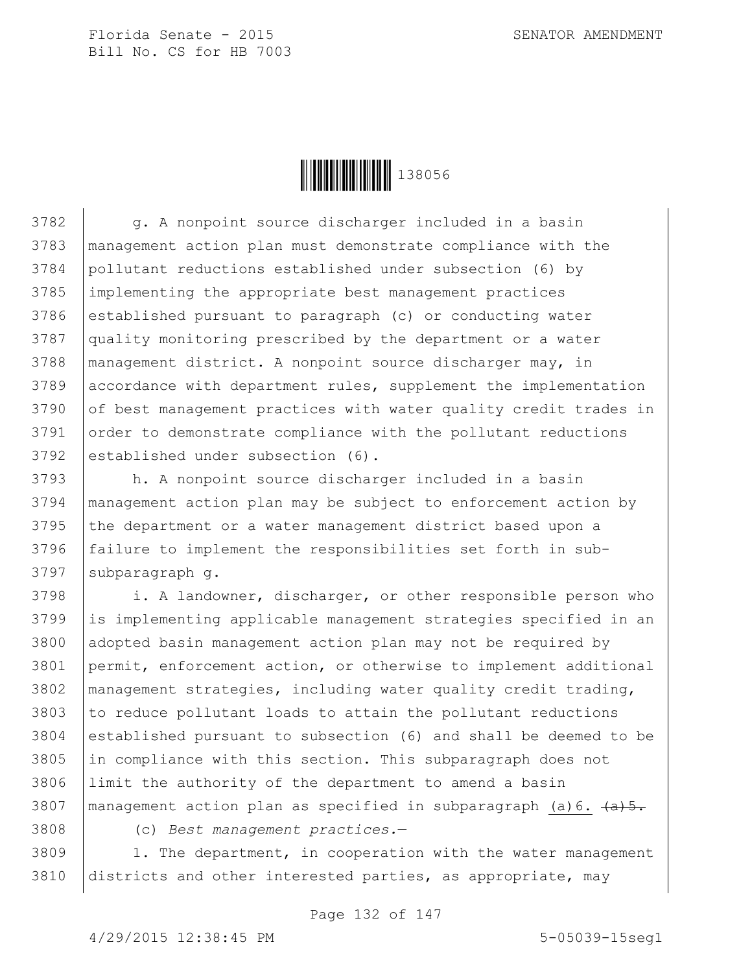

3782 g. A nonpoint source discharger included in a basin 3783 management action plan must demonstrate compliance with the 3784 pollutant reductions established under subsection (6) by 3785 implementing the appropriate best management practices 3786 established pursuant to paragraph (c) or conducting water 3787 quality monitoring prescribed by the department or a water 3788 management district. A nonpoint source discharger may, in 3789 accordance with department rules, supplement the implementation 3790 of best management practices with water quality credit trades in 3791 order to demonstrate compliance with the pollutant reductions 3792 established under subsection (6).

 h. A nonpoint source discharger included in a basin management action plan may be subject to enforcement action by the department or a water management district based upon a 3796 failure to implement the responsibilities set forth in sub-subparagraph q.

3798 i. A landowner, discharger, or other responsible person who is implementing applicable management strategies specified in an adopted basin management action plan may not be required by permit, enforcement action, or otherwise to implement additional management strategies, including water quality credit trading, to reduce pollutant loads to attain the pollutant reductions established pursuant to subsection (6) and shall be deemed to be in compliance with this section. This subparagraph does not limit the authority of the department to amend a basin 3807 | management action plan as specified in subparagraph (a)  $6. \frac{a}{5}.$ 

3808 (c) *Best management practices.*—

 $3809$  | 1. The department, in cooperation with the water management 3810 districts and other interested parties, as appropriate, may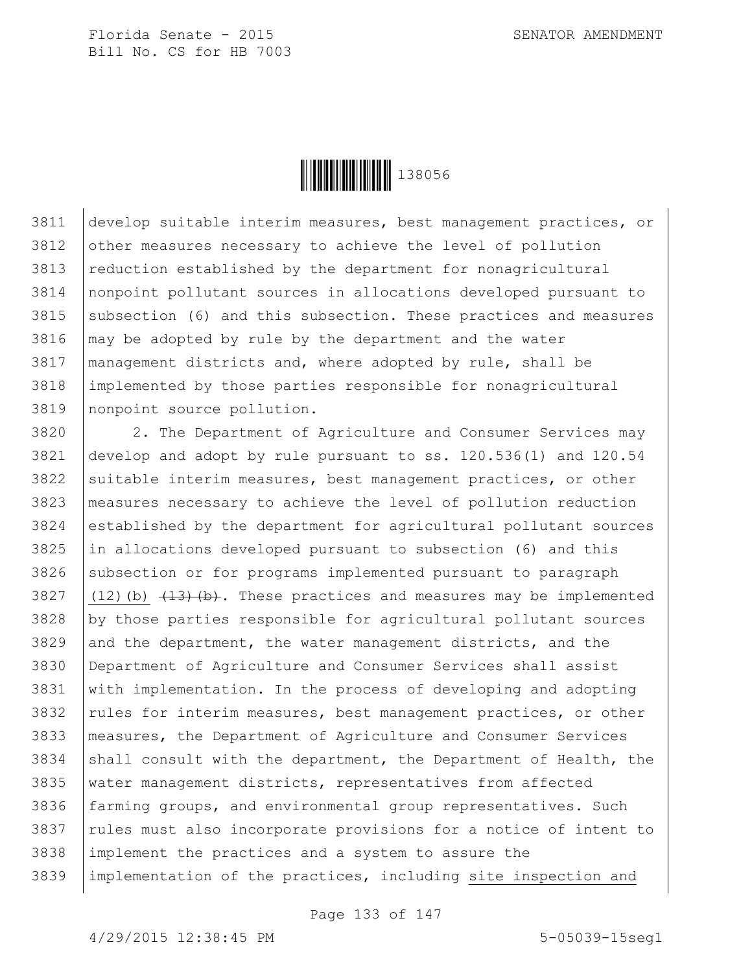

 develop suitable interim measures, best management practices, or 3812 | other measures necessary to achieve the level of pollution reduction established by the department for nonagricultural nonpoint pollutant sources in allocations developed pursuant to subsection (6) and this subsection. These practices and measures may be adopted by rule by the department and the water management districts and, where adopted by rule, shall be implemented by those parties responsible for nonagricultural nonpoint source pollution.

 2. The Department of Agriculture and Consumer Services may develop and adopt by rule pursuant to ss. 120.536(1) and 120.54 suitable interim measures, best management practices, or other measures necessary to achieve the level of pollution reduction established by the department for agricultural pollutant sources in allocations developed pursuant to subsection (6) and this subsection or for programs implemented pursuant to paragraph  $(12)(b)$   $(13)(b)$ . These practices and measures may be implemented by those parties responsible for agricultural pollutant sources and the department, the water management districts, and the Department of Agriculture and Consumer Services shall assist with implementation. In the process of developing and adopting rules for interim measures, best management practices, or other measures, the Department of Agriculture and Consumer Services 3834 shall consult with the department, the Department of Health, the 3835 | water management districts, representatives from affected 3836 farming groups, and environmental group representatives. Such rules must also incorporate provisions for a notice of intent to implement the practices and a system to assure the implementation of the practices, including site inspection and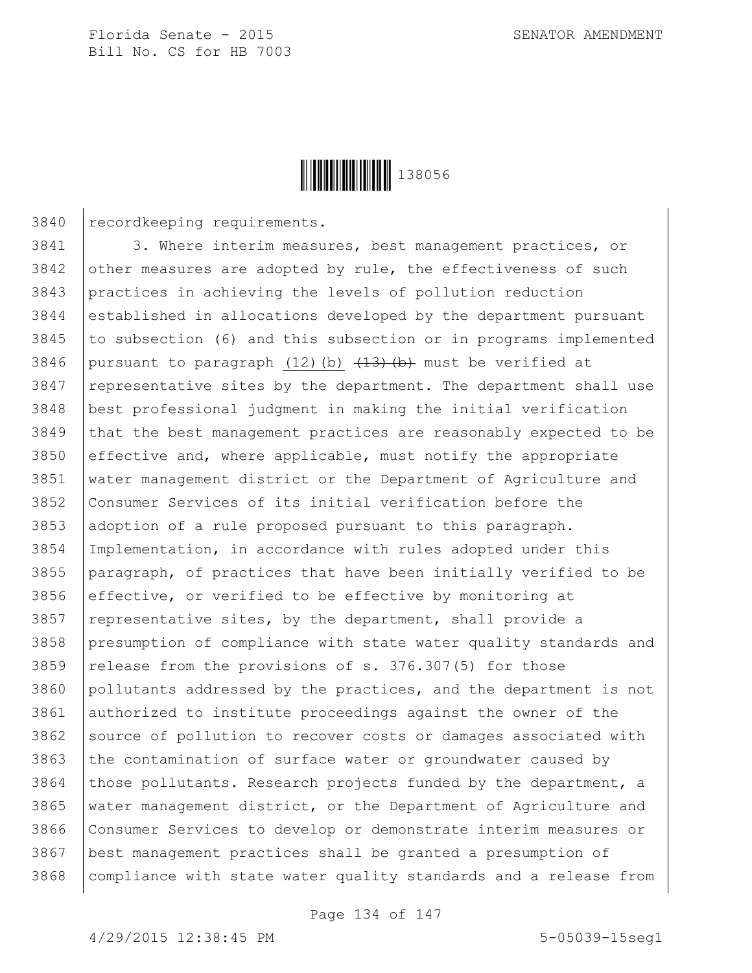

recordkeeping requirements.

3841 3. Where interim measures, best management practices, or other measures are adopted by rule, the effectiveness of such practices in achieving the levels of pollution reduction established in allocations developed by the department pursuant to subsection (6) and this subsection or in programs implemented 3846 | pursuant to paragraph  $(12)$  (b)  $\overline{+13}$  (b) must be verified at representative sites by the department. The department shall use best professional judgment in making the initial verification that the best management practices are reasonably expected to be 3850 effective and, where applicable, must notify the appropriate water management district or the Department of Agriculture and Consumer Services of its initial verification before the 3853 adoption of a rule proposed pursuant to this paragraph. Implementation, in accordance with rules adopted under this paragraph, of practices that have been initially verified to be 3856 effective, or verified to be effective by monitoring at | representative sites, by the department, shall provide a presumption of compliance with state water quality standards and 3859 | release from the provisions of s.  $376.307(5)$  for those pollutants addressed by the practices, and the department is not authorized to institute proceedings against the owner of the 3862 Source of pollution to recover costs or damages associated with the contamination of surface water or groundwater caused by those pollutants. Research projects funded by the department, a water management district, or the Department of Agriculture and Consumer Services to develop or demonstrate interim measures or best management practices shall be granted a presumption of 3868 | compliance with state water quality standards and a release from

Page 134 of 147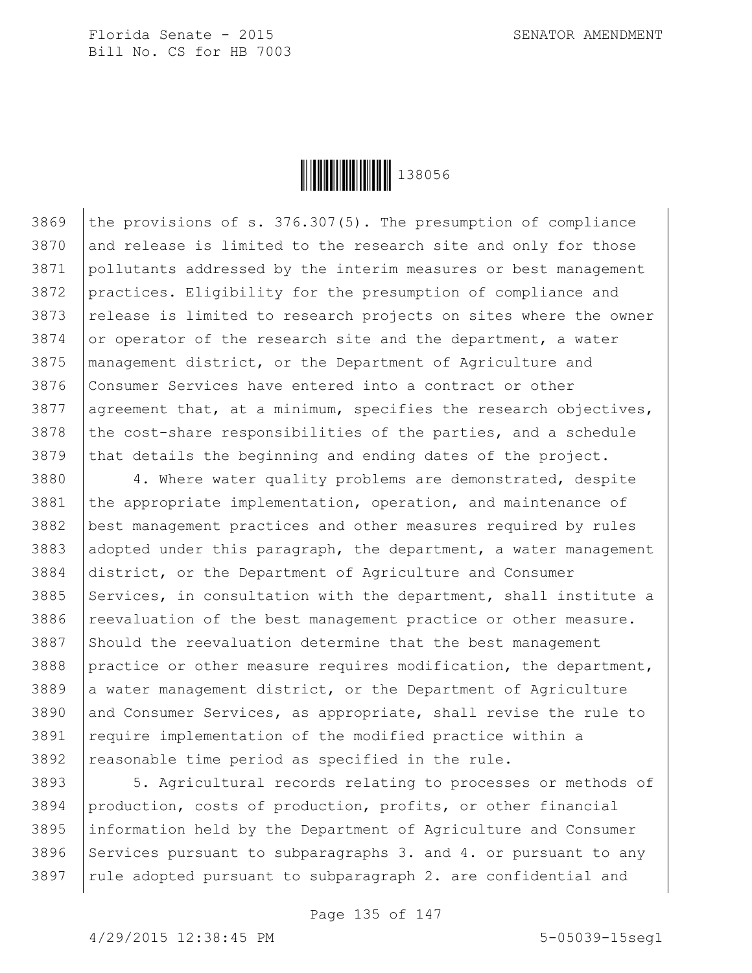

3869 the provisions of s. 376.307(5). The presumption of compliance 3870 and release is limited to the research site and only for those 3871 pollutants addressed by the interim measures or best management 3872 practices. Eligibility for the presumption of compliance and 3873 release is limited to research projects on sites where the owner 3874 or operator of the research site and the department, a water 3875 management district, or the Department of Agriculture and 3876 Consumer Services have entered into a contract or other 3877 | agreement that, at a minimum, specifies the research objectives,  $3878$  the cost-share responsibilities of the parties, and a schedule 3879 that details the beginning and ending dates of the project.

3880 4. Where water quality problems are demonstrated, despite 3881 the appropriate implementation, operation, and maintenance of best management practices and other measures required by rules adopted under this paragraph, the department, a water management district, or the Department of Agriculture and Consumer 3885 Services, in consultation with the department, shall institute a reevaluation of the best management practice or other measure. Should the reevaluation determine that the best management practice or other measure requires modification, the department, a water management district, or the Department of Agriculture 3890 and Consumer Services, as appropriate, shall revise the rule to require implementation of the modified practice within a reasonable time period as specified in the rule.

3893 5. Agricultural records relating to processes or methods of 3894 production, costs of production, profits, or other financial 3895 information held by the Department of Agriculture and Consumer 3896 Services pursuant to subparagraphs 3. and 4. or pursuant to any  $3897$  rule adopted pursuant to subparagraph 2. are confidential and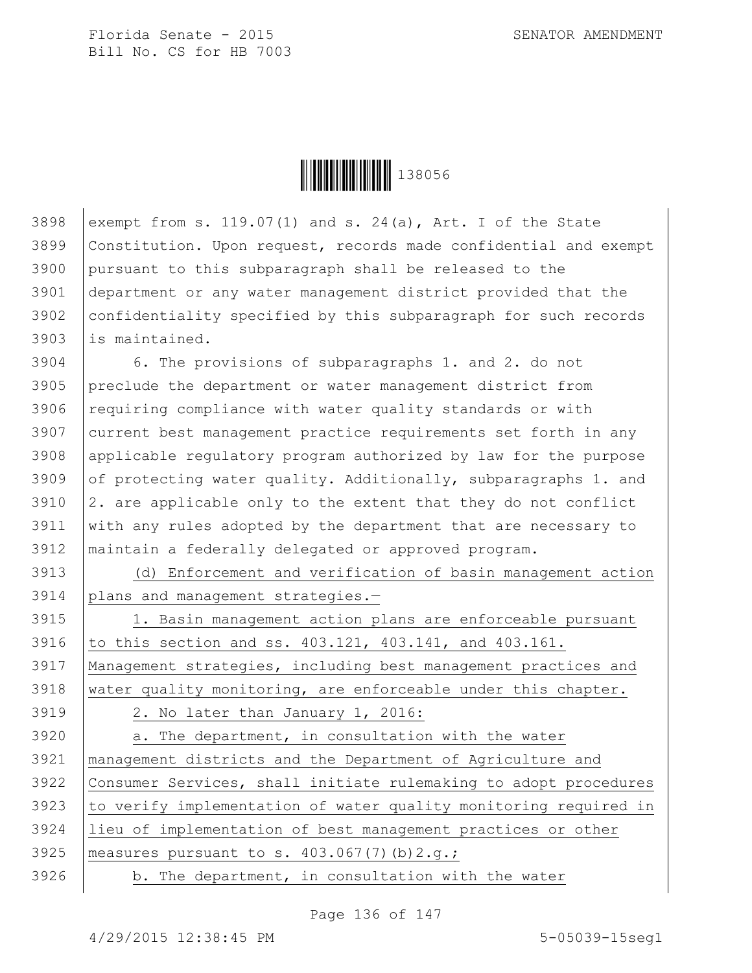

3898 exempt from s. 119.07(1) and s. 24(a), Art. I of the State Constitution. Upon request, records made confidential and exempt pursuant to this subparagraph shall be released to the department or any water management district provided that the 3902 confidentiality specified by this subparagraph for such records is maintained.

 6. The provisions of subparagraphs 1. and 2. do not preclude the department or water management district from requiring compliance with water quality standards or with 3907 current best management practice requirements set forth in any applicable regulatory program authorized by law for the purpose 3909 of protecting water quality. Additionally, subparagraphs 1. and  $\vert$  2. are applicable only to the extent that they do not conflict with any rules adopted by the department that are necessary to maintain a federally delegated or approved program.

3913 (d) Enforcement and verification of basin management action 3914 plans and management strategies.—

3915 1. Basin management action plans are enforceable pursuant 3916 to this section and ss. 403.121, 403.141, and 403.161. 3917 Management strategies, including best management practices and 3918 water quality monitoring, are enforceable under this chapter.

3919 2. No later than January 1, 2016:

 | a. The department, in consultation with the water management districts and the Department of Agriculture and Consumer Services, shall initiate rulemaking to adopt procedures 3923 to verify implementation of water quality monitoring required in lieu of implementation of best management practices or other 3925 | measures pursuant to s.  $403.067(7)(b)2.q.;$ | b. The department, in consultation with the water

Page 136 of 147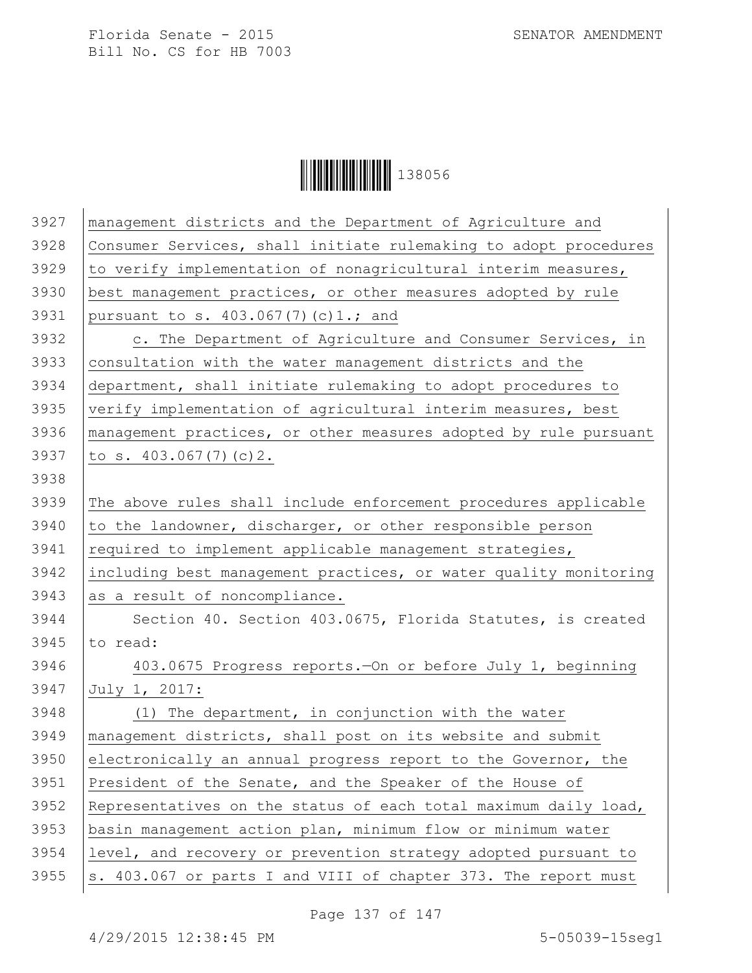

| 3927 | management districts and the Department of Agriculture and       |
|------|------------------------------------------------------------------|
| 3928 | Consumer Services, shall initiate rulemaking to adopt procedures |
| 3929 | to verify implementation of nonagricultural interim measures,    |
| 3930 | best management practices, or other measures adopted by rule     |
| 3931 | pursuant to s. 403.067(7)(c)1.; and                              |
| 3932 | c. The Department of Agriculture and Consumer Services, in       |
| 3933 | consultation with the water management districts and the         |
| 3934 | department, shall initiate rulemaking to adopt procedures to     |
| 3935 | verify implementation of agricultural interim measures, best     |
| 3936 | management practices, or other measures adopted by rule pursuant |
| 3937 | to s. $403.067(7)(c)2$ .                                         |
| 3938 |                                                                  |
| 3939 | The above rules shall include enforcement procedures applicable  |
| 3940 | to the landowner, discharger, or other responsible person        |
| 3941 | required to implement applicable management strategies,          |
| 3942 | including best management practices, or water quality monitoring |
| 3943 | as a result of noncompliance.                                    |
| 3944 | Section 40. Section 403.0675, Florida Statutes, is created       |
| 3945 | to read:                                                         |
| 3946 | 403.0675 Progress reports. - On or before July 1, beginning      |
| 3947 | July 1, 2017:                                                    |
| 3948 | (1) The department, in conjunction with the water                |
| 3949 | management districts, shall post on its website and submit       |
| 3950 | electronically an annual progress report to the Governor, the    |
| 3951 | President of the Senate, and the Speaker of the House of         |
| 3952 | Representatives on the status of each total maximum daily load,  |
| 3953 | basin management action plan, minimum flow or minimum water      |
| 3954 | level, and recovery or prevention strategy adopted pursuant to   |
| 3955 | s. 403.067 or parts I and VIII of chapter 373. The report must   |
|      |                                                                  |

Page 137 of 147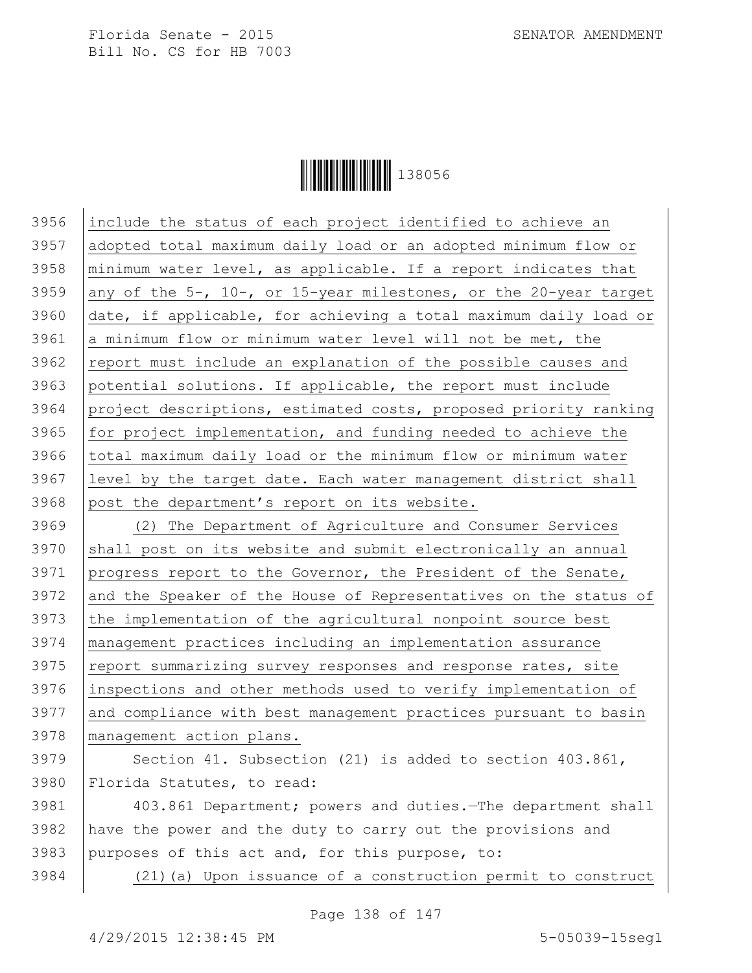

 include the status of each project identified to achieve an adopted total maximum daily load or an adopted minimum flow or |minimum water level, as applicable. If a report indicates that 3959 any of the 5-, 10-, or 15-year milestones, or the 20-year target date, if applicable, for achieving a total maximum daily load or 3961 a minimum flow or minimum water level will not be met, the 3962 report must include an explanation of the possible causes and potential solutions. If applicable, the report must include project descriptions, estimated costs, proposed priority ranking  $for$  project implementation, and funding needed to achieve the 3966 total maximum daily load or the minimum flow or minimum water level by the target date. Each water management district shall post the department's report on its website. (2) The Department of Agriculture and Consumer Services shall post on its website and submit electronically an annual progress report to the Governor, the President of the Senate, 3972 and the Speaker of the House of Representatives on the status of the implementation of the agricultural nonpoint source best management practices including an implementation assurance 3975 report summarizing survey responses and response rates, site

3976 inspections and other methods used to verify implementation of 3977 and compliance with best management practices pursuant to basin 3978 management action plans.

3979 Section 41. Subsection (21) is added to section 403.861, 3980 Florida Statutes, to read:

3981 403.861 Department; powers and duties.—The department shall 3982 have the power and the duty to carry out the provisions and 3983 purposes of this act and, for this purpose, to:

3984 (21)(a) Upon issuance of a construction permit to construct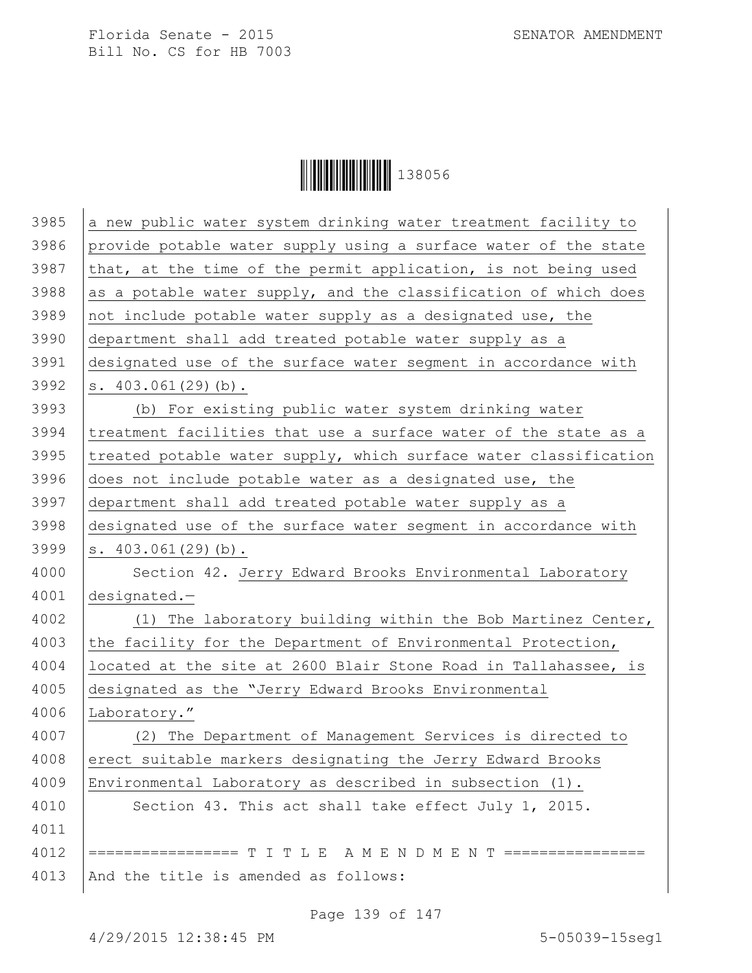**││││││││││││││││** 138056

| 3985 | a new public water system drinking water treatment facility to   |
|------|------------------------------------------------------------------|
| 3986 | provide potable water supply using a surface water of the state  |
| 3987 | that, at the time of the permit application, is not being used   |
| 3988 | as a potable water supply, and the classification of which does  |
| 3989 | not include potable water supply as a designated use, the        |
| 3990 | department shall add treated potable water supply as a           |
| 3991 | designated use of the surface water segment in accordance with   |
| 3992 | $s. 403.061(29)$ (b).                                            |
| 3993 | (b) For existing public water system drinking water              |
| 3994 | treatment facilities that use a surface water of the state as a  |
| 3995 | treated potable water supply, which surface water classification |
| 3996 | does not include potable water as a designated use, the          |
| 3997 | department shall add treated potable water supply as a           |
| 3998 | designated use of the surface water segment in accordance with   |
| 3999 | $s. 403.061(29)$ (b).                                            |
| 4000 | Section 42. Jerry Edward Brooks Environmental Laboratory         |
| 4001 | $designed. -$                                                    |
| 4002 | (1) The laboratory building within the Bob Martinez Center,      |
| 4003 | the facility for the Department of Environmental Protection,     |
| 4004 | located at the site at 2600 Blair Stone Road in Tallahassee, is  |
| 4005 | designated as the "Jerry Edward Brooks Environmental             |
| 4006 | Laboratory."                                                     |
| 4007 | (2) The Department of Management Services is directed to         |
| 4008 | erect suitable markers designating the Jerry Edward Brooks       |
| 4009 | Environmental Laboratory as described in subsection (1).         |
| 4010 | Section 43. This act shall take effect July 1, 2015.             |
| 4011 |                                                                  |
| 4012 | ================= T I T L E A M E N D M E N T ================   |
| 4013 | And the title is amended as follows:                             |

Page 139 of 147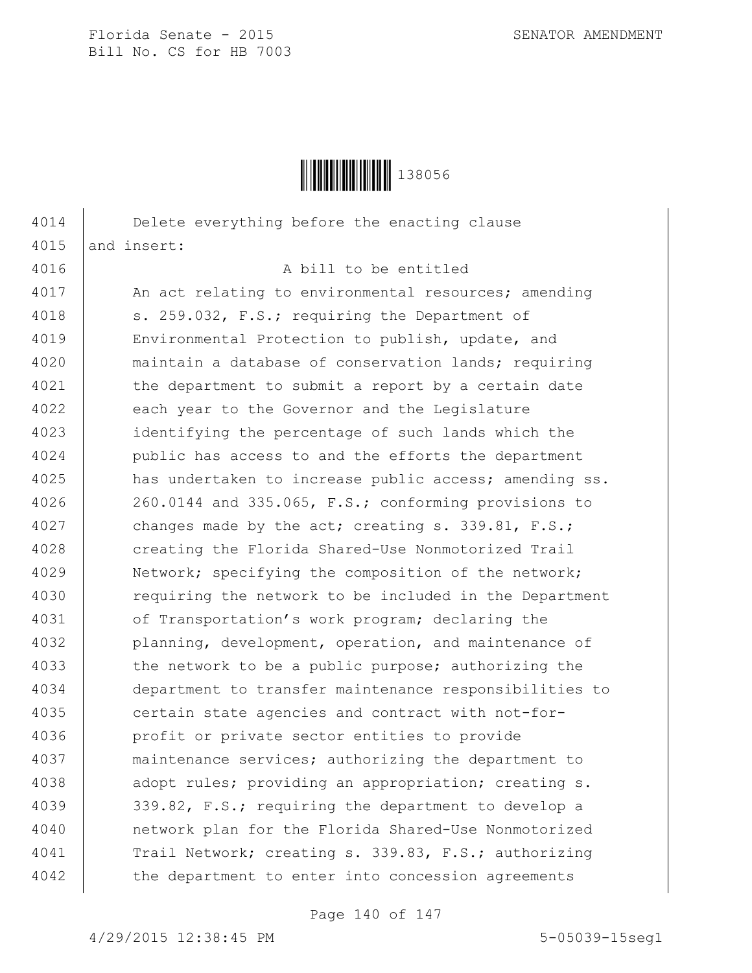

4014 Delete everything before the enacting clause 4015 and insert: 4016 A bill to be entitled 4017 | An act relating to environmental resources; amending 4018 | s. 259.032, F.S.; requiring the Department of 4019 Environmental Protection to publish, update, and 4020 maintain a database of conservation lands; requiring 4021 the department to submit a report by a certain date 4022 each year to the Governor and the Legislature 4023 identifying the percentage of such lands which the 4024 public has access to and the efforts the department 4025 | has undertaken to increase public access; amending ss. 4026 | 260.0144 and 335.065, F.S.; conforming provisions to 4027 changes made by the act; creating s. 339.81, F.S.; 4028 creating the Florida Shared-Use Nonmotorized Trail 4029 Network; specifying the composition of the network; 4030 Tequiring the network to be included in the Department 4031 of Transportation's work program; declaring the 4032 | planning, development, operation, and maintenance of 4033 the network to be a public purpose; authorizing the 4034 department to transfer maintenance responsibilities to 4035 certain state agencies and contract with not-for-4036 profit or private sector entities to provide 4037 maintenance services; authorizing the department to 4038 | adopt rules; providing an appropriation; creating s. 4039 339.82, F.S.; requiring the department to develop a 4040 network plan for the Florida Shared-Use Nonmotorized 4041 Trail Network; creating s. 339.83, F.S.; authorizing 4042 | the department to enter into concession agreements

Page 140 of 147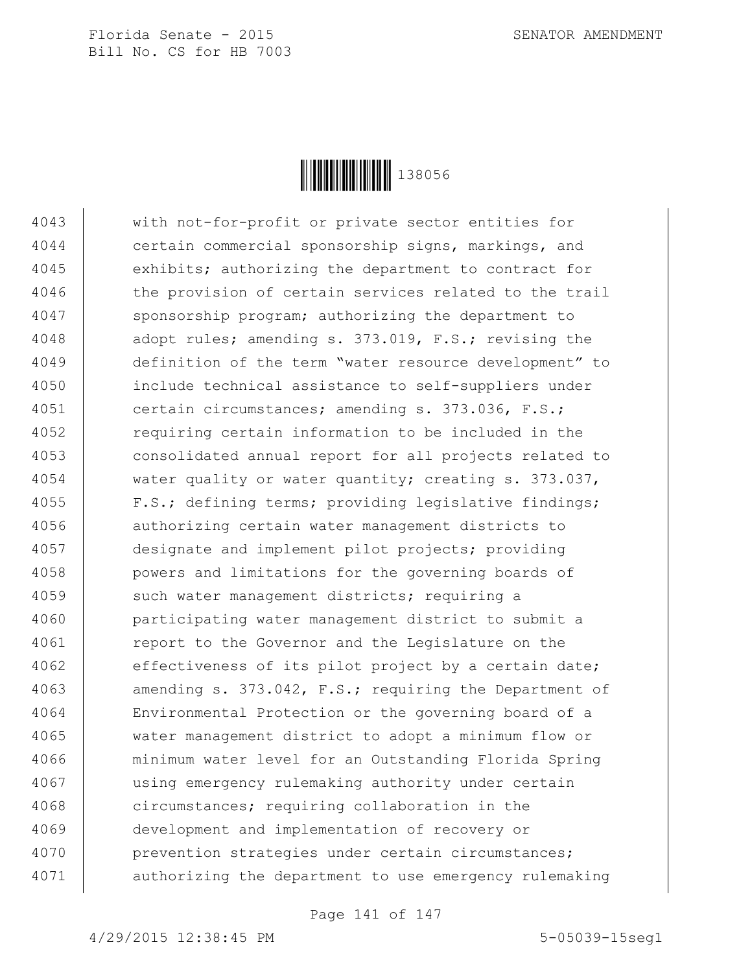

 with not-for-profit or private sector entities for certain commercial sponsorship signs, markings, and 4045 exhibits; authorizing the department to contract for 4046 the provision of certain services related to the trail 4047 | sponsorship program; authorizing the department to 4048 adopt rules; amending s. 373.019, F.S.; revising the definition of the term "water resource development" to include technical assistance to self-suppliers under certain circumstances; amending s. 373.036, F.S.; **example 2012** requiring certain information to be included in the consolidated annual report for all projects related to 4054 water quality or water quantity; creating s. 373.037, F.S.; defining terms; providing legislative findings; authorizing certain water management districts to designate and implement pilot projects; providing powers and limitations for the governing boards of 4059 such water management districts; requiring a participating water management district to submit a 4061 | report to the Governor and the Legislature on the 4062 effectiveness of its pilot project by a certain date; 4063 amending s. 373.042, F.S.; requiring the Department of Environmental Protection or the governing board of a water management district to adopt a minimum flow or minimum water level for an Outstanding Florida Spring using emergency rulemaking authority under certain circumstances; requiring collaboration in the development and implementation of recovery or prevention strategies under certain circumstances; authorizing the department to use emergency rulemaking

Page 141 of 147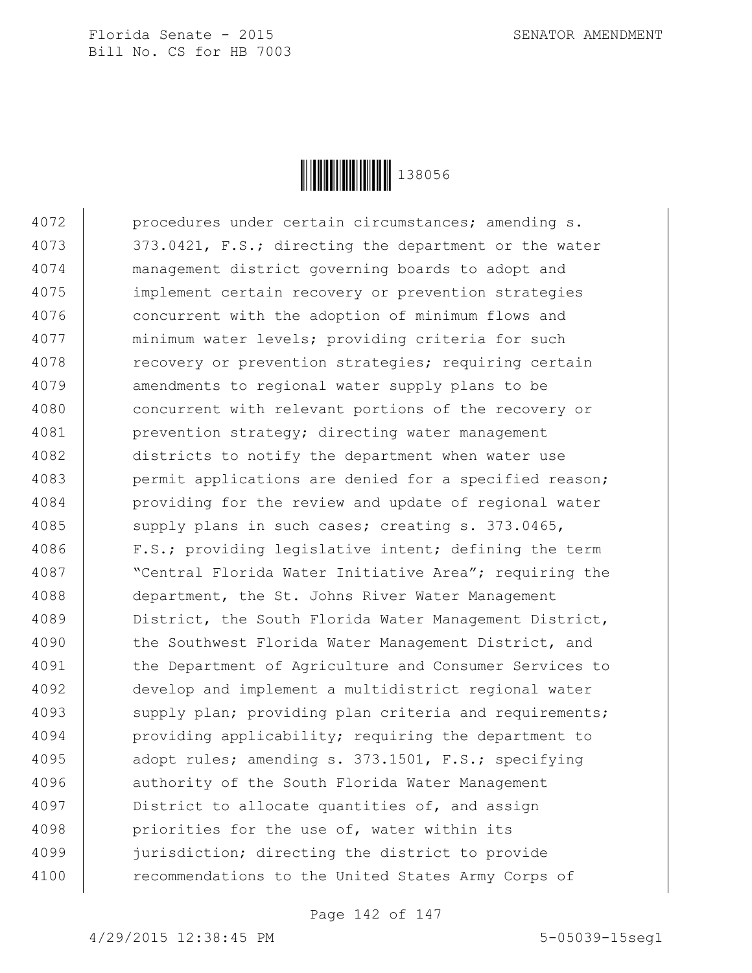

4072 | procedures under certain circumstances; amending s. 4073 | 373.0421, F.S.; directing the department or the water 4074 management district governing boards to adopt and 4075 implement certain recovery or prevention strategies 4076 concurrent with the adoption of minimum flows and 4077 minimum water levels; providing criteria for such 4078 Tecovery or prevention strategies; requiring certain 4079 emendments to regional water supply plans to be 4080 concurrent with relevant portions of the recovery or 4081 prevention strategy; directing water management 4082 districts to notify the department when water use 4083 | permit applications are denied for a specified reason; 4084 providing for the review and update of regional water 4085 | supply plans in such cases; creating s. 373.0465, 4086 F.S.; providing legislative intent; defining the term 4087 | "Central Florida Water Initiative Area"; requiring the 4088 department, the St. Johns River Water Management 4089 | District, the South Florida Water Management District, 4090 the Southwest Florida Water Management District, and 4091 | the Department of Agriculture and Consumer Services to 4092 develop and implement a multidistrict regional water 4093 | supply plan; providing plan criteria and requirements; 4094 | providing applicability; requiring the department to 4095 | adopt rules; amending s. 373.1501, F.S.; specifying 4096 | authority of the South Florida Water Management 4097 District to allocate quantities of, and assign 4098 | priorities for the use of, water within its 4099 jurisdiction; directing the district to provide 4100 | recommendations to the United States Army Corps of

Page 142 of 147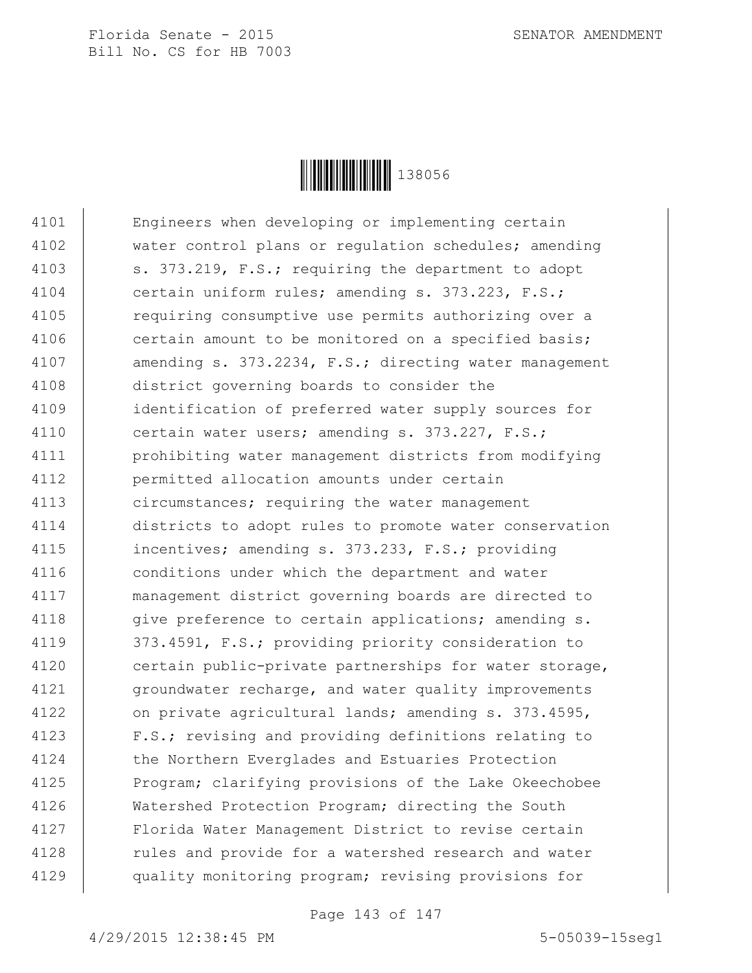

4101 Engineers when developing or implementing certain 4102 water control plans or regulation schedules; amending 4103 | s. 373.219, F.S.; requiring the department to adopt 4104 certain uniform rules; amending s. 373.223, F.S.; 4105 | requiring consumptive use permits authorizing over a 4106 certain amount to be monitored on a specified basis; 4107 amending s. 373.2234, F.S.; directing water management 4108 district governing boards to consider the 4109 | identification of preferred water supply sources for 4110 certain water users; amending s. 373.227, F.S.; 4111 prohibiting water management districts from modifying 4112 permitted allocation amounts under certain 4113 **circumstances;** requiring the water management 4114 districts to adopt rules to promote water conservation 4115 | incentives; amending s. 373.233, F.S.; providing 4116 conditions under which the department and water 4117 management district governing boards are directed to 4118  $\vert$  give preference to certain applications; amending s. 4119 | 373.4591, F.S.; providing priority consideration to 4120 | certain public-private partnerships for water storage, 4121 | groundwater recharge, and water quality improvements 4122 on private agricultural lands; amending s. 373.4595, 4123 | F.S.; revising and providing definitions relating to 4124 the Northern Everglades and Estuaries Protection 4125 Program; clarifying provisions of the Lake Okeechobee 4126 Watershed Protection Program; directing the South 4127 Florida Water Management District to revise certain 4128 Tules and provide for a watershed research and water 4129 quality monitoring program; revising provisions for

Page 143 of 147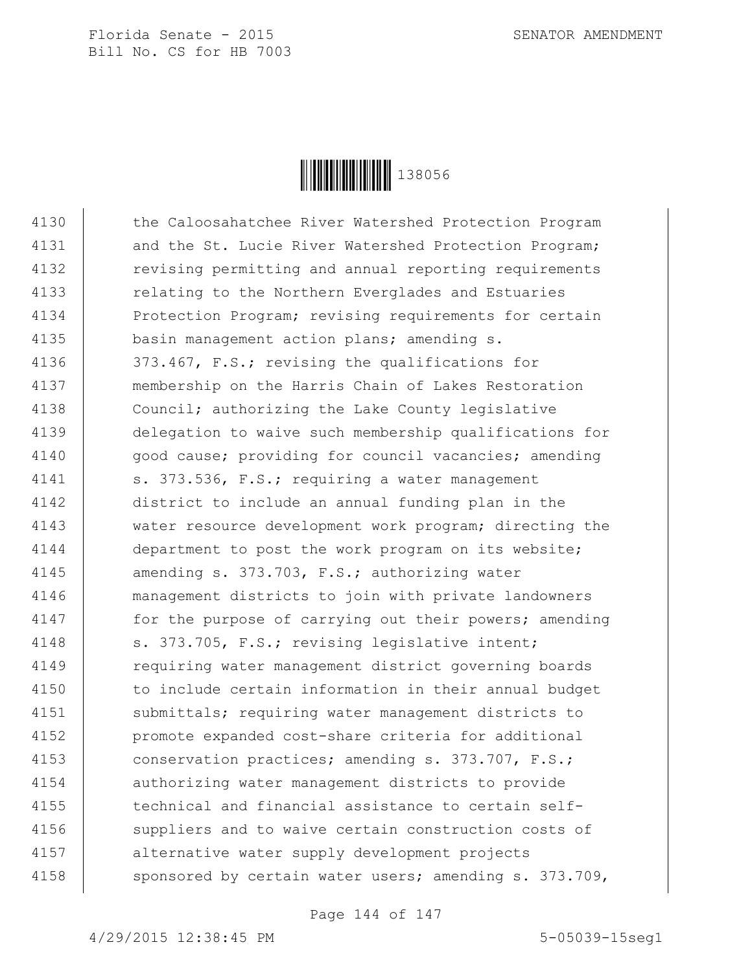

4130 | the Caloosahatchee River Watershed Protection Program 4131 | and the St. Lucie River Watershed Protection Program; 4132 | revising permitting and annual reporting requirements 4133 | relating to the Northern Everglades and Estuaries 4134 Protection Program; revising requirements for certain 4135 basin management action plans; amending s. 4136 373.467, F.S.; revising the qualifications for 4137 membership on the Harris Chain of Lakes Restoration 4138 Council; authorizing the Lake County legislative 4139 delegation to waive such membership qualifications for 4140 | qood cause; providing for council vacancies; amending 4141 | s. 373.536, F.S.; requiring a water management 4142 district to include an annual funding plan in the 4143 water resource development work program; directing the 4144 department to post the work program on its website; 4145 amending s. 373.703, F.S.; authorizing water 4146 management districts to join with private landowners 4147 for the purpose of carrying out their powers; amending 4148 | s. 373.705, F.S.; revising legislative intent; 4149 | requiring water management district governing boards 4150 | to include certain information in their annual budget 4151 | submittals; requiring water management districts to 4152 promote expanded cost-share criteria for additional 4153 conservation practices; amending s. 373.707, F.S.; 4154 authorizing water management districts to provide  $4155$   $\parallel$  technical and financial assistance to certain self-4156 suppliers and to waive certain construction costs of 4157 alternative water supply development projects 4158  $\vert$  sponsored by certain water users; amending s. 373.709,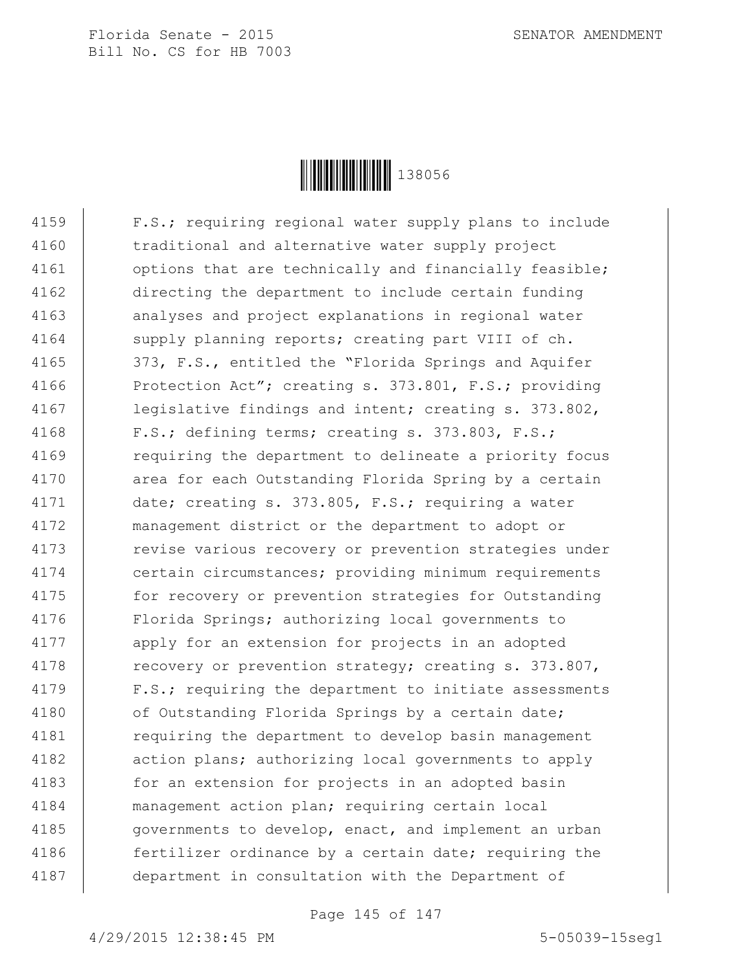Florida Senate - 2015 SENATOR AMENDMENT Bill No. CS for HB 7003



4159 F.S.; requiring regional water supply plans to include 4160 | traditional and alternative water supply project 4161 | options that are technically and financially feasible; 4162 directing the department to include certain funding 4163 | analyses and project explanations in regional water 4164 supply planning reports; creating part VIII of ch. 4165 | 373, F.S., entitled the "Florida Springs and Aquifer 4166 Protection Act"; creating s. 373.801, F.S.; providing 4167 legislative findings and intent; creating s. 373.802, 4168 | F.S.; defining terms; creating s. 373.803, F.S.; 4169 Tequiring the department to delineate a priority focus 4170 | area for each Outstanding Florida Spring by a certain 4171 date; creating s. 373.805, F.S.; requiring a water 4172 management district or the department to adopt or 4173 | revise various recovery or prevention strategies under 4174 certain circumstances; providing minimum requirements 4175 for recovery or prevention strategies for Outstanding 4176 | Florida Springs; authorizing local governments to 4177 | apply for an extension for projects in an adopted 4178 | recovery or prevention strategy; creating s. 373.807, 4179 | F.S.; requiring the department to initiate assessments 4180 | of Outstanding Florida Springs by a certain date; 4181 | requiring the department to develop basin management 4182 | action plans; authorizing local governments to apply 4183 for an extension for projects in an adopted basin 4184 management action plan; requiring certain local 4185 | governments to develop, enact, and implement an urban 4186 Fertilizer ordinance by a certain date; requiring the 4187 department in consultation with the Department of

Page 145 of 147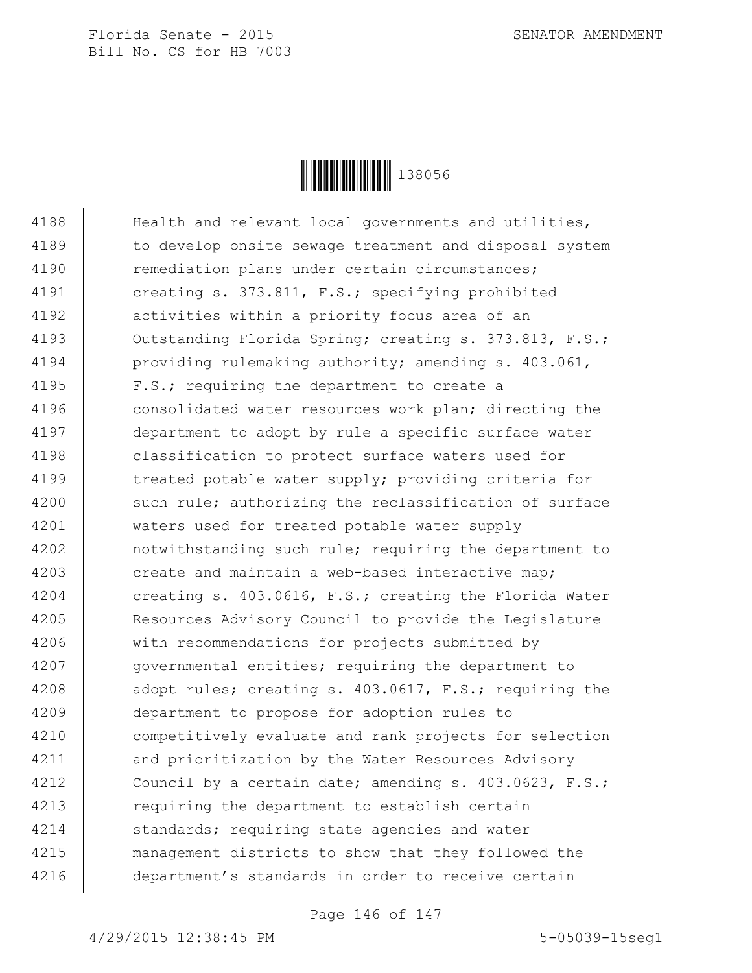Florida Senate - 2015 SENATOR AMENDMENT Bill No. CS for HB 7003



4188 | Health and relevant local governments and utilities, 4189 | to develop onsite sewage treatment and disposal system 4190 | remediation plans under certain circumstances; 4191 creating s. 373.811, F.S.; specifying prohibited 4192 | activities within a priority focus area of an 4193 | Outstanding Florida Spring; creating s. 373.813, F.S.; 4194 | providing rulemaking authority; amending s. 403.061, 4195 F.S.; requiring the department to create a 4196 consolidated water resources work plan; directing the 4197 department to adopt by rule a specific surface water 4198 classification to protect surface waters used for 4199 | treated potable water supply; providing criteria for 4200 such rule; authorizing the reclassification of surface 4201 waters used for treated potable water supply 4202 | notwithstanding such rule; requiring the department to 4203 create and maintain a web-based interactive map; 4204 creating s. 403.0616, F.S.; creating the Florida Water 4205 Resources Advisory Council to provide the Legislature 4206 with recommendations for projects submitted by 4207 | governmental entities; requiring the department to 4208 adopt rules; creating s. 403.0617, F.S.; requiring the 4209 department to propose for adoption rules to 4210 competitively evaluate and rank projects for selection 4211 and prioritization by the Water Resources Advisory 4212 Council by a certain date; amending s. 403.0623, F.S.; 4213 Tequiring the department to establish certain 4214 | standards; requiring state agencies and water 4215 management districts to show that they followed the 4216 department's standards in order to receive certain